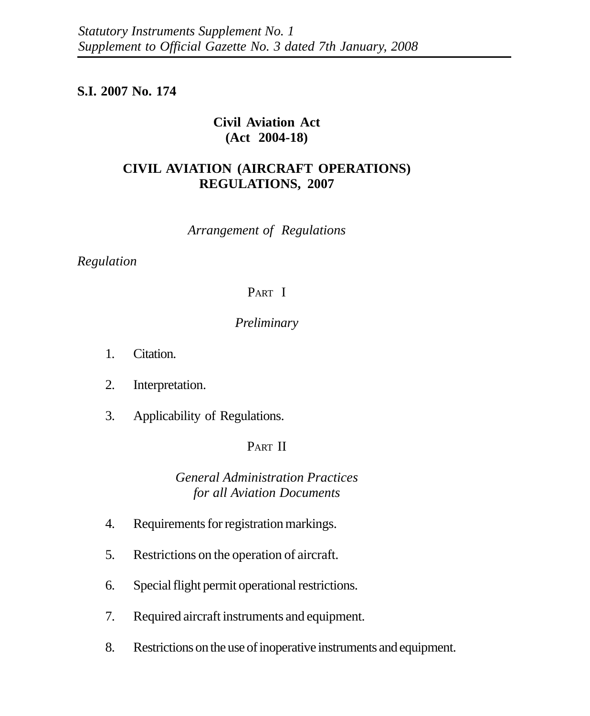# **S.I. 2007 No. 174**

# **Civil Aviation Act (Act 2004-18)**

# **CIVIL AVIATION (AIRCRAFT OPERATIONS) REGULATIONS, 2007**

*Arrangement of Regulations*

# *Regulation*

# PART I

## *Preliminary*

- 1. Citation.
- 2. Interpretation.
- 3. Applicability of Regulations.

# PART II

# *General Administration Practices for all Aviation Documents*

- 4. Requirements for registration markings.
- 5. Restrictions on the operation of aircraft.
- 6. Special flight permit operational restrictions.
- 7. Required aircraft instruments and equipment.
- 8. Restrictions on the use of inoperative instruments and equipment.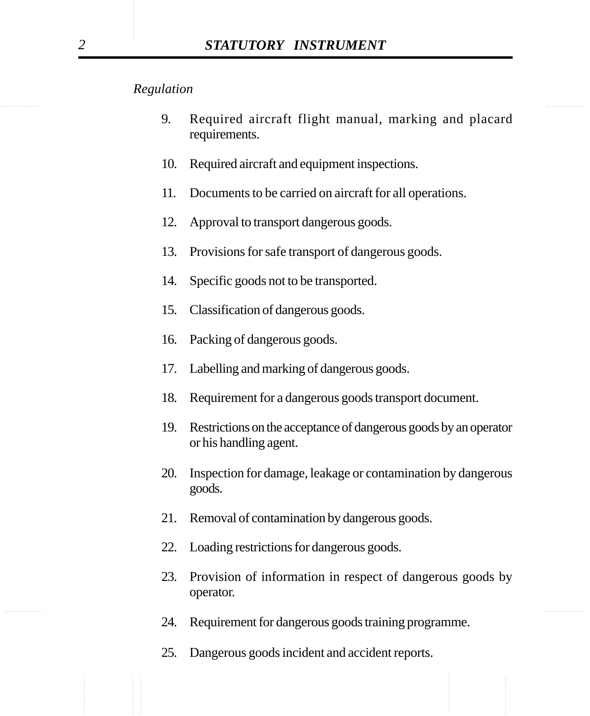- 9. Required aircraft flight manual, marking and placard requirements.
- 10. Required aircraft and equipment inspections.
- 11. Documents to be carried on aircraft for all operations.
- 12. Approval to transport dangerous goods.
- 13. Provisions for safe transport of dangerous goods.
- 14. Specific goods not to be transported.
- 15. Classification of dangerous goods.
- 16. Packing of dangerous goods.
- 17. Labelling and marking of dangerous goods.
- 18. Requirement for a dangerous goods transport document.
- 19. Restrictions on the acceptance of dangerous goods by an operator or his handling agent.
- 20. Inspection for damage, leakage or contamination by dangerous goods.
- 21. Removal of contamination by dangerous goods.
- 22. Loading restrictions for dangerous goods.
- 23. Provision of information in respect of dangerous goods by operator.
- 24. Requirement for dangerous goods training programme.
- 25. Dangerous goods incident and accident reports.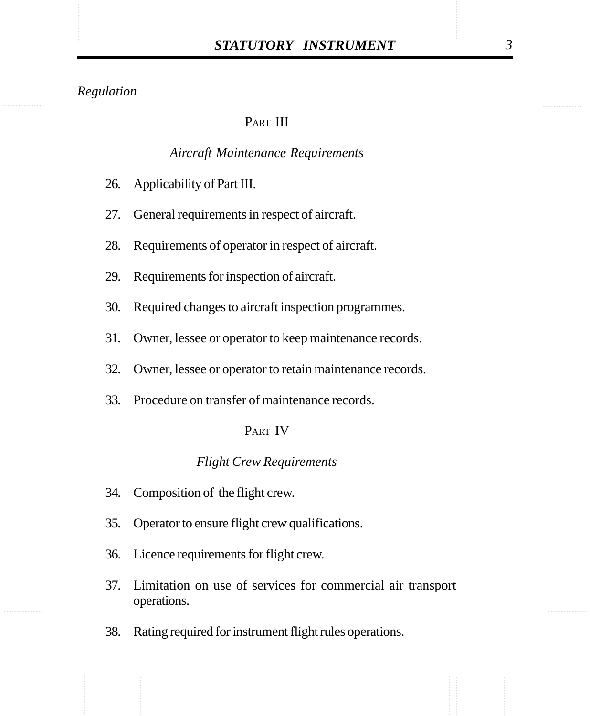# PART III

#### *Aircraft Maintenance Requirements*

- 26. Applicability of Part III.
- 27. General requirements in respect of aircraft.
- 28. Requirements of operator in respect of aircraft.
- 29. Requirements for inspection of aircraft.
- 30. Required changes to aircraft inspection programmes.
- 31. Owner, lessee or operator to keep maintenance records.
- 32. Owner, lessee or operator to retain maintenance records.
- 33. Procedure on transfer of maintenance records.

#### PART IV

#### *Flight Crew Requirements*

- 34. Composition of the flight crew.
- 35. Operator to ensure flight crew qualifications.
- 36. Licence requirements for flight crew.
- 37. Limitation on use of services for commercial air transport operations.
- 38. Rating required for instrument flight rules operations.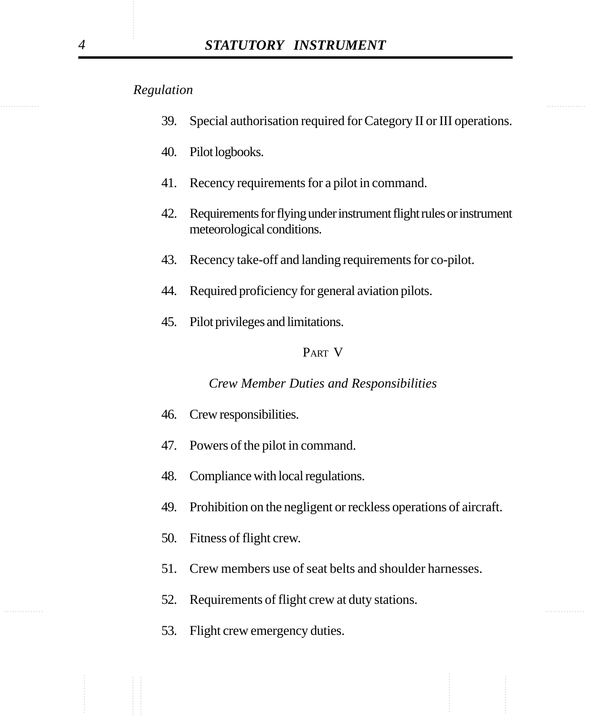- 39. Special authorisation required for Category II or III operations.
- 40. Pilot logbooks.
- 41. Recency requirements for a pilot in command.
- 42. Requirements for flying under instrument flight rules or instrument meteorological conditions.
- 43. Recency take-off and landing requirements for co-pilot.
- 44. Required proficiency for general aviation pilots.
- 45. Pilot privileges and limitations.

#### PART V

#### *Crew Member Duties and Responsibilities*

- 46. Crew responsibilities.
- 47. Powers of the pilot in command.
- 48. Compliance with local regulations.
- 49. Prohibition on the negligent or reckless operations of aircraft.
- 50. Fitness of flight crew.
- 51. Crew members use of seat belts and shoulder harnesses.
- ............... ............... 52. Requirements of flight crew at duty stations.
	- 53. Flight crew emergency duties.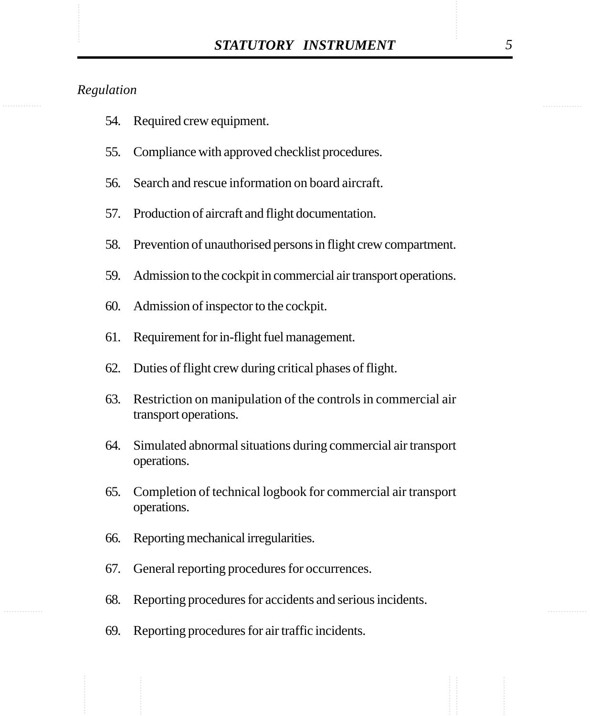- 54. Required crew equipment.
- 55. Compliance with approved checklist procedures.
- 56. Search and rescue information on board aircraft.
- 57. Production of aircraft and flight documentation.
- 58. Prevention of unauthorised persons in flight crew compartment.
- 59. Admission to the cockpit in commercial air transport operations.
- 60. Admission of inspector to the cockpit.
- 61. Requirement for in-flight fuel management.
- 62. Duties of flight crew during critical phases of flight.
- 63. Restriction on manipulation of the controls in commercial air transport operations.
- 64. Simulated abnormal situations during commercial air transport operations.
- 65. Completion of technical logbook for commercial air transport operations.
- 66. Reporting mechanical irregularities.
- 67. General reporting procedures for occurrences.
- 68. Reporting procedures for accidents and serious incidents.
- 69. Reporting procedures for air traffic incidents.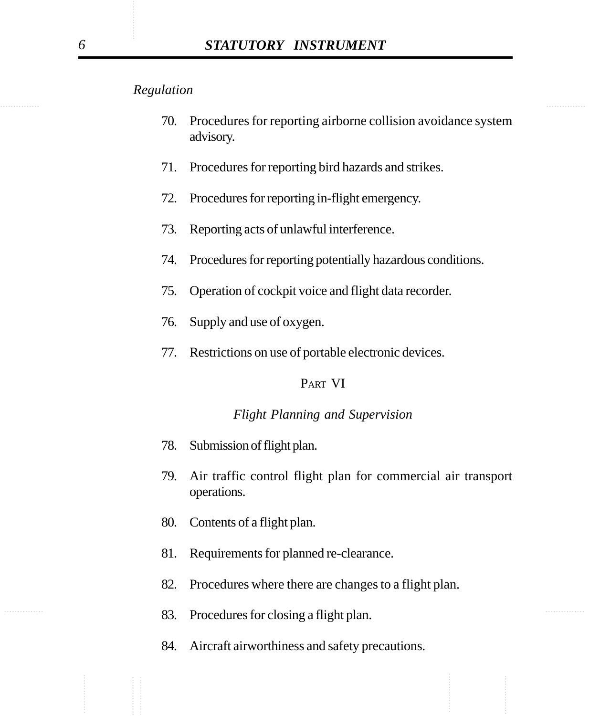- 70. Procedures for reporting airborne collision avoidance system advisory.
- 71. Procedures for reporting bird hazards and strikes.
- 72. Procedures for reporting in-flight emergency.
- 73. Reporting acts of unlawful interference.
- 74. Procedures for reporting potentially hazardous conditions.
- 75. Operation of cockpit voice and flight data recorder.
- 76. Supply and use of oxygen.
- 77. Restrictions on use of portable electronic devices.

#### PART VI

#### *Flight Planning and Supervision*

- 78. Submission of flight plan.
- 79. Air traffic control flight plan for commercial air transport operations.
- 80. Contents of a flight plan.
- 81. Requirements for planned re-clearance.
- 82. Procedures where there are changes to a flight plan.
- 83. Procedures for closing a flight plan.
	- 84. Aircraft airworthiness and safety precautions.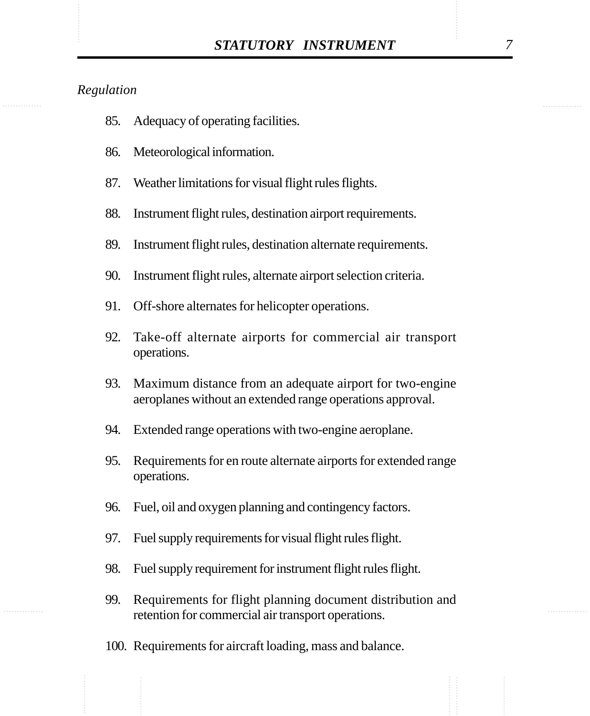- 85. Adequacy of operating facilities.
- 86. Meteorological information.
- 87. Weather limitations for visual flight rules flights.
- 88. Instrument flight rules, destination airport requirements.
- 89. Instrument flight rules, destination alternate requirements.
- 90. Instrument flight rules, alternate airport selection criteria.
- 91. Off-shore alternates for helicopter operations.
- 92. Take-off alternate airports for commercial air transport operations.
- 93. Maximum distance from an adequate airport for two-engine aeroplanes without an extended range operations approval.
- 94. Extended range operations with two-engine aeroplane.
- 95. Requirements for en route alternate airports for extended range operations.
- 96. Fuel, oil and oxygen planning and contingency factors.
- 97. Fuel supply requirements for visual flight rules flight.
- 98. Fuel supply requirement for instrument flight rules flight.
- 99. Requirements for flight planning document distribution and retention for commercial air transport operations.
- 100. Requirements for aircraft loading, mass and balance.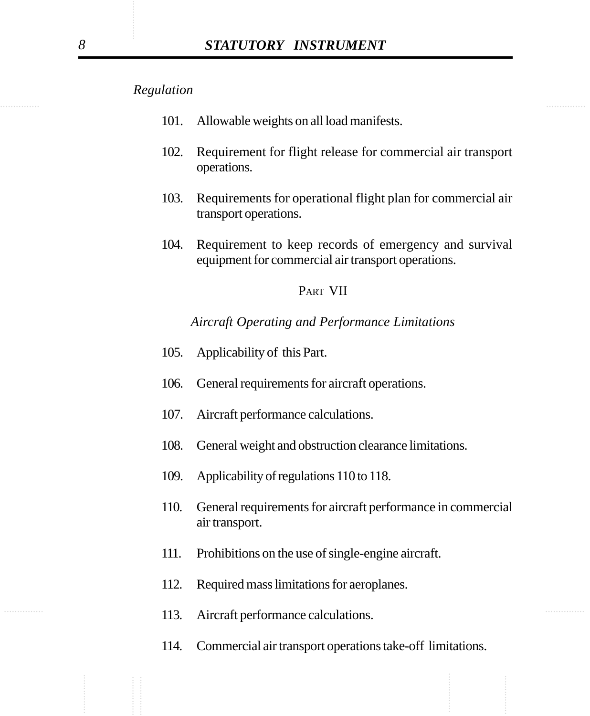- 101. Allowable weights on all load manifests.
- 102. Requirement for flight release for commercial air transport operations.
- 103. Requirements for operational flight plan for commercial air transport operations.
- 104. Requirement to keep records of emergency and survival equipment for commercial air transport operations.

#### PART VII

*Aircraft Operating and Performance Limitations*

- 105. Applicability of this Part.
- 106. General requirements for aircraft operations.
- 107. Aircraft performance calculations.
- 108. General weight and obstruction clearance limitations.
- 109. Applicability of regulations 110 to 118.
- 110. General requirements for aircraft performance in commercial air transport.
- 111. Prohibitions on the use of single-engine aircraft.
- 112. Required mass limitations for aeroplanes.
- 113. Aircraft performance calculations.
	- 114. Commercial air transport operations take-off limitations.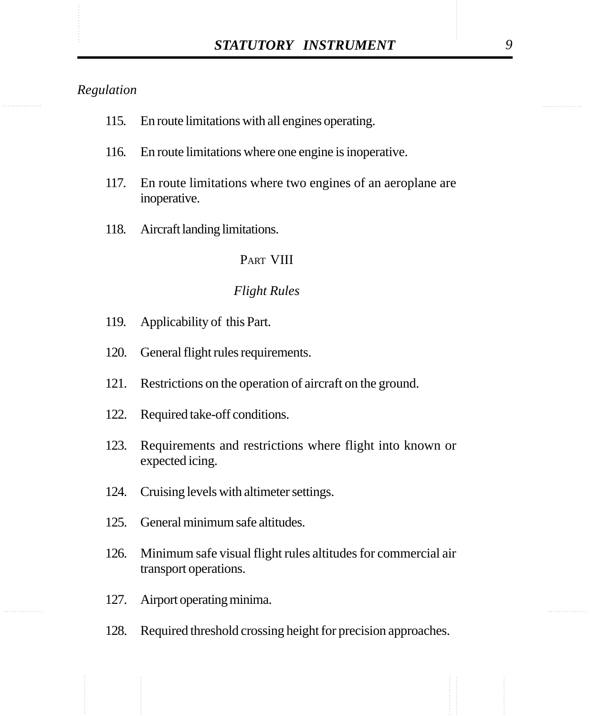| 115. | En route limitations with all engines operating. |  |  |
|------|--------------------------------------------------|--|--|
|      |                                                  |  |  |

- 116. En route limitations where one engine is inoperative.
- 117. En route limitations where two engines of an aeroplane are inoperative.
- 118. Aircraft landing limitations.

#### PART VIII

#### *Flight Rules*

- 119. Applicability of this Part.
- 120. General flight rules requirements.
- 121. Restrictions on the operation of aircraft on the ground.
- 122. Required take-off conditions.
- 123. Requirements and restrictions where flight into known or expected icing.
- 124. Cruising levels with altimeter settings.
- 125. General minimum safe altitudes.
- 126. Minimum safe visual flight rules altitudes for commercial air transport operations.
- 127. Airport operating minima.
- 128. Required threshold crossing height for precision approaches.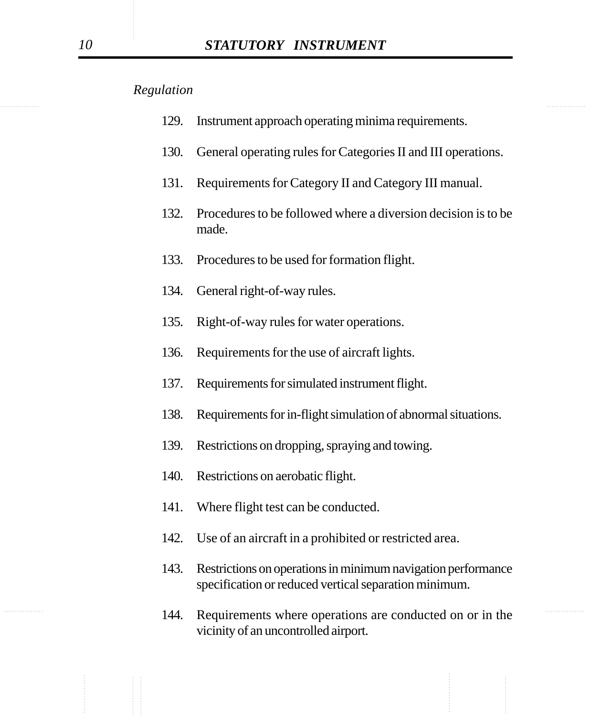| 129. | Instrument approach operating minima requirements. |  |  |  |
|------|----------------------------------------------------|--|--|--|
|      |                                                    |  |  |  |
|      |                                                    |  |  |  |

- 130. General operating rules for Categories II and III operations.
- 131. Requirements for Category II and Category III manual.
- 132. Procedures to be followed where a diversion decision is to be made.
- 133. Procedures to be used for formation flight.
- 134. General right-of-way rules.
- 135. Right-of-way rules for water operations.
- 136. Requirements for the use of aircraft lights.
- 137. Requirements for simulated instrument flight.
- 138. Requirements for in-flight simulation of abnormal situations.
- 139. Restrictions on dropping, spraying and towing.
- 140. Restrictions on aerobatic flight.
- 141. Where flight test can be conducted.
- 142. Use of an aircraft in a prohibited or restricted area.
- 143. Restrictions on operations in minimum navigation performance specification or reduced vertical separation minimum.
- 144. Requirements where operations are conducted on or in the vicinity of an uncontrolled airport.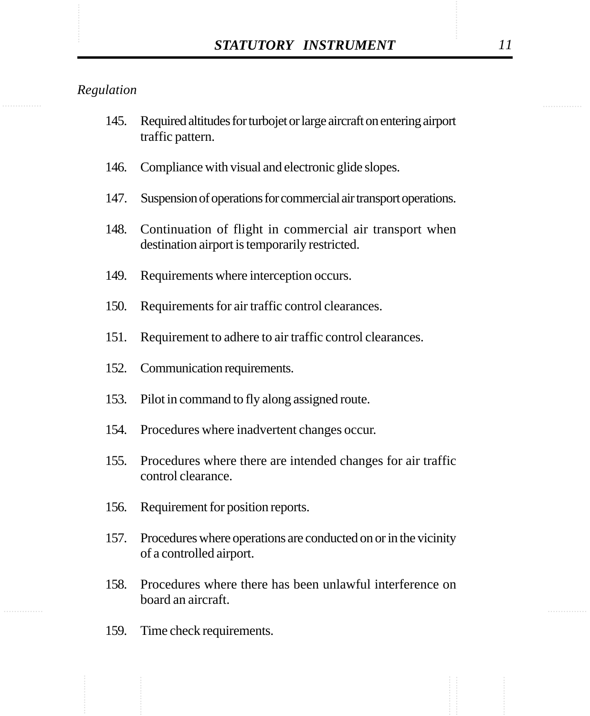- 145. Required altitudes for turbojet or large aircraft on entering airport traffic pattern.
- 146. Compliance with visual and electronic glide slopes.
- 147. Suspension of operations for commercial air transport operations.
- 148. Continuation of flight in commercial air transport when destination airport is temporarily restricted.
- 149. Requirements where interception occurs.
- 150. Requirements for air traffic control clearances.
- 151. Requirement to adhere to air traffic control clearances.
- 152. Communication requirements.
- 153. Pilot in command to fly along assigned route.
- 154. Procedures where inadvertent changes occur.
- 155. Procedures where there are intended changes for air traffic control clearance.
- 156. Requirement for position reports.
- 157. Procedures where operations are conducted on or in the vicinity of a controlled airport.
- 158. Procedures where there has been unlawful interference on board an aircraft.
- 159. Time check requirements.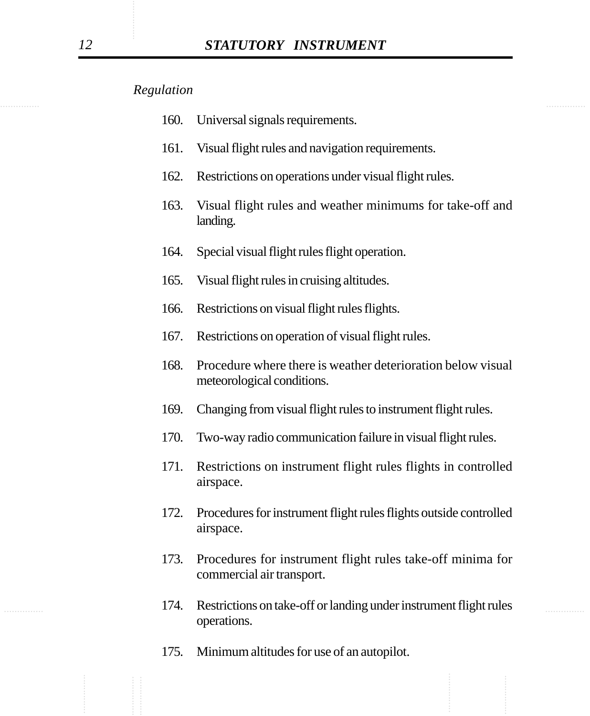- 160. Universal signals requirements.
- 161. Visual flight rules and navigation requirements.
- 162. Restrictions on operations under visual flight rules.
- 163. Visual flight rules and weather minimums for take-off and landing.
- 164. Special visual flight rules flight operation.
- 165. Visual flight rules in cruising altitudes.
- 166. Restrictions on visual flight rules flights.
- 167. Restrictions on operation of visual flight rules.
- 168. Procedure where there is weather deterioration below visual meteorological conditions.
- 169. Changing from visual flight rules to instrument flight rules.
- 170. Two-way radio communication failure in visual flight rules.
- 171. Restrictions on instrument flight rules flights in controlled airspace.
- 172. Procedures for instrument flight rules flights outside controlled airspace.
- 173. Procedures for instrument flight rules take-off minima for commercial air transport.
- 174. Restrictions on take-off or landing under instrument flight rules operations.
	- 175. Minimum altitudes for use of an autopilot.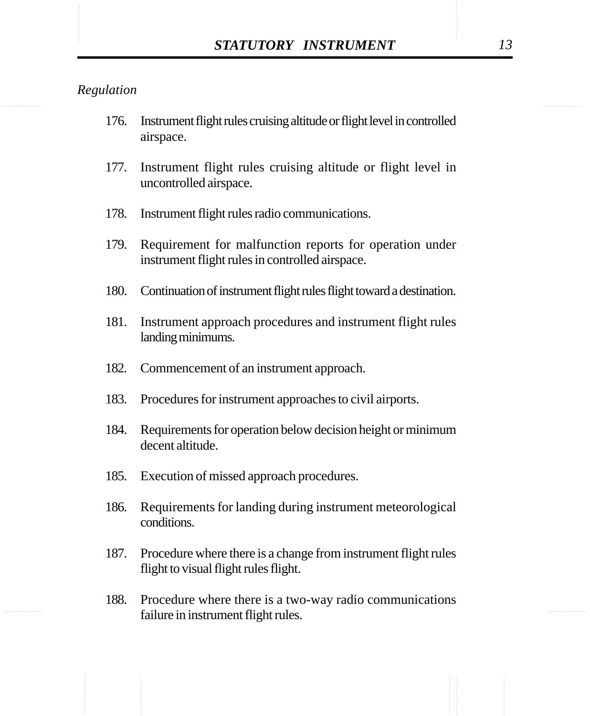- 176. Instrument flight rules cruising altitude or flight level in controlled airspace.
- 177. Instrument flight rules cruising altitude or flight level in uncontrolled airspace.
- 178. Instrument flight rules radio communications.
- 179. Requirement for malfunction reports for operation under instrument flight rules in controlled airspace.
- 180. Continuation of instrument flight rules flight toward a destination.
- 181. Instrument approach procedures and instrument flight rules landing minimums.
- 182. Commencement of an instrument approach.
- 183. Procedures for instrument approaches to civil airports.
- 184. Requirements for operation below decision height or minimum decent altitude.
- 185. Execution of missed approach procedures.
- 186. Requirements for landing during instrument meteorological conditions.
- 187. Procedure where there is a change from instrument flight rules flight to visual flight rules flight.
- 188. Procedure where there is a two-way radio communications failure in instrument flight rules.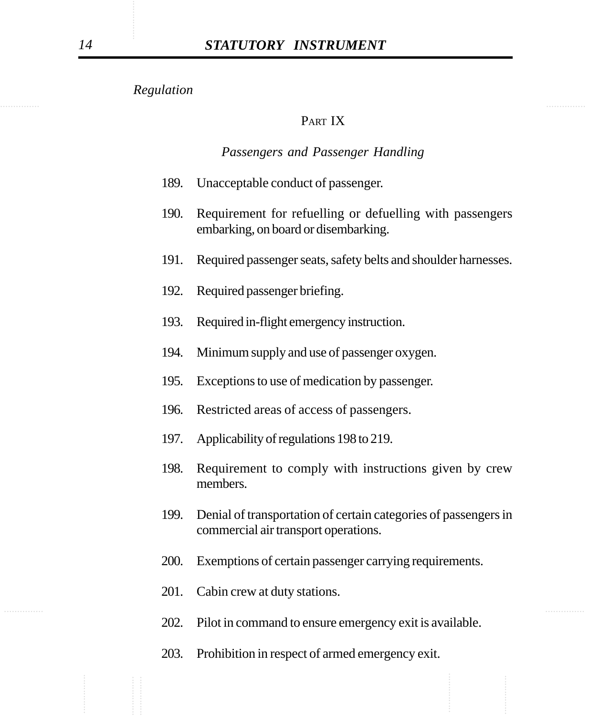# PART IX

#### *Passengers and Passenger Handling*

- 189. Unacceptable conduct of passenger.
- 190. Requirement for refuelling or defuelling with passengers embarking, on board or disembarking.
- 191. Required passenger seats, safety belts and shoulder harnesses.
- 192. Required passenger briefing.
- 193. Required in-flight emergency instruction.
- 194. Minimum supply and use of passenger oxygen.
- 195. Exceptions to use of medication by passenger.
- 196. Restricted areas of access of passengers.
- 197. Applicability of regulations 198 to 219.
- 198. Requirement to comply with instructions given by crew members.
- 199. Denial of transportation of certain categories of passengers in commercial air transport operations.
- 200. Exemptions of certain passenger carrying requirements.
- 201. Cabin crew at duty stations.
- 202. Pilot in command to ensure emergency exit is available.
- 203. Prohibition in respect of armed emergency exit.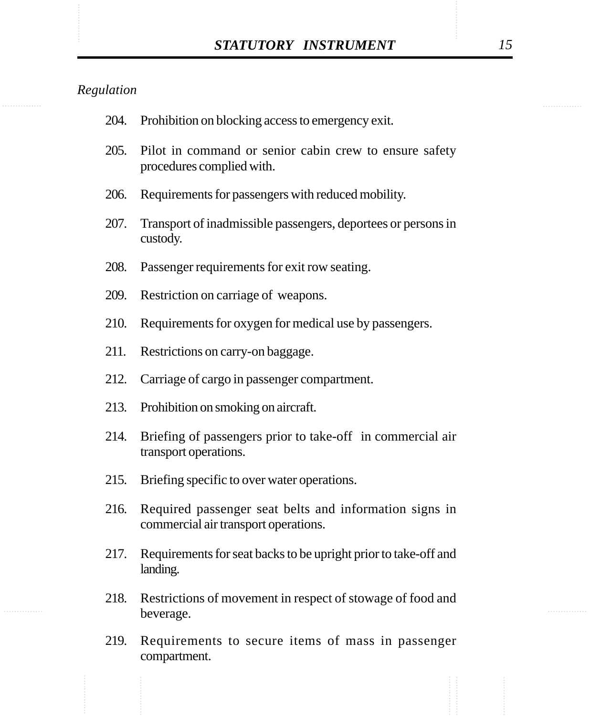| 204. | Prohibition on blocking access to emergency exit.                                              |
|------|------------------------------------------------------------------------------------------------|
| 205. | Pilot in command or senior cabin crew to ensure safety<br>procedures complied with.            |
| 206. | Requirements for passengers with reduced mobility.                                             |
| 207. | Transport of inadmissible passengers, deportees or persons in<br>custody.                      |
| 208. | Passenger requirements for exit row seating.                                                   |
| 209. | Restriction on carriage of weapons.                                                            |
| 210. | Requirements for oxygen for medical use by passengers.                                         |
| 211. | Restrictions on carry-on baggage.                                                              |
| 212. | Carriage of cargo in passenger compartment.                                                    |
| 213. | Prohibition on smoking on aircraft.                                                            |
| 214. | Briefing of passengers prior to take-off in commercial air<br>transport operations.            |
| 215. | Briefing specific to over water operations.                                                    |
| 216. | Required passenger seat belts and information signs in<br>commercial air transport operations. |
| 217. | Requirements for seat backs to be upright prior to take-off and<br>landing.                    |
| 218. | Restrictions of movement in respect of stowage of food and<br>beverage.                        |
| 219. | Requirements to secure items of mass in passenger<br>compartment.                              |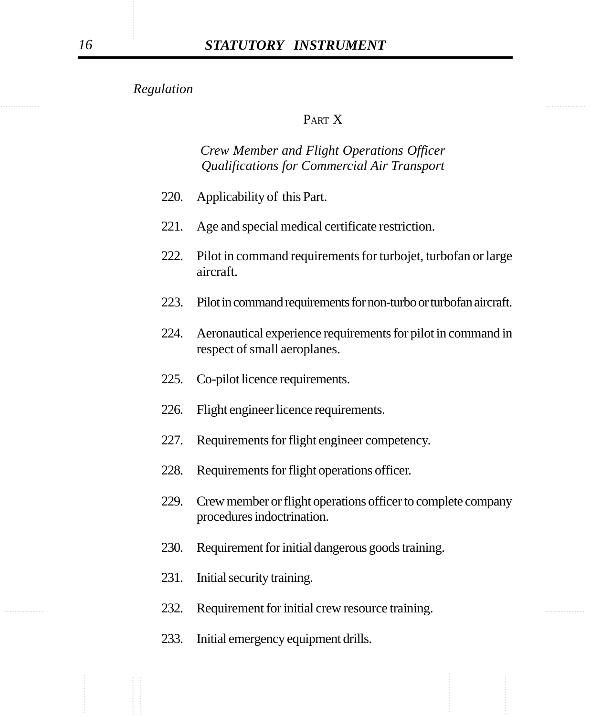## PART X

# *Crew Member and Flight Operations Officer Qualifications for Commercial Air Transport*

- 220. Applicability of this Part.
- 221. Age and special medical certificate restriction.
- 222. Pilot in command requirements for turbojet, turbofan or large aircraft.
- 223. Pilot in command requirements for non-turbo or turbofan aircraft.
- 224. Aeronautical experience requirements for pilot in command in respect of small aeroplanes.
- 225. Co-pilot licence requirements.
- 226. Flight engineer licence requirements.
- 227. Requirements for flight engineer competency.
- 228. Requirements for flight operations officer.
- 229. Crew member or flight operations officer to complete company procedures indoctrination.
- 230. Requirement for initial dangerous goods training.
- 231. Initial security training.
- 232. Requirement for initial crew resource training.
	- 233. Initial emergency equipment drills.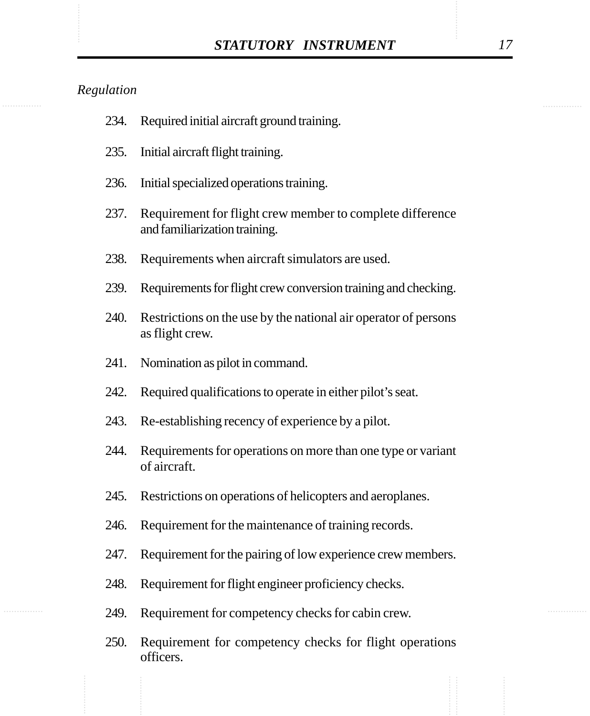| 234. | Required initial aircraft ground training.                                                 |
|------|--------------------------------------------------------------------------------------------|
| 235. | Initial aircraft flight training.                                                          |
| 236. | Initial specialized operations training.                                                   |
| 237. | Requirement for flight crew member to complete difference<br>and familiarization training. |
| 238. | Requirements when aircraft simulators are used.                                            |
| 239. | Requirements for flight crew conversion training and checking.                             |
| 240. | Restrictions on the use by the national air operator of persons<br>as flight crew.         |
| 241. | Nomination as pilot in command.                                                            |
| 242. | Required qualifications to operate in either pilot's seat.                                 |
| 243. | Re-establishing recency of experience by a pilot.                                          |
| 244. | Requirements for operations on more than one type or variant<br>of aircraft.               |
| 245. | Restrictions on operations of helicopters and aeroplanes.                                  |
| 246. | Requirement for the maintenance of training records.                                       |
| 247. | Requirement for the pairing of low experience crew members.                                |
| 248. | Requirement for flight engineer proficiency checks.                                        |
| 249. | Requirement for competency checks for cabin crew.                                          |
|      |                                                                                            |

250. Requirement for competency checks for flight operations officers.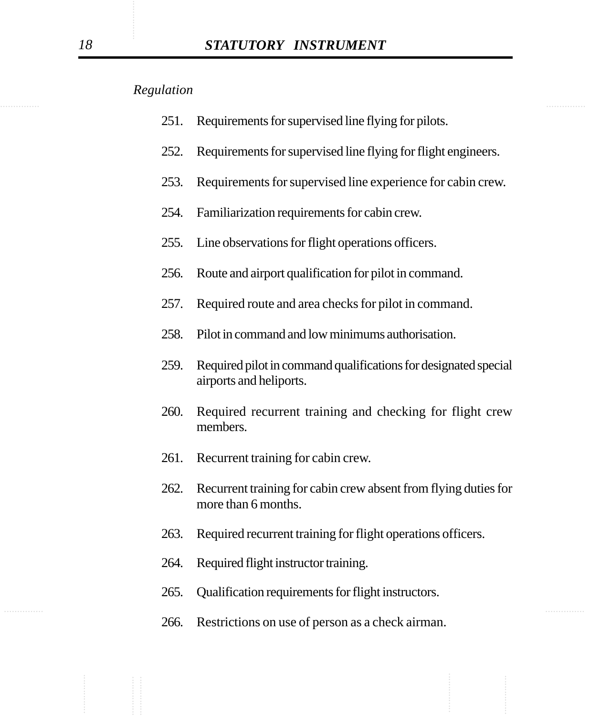- 251. Requirements for supervised line flying for pilots.
- 252. Requirements for supervised line flying for flight engineers.
- 253. Requirements for supervised line experience for cabin crew.
- 254. Familiarization requirements for cabin crew.
- 255. Line observations for flight operations officers.
- 256. Route and airport qualification for pilot in command.
- 257. Required route and area checks for pilot in command.
- 258. Pilot in command and low minimums authorisation.
- 259. Required pilot in command qualifications for designated special airports and heliports.
- 260. Required recurrent training and checking for flight crew members.
- 261. Recurrent training for cabin crew.
- 262. Recurrent training for cabin crew absent from flying duties for more than 6 months.
- 263. Required recurrent training for flight operations officers.
- 264. Required flight instructor training.
- 265. Qualification requirements for flight instructors.
- 266. Restrictions on use of person as a check airman.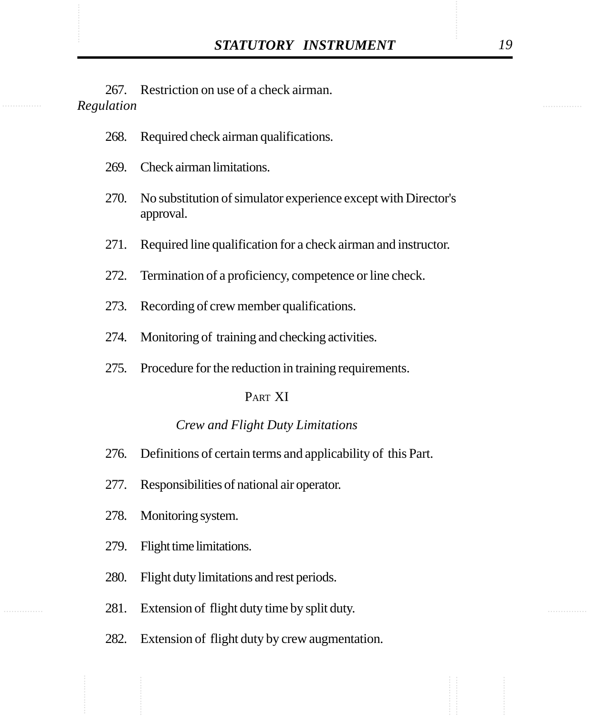STATUTORY INSTRUMENT 19<br>267. Restriction on use of a check airman.<br>Regulation 267. Restriction on use of a check airman. *Regulation*

- 268. Required check airman qualifications.
- 269. Check airman limitations.
- 270. No substitution of simulator experience except with Director's approval.
- 271. Required line qualification for a check airman and instructor.
- 272. Termination of a proficiency, competence or line check.
- 273. Recording of crew member qualifications.
- 274. Monitoring of training and checking activities.
- 275. Procedure for the reduction in training requirements.

#### PART XI

#### *Crew and Flight Duty Limitations*

- 276. Definitions of certain terms and applicability of this Part.
- 277. Responsibilities of national air operator.
- 278. Monitoring system.
- 279. Flight time limitations.
- 280. Flight duty limitations and rest periods.
- 281. Extension of flight duty time by split duty.
- 282. Extension of flight duty by crew augmentation.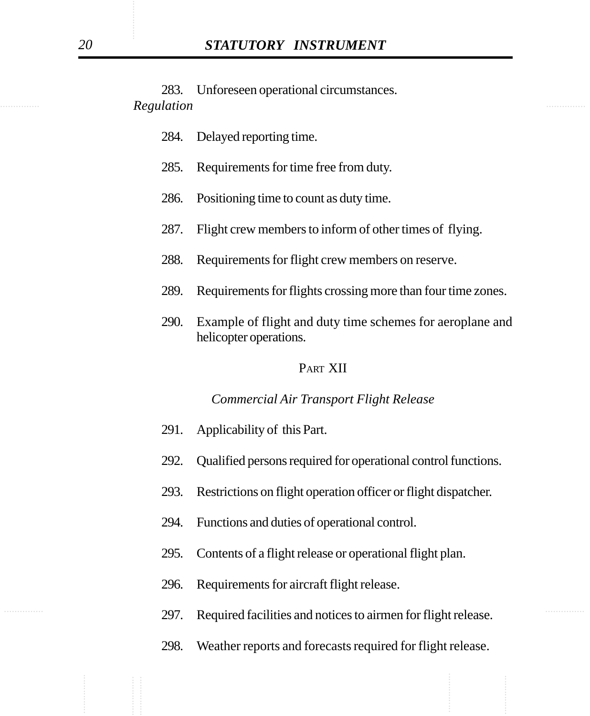............... ............... *Regulation* 283. Unforeseen operational circumstances.

- 284. Delayed reporting time.
- 285. Requirements for time free from duty.
- 286. Positioning time to count as duty time.
- 287. Flight crew members to inform of other times of flying.
- 288. Requirements for flight crew members on reserve.
- 289. Requirements for flights crossing more than four time zones.
- 290. Example of flight and duty time schemes for aeroplane and helicopter operations.

#### PART XII

#### *Commercial Air Transport Flight Release*

- 291. Applicability of this Part.
- 292. Qualified persons required for operational control functions.
- 293. Restrictions on flight operation officer or flight dispatcher.
- 294. Functions and duties of operational control.
- 295. Contents of a flight release or operational flight plan.
- 296. Requirements for aircraft flight release.
- 297. Required facilities and notices to airmen for flight release.
	- 298. Weather reports and forecasts required for flight release.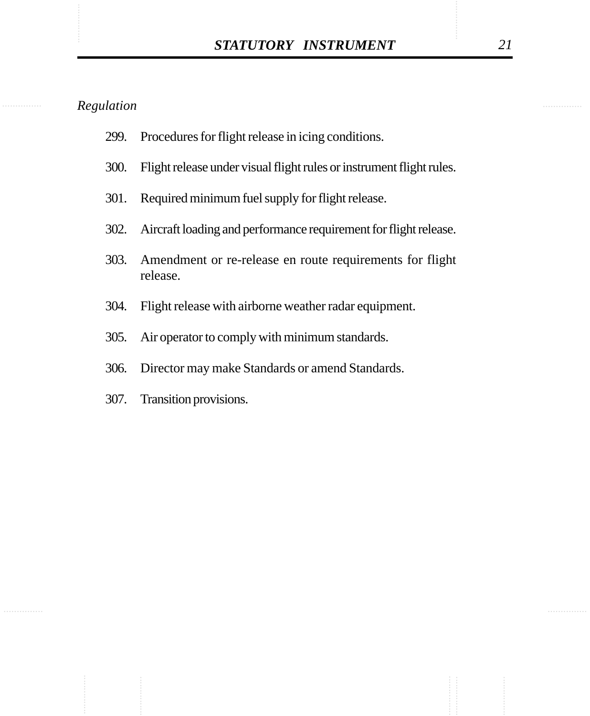- 299. Procedures for flight release in icing conditions.
- 300. Flight release under visual flight rules or instrument flight rules.
- 301. Required minimum fuel supply for flight release.
- 302. Aircraft loading and performance requirement for flight release.
- 303. Amendment or re-release en route requirements for flight release.
- 304. Flight release with airborne weather radar equipment.
- 305. Air operator to comply with minimum standards.
- 306. Director may make Standards or amend Standards.
- 307. Transition provisions.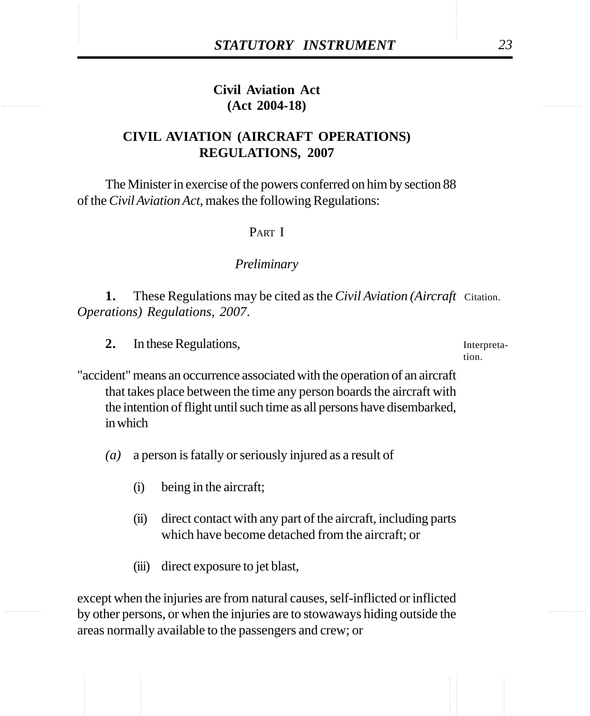# STATUTORY INSTRUMENT<br>
Civil Aviation Act<br>
(Act 2004-18) **Civil Aviation Act (Act 2004-18)**

# **CIVIL AVIATION (AIRCRAFT OPERATIONS) REGULATIONS, 2007**

The Minister in exercise of the powers conferred on him by section 88 of the *Civil Aviation Act*, makes the following Regulations:

#### PART I

#### *Preliminary*

**1.** These Regulations may be cited as the *Civil Aviation (Aircraft* Citation. *Operations) Regulations, 2007*.

**2.** In these Regulations,

Interpretation.

"accident" means an occurrence associated with the operation of an aircraft that takes place between the time any person boards the aircraft with the intention of flight until such time as all persons have disembarked, in which

*(a)* a person is fatally or seriously injured as a result of

- (i) being in the aircraft;
- (ii) direct contact with any part of the aircraft, including parts which have become detached from the aircraft; or
- (iii) direct exposure to jet blast,

except when the injuries are from natural causes, self-inflicted or inflicted by other persons, or when the injuries are to stowaways hiding outside the areas normally available to the passengers and crew; or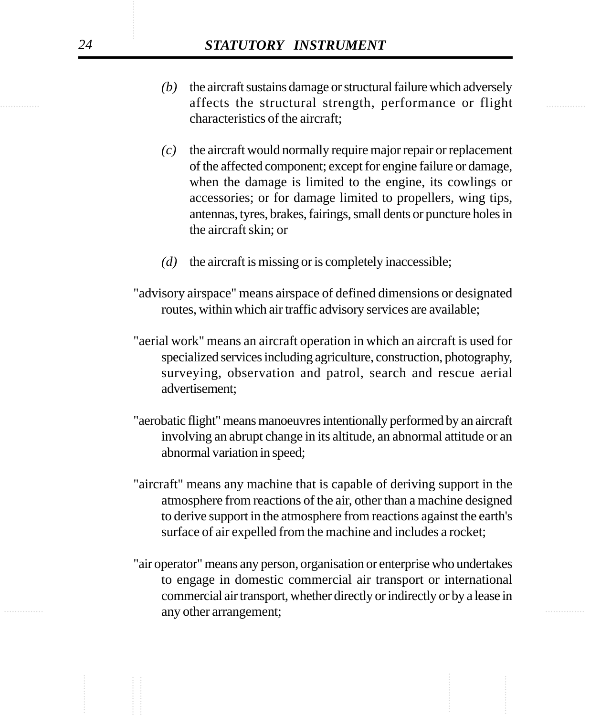- extends the structural strength, performance or flight and streets the structural strength, performance or flight *(b)* the aircraft sustains damage or structural failure which adversely characteristics of the aircraft;
	- *(c)* the aircraft would normally require major repair or replacement of the affected component; except for engine failure or damage, when the damage is limited to the engine, its cowlings or accessories; or for damage limited to propellers, wing tips, antennas, tyres, brakes, fairings, small dents or puncture holes in the aircraft skin; or
	- *(d)* the aircraft is missing or is completely inaccessible;
	- "advisory airspace" means airspace of defined dimensions or designated routes, within which air traffic advisory services are available;
	- "aerial work" means an aircraft operation in which an aircraft is used for specialized services including agriculture, construction, photography, surveying, observation and patrol, search and rescue aerial advertisement;
	- "aerobatic flight" means manoeuvres intentionally performed by an aircraft involving an abrupt change in its altitude, an abnormal attitude or an abnormal variation in speed;
	- "aircraft" means any machine that is capable of deriving support in the atmosphere from reactions of the air, other than a machine designed to derive support in the atmosphere from reactions against the earth's surface of air expelled from the machine and includes a rocket;
- ............... ............... any other arrangement;"air operator" means any person, organisation or enterprise who undertakes to engage in domestic commercial air transport or international commercial air transport, whether directly or indirectly or by a lease in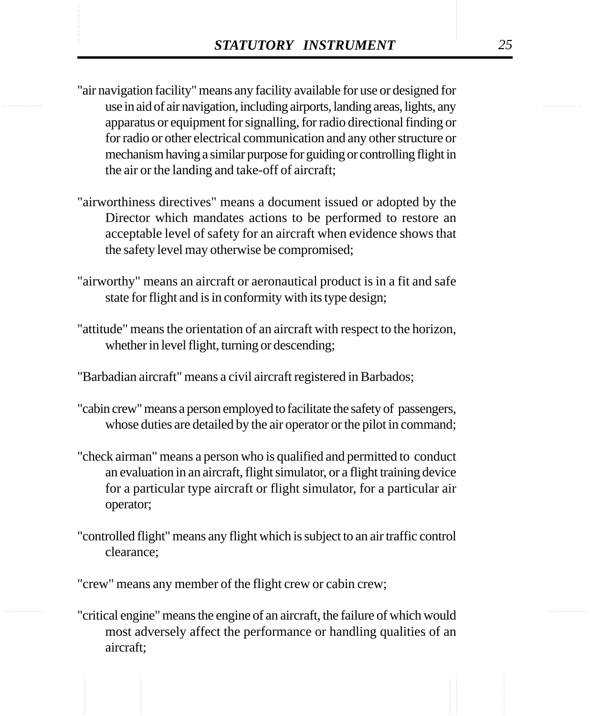- **STATUTORY INSTRUMENT**<br>
"air navigation facility" means any facility available for use or designed for<br>
use in aid of air navigation, including airrorts, landing areas, lights, any "air navigation facility" means any facility available for use or designed for use in aid of air navigation, including airports, landing areas, lights, any apparatus or equipment for signalling, for radio directional finding or for radio or other electrical communication and any other structure or mechanism having a similar purpose for guiding or controlling flight in the air or the landing and take-off of aircraft;
	- "airworthiness directives" means a document issued or adopted by the Director which mandates actions to be performed to restore an acceptable level of safety for an aircraft when evidence shows that the safety level may otherwise be compromised;
	- "airworthy" means an aircraft or aeronautical product is in a fit and safe state for flight and is in conformity with its type design;
	- "attitude" means the orientation of an aircraft with respect to the horizon, whether in level flight, turning or descending;

"Barbadian aircraft" means a civil aircraft registered in Barbados;

- "cabin crew" means a person employed to facilitate the safety of passengers, whose duties are detailed by the air operator or the pilot in command;
- "check airman" means a person who is qualified and permitted to conduct an evaluation in an aircraft, flight simulator, or a flight training device for a particular type aircraft or flight simulator, for a particular air operator;
- "controlled flight" means any flight which is subject to an air traffic control clearance;

"crew" means any member of the flight crew or cabin crew;

"critical engine" means the engine of an aircraft, the failure of which would most adversely affect the performance or handling qualities of an aircraft;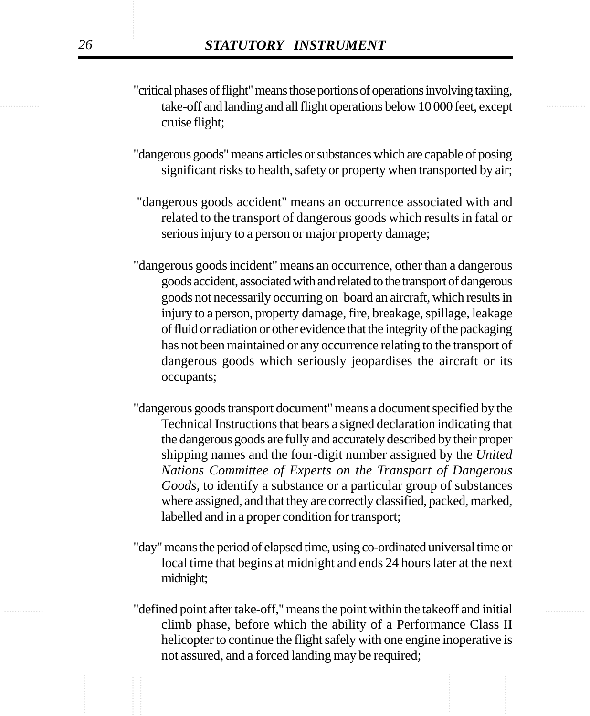- take-off and landing and all flight operations below 10 000 feet, except "critical phases of flight" means those portions of operations involving taxiing, cruise flight;
	- "dangerous goods" means articles or substances which are capable of posing significant risks to health, safety or property when transported by air;
	- "dangerous goods accident" means an occurrence associated with and related to the transport of dangerous goods which results in fatal or serious injury to a person or major property damage;
	- "dangerous goods incident" means an occurrence, other than a dangerous goods accident, associated with and related to the transport of dangerous goods not necessarily occurring on board an aircraft, which results in injury to a person, property damage, fire, breakage, spillage, leakage of fluid or radiation or other evidence that the integrity of the packaging has not been maintained or any occurrence relating to the transport of dangerous goods which seriously jeopardises the aircraft or its occupants;
	- "dangerous goods transport document" means a document specified by the Technical Instructions that bears a signed declaration indicating that the dangerous goods are fully and accurately described by their proper shipping names and the four-digit number assigned by the *United Nations Committee of Experts on the Transport of Dangerous Goods*, to identify a substance or a particular group of substances where assigned, and that they are correctly classified, packed, marked, labelled and in a proper condition for transport;
	- "day" means the period of elapsed time, using co-ordinated universal time or local time that begins at midnight and ends 24 hours later at the next midnight;
- ............... ............... "defined point after take-off," means the point within the takeoff and initial climb phase, before which the ability of a Performance Class II helicopter to continue the flight safely with one engine inoperative is not assured, and a forced landing may be required;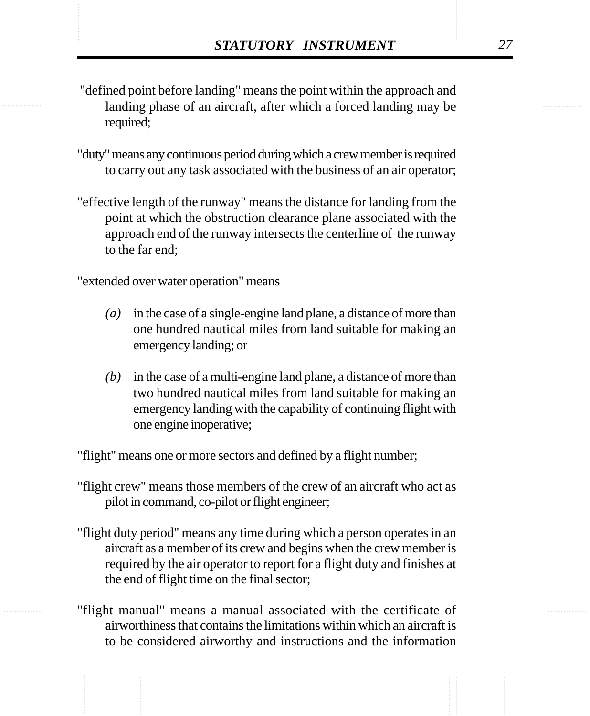- **STATUTORY INSTRUMENT** 27<br>
"defined point before landing" means the point within the approach and landing phase of an aircraft, after which a forced landing may be "defined point before landing" means the point within the approach and landing phase of an aircraft, after which a forced landing may be required;
	- "duty" means any continuous period during which a crew member is required to carry out any task associated with the business of an air operator;
	- "effective length of the runway" means the distance for landing from the point at which the obstruction clearance plane associated with the approach end of the runway intersects the centerline of the runway to the far end;

"extended over water operation" means

- *(a)* in the case of a single-engine land plane, a distance of more than one hundred nautical miles from land suitable for making an emergency landing; or
- *(b)* in the case of a multi-engine land plane, a distance of more than two hundred nautical miles from land suitable for making an emergency landing with the capability of continuing flight with one engine inoperative;

"flight" means one or more sectors and defined by a flight number;

- "flight crew" means those members of the crew of an aircraft who act as pilot in command, co-pilot or flight engineer;
- "flight duty period" means any time during which a person operates in an aircraft as a member of its crew and begins when the crew member is required by the air operator to report for a flight duty and finishes at the end of flight time on the final sector;
- "flight manual" means a manual associated with the certificate of airworthiness that contains the limitations within which an aircraft is to be considered airworthy and instructions and the information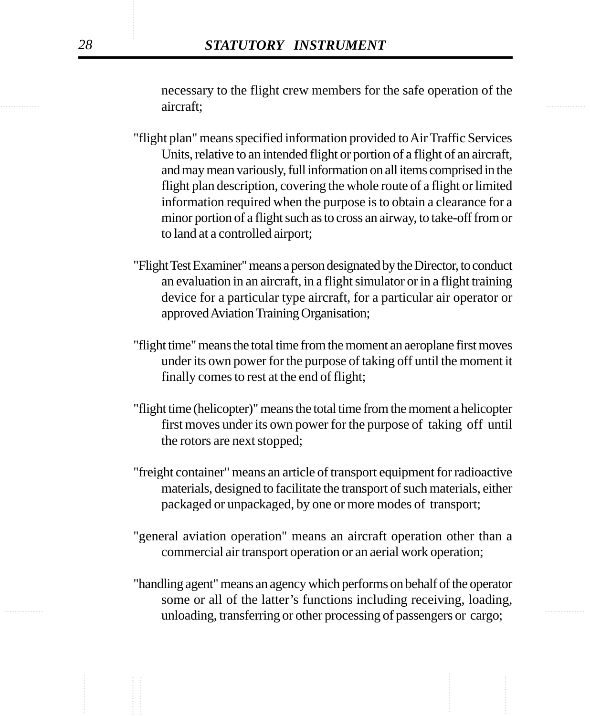............... ............... necessary to the flight crew members for the safe operation of the aircraft;

- "flight plan" means specified information provided to Air Traffic Services Units, relative to an intended flight or portion of a flight of an aircraft, and may mean variously, full information on all items comprised in the flight plan description, covering the whole route of a flight or limited information required when the purpose is to obtain a clearance for a minor portion of a flight such as to cross an airway, to take-off from or to land at a controlled airport;
- "Flight Test Examiner" means a person designated by the Director, to conduct an evaluation in an aircraft, in a flight simulator or in a flight training device for a particular type aircraft, for a particular air operator or approved Aviation Training Organisation;
- "flight time" means the total time from the moment an aeroplane first moves under its own power for the purpose of taking off until the moment it finally comes to rest at the end of flight;
- "flight time (helicopter)" means the total time from the moment a helicopter first moves under its own power for the purpose of taking off until the rotors are next stopped;
- "freight container" means an article of transport equipment for radioactive materials, designed to facilitate the transport of such materials, either packaged or unpackaged, by one or more modes of transport;
- "general aviation operation" means an aircraft operation other than a commercial air transport operation or an aerial work operation;
- ............... ............... unloading, transferring or other processing of passengers or cargo;"handling agent" means an agency which performs on behalf of the operator some or all of the latter's functions including receiving, loading,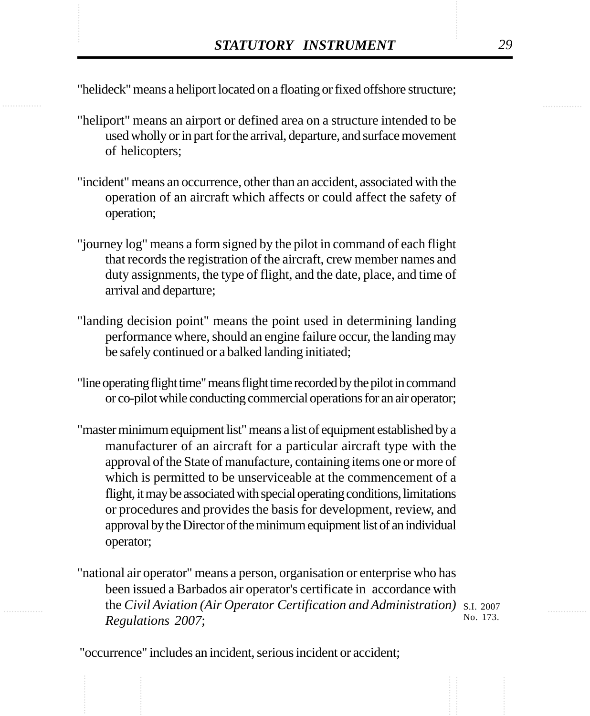STATUTORY INSTRUMENT 29<br>
"helideck" means a heliport located on a floating or fixed offshore structure; "helideck" means a heliport located on a floating or fixed offshore structure;

- "heliport" means an airport or defined area on a structure intended to be used wholly or in part for the arrival, departure, and surface movement of helicopters;
- "incident" means an occurrence, other than an accident, associated with the operation of an aircraft which affects or could affect the safety of operation;
- "journey log" means a form signed by the pilot in command of each flight that records the registration of the aircraft, crew member names and duty assignments, the type of flight, and the date, place, and time of arrival and departure;
- "landing decision point" means the point used in determining landing performance where, should an engine failure occur, the landing may be safely continued or a balked landing initiated;
- "line operating flight time" means flight time recorded by the pilot in command or co-pilot while conducting commercial operations for an air operator;
- "master minimum equipment list" means a list of equipment established by a manufacturer of an aircraft for a particular aircraft type with the approval of the State of manufacture, containing items one or more of which is permitted to be unserviceable at the commencement of a flight, it may be associated with special operating conditions, limitations or procedures and provides the basis for development, review, and approval by the Director of the minimum equipment list of an individual operator;
- "national air operator" means a person, organisation or enterprise who has been issued a Barbados air operator's certificate in accordance with the *Civil Aviation (Air Operator Certification and Administration)* S.I. 2007 *Regulations 2007*;

No. 173.

"occurrence" includes an incident, serious incident or accident;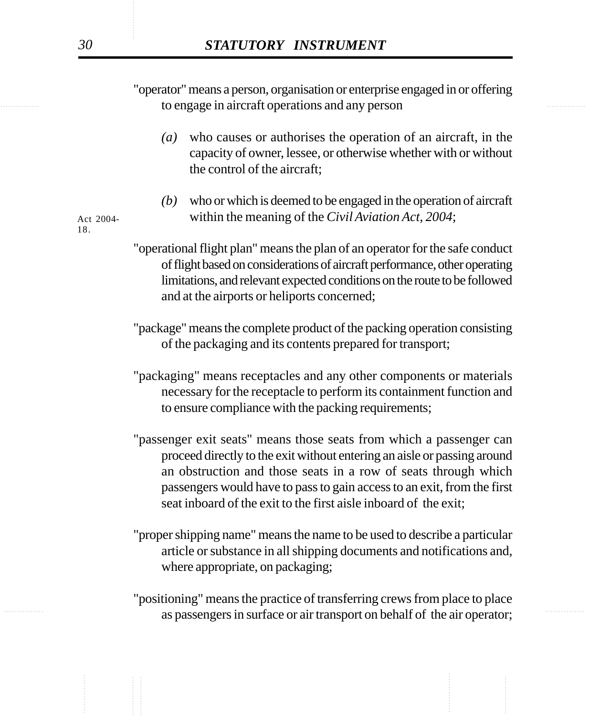............... ............... to engage in aircraft operations and any person "operator" means a person, organisation or enterprise engaged in or offering

- *(a)* who causes or authorises the operation of an aircraft, in the capacity of owner, lessee, or otherwise whether with or without the control of the aircraft;
- *(b)* who or which is deemed to be engaged in the operation of aircraft within the meaning of the *Civil Aviation Act, 2004*;

Act 2004- 18.

- "operational flight plan" means the plan of an operator for the safe conduct of flight based on considerations of aircraft performance, other operating limitations, and relevant expected conditions on the route to be followed and at the airports or heliports concerned;
- "package" means the complete product of the packing operation consisting of the packaging and its contents prepared for transport;
- "packaging" means receptacles and any other components or materials necessary for the receptacle to perform its containment function and to ensure compliance with the packing requirements;
- "passenger exit seats" means those seats from which a passenger can proceed directly to the exit without entering an aisle or passing around an obstruction and those seats in a row of seats through which passengers would have to pass to gain access to an exit, from the first seat inboard of the exit to the first aisle inboard of the exit;
- "proper shipping name" means the name to be used to describe a particular article or substance in all shipping documents and notifications and, where appropriate, on packaging;
- as passengers in surface or air transport on behalf of the air operator; "positioning" means the practice of transferring crews from place to place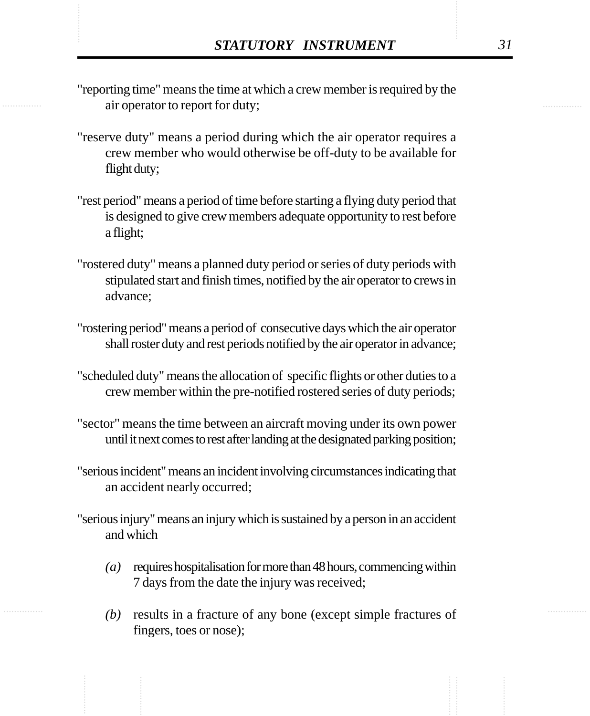- **STATUTORY INSTRUMENT**<br>
"reporting time" means the time at which a crew member is required by the<br>
air operator to report for duty: "reporting time" means the time at which a crew member is required by the air operator to report for duty;
	- "reserve duty" means a period during which the air operator requires a crew member who would otherwise be off-duty to be available for flight duty;
	- "rest period" means a period of time before starting a flying duty period that is designed to give crew members adequate opportunity to rest before a flight;
	- "rostered duty" means a planned duty period or series of duty periods with stipulated start and finish times, notified by the air operator to crews in advance;
	- "rostering period" means a period of consecutive days which the air operator shall roster duty and rest periods notified by the air operator in advance;
	- "scheduled duty" means the allocation of specific flights or other duties to a crew member within the pre-notified rostered series of duty periods;
	- "sector" means the time between an aircraft moving under its own power until it next comes to rest after landing at the designated parking position;
	- "serious incident" means an incident involving circumstances indicating that an accident nearly occurred;
	- "serious injury" means an injury which is sustained by a person in an accident and which
		- *(a)* requires hospitalisation for more than 48 hours, commencing within 7 days from the date the injury was received;
		- *(b)* results in a fracture of any bone (except simple fractures of fingers, toes or nose);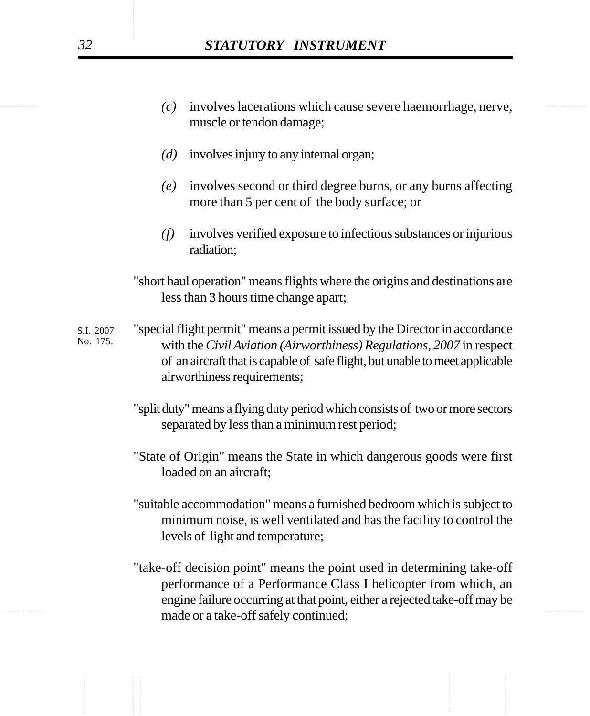| . | $(c)$ involves lacerations which cause severe haemorrhage, nerve, | . |
|---|-------------------------------------------------------------------|---|
|   | muscle or tendon damage;                                          |   |

- *(d)* involves injury to any internal organ;
- *(e)* involves second or third degree burns, or any burns affecting more than 5 per cent of the body surface; or
- *(f)* involves verified exposure to infectious substances or injurious radiation;
- "short haul operation" means flights where the origins and destinations are less than 3 hours time change apart;
- "special flight permit" means a permit issued by the Director in accordance with the *Civil Aviation (Airworthiness) Regulations, 2007* in respect of an aircraft that is capable of safe flight, but unable to meet applicable airworthiness requirements; S.I. 2007 No. 175.
	- "split duty" means a flying duty period which consists of two or more sectors separated by less than a minimum rest period;
	- "State of Origin" means the State in which dangerous goods were first loaded on an aircraft;
	- "suitable accommodation" means a furnished bedroom which is subject to minimum noise, is well ventilated and has the facility to control the levels of light and temperature;
- ............... ............... made or a take-off safely continued; "take-off decision point" means the point used in determining take-off performance of a Performance Class I helicopter from which, an engine failure occurring at that point, either a rejected take-off may be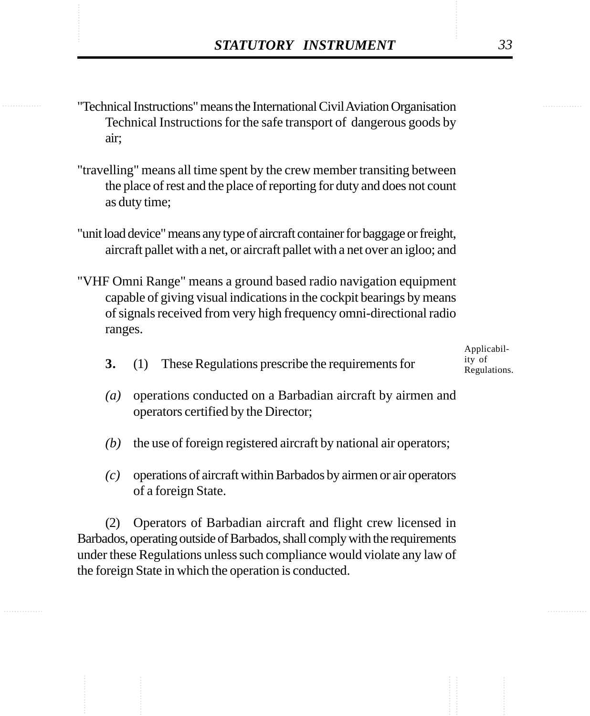- ............... ............... ............... "Technical Instructions" means the International Civil Aviation Organisation Technical Instructions for the safe transport of dangerous goods by air;
	- "travelling" means all time spent by the crew member transiting between the place of rest and the place of reporting for duty and does not count as duty time;
	- "unit load device" means any type of aircraft container for baggage or freight, aircraft pallet with a net, or aircraft pallet with a net over an igloo; and
	- "VHF Omni Range" means a ground based radio navigation equipment capable of giving visual indications in the cockpit bearings by means of signals received from very high frequency omni-directional radio ranges.
		- **3.** (1) These Regulations prescribe the requirements for

Applicability of Regulations.

- *(a)* operations conducted on a Barbadian aircraft by airmen and operators certified by the Director;
- *(b)* the use of foreign registered aircraft by national air operators;
- *(c)* operations of aircraft within Barbados by airmen or air operators of a foreign State.

(2) Operators of Barbadian aircraft and flight crew licensed in Barbados, operating outside of Barbados, shall comply with the requirements under these Regulations unless such compliance would violate any law of the foreign State in which the operation is conducted.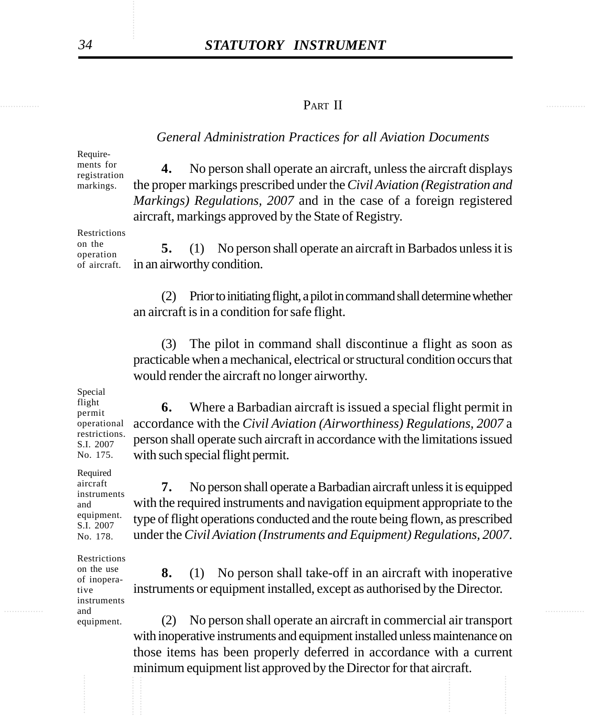#### ............... ............... PART II

#### *General Administration Practices for all Aviation Documents*

Requirements for

registration markings.

**4.** No person shall operate an aircraft, unless the aircraft displays the proper markings prescribed under the *Civil Aviation (Registration and Markings) Regulations, 2007* and in the case of a foreign registered aircraft, markings approved by the State of Registry.

Restrictions on the operation of aircraft.

**5.** (1) No person shall operate an aircraft in Barbados unless it is in an airworthy condition.

(2) Prior to initiating flight, a pilot in command shall determine whether an aircraft is in a condition for safe flight.

(3) The pilot in command shall discontinue a flight as soon as practicable when a mechanical, electrical or structural condition occurs that would render the aircraft no longer airworthy.

**6.** Where a Barbadian aircraft is issued a special flight permit in accordance with the *Civil Aviation (Airworthiness) Regulations, 2007* a person shall operate such aircraft in accordance with the limitations issued

Special flight permit operational restrictions. S.I. 2007 No. 175.

with such special flight permit.

Required aircraft instruments and equipment. S.I. 2007 No. 178.

**7.** No person shall operate a Barbadian aircraft unless it is equipped with the required instruments and navigation equipment appropriate to the type of flight operations conducted and the route being flown, as prescribed under the *Civil Aviation (Instruments and Equipment) Regulations, 2007*.

Restrictions on the use of inoperative instruments and equipment.

**and and and and and and and and and and and a 8.** (1) No person shall take-off in an aircraft with inoperative instruments or equipment installed, except as authorised by the Director.

(2) No person shall operate an aircraft in commercial air transport with inoperative instruments and equipment installed unless maintenance on those items has been properly deferred in accordance with a current minimum equipment list approved by the Director for that aircraft.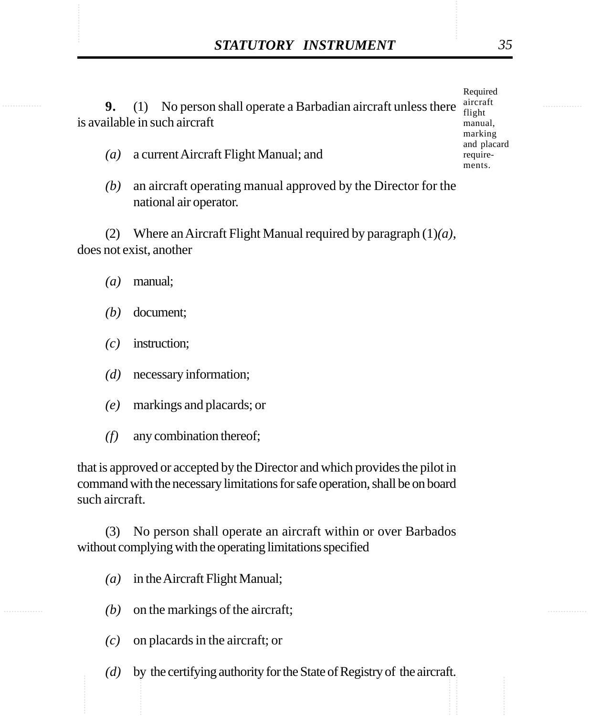STATUTORY INSTRUMENT 35<br>
9. (1) No person shall operate a Barbadian aircraft unless there aircraft **9.** (1) No person shall operate a Barbadian aircraft unless there is available in such aircraft

- *(a)* a current Aircraft Flight Manual; and
- *(b)* an aircraft operating manual approved by the Director for the national air operator.

(2) Where an Aircraft Flight Manual required by paragraph (1)*(a)*, does not exist, another

- *(a)* manual;
- *(b)* document;
- *(c)* instruction;
- *(d)* necessary information;
- *(e)* markings and placards; or
- *(f)* any combination thereof;

that is approved or accepted by the Director and which provides the pilot in command with the necessary limitations for safe operation, shall be on board such aircraft.

(3) No person shall operate an aircraft within or over Barbados without complying with the operating limitations specified

- *(a)* in the Aircraft Flight Manual;
- *(b)* on the markings of the aircraft;
- *(c)* on placards in the aircraft; or
- ............... *(d)* by the certifying authority for the State of Registry of the aircraft.

Required aircraft flight manual, marking and placard require-

ments.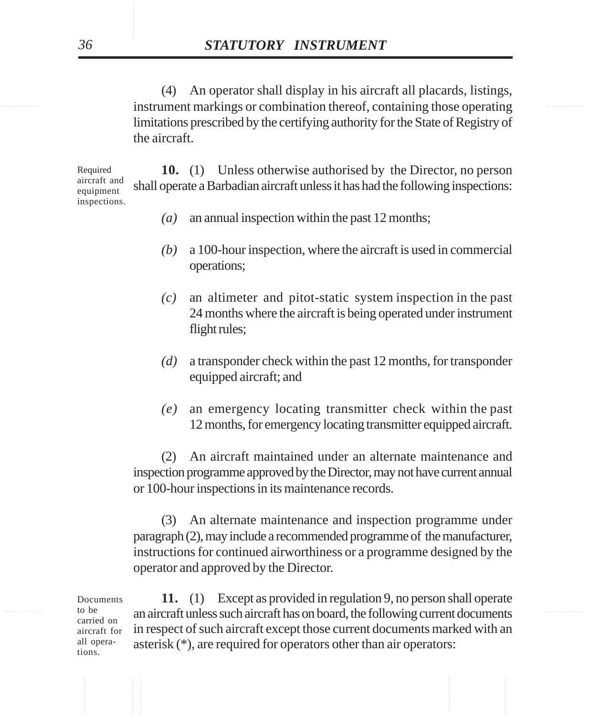instrument markings or combination thereof, containing those operating (4) An operator shall display in his aircraft all placards, listings, limitations prescribed by the certifying authority for the State of Registry of the aircraft.

> **10.** (1) Unless otherwise authorised by the Director, no person shall operate a Barbadian aircraft unless it has had the following inspections: Required aircraft and equipment inspections.

- *(a)* an annual inspection within the past 12 months;
- *(b)* a 100-hour inspection, where the aircraft is used in commercial operations;
- *(c)* an altimeter and pitot-static system inspection in the past 24 months where the aircraft is being operated under instrument flight rules;
- *(d)* a transponder check within the past 12 months, for transponder equipped aircraft; and
- *(e)* an emergency locating transmitter check within the past 12 months, for emergency locating transmitter equipped aircraft.

(2) An aircraft maintained under an alternate maintenance and inspection programme approved by the Director, may not have current annual or 100-hour inspections in its maintenance records.

(3) An alternate maintenance and inspection programme under paragraph (2), may include a recommended programme of the manufacturer, instructions for continued airworthiness or a programme designed by the operator and approved by the Director.

Documents to be carried on aircraft for all operations.

to be an aircraft unless such aircraft has on board, the following current documents **11.** (1) Except as provided in regulation 9, no person shall operate in respect of such aircraft except those current documents marked with an asterisk (\*), are required for operators other than air operators: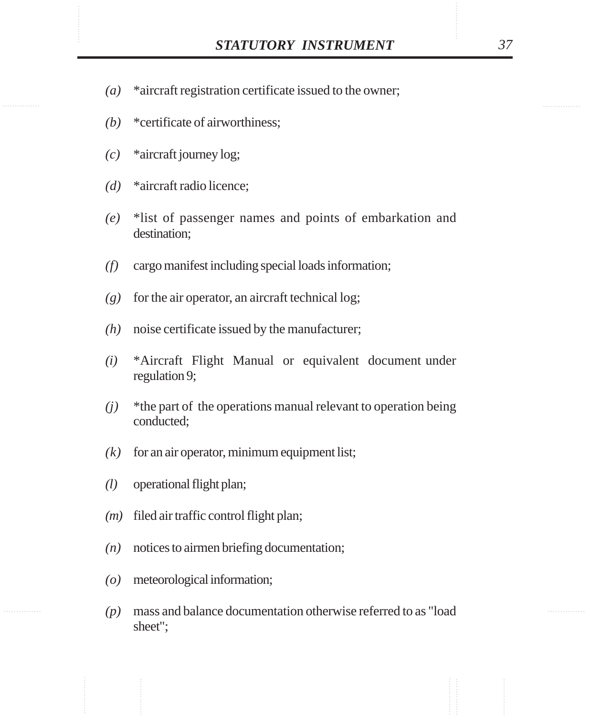- STATUTORY INSTRUMENT 37<br>(a) \*aircraft registration certificate issued to the owner; *(a)* \*aircraft registration certificate issued to the owner;
	- *(b)* \*certificate of airworthiness;
	- *(c)* \*aircraft journey log;
	- *(d)* \*aircraft radio licence;
	- *(e)* \*list of passenger names and points of embarkation and destination;
	- *(f)* cargo manifest including special loads information;
	- *(g)* for the air operator, an aircraft technical log;
	- *(h)* noise certificate issued by the manufacturer;
	- *(i)* \*Aircraft Flight Manual or equivalent document under regulation 9;
	- *(j)* \*the part of the operations manual relevant to operation being conducted;
	- $(k)$  for an air operator, minimum equipment list;
	- *(l)* operational flight plan;
	- *(m)* filed air traffic control flight plan;
	- *(n)* notices to airmen briefing documentation;
	- *(o)* meteorological information;
	- *(p)* mass and balance documentation otherwise referred to as "load sheet";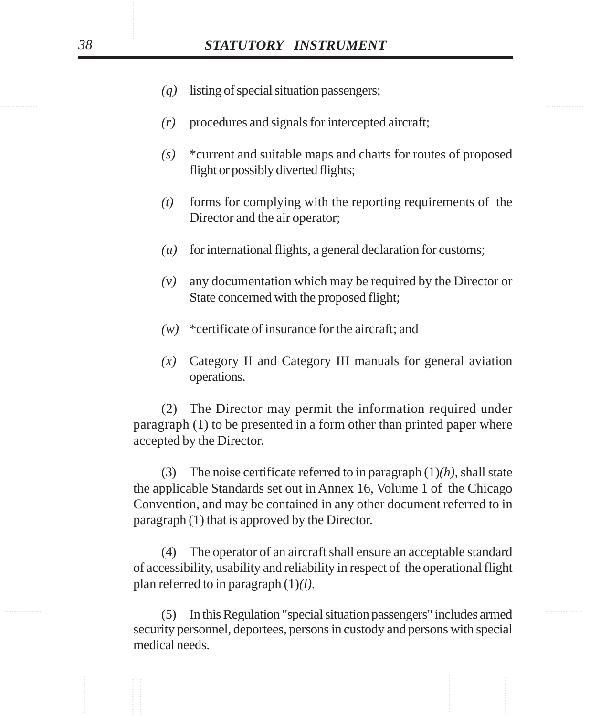- *(q)* listing of special situation passengers;
- *(r)* procedures and signals for intercepted aircraft;
- *(s)* \*current and suitable maps and charts for routes of proposed flight or possibly diverted flights;
- *(t)* forms for complying with the reporting requirements of the Director and the air operator;
- *(u)* for international flights, a general declaration for customs;
- *(v)* any documentation which may be required by the Director or State concerned with the proposed flight;
- *(w)* \*certificate of insurance for the aircraft; and
- *(x)* Category II and Category III manuals for general aviation operations.

(2) The Director may permit the information required under paragraph (1) to be presented in a form other than printed paper where accepted by the Director.

(3) The noise certificate referred to in paragraph (1)*(h)*, shall state the applicable Standards set out in Annex 16, Volume 1 of the Chicago Convention, and may be contained in any other document referred to in paragraph (1) that is approved by the Director.

(4) The operator of an aircraft shall ensure an acceptable standard of accessibility, usability and reliability in respect of the operational flight plan referred to in paragraph (1)*(l)*.

............... ............... (5) In this Regulation "special situation passengers" includes armed security personnel, deportees, persons in custody and persons with special medical needs.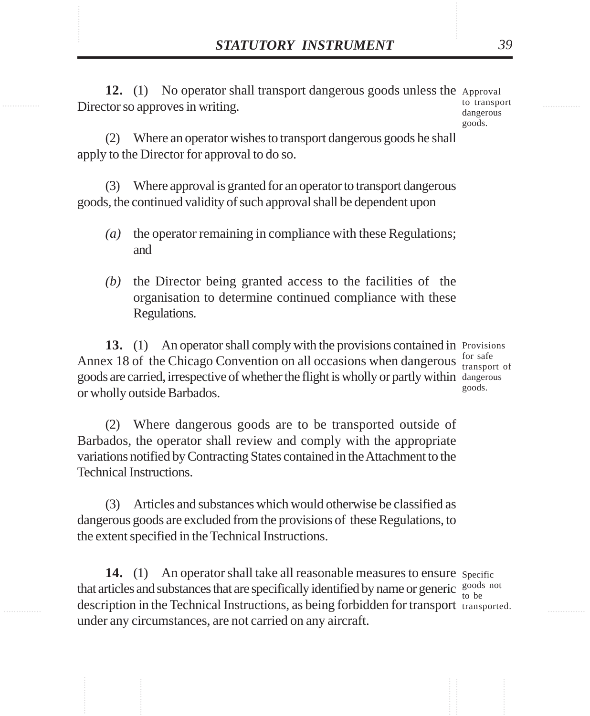**STATUTORY INSTRUMENT** 39<br>
12. (1) No operator shall transport dangerous goods unless the Approval<br>
Director so approves in writing 12. (1) No operator shall transport dangerous goods unless the Approval Director so approves in writing. to transport

dangerous goods.

(2) Where an operator wishes to transport dangerous goods he shall apply to the Director for approval to do so.

(3) Where approval is granted for an operator to transport dangerous goods, the continued validity of such approval shall be dependent upon

- *(a)* the operator remaining in compliance with these Regulations; and
- *(b)* the Director being granted access to the facilities of the organisation to determine continued compliance with these Regulations.

13. (1) An operator shall comply with the provisions contained in Provisions Annex 18 of the Chicago Convention on all occasions when dangerous  $\frac{\text{for safe}}{\text{transno}}$ goods are carried, irrespective of whether the flight is wholly or partly within dangerous or wholly outside Barbados.

transport of goods.

(2) Where dangerous goods are to be transported outside of Barbados, the operator shall review and comply with the appropriate variations notified by Contracting States contained in the Attachment to the Technical Instructions.

(3) Articles and substances which would otherwise be classified as dangerous goods are excluded from the provisions of these Regulations, to the extent specified in the Technical Instructions.

14. (1) An operator shall take all reasonable measures to ensure specific that articles and substances that are specifically identified by name or generic  $\frac{\text{goods not}}{\text{to be}}$ description in the Technical Instructions, as being forbidden for transport transported.under any circumstances, are not carried on any aircraft. to be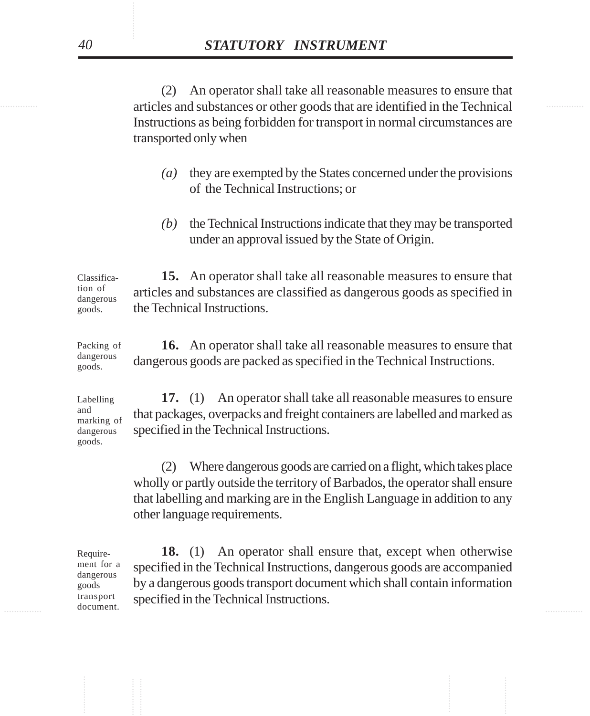extends and substances or other goods that are identified in the Technical metal are identified in the Technical (2) An operator shall take all reasonable measures to ensure that Instructions as being forbidden for transport in normal circumstances are transported only when

- *(a)* they are exempted by the States concerned under the provisions of the Technical Instructions; or
- *(b)* the Technical Instructions indicate that they may be transported under an approval issued by the State of Origin.

**15.** An operator shall take all reasonable measures to ensure that articles and substances are classified as dangerous goods as specified in the Technical Instructions. Classification of dangerous goods.

**16.** An operator shall take all reasonable measures to ensure that dangerous goods are packed as specified in the Technical Instructions. Packing of dangerous goods.

**17.** (1) An operator shall take all reasonable measures to ensure that packages, overpacks and freight containers are labelled and marked as specified in the Technical Instructions. dangerous goods.

> (2) Where dangerous goods are carried on a flight, which takes place wholly or partly outside the territory of Barbados, the operator shall ensure that labelling and marking are in the English Language in addition to any other language requirements.

Requirement for a dangerous goods transport document.

 $\blacksquare$   $\blacksquare$   $\blacksquare$   $\blacksquare$   $\blacksquare$   $\blacksquare$   $\blacksquare$   $\blacksquare$   $\blacksquare$   $\blacksquare$   $\blacksquare$   $\blacksquare$   $\blacksquare$   $\blacksquare$   $\blacksquare$   $\blacksquare$   $\blacksquare$   $\blacksquare$   $\blacksquare$   $\blacksquare$   $\blacksquare$   $\blacksquare$   $\blacksquare$   $\blacksquare$   $\blacksquare$   $\blacksquare$   $\blacksquare$   $\blacksquare$   $\blacksquare$   $\blacksquare$   $\blacksquare$   $\blacks$ **18.** (1) An operator shall ensure that, except when otherwise specified in the Technical Instructions, dangerous goods are accompanied by a dangerous goods transport document which shall contain information specified in the Technical Instructions.

Labelling and marking of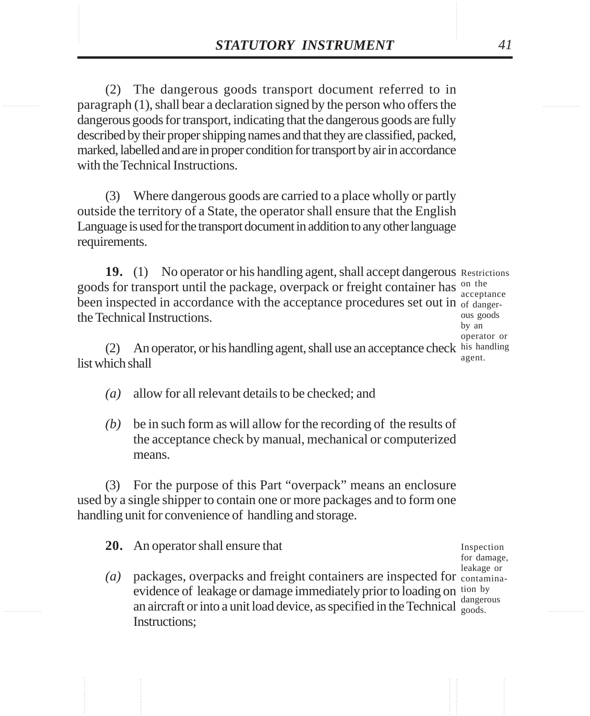**STATUTORY INSTRUMENT** 41<br>(2) The dangerous goods transport document referred to in<br>paragraph (1), shall bear a declaration signed by the person who offers the (2) The dangerous goods transport document referred to in paragraph (1), shall bear a declaration signed by the person who offers the dangerous goods for transport, indicating that the dangerous goods are fully described by their proper shipping names and that they are classified, packed, marked, labelled and are in proper condition for transport by air in accordance with the Technical Instructions.

> (3) Where dangerous goods are carried to a place wholly or partly outside the territory of a State, the operator shall ensure that the English Language is used for the transport document in addition to any other language requirements.

19. (1) No operator or his handling agent, shall accept dangerous Restrictions goods for transport until the package, overpack or freight container has <sup>on the</sup> been inspected in accordance with the acceptance procedures set out in of dangerthe Technical Instructions. acceptance

ous goods by an operator or agent.

(2) An operator, or his handling agent, shall use an acceptance check his handling list which shall

- *(a)* allow for all relevant details to be checked; and
- *(b)* be in such form as will allow for the recording of the results of the acceptance check by manual, mechanical or computerized means.

(3) For the purpose of this Part "overpack" means an enclosure used by a single shipper to contain one or more packages and to form one handling unit for convenience of handling and storage.

**20.** An operator shall ensure that

(a) packages, overpacks and freight containers are inspected for contaminaevidence of leakage or damage immediately prior to loading on tion by an aircraft or into a unit load device, as specified in the Technical  $_{\text{goods}}^{\text{auger}}$ Instructions;

Inspection for damage, leakage or dangerous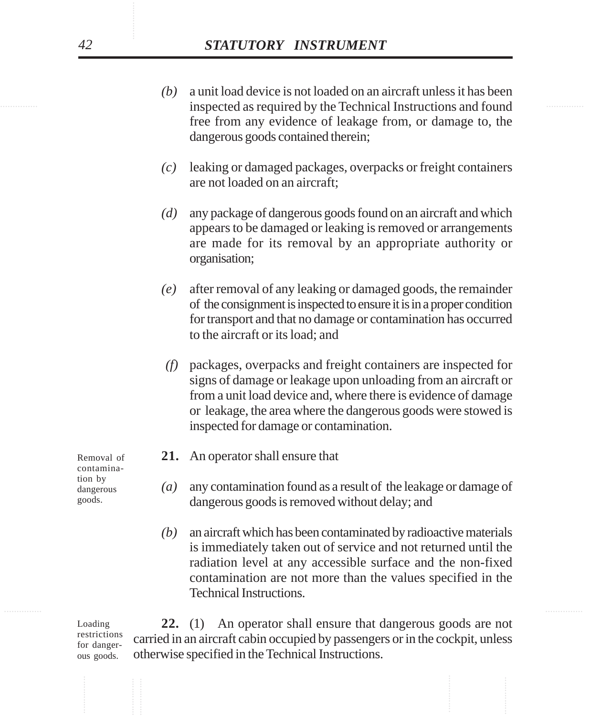- inspected as required by the Technical Instructions and found *(b)* a unit load device is not loaded on an aircraft unless it has been free from any evidence of leakage from, or damage to, the dangerous goods contained therein;
	- *(c)* leaking or damaged packages, overpacks or freight containers are not loaded on an aircraft;
	- *(d)* any package of dangerous goods found on an aircraft and which appears to be damaged or leaking is removed or arrangements are made for its removal by an appropriate authority or organisation;
	- *(e)* after removal of any leaking or damaged goods, the remainder of the consignment is inspected to ensure it is in a proper condition for transport and that no damage or contamination has occurred to the aircraft or its load; and
	- *(f)* packages, overpacks and freight containers are inspected for signs of damage or leakage upon unloading from an aircraft or from a unit load device and, where there is evidence of damage or leakage, the area where the dangerous goods were stowed is inspected for damage or contamination.
	- **21.** An operator shall ensure that
	- *(a)* any contamination found as a result of the leakage or damage of dangerous goods is removed without delay; and
	- *(b)* an aircraft which has been contaminated by radioactive materials is immediately taken out of service and not returned until the radiation level at any accessible surface and the non-fixed contamination are not more than the values specified in the Technical Instructions.

Loading restrictions for dangerous goods.

**22.** (1) An operator shall ensure that dangerous goods are not carried in an aircraft cabin occupied by passengers or in the cockpit, unless otherwise specified in the Technical Instructions.

Removal of contamination by dangerous goods.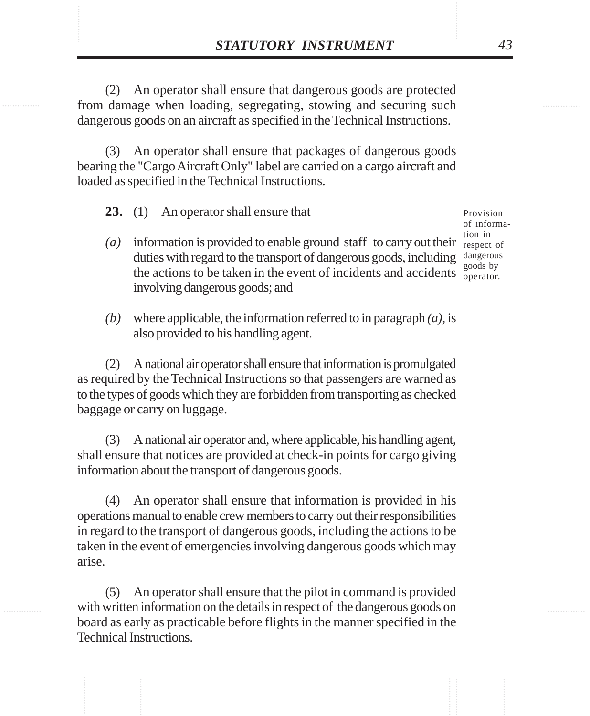**STATUTORY INSTRUMENT** 43<br>(2) An operator shall ensure that dangerous goods are protected<br>from damage when loading, segregating, stowing and securing such (2) An operator shall ensure that dangerous goods are protected from damage when loading, segregating, stowing and securing such dangerous goods on an aircraft as specified in the Technical Instructions.

> (3) An operator shall ensure that packages of dangerous goods bearing the "Cargo Aircraft Only" label are carried on a cargo aircraft and loaded as specified in the Technical Instructions.

**23.** (1) An operator shall ensure that

- $(a)$  information is provided to enable ground staff to carry out their respect of duties with regard to the transport of dangerous goods, including dangerous the actions to be taken in the event of incidents and accidents  $\frac{1}{\text{operator}}$ involving dangerous goods; and
- *(b)* where applicable, the information referred to in paragraph *(a)*, is also provided to his handling agent.

(2) A national air operator shall ensure that information is promulgated as required by the Technical Instructions so that passengers are warned as to the types of goods which they are forbidden from transporting as checked baggage or carry on luggage.

(3) A national air operator and, where applicable, his handling agent, shall ensure that notices are provided at check-in points for cargo giving information about the transport of dangerous goods.

(4) An operator shall ensure that information is provided in his operations manual to enable crew members to carry out their responsibilities in regard to the transport of dangerous goods, including the actions to be taken in the event of emergencies involving dangerous goods which may arise.

(5) An operator shall ensure that the pilot in command is provided with written information on the details in respect of the dangerous goods on board as early as practicable before flights in the manner specified in the Technical Instructions.

Provision of information in goods by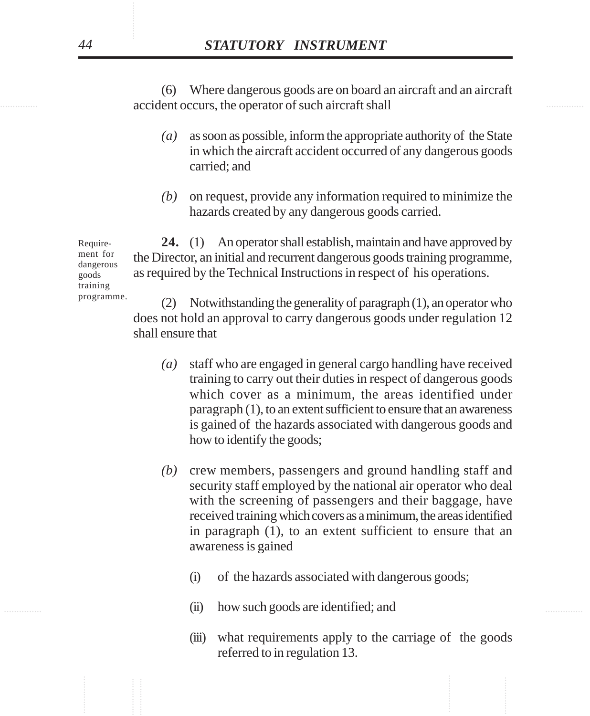examing accident occurs, the operator of such aircraft shall (6) Where dangerous goods are on board an aircraft and an aircraft

- *(a)* as soon as possible, inform the appropriate authority of the State in which the aircraft accident occurred of any dangerous goods carried; and
- *(b)* on request, provide any information required to minimize the hazards created by any dangerous goods carried.

**24.** (1) An operator shall establish, maintain and have approved by the Director, an initial and recurrent dangerous goods training programme, as required by the Technical Instructions in respect of his operations.

(2) Notwithstanding the generality of paragraph (1), an operator who does not hold an approval to carry dangerous goods under regulation 12 shall ensure that

- *(a)* staff who are engaged in general cargo handling have received training to carry out their duties in respect of dangerous goods which cover as a minimum, the areas identified under paragraph (1), to an extent sufficient to ensure that an awareness is gained of the hazards associated with dangerous goods and how to identify the goods;
- *(b)* crew members, passengers and ground handling staff and security staff employed by the national air operator who deal with the screening of passengers and their baggage, have received training which covers as a minimum, the areas identified in paragraph (1), to an extent sufficient to ensure that an awareness is gained
	- (i) of the hazards associated with dangerous goods;
- ............... ............... (ii) how such goods are identified; and
	- (iii) what requirements apply to the carriage of the goods referred to in regulation 13.

Requirement for dangerous goods training programme.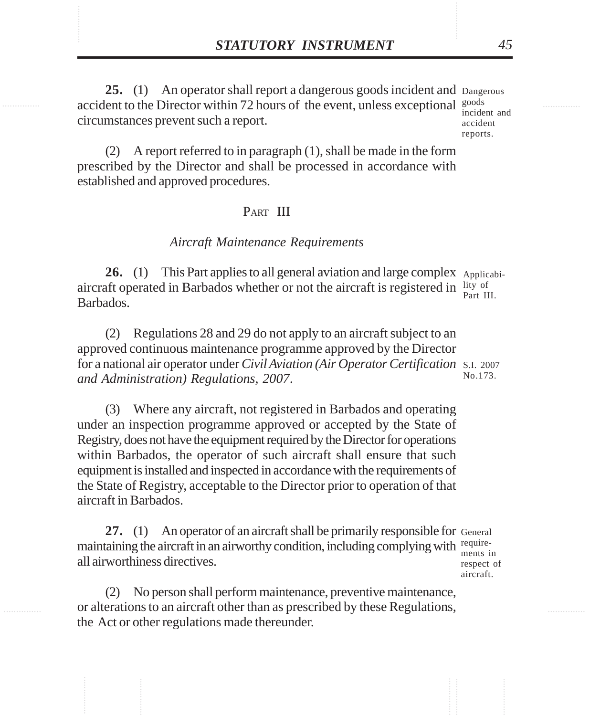**STATUTORY INSTRUMENT** 45<br>25. (1) An operator shall report a dangerous goods incident and Dangerous<br>accident to the Director within 72 hours of the event. unless exceptional <sup>goods</sup> **25.** (1) An operator shall report a dangerous goods incident and Dangerous accident to the Director within 72 hours of the event, unless exceptional  $\frac{goods}{model}$ circumstances prevent such a report.

incident and accident reports.

(2) A report referred to in paragraph (1), shall be made in the form prescribed by the Director and shall be processed in accordance with established and approved procedures.

### PART III

#### *Aircraft Maintenance Requirements*

26. (1) This Part applies to all general aviation and large complex Applicabiaircraft operated in Barbados whether or not the aircraft is registered in  $\frac{1 \text{ity of}}{2 \text{est of } 1}$ Barbados. Part III.

(2) Regulations 28 and 29 do not apply to an aircraft subject to an approved continuous maintenance programme approved by the Director for a national air operator under *Civil Aviation (Air Operator Certification* S.I. 2007 *and Administration) Regulations, 2007*. No.173.

(3) Where any aircraft, not registered in Barbados and operating under an inspection programme approved or accepted by the State of Registry, does not have the equipment required by the Director for operations within Barbados, the operator of such aircraft shall ensure that such equipment is installed and inspected in accordance with the requirements of the State of Registry, acceptable to the Director prior to operation of that aircraft in Barbados.

27. (1) An operator of an aircraft shall be primarily responsible for General maintaining the aircraft in an airworthy condition, including complying with requireall airworthiness directives.

ments in respect of aircraft.

(2) No person shall perform maintenance, preventive maintenance, or alterations to an aircraft other than as prescribed by these Regulations, the Act or other regulations made thereunder.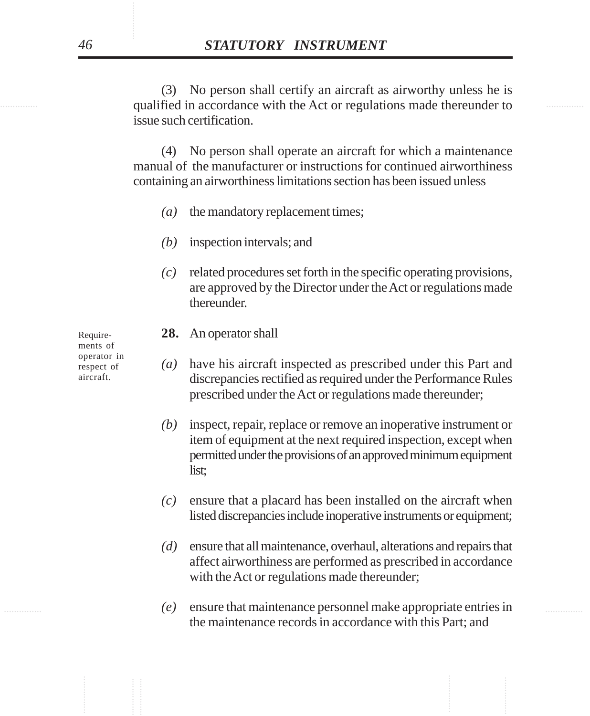equalified in accordance with the Act or regulations made thereunder to (3) No person shall certify an aircraft as airworthy unless he is issue such certification.

> (4) No person shall operate an aircraft for which a maintenance manual of the manufacturer or instructions for continued airworthiness containing an airworthiness limitations section has been issued unless

- *(a)* the mandatory replacement times;
- *(b)* inspection intervals; and
- *(c)* related procedures set forth in the specific operating provisions, are approved by the Director under the Act or regulations made thereunder.

**28.** An operator shall

- *(a)* have his aircraft inspected as prescribed under this Part and discrepancies rectified as required under the Performance Rules prescribed under the Act or regulations made thereunder;
- *(b)* inspect, repair, replace or remove an inoperative instrument or item of equipment at the next required inspection, except when permitted under the provisions of an approved minimum equipment list;
- *(c)* ensure that a placard has been installed on the aircraft when listed discrepancies include inoperative instruments or equipment;
- *(d)* ensure that all maintenance, overhaul, alterations and repairs that affect airworthiness are performed as prescribed in accordance with the Act or regulations made thereunder;
- ............... ............... *(e)* ensure that maintenance personnel make appropriate entries in the maintenance records in accordance with this Part; and

Requirements of operator in respect of aircraft.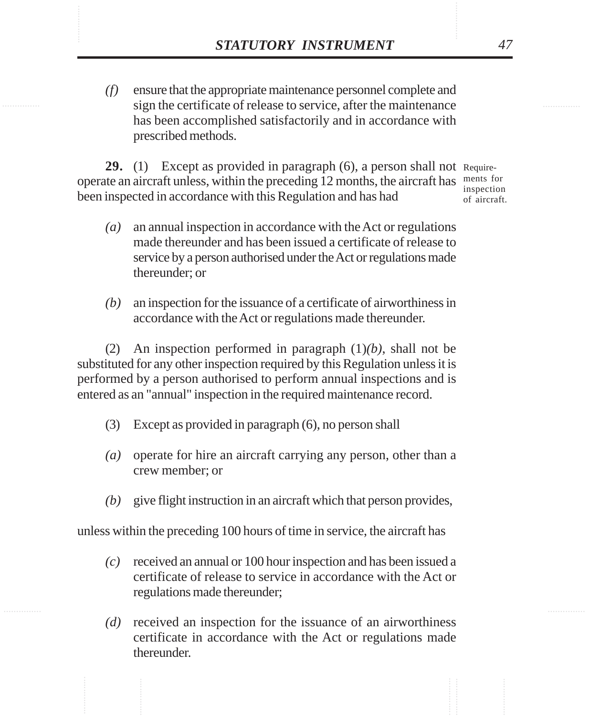**STATUTORY INSTRUMENT** 47<br>
(f) ensure that the appropriate maintenance personnel complete and<br>
sign the certificate of release to service, after the maintenance *(f)* ensure that the appropriate maintenance personnel complete and sign the certificate of release to service, after the maintenance has been accomplished satisfactorily and in accordance with prescribed methods.

> **29.** (1) Except as provided in paragraph (6), a person shall not Requireoperate an aircraft unless, within the preceding 12 months, the aircraft has ments for been inspected in accordance with this Regulation and has had

inspection of aircraft.

- *(a)* an annual inspection in accordance with the Act or regulations made thereunder and has been issued a certificate of release to service by a person authorised under the Act or regulations made thereunder; or
- *(b)* an inspection for the issuance of a certificate of airworthiness in accordance with the Act or regulations made thereunder.

(2) An inspection performed in paragraph (1)*(b)*, shall not be substituted for any other inspection required by this Regulation unless it is performed by a person authorised to perform annual inspections and is entered as an "annual" inspection in the required maintenance record.

- (3) Except as provided in paragraph (6), no person shall
- *(a)* operate for hire an aircraft carrying any person, other than a crew member; or
- *(b)* give flight instruction in an aircraft which that person provides,

unless within the preceding 100 hours of time in service, the aircraft has

- *(c)* received an annual or 100 hour inspection and has been issued a certificate of release to service in accordance with the Act or regulations made thereunder;
- *(d)* received an inspection for the issuance of an airworthiness certificate in accordance with the Act or regulations made thereunder.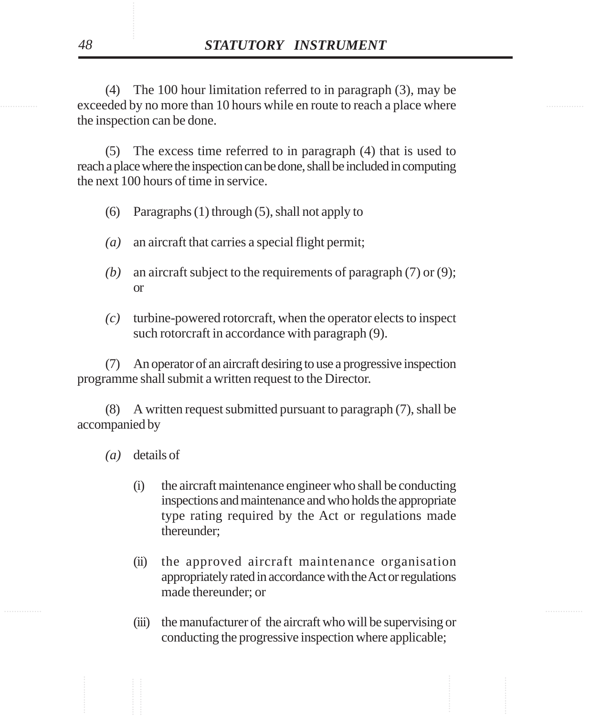exceeded by no more than 10 hours while en route to reach a place where (4) The 100 hour limitation referred to in paragraph (3), may be the inspection can be done.

> (5) The excess time referred to in paragraph (4) that is used to reach a place where the inspection can be done, shall be included in computing the next 100 hours of time in service.

- (6) Paragraphs (1) through (5), shall not apply to
- *(a)* an aircraft that carries a special flight permit;
- *(b)* an aircraft subject to the requirements of paragraph (7) or (9); or
- *(c)* turbine-powered rotorcraft, when the operator elects to inspect such rotorcraft in accordance with paragraph (9).

(7) An operator of an aircraft desiring to use a progressive inspection programme shall submit a written request to the Director.

(8) A written request submitted pursuant to paragraph (7), shall be accompanied by

- *(a)* details of
	- (i) the aircraft maintenance engineer who shall be conducting inspections and maintenance and who holds the appropriate type rating required by the Act or regulations made thereunder;
	- (ii) the approved aircraft maintenance organisation appropriately rated in accordance with the Act or regulations made thereunder; or
	- (iii) the manufacturer of the aircraft who will be supervising or conducting the progressive inspection where applicable;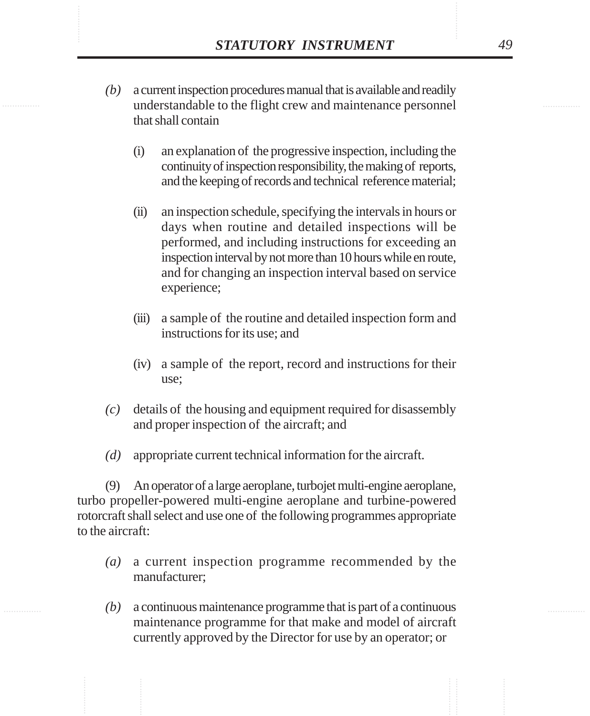- **STATUTORY INSTRUMENT** 49<br>(b) a current inspection procedures manual that is available and readily understandable to the flight crew and maintenance personnel *(b)* a current inspection procedures manual that is available and readily understandable to the flight crew and maintenance personnel that shall contain
	- (i) an explanation of the progressive inspection, including the continuity of inspection responsibility, the making of reports, and the keeping of records and technical reference material;
	- (ii) an inspection schedule, specifying the intervals in hours or days when routine and detailed inspections will be performed, and including instructions for exceeding an inspection interval by not more than 10 hours while en route, and for changing an inspection interval based on service experience;
	- (iii) a sample of the routine and detailed inspection form and instructions for its use; and
	- (iv) a sample of the report, record and instructions for their use;
	- *(c)* details of the housing and equipment required for disassembly and proper inspection of the aircraft; and
	- *(d)* appropriate current technical information for the aircraft.

(9) An operator of a large aeroplane, turbojet multi-engine aeroplane, turbo propeller-powered multi-engine aeroplane and turbine-powered rotorcraft shall select and use one of the following programmes appropriate to the aircraft:

- *(a)* a current inspection programme recommended by the manufacturer;
- *(b)* a continuous maintenance programme that is part of a continuous maintenance programme for that make and model of aircraft currently approved by the Director for use by an operator; or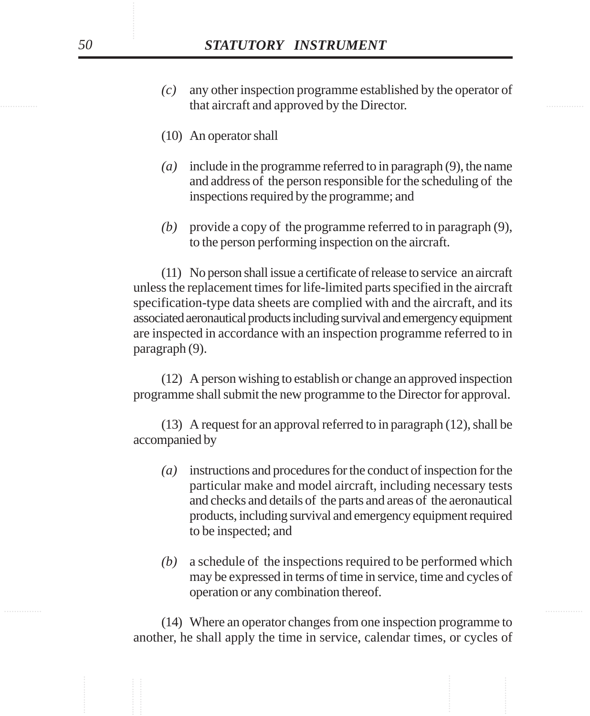- that aircraft and approved by the Director. *(c)* any other inspection programme established by the operator of
	- (10) An operator shall
	- *(a)* include in the programme referred to in paragraph (9), the name and address of the person responsible for the scheduling of the inspections required by the programme; and
	- *(b)* provide a copy of the programme referred to in paragraph (9), to the person performing inspection on the aircraft.

(11) No person shall issue a certificate of release to service an aircraft unless the replacement times for life-limited parts specified in the aircraft specification-type data sheets are complied with and the aircraft, and its associated aeronautical products including survival and emergency equipment are inspected in accordance with an inspection programme referred to in paragraph (9).

(12) A person wishing to establish or change an approved inspection programme shall submit the new programme to the Director for approval.

(13) A request for an approval referred to in paragraph (12), shall be accompanied by

- *(a)* instructions and procedures for the conduct of inspection for the particular make and model aircraft, including necessary tests and checks and details of the parts and areas of the aeronautical products, including survival and emergency equipment required to be inspected; and
- *(b)* a schedule of the inspections required to be performed which may be expressed in terms of time in service, time and cycles of operation or any combination thereof.

(14) Where an operator changes from one inspection programme to another, he shall apply the time in service, calendar times, or cycles of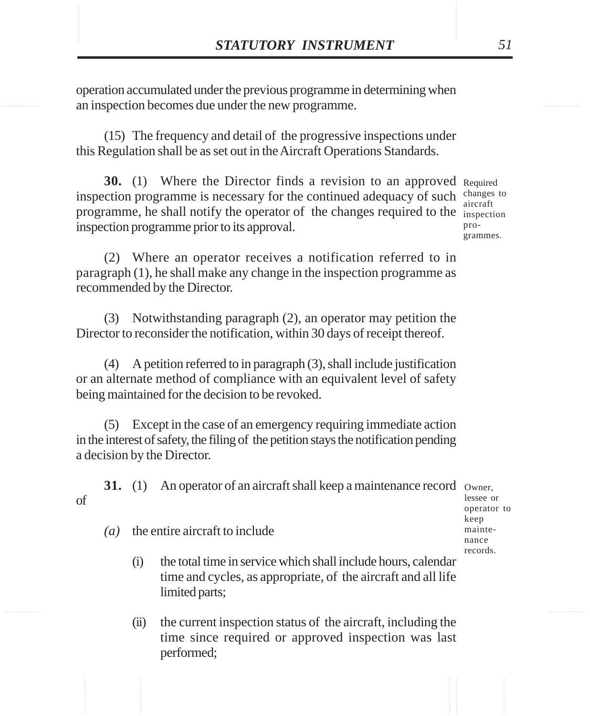**STATUTORY INSTRUMENT** 51<br>operation accumulated under the previous programme in determining when<br>an inspection becomes due under the new programme. operation accumulated under the previous programme in determining when an inspection becomes due under the new programme.

> (15) The frequency and detail of the progressive inspections under this Regulation shall be as set out in the Aircraft Operations Standards.

**30.** (1) Where the Director finds a revision to an approved Required inspection programme is necessary for the continued adequacy of such changes to programme, he shall notify the operator of the changes required to the inspection inspection programme prior to its approval.

aircraft programmes.

(2) Where an operator receives a notification referred to in paragraph (1), he shall make any change in the inspection programme as recommended by the Director.

(3) Notwithstanding paragraph (2), an operator may petition the Director to reconsider the notification, within 30 days of receipt thereof.

(4) A petition referred to in paragraph (3), shall include justification or an alternate method of compliance with an equivalent level of safety being maintained for the decision to be revoked.

(5) Except in the case of an emergency requiring immediate action in the interest of safety, the filing of the petition stays the notification pending a decision by the Director.

**31.** (1) An operator of an aircraft shall keep a maintenance record owner, of

lessee or operator to keep maintenance records.

*(a)* the entire aircraft to include

- (i) the total time in service which shall include hours, calendar time and cycles, as appropriate, of the aircraft and all life limited parts;
- (ii) the current inspection status of the aircraft, including the time since required or approved inspection was last performed;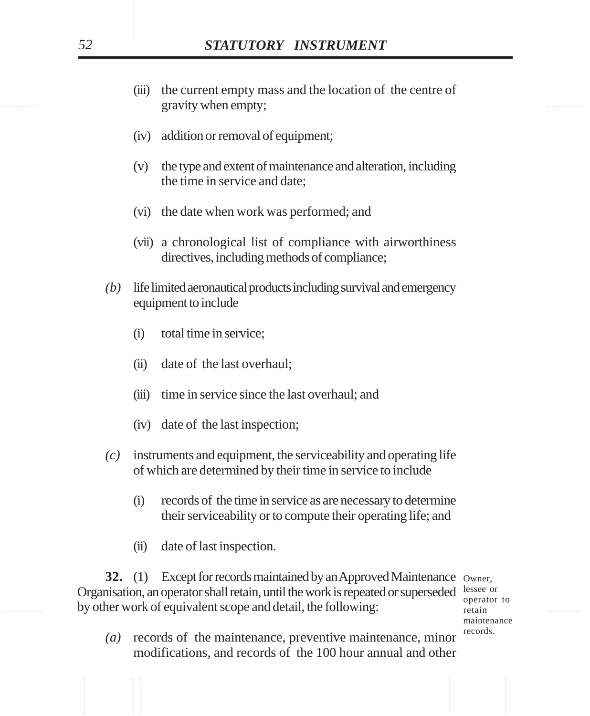- examing the gravity when empty; the contract of the gravity when empty; (iii) the current empty mass and the location of the centre of
	- (iv) addition or removal of equipment;
	- (v) the type and extent of maintenance and alteration, including the time in service and date;
	- (vi) the date when work was performed; and
	- (vii) a chronological list of compliance with airworthiness directives, including methods of compliance;
	- *(b)* life limited aeronautical products including survival and emergency equipment to include
		- (i) total time in service;
		- (ii) date of the last overhaul;
		- (iii) time in service since the last overhaul; and
		- (iv) date of the last inspection;
	- *(c)* instruments and equipment, the serviceability and operating life of which are determined by their time in service to include
		- (i) records of the time in service as are necessary to determine their serviceability or to compute their operating life; and
		- (ii) date of last inspection.

by other work of equivalent scope and detail, the following: retain relationships of the metal of the set of the set of the set of the set of the set of the set of the set of the set of the set of the set of the set of the **32.** (1) Except for records maintained by an Approved Maintenance Owner, Organisation, an operator shall retain, until the work is repeated or superseded lessee or

operator to retain maintenance records.

*(a)* records of the maintenance, preventive maintenance, minor modifications, and records of the 100 hour annual and other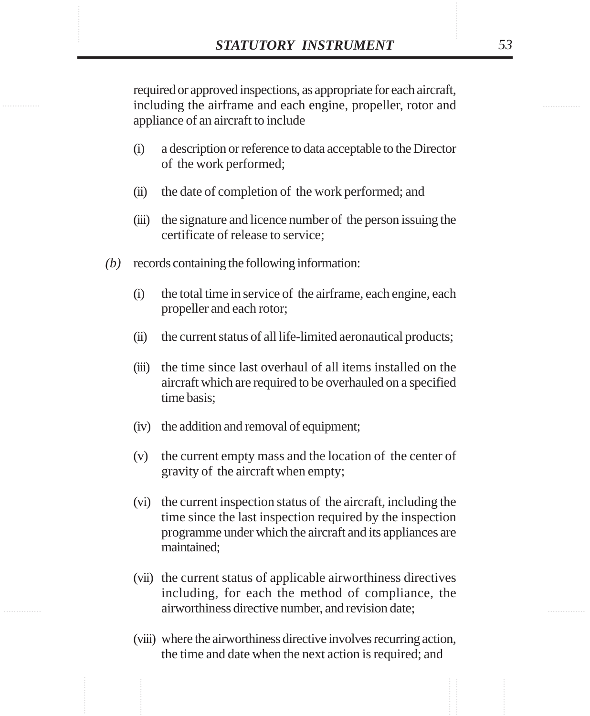**STATUTORY INSTRUMENT** 53<br>
required or approved inspections, as appropriate for each aircraft,<br>
including the airframe and each engine, propeller, rotor and required or approved inspections, as appropriate for each aircraft, including the airframe and each engine, propeller, rotor and appliance of an aircraft to include

- (i) a description or reference to data acceptable to the Director of the work performed;
- (ii) the date of completion of the work performed; and
- (iii) the signature and licence number of the person issuing the certificate of release to service;
- *(b)* records containing the following information:
	- (i) the total time in service of the airframe, each engine, each propeller and each rotor;
	- (ii) the current status of all life-limited aeronautical products;
	- (iii) the time since last overhaul of all items installed on the aircraft which are required to be overhauled on a specified time basis;
	- (iv) the addition and removal of equipment;
	- (v) the current empty mass and the location of the center of gravity of the aircraft when empty;
	- (vi) the current inspection status of the aircraft, including the time since the last inspection required by the inspection programme under which the aircraft and its appliances are maintained;
	- (vii) the current status of applicable airworthiness directives including, for each the method of compliance, the airworthiness directive number, and revision date;
	- (viii) where the airworthiness directive involves recurring action, the time and date when the next action is required; and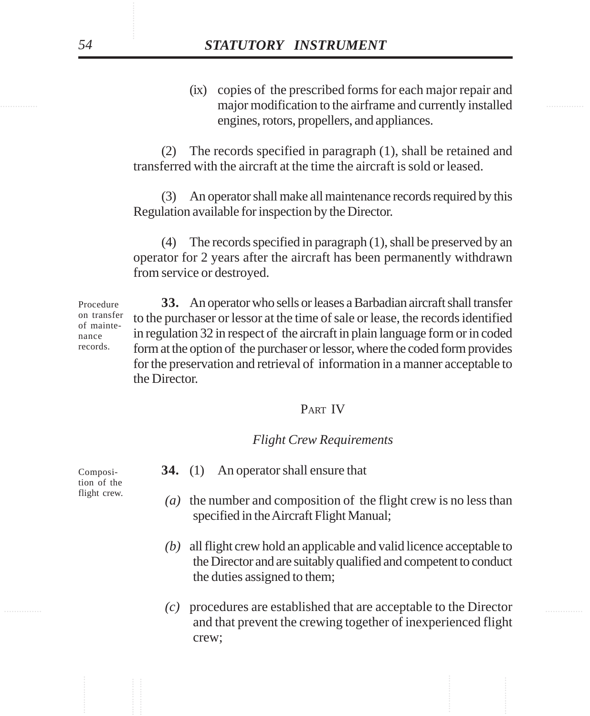major modification to the airframe and currently installed (ix) copies of the prescribed forms for each major repair and engines, rotors, propellers, and appliances.

> (2) The records specified in paragraph (1), shall be retained and transferred with the aircraft at the time the aircraft is sold or leased.

> (3) An operator shall make all maintenance records required by this Regulation available for inspection by the Director.

> (4) The records specified in paragraph (1), shall be preserved by an operator for 2 years after the aircraft has been permanently withdrawn from service or destroyed.

**33.** An operator who sells or leases a Barbadian aircraft shall transfer to the purchaser or lessor at the time of sale or lease, the records identified in regulation 32 in respect of the aircraft in plain language form or in coded form at the option of the purchaser or lessor, where the coded form provides for the preservation and retrieval of information in a manner acceptable to the Director. Procedure on transfer of maintenance records.

## PART IV

### *Flight Crew Requirements*

**34.** (1) An operator shall ensure that

- *(a)* the number and composition of the flight crew is no less than specified in the Aircraft Flight Manual;
- *(b)* all flight crew hold an applicable and valid licence acceptable to the Director and are suitably qualified and competent to conduct the duties assigned to them;
- ............... ............... *(c)* procedures are established that are acceptable to the Director and that prevent the crewing together of inexperienced flight crew;

Composition of the flight crew.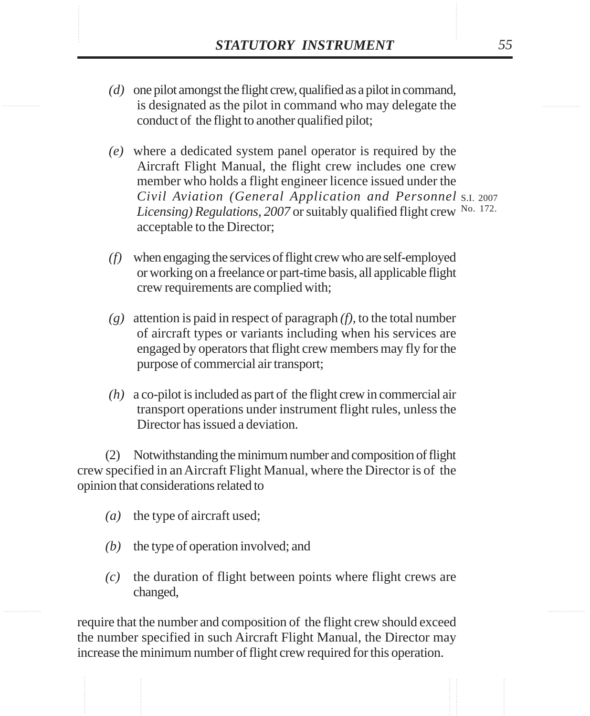- **STATUTORY INSTRUMENT** 55<br>(*d*) one pilot amongst the flight crew, qualified as a pilot in command, is designated as the pilot in command who may delegate the *(d)* one pilot amongst the flight crew, qualified as a pilot in command, is designated as the pilot in command who may delegate the conduct of the flight to another qualified pilot;
	- *(e)* where a dedicated system panel operator is required by the Aircraft Flight Manual, the flight crew includes one crew member who holds a flight engineer licence issued under the *Civil Aviation (General Application and Personnel* S.I. 2007 Licensing) Regulations, 2007 or suitably qualified flight crew No. 172. acceptable to the Director;
	- *(f)* when engaging the services of flight crew who are self-employed or working on a freelance or part-time basis, all applicable flight crew requirements are complied with;
	- *(g)* attention is paid in respect of paragraph *(f)*, to the total number of aircraft types or variants including when his services are engaged by operators that flight crew members may fly for the purpose of commercial air transport;
	- *(h)* a co-pilot is included as part of the flight crew in commercial air transport operations under instrument flight rules, unless the Director has issued a deviation.

(2) Notwithstanding the minimum number and composition of flight crew specified in an Aircraft Flight Manual, where the Director is of the opinion that considerations related to

- *(a)* the type of aircraft used;
- *(b)* the type of operation involved; and
- *(c)* the duration of flight between points where flight crews are changed,

require that the number and composition of the flight crew should exceed the number specified in such Aircraft Flight Manual, the Director may increase the minimum number of flight crew required for this operation.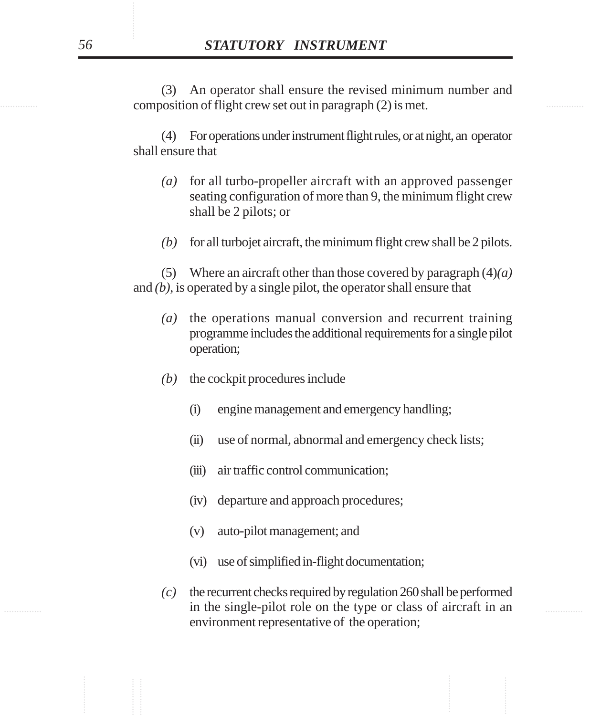composition of flight crew set out in paragraph (2) is met. (3) An operator shall ensure the revised minimum number and

> (4) For operations under instrument flight rules, or at night, an operator shall ensure that

- *(a)* for all turbo-propeller aircraft with an approved passenger seating configuration of more than 9, the minimum flight crew shall be 2 pilots; or
- *(b)* for all turbojet aircraft, the minimum flight crew shall be 2 pilots.

(5) Where an aircraft other than those covered by paragraph (4)*(a)* and *(b)*, is operated by a single pilot, the operator shall ensure that

- *(a)* the operations manual conversion and recurrent training programme includes the additional requirements for a single pilot operation;
- *(b)* the cockpit procedures include
	- (i) engine management and emergency handling;
	- (ii) use of normal, abnormal and emergency check lists;
	- (iii) air traffic control communication;
	- (iv) departure and approach procedures;
	- (v) auto-pilot management; and
	- (vi) use of simplified in-flight documentation;
- in the single-pilot role on the type or class of aircraft in an *(c)* the recurrent checks required by regulation 260 shall be performed environment representative of the operation;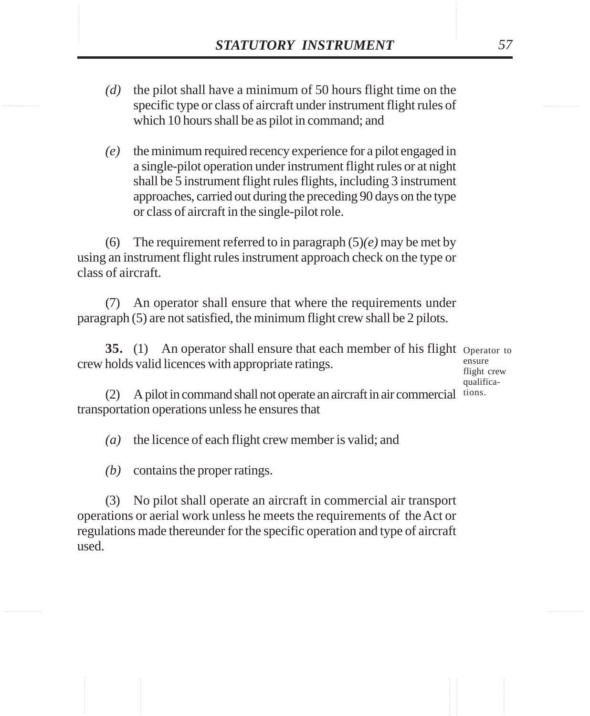- **STATUTORY INSTRUMENT** 57<br>(*d*) the pilot shall have a minimum of 50 hours flight time on the specific type or class of aircraft under instrument flight rules of *(d)* the pilot shall have a minimum of 50 hours flight time on the specific type or class of aircraft under instrument flight rules of which 10 hours shall be as pilot in command; and
	- *(e)* the minimum required recency experience for a pilot engaged in a single-pilot operation under instrument flight rules or at night shall be 5 instrument flight rules flights, including 3 instrument approaches, carried out during the preceding 90 days on the type or class of aircraft in the single-pilot role.

(6) The requirement referred to in paragraph (5)*(e)* may be met by using an instrument flight rules instrument approach check on the type or class of aircraft.

(7) An operator shall ensure that where the requirements under paragraph (5) are not satisfied, the minimum flight crew shall be 2 pilots.

**35.** (1) An operator shall ensure that each member of his flight Operator to crew holds valid licences with appropriate ratings.

ensure flight crew qualifica-

(2) A pilot in command shall not operate an aircraft in air commercial tions.transportation operations unless he ensures that

*(a)* the licence of each flight crew member is valid; and

*(b)* contains the proper ratings.

(3) No pilot shall operate an aircraft in commercial air transport operations or aerial work unless he meets the requirements of the Act or regulations made thereunder for the specific operation and type of aircraft used.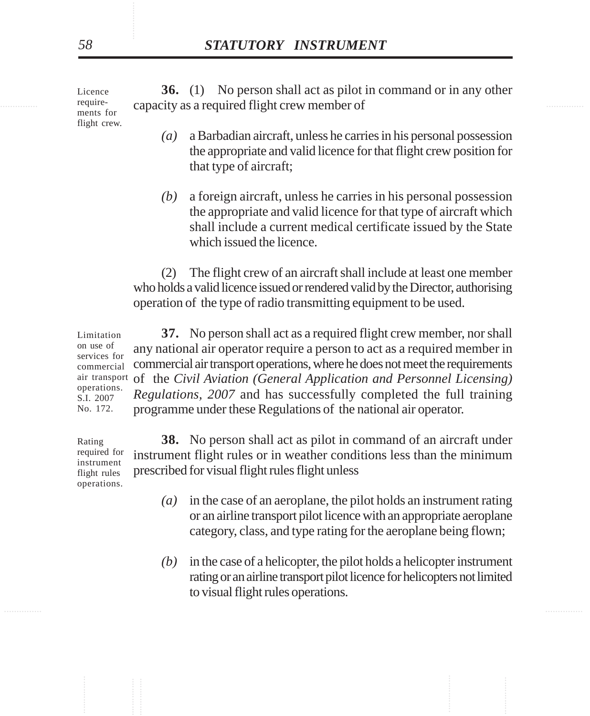require-<br>
capacity as a required flight crew member of **36.** (1) No person shall act as pilot in command or in any other Licence requirements for

- *(a)* a Barbadian aircraft, unless he carries in his personal possession the appropriate and valid licence for that flight crew position for that type of aircraft;
- *(b)* a foreign aircraft, unless he carries in his personal possession the appropriate and valid licence for that type of aircraft which shall include a current medical certificate issued by the State which issued the licence.

(2) The flight crew of an aircraft shall include at least one member who holds a valid licence issued or rendered valid by the Director, authorising operation of the type of radio transmitting equipment to be used.

**37.** No person shall act as a required flight crew member, nor shall any national air operator require a person to act as a required member in commercial air transport operations, where he does not meet the requirements air transport of the *Civil Aviation (General Application and Personnel Licensing) Regulations, 2007* and has successfully completed the full training programme under these Regulations of the national air operator. Limitation on use of services for commercial operations. S.I. 2007 No. 172.

Rating required for instrument flight rules operations.

- **38.** No person shall act as pilot in command of an aircraft under instrument flight rules or in weather conditions less than the minimum prescribed for visual flight rules flight unless
	- *(a)* in the case of an aeroplane, the pilot holds an instrument rating or an airline transport pilot licence with an appropriate aeroplane category, class, and type rating for the aeroplane being flown;
	- *(b)* in the case of a helicopter, the pilot holds a helicopter instrument rating or an airline transport pilot licence for helicopters not limited to visual flight rules operations.

flight crew.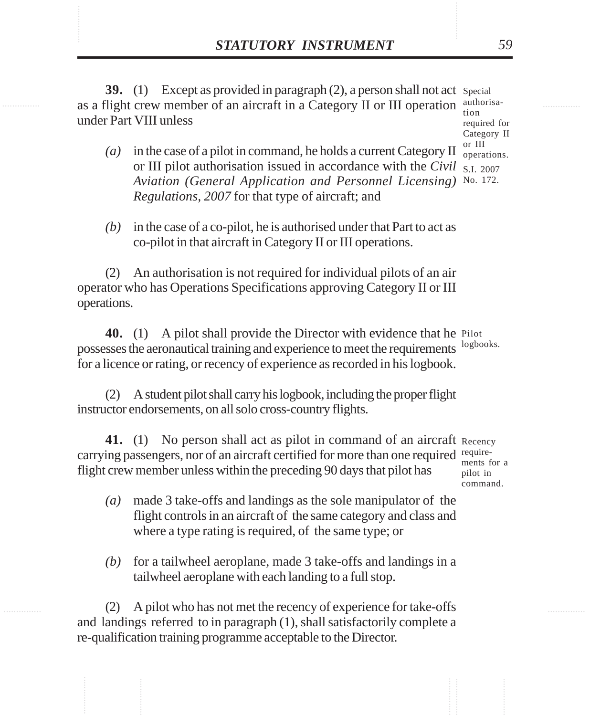**STATUTORY INSTRUMENT** 59<br>39. (1) Except as provided in paragraph (2), a person shall not act Special<br>as a flight crew member of an aircraft in a Category II or III operation authorisa-**39.** (1) Except as provided in paragraph (2), a person shall not act special as a flight crew member of an aircraft in a Category II or III operation under Part VIII unless authorisa-

tion required for Category II or III operations.

- *(a)* in the case of a pilot in command, he holds a current Category II or III pilot authorisation issued in accordance with the *Civil* S.I. 2007 *Aviation (General Application and Personnel Licensing)* No. 172.*Regulations, 2007* for that type of aircraft; and
- *(b)* in the case of a co-pilot, he is authorised under that Part to act as co-pilot in that aircraft in Category II or III operations.

(2) An authorisation is not required for individual pilots of an air operator who has Operations Specifications approving Category II or III operations.

40. (1) A pilot shall provide the Director with evidence that he Pilot possesses the aeronautical training and experience to meet the requirements logbooks. for a licence or rating, or recency of experience as recorded in his logbook.

(2) A student pilot shall carry his logbook, including the proper flight instructor endorsements, on all solo cross-country flights.

41. (1) No person shall act as pilot in command of an aircraft Recency carrying passengers, nor of an aircraft certified for more than one required  $\frac{require}{most}$ flight crew member unless within the preceding 90 days that pilot has

ments for a pilot in command.

- *(a)* made 3 take-offs and landings as the sole manipulator of the flight controls in an aircraft of the same category and class and where a type rating is required, of the same type; or
- *(b)* for a tailwheel aeroplane, made 3 take-offs and landings in a tailwheel aeroplane with each landing to a full stop.

(2) A pilot who has not met the recency of experience for take-offs and landings referred to in paragraph (1), shall satisfactorily complete a re-qualification training programme acceptable to the Director.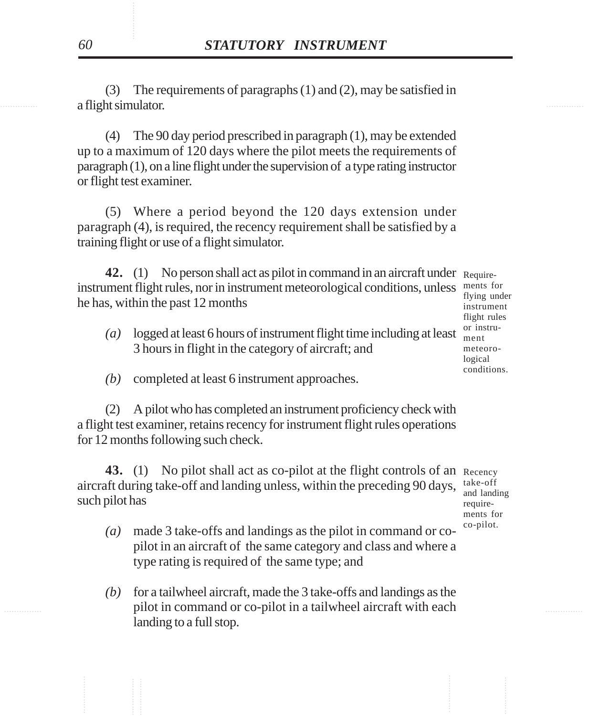a flight simulator. (3) The requirements of paragraphs (1) and (2), may be satisfied in

> (4) The 90 day period prescribed in paragraph (1), may be extended up to a maximum of 120 days where the pilot meets the requirements of paragraph (1), on a line flight under the supervision of a type rating instructor or flight test examiner.

> (5) Where a period beyond the 120 days extension under paragraph (4), is required, the recency requirement shall be satisfied by a training flight or use of a flight simulator.

**42.** (1) No person shall act as pilot in command in an aircraft under Requireinstrument flight rules, nor in instrument meteorological conditions, unless ments for he has, within the past 12 months

- *(a)* logged at least 6 hours of instrument flight time including at least 3 hours in flight in the category of aircraft; and
- *(b)* completed at least 6 instrument approaches.

(2) A pilot who has completed an instrument proficiency check with a flight test examiner, retains recency for instrument flight rules operations for 12 months following such check.

43. (1) No pilot shall act as co-pilot at the flight controls of an Recency aircraft during take-off and landing unless, within the preceding 90 days, such pilot has take-off and landing require-

- *(a)* made 3 take-offs and landings as the pilot in command or copilot in an aircraft of the same category and class and where a type rating is required of the same type; and
- ............... ............... pilot in command or co-pilot in a tailwheel aircraft with each *(b)* for a tailwheel aircraft, made the 3 take-offs and landings as the landing to a full stop.

flying under instrument flight rules or instrument meteorological conditions.

ments for co-pilot.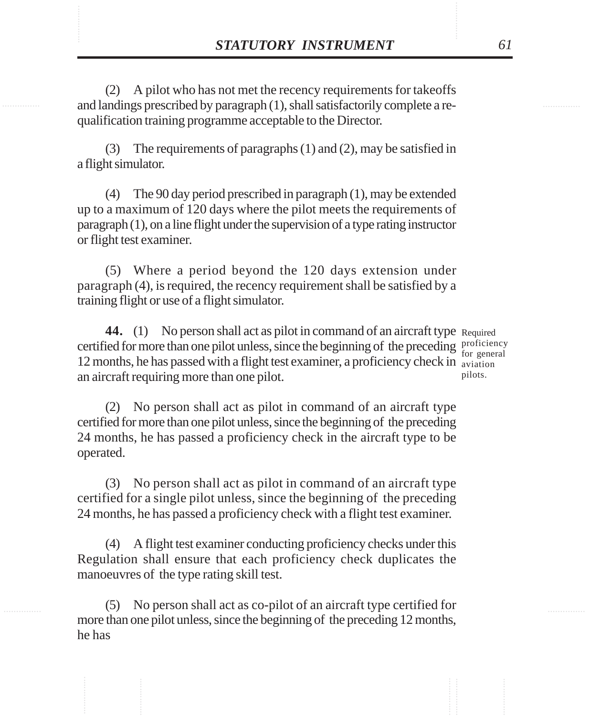**STATUTORY INSTRUMENT** 61<br>(2) A pilot who has not met the recency requirements for takeoffs and landings prescribed by paragraph (1), shall satisfactorily complete a re-(2) A pilot who has not met the recency requirements for takeoffs and landings prescribed by paragraph (1), shall satisfactorily complete a requalification training programme acceptable to the Director.

> (3) The requirements of paragraphs (1) and (2), may be satisfied in a flight simulator.

> (4) The 90 day period prescribed in paragraph (1), may be extended up to a maximum of 120 days where the pilot meets the requirements of paragraph (1), on a line flight under the supervision of a type rating instructor or flight test examiner.

> (5) Where a period beyond the 120 days extension under paragraph (4), is required, the recency requirement shall be satisfied by a training flight or use of a flight simulator.

44. (1) No person shall act as pilot in command of an aircraft type Required certified for more than one pilot unless, since the beginning of the preceding proficiency 12 months, he has passed with a flight test examiner, a proficiency check in aviation an aircraft requiring more than one pilot. pilots.

for general

(2) No person shall act as pilot in command of an aircraft type certified for more than one pilot unless, since the beginning of the preceding 24 months, he has passed a proficiency check in the aircraft type to be operated.

(3) No person shall act as pilot in command of an aircraft type certified for a single pilot unless, since the beginning of the preceding 24 months, he has passed a proficiency check with a flight test examiner.

(4) A flight test examiner conducting proficiency checks under this Regulation shall ensure that each proficiency check duplicates the manoeuvres of the type rating skill test.

(5) No person shall act as co-pilot of an aircraft type certified for more than one pilot unless, since the beginning of the preceding 12 months, he has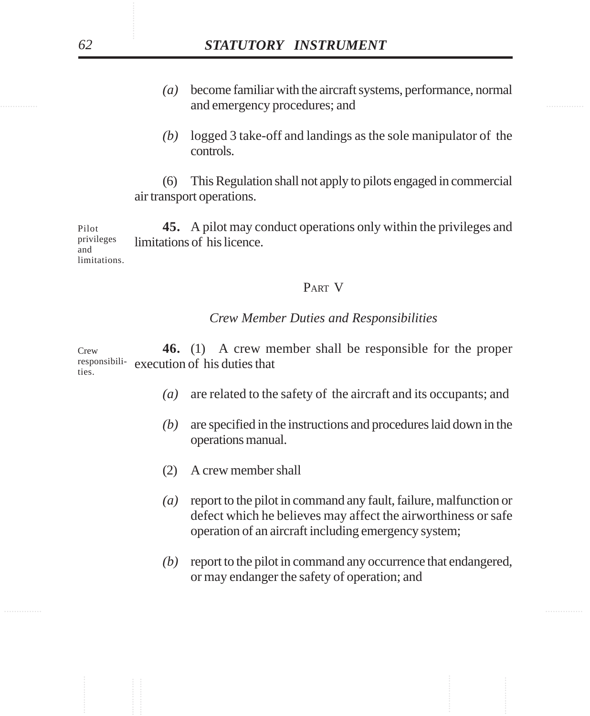- and emergency procedures; and  $\blacksquare$ *(a)* become familiar with the aircraft systems, performance, normal
	- *(b)* logged 3 take-off and landings as the sole manipulator of the controls.

(6) This Regulation shall not apply to pilots engaged in commercial air transport operations.

**45.** A pilot may conduct operations only within the privileges and limitations of his licence. Pilot privileges and limitations.

# PART V

# *Crew Member Duties and Responsibilities*

**46.** (1) A crew member shall be responsible for the proper execution of his duties that Crew responsibilities.

- *(a)* are related to the safety of the aircraft and its occupants; and
- *(b)* are specified in the instructions and procedures laid down in the operations manual.
- (2) A crew member shall
- *(a)* report to the pilot in command any fault, failure, malfunction or defect which he believes may affect the airworthiness or safe operation of an aircraft including emergency system;
- *(b)* report to the pilot in command any occurrence that endangered, or may endanger the safety of operation; and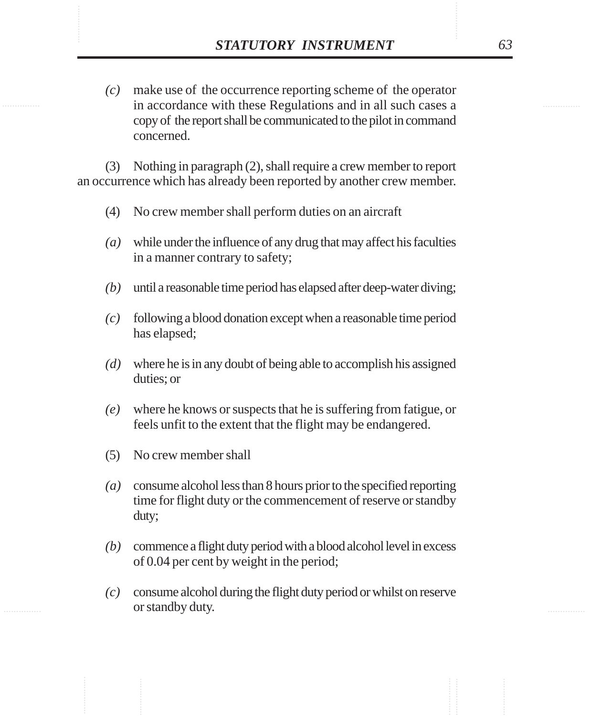**STATUTORY INSTRUMENT** 63<br>(c) make use of the occurrence reporting scheme of the operator<br>in accordance with these Regulations and in all such cases a *(c)* make use of the occurrence reporting scheme of the operator in accordance with these Regulations and in all such cases a copy of the report shall be communicated to the pilot in command concerned.

> (3) Nothing in paragraph (2), shall require a crew member to report an occurrence which has already been reported by another crew member.

- (4) No crew member shall perform duties on an aircraft
- *(a)* while under the influence of any drug that may affect his faculties in a manner contrary to safety;
- *(b)* until a reasonable time period has elapsed after deep-water diving;
- *(c)* following a blood donation except when a reasonable time period has elapsed;
- *(d)* where he is in any doubt of being able to accomplish his assigned duties; or
- *(e)* where he knows or suspects that he is suffering from fatigue, or feels unfit to the extent that the flight may be endangered.
- (5) No crew member shall
- *(a)* consume alcohol less than 8 hours prior to the specified reporting time for flight duty or the commencement of reserve or standby duty;
- *(b)* commence a flight duty period with a blood alcohol level in excess of 0.04 per cent by weight in the period;
- *(c)* consume alcohol during the flight duty period or whilst on reserve or standby duty.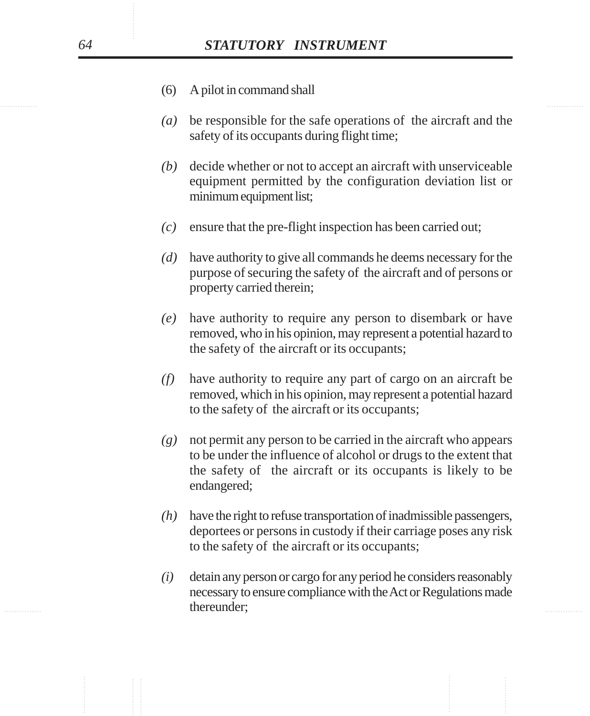- (6) A pilot in command shall
- *(a)* be responsible for the safe operations of the aircraft and the safety of its occupants during flight time;
- *(b)* decide whether or not to accept an aircraft with unserviceable equipment permitted by the configuration deviation list or minimum equipment list;
- *(c)* ensure that the pre-flight inspection has been carried out;
- *(d)* have authority to give all commands he deems necessary for the purpose of securing the safety of the aircraft and of persons or property carried therein;
- *(e)* have authority to require any person to disembark or have removed, who in his opinion, may represent a potential hazard to the safety of the aircraft or its occupants;
- *(f)* have authority to require any part of cargo on an aircraft be removed, which in his opinion, may represent a potential hazard to the safety of the aircraft or its occupants;
- *(g)* not permit any person to be carried in the aircraft who appears to be under the influence of alcohol or drugs to the extent that the safety of the aircraft or its occupants is likely to be endangered;
- *(h)* have the right to refuse transportation of inadmissible passengers, deportees or persons in custody if their carriage poses any risk to the safety of the aircraft or its occupants;
- thereunder; thereunder; the contract of the contract of the contract of the contract of the contract of the contract of the contract of the contract of the contract of the contract of the contract of the contract of the co *(i)* detain any person or cargo for any period he considers reasonably necessary to ensure compliance with the Act or Regulations made thereunder;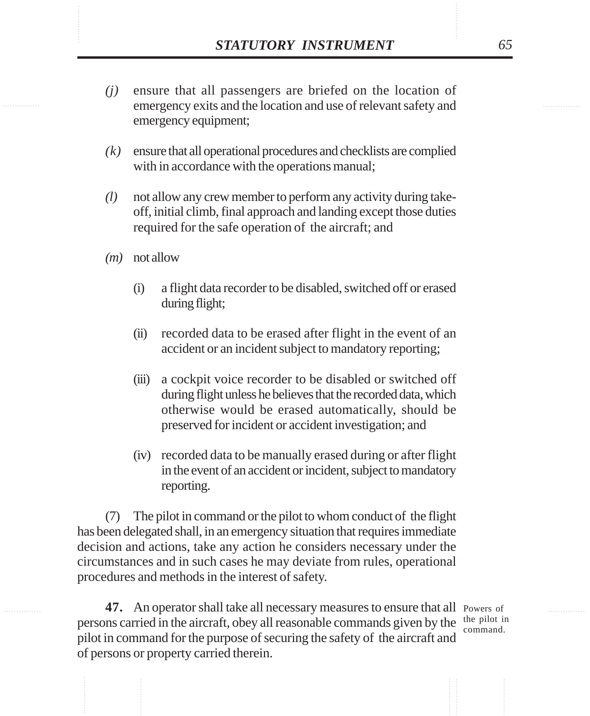- **STATUTORY INSTRUMENT** 65<br>(*j*) ensure that all passengers are briefed on the location of emergency exits and the location and use of relevant safety and *(j)* ensure that all passengers are briefed on the location of emergency exits and the location and use of relevant safety and emergency equipment;
	- *(k)* ensure that all operational procedures and checklists are complied with in accordance with the operations manual;
	- *(l)* not allow any crew member to perform any activity during takeoff, initial climb, final approach and landing except those duties required for the safe operation of the aircraft; and
	- *(m)* not allow
		- (i) a flight data recorder to be disabled, switched off or erased during flight;
		- (ii) recorded data to be erased after flight in the event of an accident or an incident subject to mandatory reporting;
		- (iii) a cockpit voice recorder to be disabled or switched off during flight unless he believes that the recorded data, which otherwise would be erased automatically, should be preserved for incident or accident investigation; and
		- (iv) recorded data to be manually erased during or after flight in the event of an accident or incident, subject to mandatory reporting.

(7) The pilot in command or the pilot to whom conduct of the flight has been delegated shall, in an emergency situation that requires immediate decision and actions, take any action he considers necessary under the circumstances and in such cases he may deviate from rules, operational procedures and methods in the interest of safety.

47. An operator shall take all necessary measures to ensure that all Powers of persons carried in the aircraft, obey all reasonable commands given by the  $\frac{\text{the pilot in}}{\text{command}}$ pilot in command for the purpose of securing the safety of the aircraft and of persons or property carried therein.

command.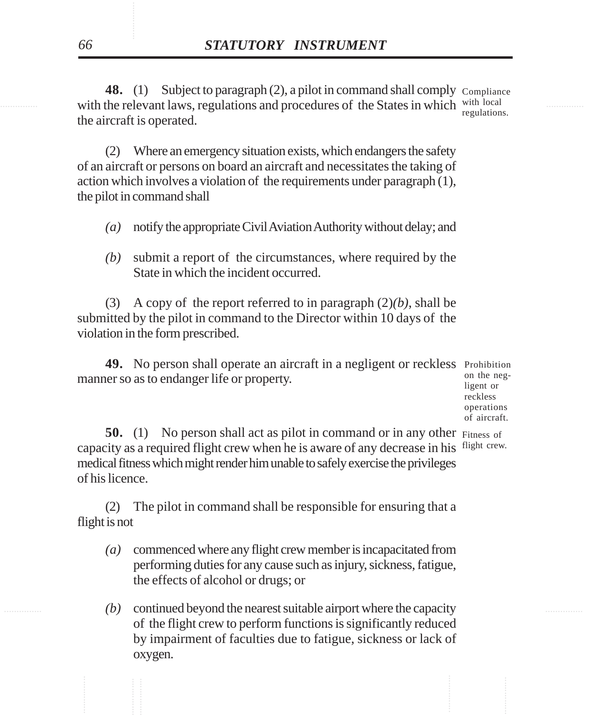with the relevant laws, regulations and procedures of the States in which with local **48.** (1) Subject to paragraph (2), a pilot in command shall comply Compliance the aircraft is operated. regulations.

> (2) Where an emergency situation exists, which endangers the safety of an aircraft or persons on board an aircraft and necessitates the taking of action which involves a violation of the requirements under paragraph (1), the pilot in command shall

- *(a)* notify the appropriate Civil Aviation Authority without delay; and
- *(b)* submit a report of the circumstances, where required by the State in which the incident occurred.

(3) A copy of the report referred to in paragraph (2)*(b)*, shall be submitted by the pilot in command to the Director within 10 days of the violation in the form prescribed.

49. No person shall operate an aircraft in a negligent or reckless Prohibition manner so as to endanger life or property.

on the negligent or reckless operations of aircraft.

**50.** (1) No person shall act as pilot in command or in any other Fitness of capacity as a required flight crew when he is aware of any decrease in his flight crew. medical fitness which might render him unable to safely exercise the privileges of his licence.

(2) The pilot in command shall be responsible for ensuring that a flight is not

- *(a)* commenced where any flight crew member is incapacitated from performing duties for any cause such as injury, sickness, fatigue, the effects of alcohol or drugs; or
- ............... ............... *(b)* continued beyond the nearest suitable airport where the capacity of the flight crew to perform functions is significantly reduced by impairment of faculties due to fatigue, sickness or lack of oxygen.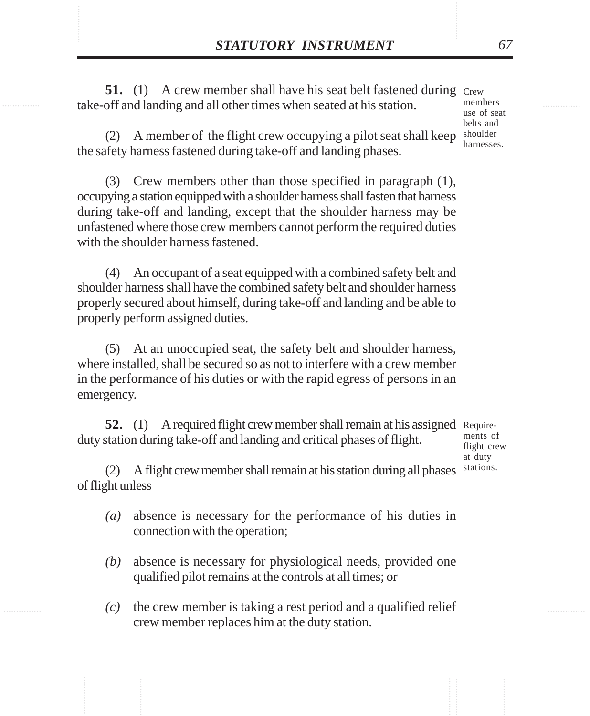**STATUTORY INSTRUMENT** 67<br>51. (1) A crew member shall have his seat belt fastened during Crew take-off and landing and all other times when seated at his station. **51.** (1) A crew member shall have his seat belt fastened during Crew take-off and landing and all other times when seated at his station.

members use of seat belts and harnesses.

(2) A member of the flight crew occupying a pilot seat shall keep shoulder the safety harness fastened during take-off and landing phases.

(3) Crew members other than those specified in paragraph (1), occupying a station equipped with a shoulder harness shall fasten that harness during take-off and landing, except that the shoulder harness may be unfastened where those crew members cannot perform the required duties with the shoulder harness fastened.

(4) An occupant of a seat equipped with a combined safety belt and shoulder harness shall have the combined safety belt and shoulder harness properly secured about himself, during take-off and landing and be able to properly perform assigned duties.

(5) At an unoccupied seat, the safety belt and shoulder harness, where installed, shall be secured so as not to interfere with a crew member in the performance of his duties or with the rapid egress of persons in an emergency.

**52.** (1) A required flight crew member shall remain at his assigned Requireduty station during take-off and landing and critical phases of flight.

ments of flight crew at duty stations.

(2) A flight crew member shall remain at his station during all phases of flight unless

- *(a)* absence is necessary for the performance of his duties in connection with the operation;
- *(b)* absence is necessary for physiological needs, provided one qualified pilot remains at the controls at all times; or
- *(c)* the crew member is taking a rest period and a qualified relief crew member replaces him at the duty station.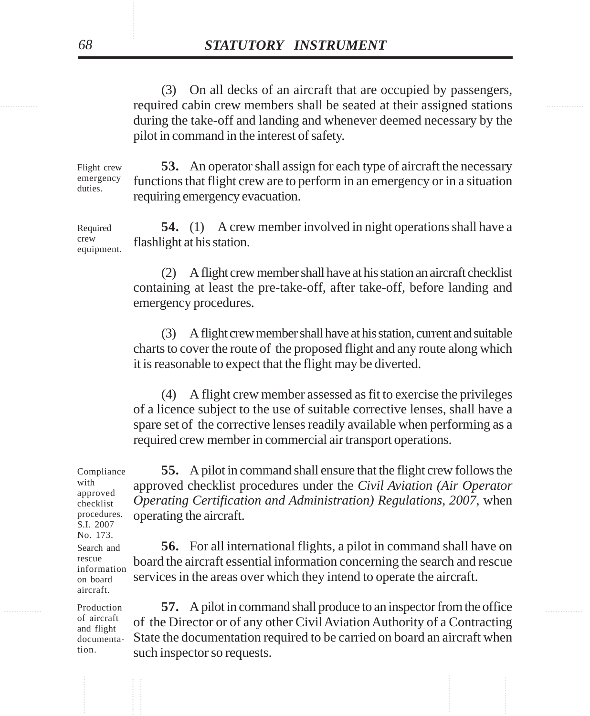required cabin crew members shall be seated at their assigned stations (3) On all decks of an aircraft that are occupied by passengers, during the take-off and landing and whenever deemed necessary by the pilot in command in the interest of safety.

> **53.** An operator shall assign for each type of aircraft the necessary functions that flight crew are to perform in an emergency or in a situation requiring emergency evacuation. Flight crew emergency duties.

> **54.** (1) A crew member involved in night operations shall have a flashlight at his station. Required crew equipment.

> > (2) A flight crew member shall have at his station an aircraft checklist containing at least the pre-take-off, after take-off, before landing and emergency procedures.

> > (3) A flight crew member shall have at his station, current and suitable charts to cover the route of the proposed flight and any route along which it is reasonable to expect that the flight may be diverted.

> > (4) A flight crew member assessed as fit to exercise the privileges of a licence subject to the use of suitable corrective lenses, shall have a spare set of the corrective lenses readily available when performing as a required crew member in commercial air transport operations.

**55.** A pilot in command shall ensure that the flight crew follows the approved checklist procedures under the *Civil Aviation (Air Operator Operating Certification and Administration) Regulations, 2007*, when operating the aircraft.

**56.** For all international flights, a pilot in command shall have on board the aircraft essential information concerning the search and rescue services in the areas over which they intend to operate the aircraft.

............... ............... **57.** A pilot in command shall produce to an inspector from the office of the Director or of any other Civil Aviation Authority of a Contracting State the documentation required to be carried on board an aircraft when such inspector so requests.

Compliance with approved checklist procedures. S.I. 2007 No. 173.

Search and rescue information on board aircraft.

Production of aircraft and flight documentation.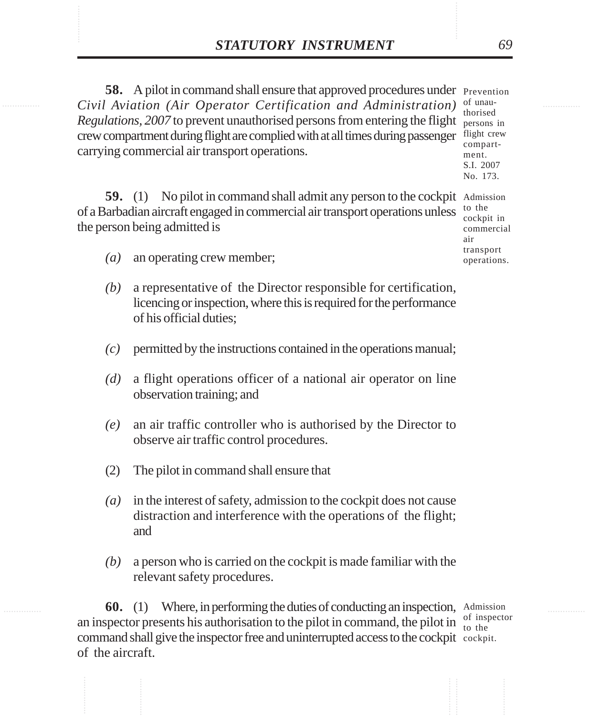**STATUTORY INSTRUMENT** 69<br>
58. A pilot in command shall ensure that approved procedures under Prevention<br>
Civil Aviation (Air Operator Certification and Administration) of unau-**58.** A pilot in command shall ensure that approved procedures under Prevention *Civil Aviation (Air Operator Certification and Administration)* Regulations, 2007 to prevent unauthorised persons from entering the flight persons in crew compartment during flight are complied with at all times during passenger flight crew carrying commercial air transport operations. of unau-

thorised compartment. S.I. 2007 No. 173.

air transport operations.

59. (1) No pilot in command shall admit any person to the cockpit Admission of a Barbadian aircraft engaged in commercial air transport operations unless the person being admitted is to the cockpit in commercial

- *(a)* an operating crew member;
- *(b)* a representative of the Director responsible for certification, licencing or inspection, where this is required for the performance of his official duties;
- *(c)* permitted by the instructions contained in the operations manual;
- *(d)* a flight operations officer of a national air operator on line observation training; and
- *(e)* an air traffic controller who is authorised by the Director to observe air traffic control procedures.
- (2) The pilot in command shall ensure that
- *(a)* in the interest of safety, admission to the cockpit does not cause distraction and interference with the operations of the flight; and
- *(b)* a person who is carried on the cockpit is made familiar with the relevant safety procedures.

**60.** (1) Where, in performing the duties of conducting an inspection, Admission an inspector presents his authorisation to the pilot in command, the pilot in  $\frac{1}{10}$  the command shall give the inspector free and uninterrupted access to the cockpit cockpit. of the aircraft. to the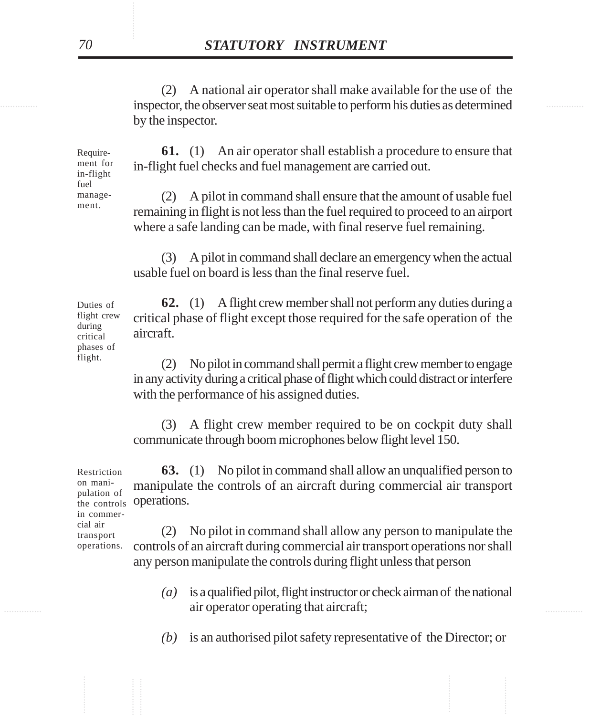inspector, the observer seat most suitable to perform his duties as determined (2) A national air operator shall make available for the use of the by the inspector.

> **61.** (1) An air operator shall establish a procedure to ensure that in-flight fuel checks and fuel management are carried out.

(2) A pilot in command shall ensure that the amount of usable fuel remaining in flight is not less than the fuel required to proceed to an airport where a safe landing can be made, with final reserve fuel remaining.

(3) A pilot in command shall declare an emergency when the actual usable fuel on board is less than the final reserve fuel.

**62.** (1) A flight crew member shall not perform any duties during a critical phase of flight except those required for the safe operation of the aircraft.

(2) No pilot in command shall permit a flight crew member to engage in any activity during a critical phase of flight which could distract or interfere with the performance of his assigned duties.

(3) A flight crew member required to be on cockpit duty shall communicate through boom microphones below flight level 150.

**63.** (1) No pilot in command shall allow an unqualified person to manipulate the controls of an aircraft during commercial air transport the controls **operations.** Restriction on manipulation of in commer-

(2) No pilot in command shall allow any person to manipulate the controls of an aircraft during commercial air transport operations nor shall any person manipulate the controls during flight unless that person operations.

- example 2.1 air operator operating that aircraft; *(a)* is a qualified pilot, flight instructor or check airman of the national
	- *(b)* is an authorised pilot safety representative of the Director; or

Duties of flight crew during critical phases of flight.

cial air transport

Requirement for in-flight fuel management.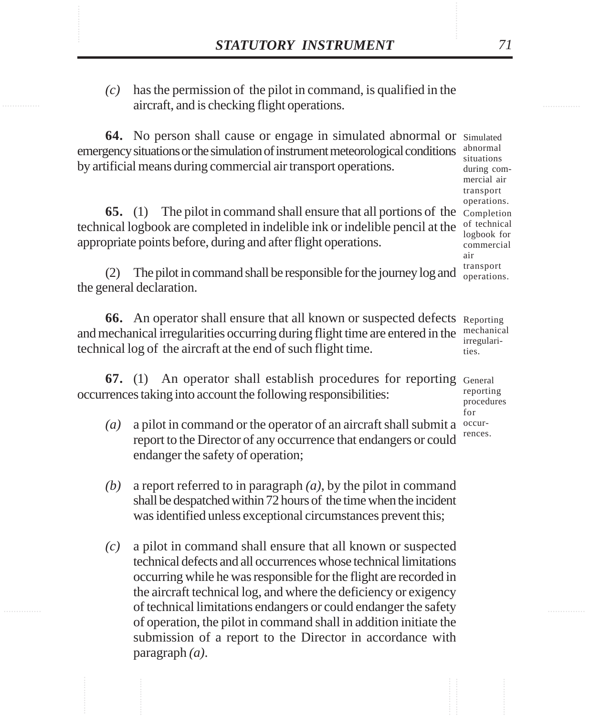**STATUTORY INSTRUMENT** 71<br>(c) has the permission of the pilot in command, is qualified in the aircraft, and is checking flight operations. *(c)* has the permission of the pilot in command, is qualified in the aircraft, and is checking flight operations.

> **64.** No person shall cause or engage in simulated abnormal or Simulated emergency situations or the simulation of instrument meteorological conditions by artificial means during commercial air transport operations.

**65.** (1) The pilot in command shall ensure that all portions of the Completion technical logbook are completed in indelible ink or indelible pencil at the appropriate points before, during and after flight operations.

(2) The pilot in command shall be responsible for the journey log and the general declaration.

**66.** An operator shall ensure that all known or suspected defects Reporting and mechanical irregularities occurring during flight time are entered in the technical log of the aircraft at the end of such flight time. ties.

**67.** (1) An operator shall establish procedures for reporting General occurrences taking into account the following responsibilities:

- *(a)* a pilot in command or the operator of an aircraft shall submit a report to the Director of any occurrence that endangers or could endanger the safety of operation;
- *(b)* a report referred to in paragraph *(a)*, by the pilot in command shall be despatched within 72 hours of the time when the incident was identified unless exceptional circumstances prevent this;
- *(c)* a pilot in command shall ensure that all known or suspected technical defects and all occurrences whose technical limitations occurring while he was responsible for the flight are recorded in the aircraft technical log, and where the deficiency or exigency of technical limitations endangers or could endanger the safety of operation, the pilot in command shall in addition initiate the submission of a report to the Director in accordance with paragraph *(a)*.

abnormal situations during commercial air transport operations. of technical logbook for commercial air transport operations.

mechanical irregulari-

reporting procedures for occurrences.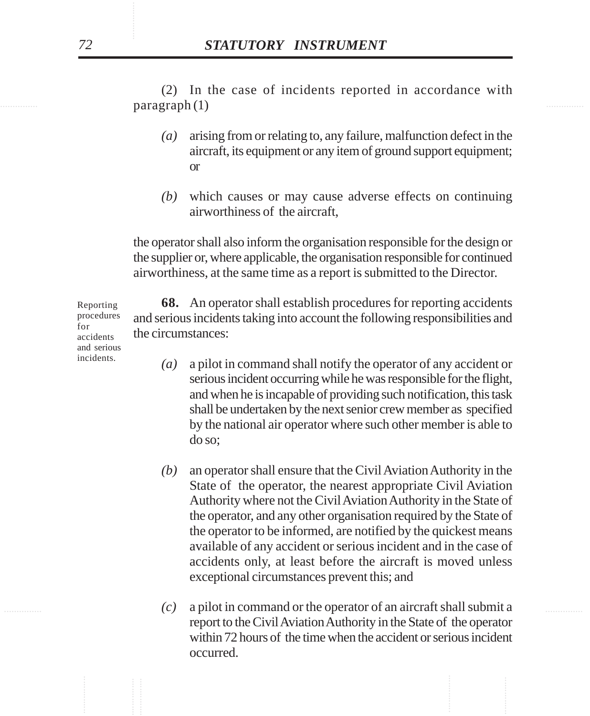$\text{pargraph}(1)$ (2) In the case of incidents reported in accordance with

- *(a)* arising from or relating to, any failure, malfunction defect in the aircraft, its equipment or any item of ground support equipment; or
- *(b)* which causes or may cause adverse effects on continuing airworthiness of the aircraft,

the operator shall also inform the organisation responsible for the design or the supplier or, where applicable, the organisation responsible for continued airworthiness, at the same time as a report is submitted to the Director.

**68.** An operator shall establish procedures for reporting accidents and serious incidents taking into account the following responsibilities and the circumstances:

- *(a)* a pilot in command shall notify the operator of any accident or serious incident occurring while he was responsible for the flight, and when he is incapable of providing such notification, this task shall be undertaken by the next senior crew member as specified by the national air operator where such other member is able to do so;
- *(b)* an operator shall ensure that the Civil Aviation Authority in the State of the operator, the nearest appropriate Civil Aviation Authority where not the Civil Aviation Authority in the State of the operator, and any other organisation required by the State of the operator to be informed, are notified by the quickest means available of any accident or serious incident and in the case of accidents only, at least before the aircraft is moved unless exceptional circumstances prevent this; and
- ............... ............... *(c)* a pilot in command or the operator of an aircraft shall submit a report to the Civil Aviation Authority in the State of the operator within 72 hours of the time when the accident or serious incident occurred.

Reporting procedures for accidents and serious incidents.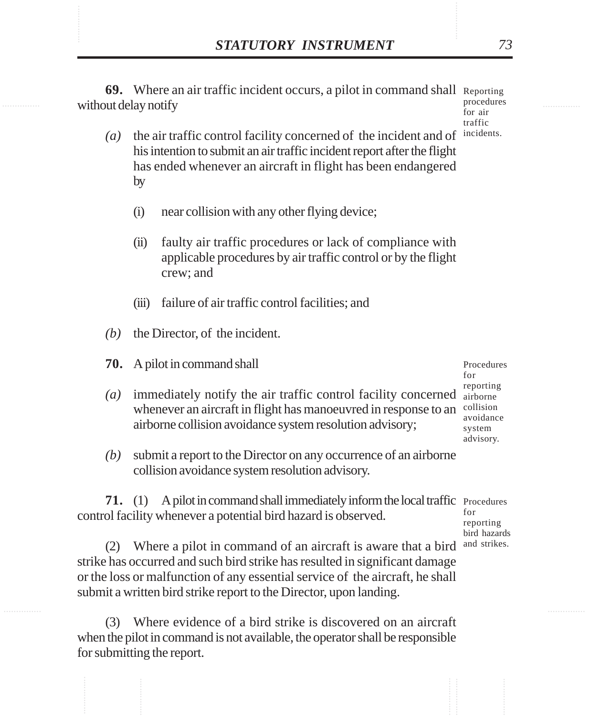**STATUTORY INSTRUMENT** 73<br> **69.** Where an air traffic incident occurs, a pilot in command shall Reporting<br>
without delay notify **69.** Where an air traffic incident occurs, a pilot in command shall Reporting without delay notify

procedures for air traffic incidents.

- *(a)* the air traffic control facility concerned of the incident and of his intention to submit an air traffic incident report after the flight has ended whenever an aircraft in flight has been endangered by
	- (i) near collision with any other flying device;
	- (ii) faulty air traffic procedures or lack of compliance with applicable procedures by air traffic control or by the flight crew; and
	- (iii) failure of air traffic control facilities; and
- *(b)* the Director, of the incident.
- **70.** A pilot in command shall
- $(a)$  immediately notify the air traffic control facility concerned  $a$ <sub>irborne</sub> whenever an aircraft in flight has manoeuvred in response to an airborne collision avoidance system resolution advisory;
- *(b)* submit a report to the Director on any occurrence of an airborne collision avoidance system resolution advisory.

**71.** (1) A pilot in command shall immediately inform the local traffic Procedures control facility whenever a potential bird hazard is observed.

(2) Where a pilot in command of an aircraft is aware that a bird strike has occurred and such bird strike has resulted in significant damage or the loss or malfunction of any essential service of the aircraft, he shall submit a written bird strike report to the Director, upon landing.

(3) Where evidence of a bird strike is discovered on an aircraft when the pilot in command is not available, the operator shall be responsible for submitting the report.

Procedures for reporting collision avoidance system advisory.

for reporting bird hazards and strikes.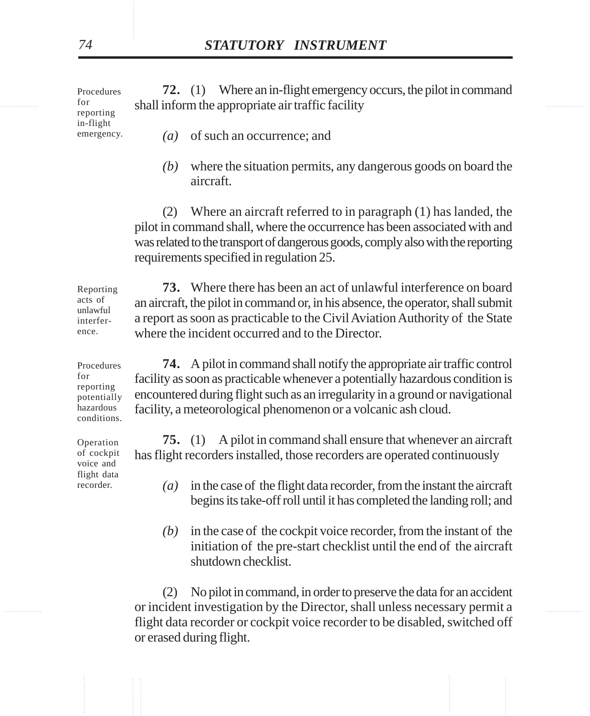experience and inform the appropriate air traffic facility **72.** (1) Where an in-flight emergency occurs, the pilot in command *(a)* of such an occurrence; and Procedures for reporting in-flight emergency.

- 
- *(b)* where the situation permits, any dangerous goods on board the aircraft.

(2) Where an aircraft referred to in paragraph (1) has landed, the pilot in command shall, where the occurrence has been associated with and was related to the transport of dangerous goods, comply also with the reporting requirements specified in regulation 25.

**73.** Where there has been an act of unlawful interference on board an aircraft, the pilot in command or, in his absence, the operator, shall submit a report as soon as practicable to the Civil Aviation Authority of the State where the incident occurred and to the Director. Reporting acts of unlawful interference.

**74.** A pilot in command shall notify the appropriate air traffic control facility as soon as practicable whenever a potentially hazardous condition is encountered during flight such as an irregularity in a ground or navigational facility, a meteorological phenomenon or a volcanic ash cloud. Procedures potentially conditions.

> **75.** (1) A pilot in command shall ensure that whenever an aircraft has flight recorders installed, those recorders are operated continuously

- *(a)* in the case of the flight data recorder, from the instant the aircraft begins its take-off roll until it has completed the landing roll; and
- *(b)* in the case of the cockpit voice recorder, from the instant of the initiation of the pre-start checklist until the end of the aircraft shutdown checklist.

............... ............... or incident investigation by the Director, shall unless necessary permit a (2) No pilot in command, in order to preserve the data for an accident flight data recorder or cockpit voice recorder to be disabled, switched off or erased during flight.

Operation of cockpit voice and flight data recorder.

hazardous

for reporting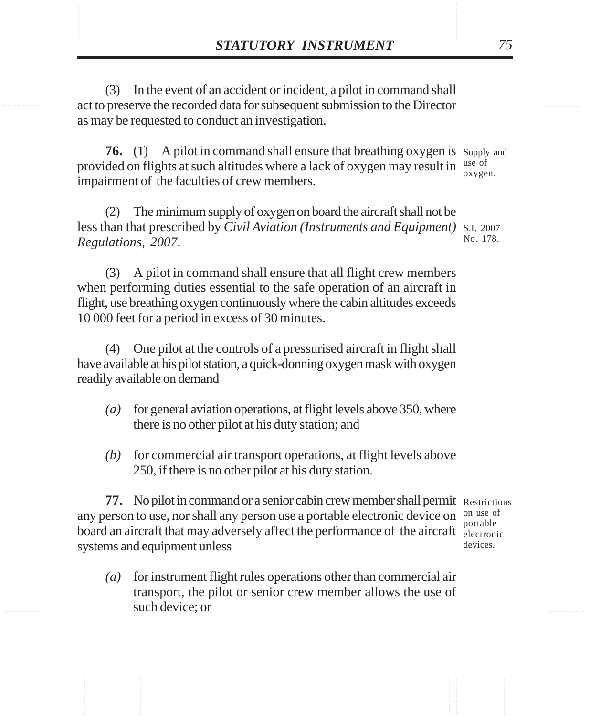**STATUTORY INSTRUMENT** 75<br>(3) In the event of an accident or incident, a pilot in command shall<br>act to preserve the recorded data for subsequent submission to the Director (3) In the event of an accident or incident, a pilot in command shall act to preserve the recorded data for subsequent submission to the Director as may be requested to conduct an investigation.

> **76.** (1) A pilot in command shall ensure that breathing oxygen is supply and provided on flights at such altitudes where a lack of oxygen may result in use of impairment of the faculties of crew members. oxygen.

(2) The minimum supply of oxygen on board the aircraft shall not be less than that prescribed by *Civil Aviation (Instruments and Equipment)* S.I. 2007 *Regulations, 2007*. No. 178.

(3) A pilot in command shall ensure that all flight crew members when performing duties essential to the safe operation of an aircraft in flight, use breathing oxygen continuously where the cabin altitudes exceeds 10 000 feet for a period in excess of 30 minutes.

(4) One pilot at the controls of a pressurised aircraft in flight shall have available at his pilot station, a quick-donning oxygen mask with oxygen readily available on demand

- *(a)* for general aviation operations, at flight levels above 350, where there is no other pilot at his duty station; and
- *(b)* for commercial air transport operations, at flight levels above 250, if there is no other pilot at his duty station.

77. No pilot in command or a senior cabin crew member shall permit Restrictions any person to use, nor shall any person use a portable electronic device on on use of board an aircraft that may adversely affect the performance of the aircraft electronic systems and equipment unless

*(a)* for instrument flight rules operations other than commercial air transport, the pilot or senior crew member allows the use of such device; or

portable devices.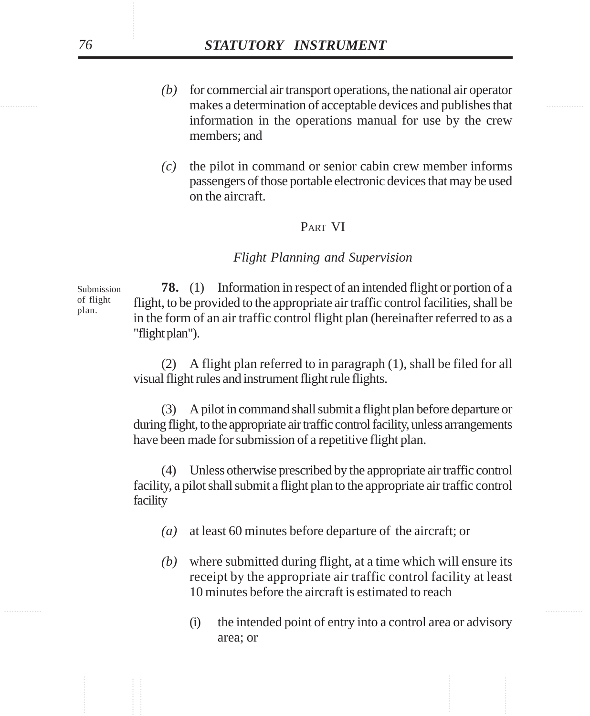- makes a determination of acceptable devices and publishes that *(b)* for commercial air transport operations, the national air operator information in the operations manual for use by the crew members; and
	- *(c)* the pilot in command or senior cabin crew member informs passengers of those portable electronic devices that may be used on the aircraft.

## PART VI

#### *Flight Planning and Supervision*

**78.** (1) Information in respect of an intended flight or portion of a flight, to be provided to the appropriate air traffic control facilities, shall be in the form of an air traffic control flight plan (hereinafter referred to as a "flight plan"). Submission of flight plan.

> (2) A flight plan referred to in paragraph (1), shall be filed for all visual flight rules and instrument flight rule flights.

> (3) A pilot in command shall submit a flight plan before departure or during flight, to the appropriate air traffic control facility, unless arrangements have been made for submission of a repetitive flight plan.

> (4) Unless otherwise prescribed by the appropriate air traffic control facility, a pilot shall submit a flight plan to the appropriate air traffic control facility

- *(a)* at least 60 minutes before departure of the aircraft; or
- *(b)* where submitted during flight, at a time which will ensure its receipt by the appropriate air traffic control facility at least 10 minutes before the aircraft is estimated to reach
	- (i) the intended point of entry into a control area or advisory area; or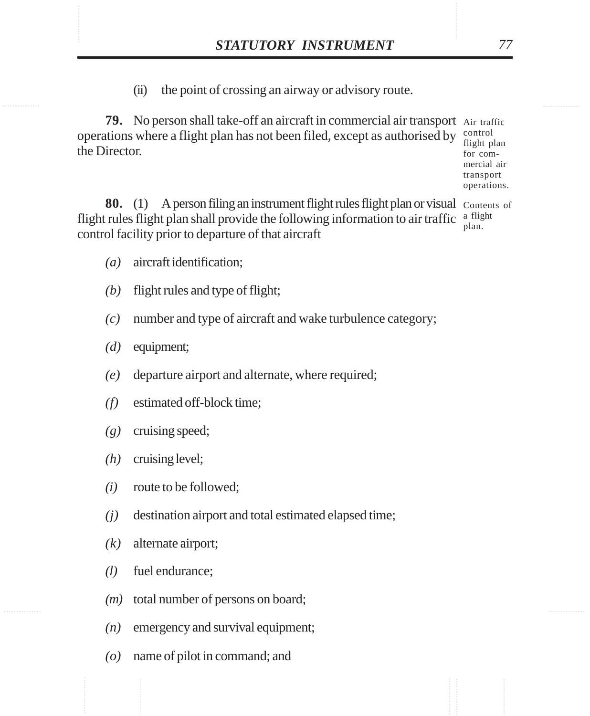**STATUTORY INSTRUMENT** 77<br>(ii) the point of crossing an airway or advisory route. (ii) the point of crossing an airway or advisory route.

> **79.** No person shall take-off an aircraft in commercial air transport Air traffic operations where a flight plan has not been filed, except as authorised by the Director. control

flight plan for commercial air transport operations.

80. (1) A person filing an instrument flight rules flight plan or visual Contents of flight rules flight plan shall provide the following information to air traffic  $\frac{a \text{ flight}}{a \text{light}}$ control facility prior to departure of that aircraft plan.

- *(a)* aircraft identification;
- *(b)* flight rules and type of flight;
- *(c)* number and type of aircraft and wake turbulence category;
- *(d)* equipment;
- *(e)* departure airport and alternate, where required;
- *(f)* estimated off-block time;
- *(g)* cruising speed;
- *(h)* cruising level;
- *(i)* route to be followed;
- *(j)* destination airport and total estimated elapsed time;
- *(k)* alternate airport;
- *(l)* fuel endurance;
- *(m)* total number of persons on board;
- *(n)* emergency and survival equipment;
- *(o)* name of pilot in command; and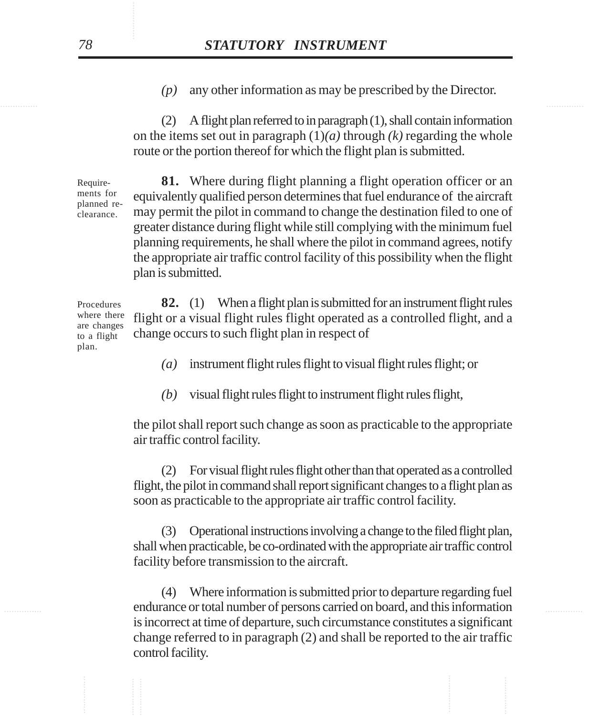*(p)* any other information as may be prescribed by the Director.

(2) A flight plan referred to in paragraph (1), shall contain information on the items set out in paragraph  $(1)(a)$  through  $(k)$  regarding the whole route or the portion thereof for which the flight plan is submitted.

**81.** Where during flight planning a flight operation officer or an equivalently qualified person determines that fuel endurance of the aircraft may permit the pilot in command to change the destination filed to one of greater distance during flight while still complying with the minimum fuel planning requirements, he shall where the pilot in command agrees, notify the appropriate air traffic control facility of this possibility when the flight plan is submitted.

**82.** (1) When a flight plan is submitted for an instrument flight rules flight or a visual flight rules flight operated as a controlled flight, and a change occurs to such flight plan in respect of

*(a)* instrument flight rules flight to visual flight rules flight; or

*(b)* visual flight rules flight to instrument flight rules flight,

the pilot shall report such change as soon as practicable to the appropriate air traffic control facility.

(2) For visual flight rules flight other than that operated as a controlled flight, the pilot in command shall report significant changes to a flight plan as soon as practicable to the appropriate air traffic control facility.

(3) Operational instructions involving a change to the filed flight plan, shall when practicable, be co-ordinated with the appropriate air traffic control facility before transmission to the aircraft.

endurance or total number of persons carried on board, and this information (4) Where information is submitted prior to departure regarding fuel is incorrect at time of departure, such circumstance constitutes a significant change referred to in paragraph (2) and shall be reported to the air traffic control facility.

Requirements for planned reclearance.

Procedures where there are changes to a flight plan.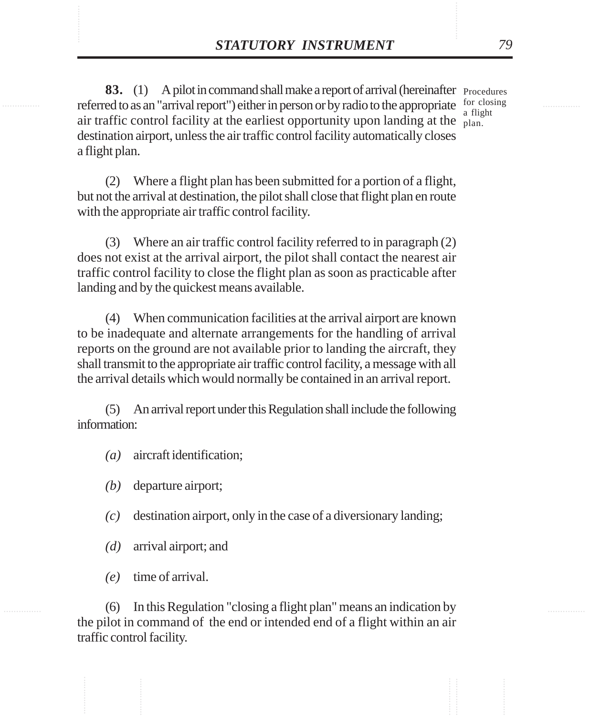**STATUTORY INSTRUMENT** 79<br> **83.** (1) A pilot in command shall make a report of arrival (hereinafter Procedures referred to as an "arrival report") either in person or by radio to the appropriate for closing 83. (1) A pilot in command shall make a report of arrival (hereinafter Procedures referred to as an "arrival report") either in person or by radio to the appropriate  $\frac{60 \text{ c} \cdot \text{closing}}{61 \text{ c} \cdot \text{cutoff}}$ air traffic control facility at the earliest opportunity upon landing at the  $\frac{a}{p}$ destination airport, unless the air traffic control facility automatically closes a flight plan. a flight

> (2) Where a flight plan has been submitted for a portion of a flight, but not the arrival at destination, the pilot shall close that flight plan en route with the appropriate air traffic control facility.

> (3) Where an air traffic control facility referred to in paragraph (2) does not exist at the arrival airport, the pilot shall contact the nearest air traffic control facility to close the flight plan as soon as practicable after landing and by the quickest means available.

> (4) When communication facilities at the arrival airport are known to be inadequate and alternate arrangements for the handling of arrival reports on the ground are not available prior to landing the aircraft, they shall transmit to the appropriate air traffic control facility, a message with all the arrival details which would normally be contained in an arrival report.

> (5) An arrival report under this Regulation shall include the following information:

- *(a)* aircraft identification;
- *(b)* departure airport;
- *(c)* destination airport, only in the case of a diversionary landing;
- *(d)* arrival airport; and
- *(e)* time of arrival.

(6) In this Regulation "closing a flight plan" means an indication by the pilot in command of the end or intended end of a flight within an air traffic control facility.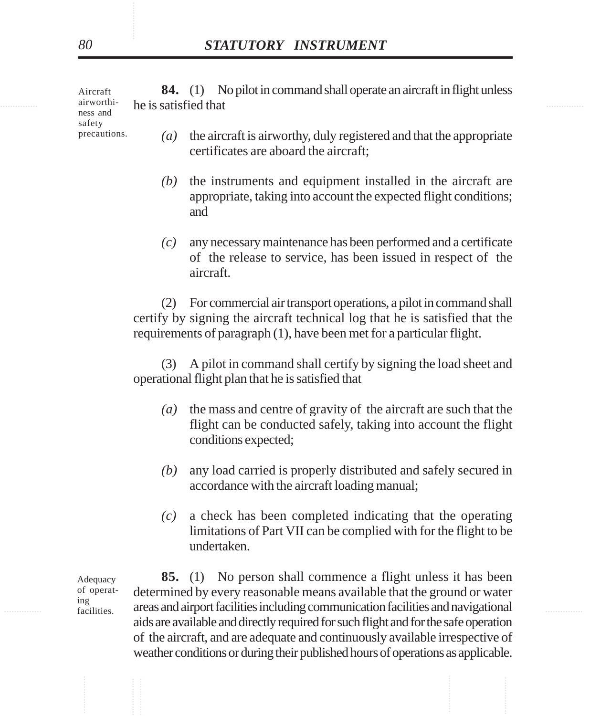expanding the is satisfied that the interval of the issue of the issue of the issue of the issue of the issue of the issue of the issue of the issue of the issue of the issue of the issue of the issue of the issue of the i **84.** (1) No pilot in command shall operate an aircraft in flight unless Aircraft airworthiness and

safety precautions.

- *(a)* the aircraft is airworthy, duly registered and that the appropriate certificates are aboard the aircraft;
- *(b)* the instruments and equipment installed in the aircraft are appropriate, taking into account the expected flight conditions; and
- *(c)* any necessary maintenance has been performed and a certificate of the release to service, has been issued in respect of the aircraft.

(2) For commercial air transport operations, a pilot in command shall certify by signing the aircraft technical log that he is satisfied that the requirements of paragraph (1), have been met for a particular flight.

(3) A pilot in command shall certify by signing the load sheet and operational flight plan that he is satisfied that

- *(a)* the mass and centre of gravity of the aircraft are such that the flight can be conducted safely, taking into account the flight conditions expected;
- *(b)* any load carried is properly distributed and safely secured in accordance with the aircraft loading manual;
- *(c)* a check has been completed indicating that the operating limitations of Part VII can be complied with for the flight to be undertaken.

Adequacy of operating facilities.

<sup>ing</sup> facilities. areas and airport facilities including communication facilities and navigational **85.** (1) No person shall commence a flight unless it has been determined by every reasonable means available that the ground or water aids are available and directly required for such flight and for the safe operation of the aircraft, and are adequate and continuously available irrespective of weather conditions or during their published hours of operations as applicable.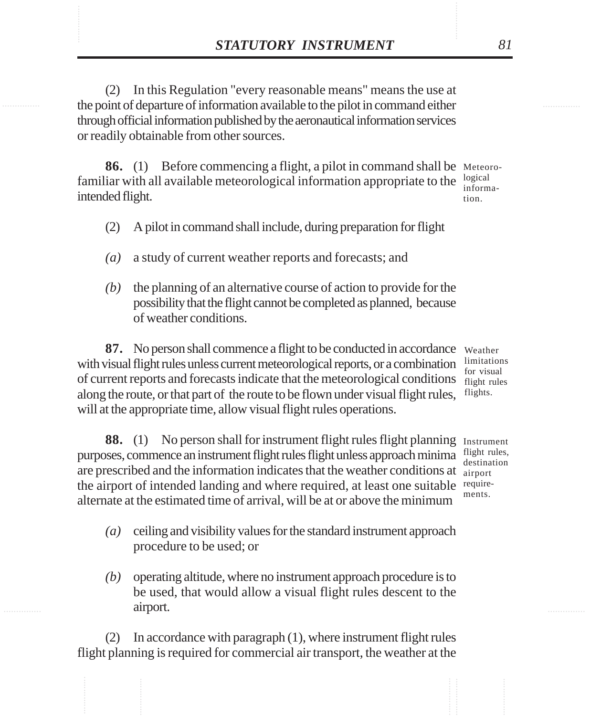**STATUTORY INSTRUMENT** 81<br>
(2) In this Regulation "every reasonable means" means the use at<br>
the point of departure of information available to the pilot in command either (2) In this Regulation "every reasonable means" means the use at the point of departure of information available to the pilot in command either through official information published by the aeronautical information services or readily obtainable from other sources.

> **86.** (1) Before commencing a flight, a pilot in command shall be Meteorofamiliar with all available meteorological information appropriate to the  $\frac{\text{logical}}{\text{inform}}$ intended flight.

information.

- (2) A pilot in command shall include, during preparation for flight
- *(a)* a study of current weather reports and forecasts; and
- *(b)* the planning of an alternative course of action to provide for the possibility that the flight cannot be completed as planned, because of weather conditions.

**87.** No person shall commence a flight to be conducted in accordance weather with visual flight rules unless current meteorological reports, or a combination of current reports and forecasts indicate that the meteorological conditions along the route, or that part of the route to be flown under visual flight rules, will at the appropriate time, allow visual flight rules operations.

limitations for visual flight rules flights.

**88.** (1) No person shall for instrument flight rules flight planning purposes, commence an instrument flight rules flight unless approach minima are prescribed and the information indicates that the weather conditions at airport the airport of intended landing and where required, at least one suitable requirealternate at the estimated time of arrival, will be at or above the minimum

Instrument flight rules, destination ments.

- *(a)* ceiling and visibility values for the standard instrument approach procedure to be used; or
- *(b)* operating altitude, where no instrument approach procedure is to be used, that would allow a visual flight rules descent to the airport.

(2) In accordance with paragraph (1), where instrument flight rules flight planning is required for commercial air transport, the weather at the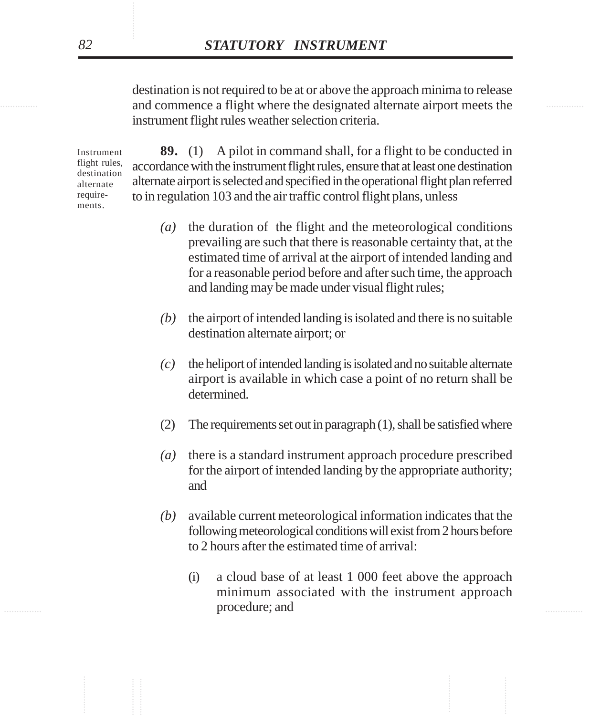and commence a flight where the designated alternate airport meets the destination is not required to be at or above the approach minima to release instrument flight rules weather selection criteria.

> Instrument flight rules, destination alternate requirements.

**89.** (1) A pilot in command shall, for a flight to be conducted in accordance with the instrument flight rules, ensure that at least one destination alternate airport is selected and specified in the operational flight plan referred to in regulation 103 and the air traffic control flight plans, unless

- *(a)* the duration of the flight and the meteorological conditions prevailing are such that there is reasonable certainty that, at the estimated time of arrival at the airport of intended landing and for a reasonable period before and after such time, the approach and landing may be made under visual flight rules;
- *(b)* the airport of intended landing is isolated and there is no suitable destination alternate airport; or
- *(c)* the heliport of intended landing is isolated and no suitable alternate airport is available in which case a point of no return shall be determined.
- (2) The requirements set out in paragraph  $(1)$ , shall be satisfied where
- *(a)* there is a standard instrument approach procedure prescribed for the airport of intended landing by the appropriate authority; and
- *(b)* available current meteorological information indicates that the following meteorological conditions will exist from 2 hours before to 2 hours after the estimated time of arrival:
- exprocedure; and  $\blacksquare$ (i) a cloud base of at least 1 000 feet above the approach minimum associated with the instrument approach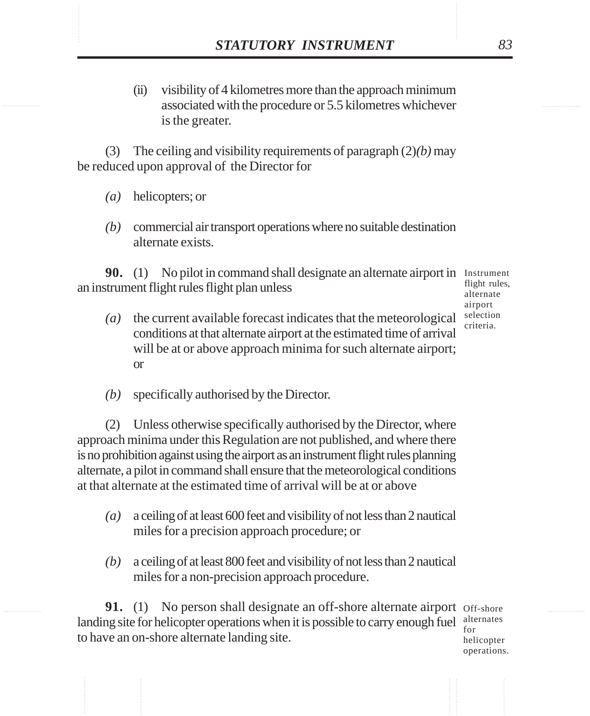**STATUTORY INSTRUMENT** 83<br>
(ii) visibility of 4 kilometres more than the approach minimum<br>
associated with the procedure or 5.5 kilometres whichever (ii) visibility of 4 kilometres more than the approach minimum associated with the procedure or 5.5 kilometres whichever is the greater.

> (3) The ceiling and visibility requirements of paragraph (2)*(b)* may be reduced upon approval of the Director for

- *(a)* helicopters; or
- *(b)* commercial air transport operations where no suitable destination alternate exists.

**90.** (1) No pilot in command shall designate an alternate airport in Instrument an instrument flight rules flight plan unless

flight rules, alternate airport selection criteria.

- *(a)* the current available forecast indicates that the meteorological conditions at that alternate airport at the estimated time of arrival will be at or above approach minima for such alternate airport; or
- *(b)* specifically authorised by the Director.

(2) Unless otherwise specifically authorised by the Director, where approach minima under this Regulation are not published, and where there is no prohibition against using the airport as an instrument flight rules planning alternate, a pilot in command shall ensure that the meteorological conditions at that alternate at the estimated time of arrival will be at or above

- *(a)* a ceiling of at least 600 feet and visibility of not less than 2 nautical miles for a precision approach procedure; or
- *(b)* a ceiling of at least 800 feet and visibility of not less than 2 nautical miles for a non-precision approach procedure.

**91.** (1) No person shall designate an off-shore alternate airport Off-shore landing site for helicopter operations when it is possible to carry enough fuel  $\frac{\text{alternates}}{\text{for}}$ to have an on-shore alternate landing site. for

helicopter operations.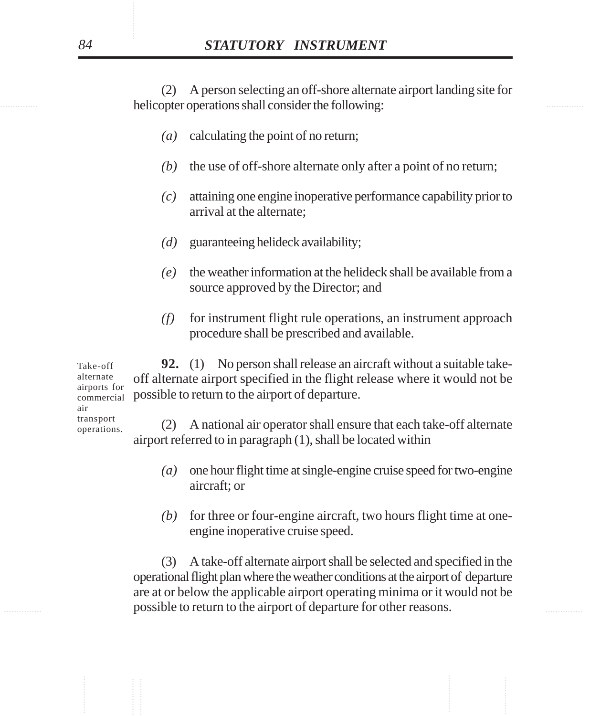helicopter operations shall consider the following: (2) A person selecting an off-shore alternate airport landing site for

- *(a)* calculating the point of no return;
- *(b)* the use of off-shore alternate only after a point of no return;
- *(c)* attaining one engine inoperative performance capability prior to arrival at the alternate;
- *(d)* guaranteeing helideck availability;
- *(e)* the weather information at the helideck shall be available from a source approved by the Director; and
- *(f)* for instrument flight rule operations, an instrument approach procedure shall be prescribed and available.

**92.** (1) No person shall release an aircraft without a suitable takeoff alternate airport specified in the flight release where it would not be possible to return to the airport of departure. Take-off alternate airports for

commercial air transport operations.

(2) A national air operator shall ensure that each take-off alternate airport referred to in paragraph (1), shall be located within

- *(a)* one hour flight time at single-engine cruise speed for two-engine aircraft; or
- *(b)* for three or four-engine aircraft, two hours flight time at oneengine inoperative cruise speed.

**Example 10** possible to return to the airport of departure for other reasons. (3) A take-off alternate airport shall be selected and specified in the operational flight plan where the weather conditions at the airport of departure are at or below the applicable airport operating minima or it would not be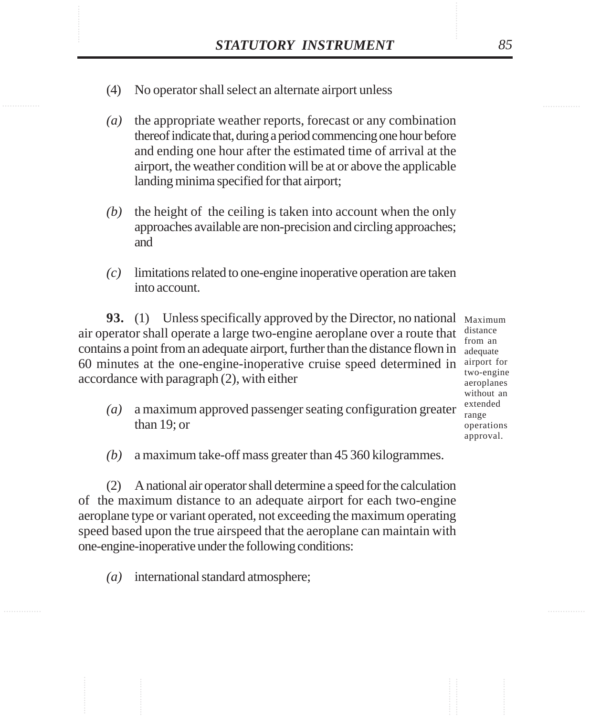- STATUTORY INSTRUMENT 85<br>(4) No operator shall select an alternate airport unless (4) No operator shall select an alternate airport unless
	- *(a)* the appropriate weather reports, forecast or any combination thereof indicate that, during a period commencing one hour before and ending one hour after the estimated time of arrival at the airport, the weather condition will be at or above the applicable landing minima specified for that airport;
	- *(b)* the height of the ceiling is taken into account when the only approaches available are non-precision and circling approaches; and
	- *(c)* limitations related to one-engine inoperative operation are taken into account.

**93.** (1) Unless specifically approved by the Director, no national Maximum air operator shall operate a large two-engine aeroplane over a route that  $\frac{distance}{from an}$ contains a point from an adequate airport, further than the distance flown in 60 minutes at the one-engine-inoperative cruise speed determined in airport for accordance with paragraph (2), with either

from an adequate two-engine aeroplanes without an extended range operations approval.

- *(a)* a maximum approved passenger seating configuration greater than 19; or
- *(b)* a maximum take-off mass greater than 45 360 kilogrammes.

(2) A national air operator shall determine a speed for the calculation of the maximum distance to an adequate airport for each two-engine aeroplane type or variant operated, not exceeding the maximum operating speed based upon the true airspeed that the aeroplane can maintain with one-engine-inoperative under the following conditions:

*(a)* international standard atmosphere;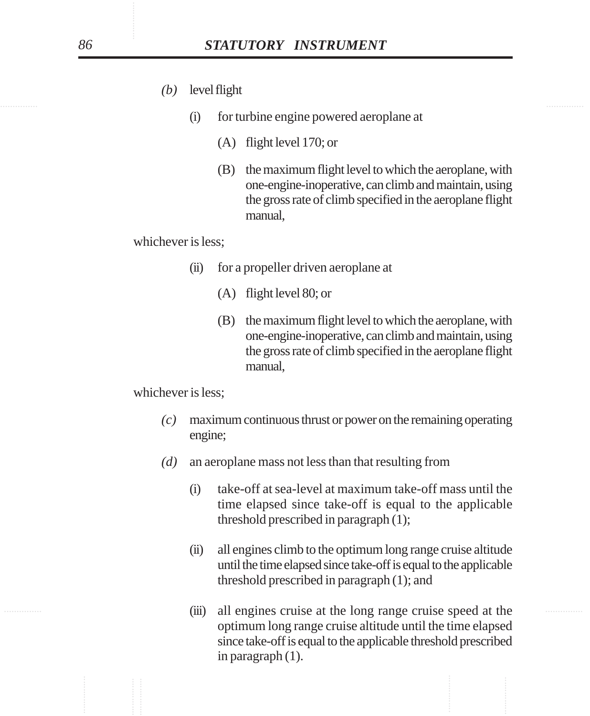- *(b)* level flight
	- (i) for turbine engine powered aeroplane at
		- (A) flight level 170; or
		- (B) the maximum flight level to which the aeroplane, with one-engine-inoperative, can climb and maintain, using the gross rate of climb specified in the aeroplane flight manual,

whichever is less;

- (ii) for a propeller driven aeroplane at
	- (A) flight level 80; or
	- (B) the maximum flight level to which the aeroplane, with one-engine-inoperative, can climb and maintain, using the gross rate of climb specified in the aeroplane flight manual,

whichever is less;

- *(c)* maximum continuous thrust or power on the remaining operating engine;
- *(d)* an aeroplane mass not less than that resulting from
	- (i) take-off at sea-level at maximum take-off mass until the time elapsed since take-off is equal to the applicable threshold prescribed in paragraph (1);
	- (ii) all engines climb to the optimum long range cruise altitude until the time elapsed since take-off is equal to the applicable threshold prescribed in paragraph (1); and
- ............... ............... (iii) all engines cruise at the long range cruise speed at the optimum long range cruise altitude until the time elapsed since take-off is equal to the applicable threshold prescribed in paragraph (1).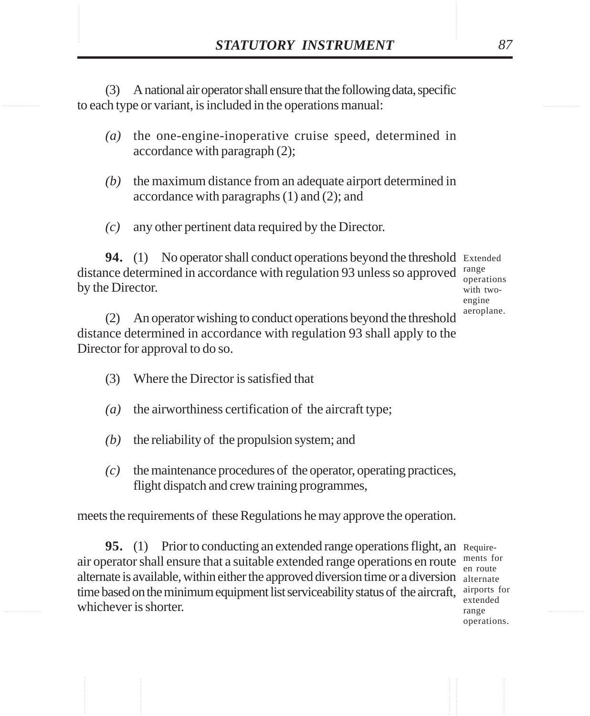**STATUTORY INSTRUMENT** 87<br>
(3) A national air operator shall ensure that the following data, specific<br>
to each type or variant, is included in the operations manual: (3) A national air operator shall ensure that the following data, specific to each type or variant, is included in the operations manual:

- *(a)* the one-engine-inoperative cruise speed, determined in accordance with paragraph (2);
- *(b)* the maximum distance from an adequate airport determined in accordance with paragraphs (1) and (2); and
- *(c)* any other pertinent data required by the Director.

**94.** (1) No operator shall conduct operations beyond the threshold Extended distance determined in accordance with regulation 93 unless so approved by the Director. range

operations with twoengine aeroplane.

(2) An operator wishing to conduct operations beyond the threshold distance determined in accordance with regulation 93 shall apply to the Director for approval to do so.

- (3) Where the Director is satisfied that
- *(a)* the airworthiness certification of the aircraft type;
- *(b)* the reliability of the propulsion system; and
- *(c)* the maintenance procedures of the operator, operating practices, flight dispatch and crew training programmes,

meets the requirements of these Regulations he may approve the operation.

**95.** (1) Prior to conducting an extended range operations flight, an Requireair operator shall ensure that a suitable extended range operations en route ments for alternate is available, within either the approved diversion time or a diversion alternate time based on the minimum equipment list serviceability status of the aircraft, airports for whichever is shorter.

en route extended range operations.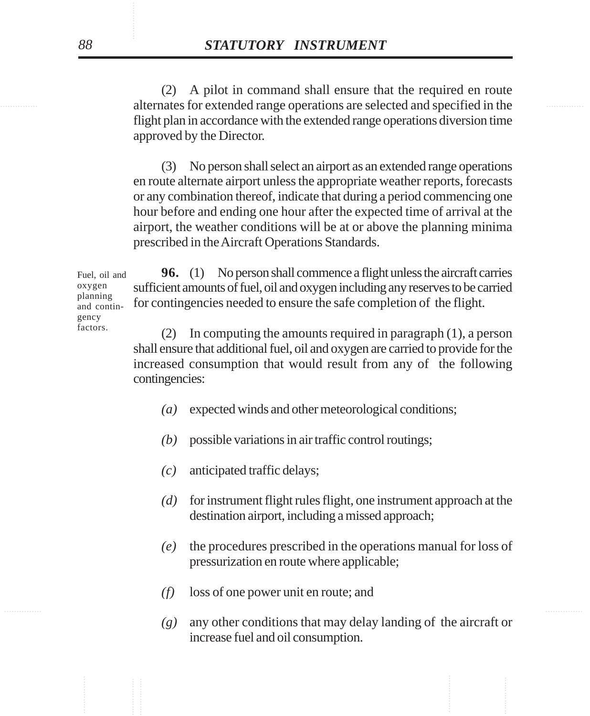alternates for extended range operations are selected and specified in the (2) A pilot in command shall ensure that the required en route flight plan in accordance with the extended range operations diversion time approved by the Director.

> (3) No person shall select an airport as an extended range operations en route alternate airport unless the appropriate weather reports, forecasts or any combination thereof, indicate that during a period commencing one hour before and ending one hour after the expected time of arrival at the airport, the weather conditions will be at or above the planning minima prescribed in the Aircraft Operations Standards.

**96.** (1) No person shall commence a flight unless the aircraft carries sufficient amounts of fuel, oil and oxygen including any reserves to be carried for contingencies needed to ensure the safe completion of the flight. Fuel, oil and oxygen planning and contingency

> (2) In computing the amounts required in paragraph (1), a person shall ensure that additional fuel, oil and oxygen are carried to provide for the increased consumption that would result from any of the following contingencies:

- *(a)* expected winds and other meteorological conditions;
- *(b)* possible variations in air traffic control routings;
- *(c)* anticipated traffic delays;
- *(d)* for instrument flight rules flight, one instrument approach at the destination airport, including a missed approach;
- *(e)* the procedures prescribed in the operations manual for loss of pressurization en route where applicable;
- *(f)* loss of one power unit en route; and
- *(g)* any other conditions that may delay landing of the aircraft or increase fuel and oil consumption.

factors.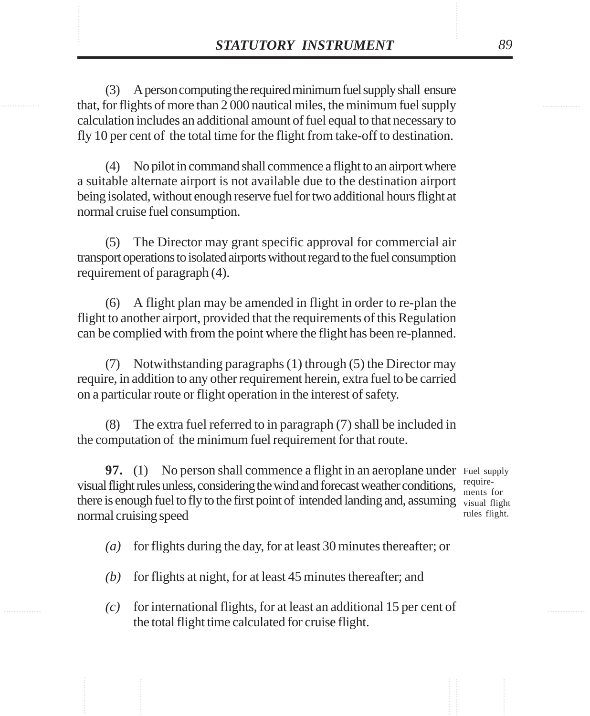**STATUTORY INSTRUMENT** 89<br>
(3) A person computing the required minimum fuel supply shall ensure<br>
that, for flights of more than 2 000 nautical miles, the minimum fuel supply (3) A person computing the required minimum fuel supply shall ensure that, for flights of more than 2 000 nautical miles, the minimum fuel supply calculation includes an additional amount of fuel equal to that necessary to fly 10 per cent of the total time for the flight from take-off to destination.

> (4) No pilot in command shall commence a flight to an airport where a suitable alternate airport is not available due to the destination airport being isolated, without enough reserve fuel for two additional hours flight at normal cruise fuel consumption.

> (5) The Director may grant specific approval for commercial air transport operations to isolated airports without regard to the fuel consumption requirement of paragraph (4).

> (6) A flight plan may be amended in flight in order to re-plan the flight to another airport, provided that the requirements of this Regulation can be complied with from the point where the flight has been re-planned.

> (7) Notwithstanding paragraphs (1) through (5) the Director may require, in addition to any other requirement herein, extra fuel to be carried on a particular route or flight operation in the interest of safety.

> (8) The extra fuel referred to in paragraph (7) shall be included in the computation of the minimum fuel requirement for that route.

**97.** (1) No person shall commence a flight in an aeroplane under Fuel supply visual flight rules unless, considering the wind and forecast weather conditions,  $\frac{require}{ments}$ there is enough fuel to fly to the first point of intended landing and, assuming visual flight normal cruising speed

ments for rules flight.

*(a)* for flights during the day, for at least 30 minutes thereafter; or

- *(b)* for flights at night, for at least 45 minutes thereafter; and
- *(c)* for international flights, for at least an additional 15 per cent of the total flight time calculated for cruise flight.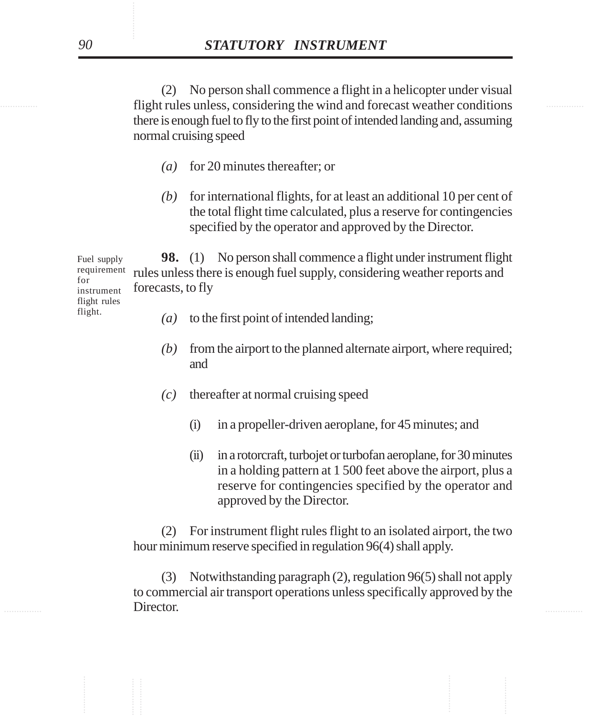............... ............... flight rules unless, considering the wind and forecast weather conditions (2) No person shall commence a flight in a helicopter under visual there is enough fuel to fly to the first point of intended landing and, assuming normal cruising speed

- *(a)* for 20 minutes thereafter; or
- *(b)* for international flights, for at least an additional 10 per cent of the total flight time calculated, plus a reserve for contingencies specified by the operator and approved by the Director.

**98.** (1) No person shall commence a flight under instrument flight rules unless there is enough fuel supply, considering weather reports and forecasts, to fly Fuel supply requirement for instrument flight rules

- *(a)* to the first point of intended landing;
	- *(b)* from the airport to the planned alternate airport, where required; and
	- *(c)* thereafter at normal cruising speed
		- (i) in a propeller-driven aeroplane, for 45 minutes; and
		- (ii) in a rotorcraft, turbojet or turbofan aeroplane, for 30 minutes in a holding pattern at 1 500 feet above the airport, plus a reserve for contingencies specified by the operator and approved by the Director.

(2) For instrument flight rules flight to an isolated airport, the two hour minimum reserve specified in regulation 96(4) shall apply.

**Example 20 Interctor. Example 20 Interctor.** (3) Notwithstanding paragraph (2), regulation 96(5) shall not apply to commercial air transport operations unless specifically approved by the Director.

flight.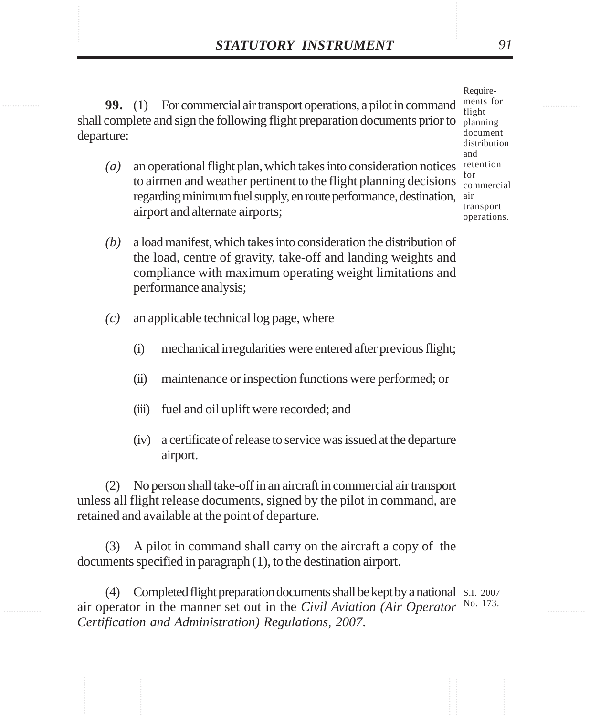**STATUTORY INSTRUMENT** 91<br>
99. (1) For commercial air transport operations. a pilot in command antist for **99.** (1) For commercial air transport operations, a pilot in command shall complete and sign the following flight preparation documents prior to departure:

> (a) an operational flight plan, which takes into consideration notices retention to airmen and weather pertinent to the flight planning decisions regarding minimum fuel supply, en route performance, destination, airport and alternate airports;

Requirements for flight planning document distribution and for commercial air transport operations.

- *(b)* a load manifest, which takes into consideration the distribution of the load, centre of gravity, take-off and landing weights and compliance with maximum operating weight limitations and performance analysis;
- *(c)* an applicable technical log page, where
	- (i) mechanical irregularities were entered after previous flight;
	- (ii) maintenance or inspection functions were performed; or
	- (iii) fuel and oil uplift were recorded; and
	- (iv) a certificate of release to service was issued at the departure airport.

(2) No person shall take-off in an aircraft in commercial air transport unless all flight release documents, signed by the pilot in command, are retained and available at the point of departure.

(3) A pilot in command shall carry on the aircraft a copy of the documents specified in paragraph (1), to the destination airport.

(4) Completed flight preparation documents shall be kept by a national S.I. 2007 air operator in the manner set out in the *Civil Aviation (Air Operator* No. 173.*Certification and Administration) Regulations, 2007*.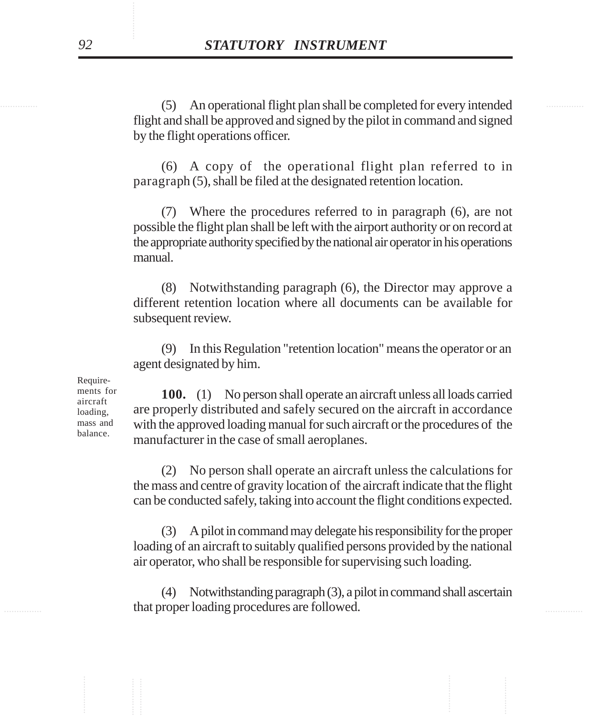............... ............... (5) An operational flight plan shall be completed for every intended flight and shall be approved and signed by the pilot in command and signed by the flight operations officer.

> (6) A copy of the operational flight plan referred to in paragraph (5), shall be filed at the designated retention location.

> (7) Where the procedures referred to in paragraph (6), are not possible the flight plan shall be left with the airport authority or on record at the appropriate authority specified by the national air operator in his operations manual.

> (8) Notwithstanding paragraph (6), the Director may approve a different retention location where all documents can be available for subsequent review.

> (9) In this Regulation "retention location" means the operator or an agent designated by him.

Requirements for aircraft loading, mass and balance.

**100.** (1) No person shall operate an aircraft unless all loads carried are properly distributed and safely secured on the aircraft in accordance with the approved loading manual for such aircraft or the procedures of the manufacturer in the case of small aeroplanes.

(2) No person shall operate an aircraft unless the calculations for the mass and centre of gravity location of the aircraft indicate that the flight can be conducted safely, taking into account the flight conditions expected.

(3) A pilot in command may delegate his responsibility for the proper loading of an aircraft to suitably qualified persons provided by the national air operator, who shall be responsible for supervising such loading.

**EXECUTE:** that proper loading procedures are followed. (4) Notwithstanding paragraph (3), a pilot in command shall ascertain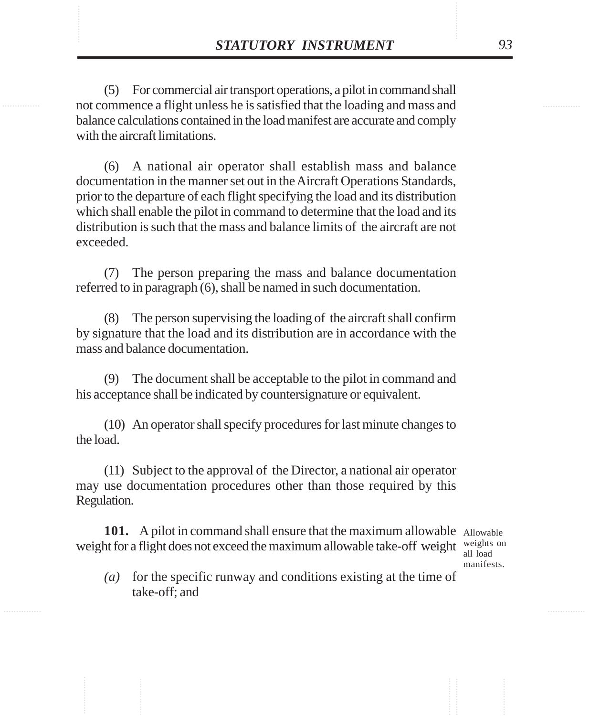**STATUTORY INSTRUMENT** 93<br>
(5) For commercial air transport operations, a pilot in command shall<br>
not commence a flight unless he is satisfied that the loading and mass and (5) For commercial air transport operations, a pilot in command shall not commence a flight unless he is satisfied that the loading and mass and balance calculations contained in the load manifest are accurate and comply with the aircraft limitations.

> (6) A national air operator shall establish mass and balance documentation in the manner set out in the Aircraft Operations Standards, prior to the departure of each flight specifying the load and its distribution which shall enable the pilot in command to determine that the load and its distribution is such that the mass and balance limits of the aircraft are not exceeded.

> (7) The person preparing the mass and balance documentation referred to in paragraph (6), shall be named in such documentation.

> (8) The person supervising the loading of the aircraft shall confirm by signature that the load and its distribution are in accordance with the mass and balance documentation.

> (9) The document shall be acceptable to the pilot in command and his acceptance shall be indicated by countersignature or equivalent.

> (10) An operator shall specify procedures for last minute changes to the load.

> (11) Subject to the approval of the Director, a national air operator may use documentation procedures other than those required by this Regulation.

101. A pilot in command shall ensure that the maximum allowable Allowable weight for a flight does not exceed the maximum allowable take-off weight  $\frac{weights}{all}$ 

all load manifests.

*(a)* for the specific runway and conditions existing at the time of take-off; and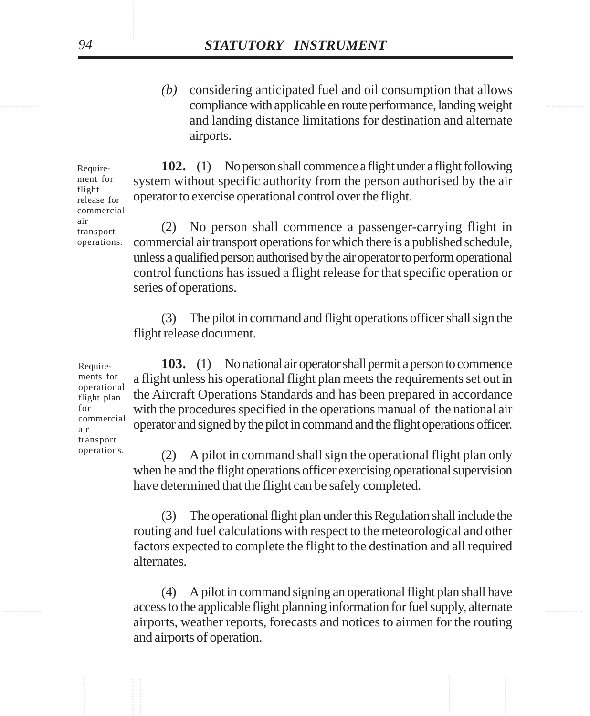............... ............... compliance with applicable en route performance, landing weight *(b)* considering anticipated fuel and oil consumption that allows and landing distance limitations for destination and alternate airports.

> **102.** (1) No person shall commence a flight under a flight following system without specific authority from the person authorised by the air operator to exercise operational control over the flight. release for commercial

> > (2) No person shall commence a passenger-carrying flight in commercial air transport operations for which there is a published schedule, unless a qualified person authorised by the air operator to perform operational control functions has issued a flight release for that specific operation or series of operations.

(3) The pilot in command and flight operations officer shall sign the flight release document.

**103.** (1) No national air operator shall permit a person to commence a flight unless his operational flight plan meets the requirements set out in the Aircraft Operations Standards and has been prepared in accordance with the procedures specified in the operations manual of the national air operator and signed by the pilot in command and the flight operations officer.

(2) A pilot in command shall sign the operational flight plan only when he and the flight operations officer exercising operational supervision have determined that the flight can be safely completed.

(3) The operational flight plan under this Regulation shall include the routing and fuel calculations with respect to the meteorological and other factors expected to complete the flight to the destination and all required alternates.

............... ............... access to the applicable flight planning information for fuel supply, alternate (4) A pilot in command signing an operational flight plan shall have airports, weather reports, forecasts and notices to airmen for the routing and airports of operation.

Requirements for operational flight plan for commercial air transport operations.

Requirement for flight

air transport operations.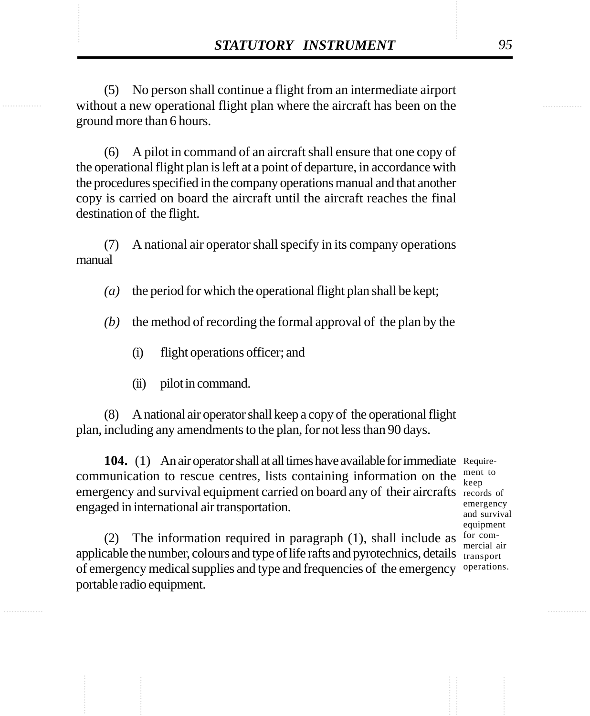**STATUTORY INSTRUMENT** 95<br>
(5) No person shall continue a flight from an intermediate airport<br>
without a new operational flight plan where the aircraft has been on the (5) No person shall continue a flight from an intermediate airport without a new operational flight plan where the aircraft has been on the ground more than 6 hours.

> (6) A pilot in command of an aircraft shall ensure that one copy of the operational flight plan is left at a point of departure, in accordance with the procedures specified in the company operations manual and that another copy is carried on board the aircraft until the aircraft reaches the final destination of the flight.

> (7) A national air operator shall specify in its company operations manual

*(a)* the period for which the operational flight plan shall be kept;

- *(b)* the method of recording the formal approval of the plan by the
	- (i) flight operations officer; and
	- (ii) pilot in command.

(8) A national air operator shall keep a copy of the operational flight plan, including any amendments to the plan, for not less than 90 days.

**104.** (1) An air operator shall at all times have available for immediate Requirecommunication to rescue centres, lists containing information on the  $\frac{men}{keep}$ emergency and survival equipment carried on board any of their aircrafts records of engaged in international air transportation.

ment to emergency and survival equipment for commercial air operations.

(2) The information required in paragraph (1), shall include as applicable the number, colours and type of life rafts and pyrotechnics, details  $\frac{1}{\text{transport}}$ of emergency medical supplies and type and frequencies of the emergency portable radio equipment.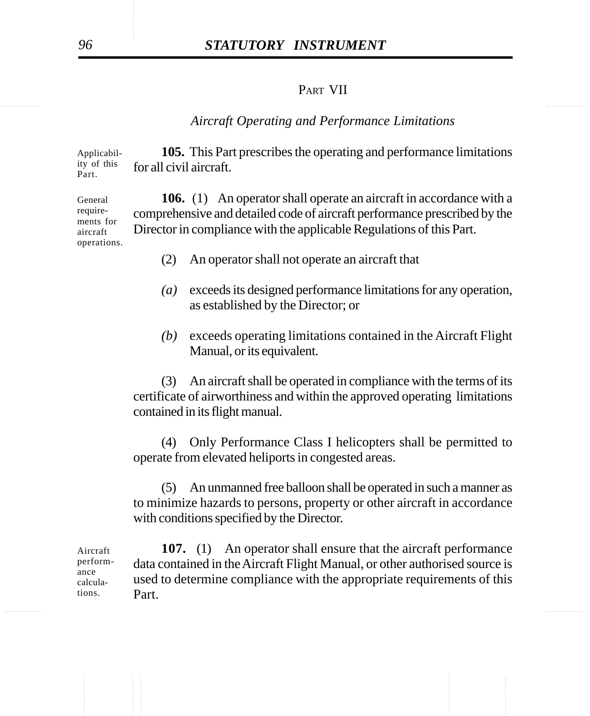# *96 STATUTORY INSTRUMENT*

## PART VII

### *Aircraft Operating and Performance Limitations*

**105.** This Part prescribes the operating and performance limitations for all civil aircraft. Applicability of this Part.

**106.** (1) An operator shall operate an aircraft in accordance with a comprehensive and detailed code of aircraft performance prescribed by the Director in compliance with the applicable Regulations of this Part. General requirements for aircraft operations.

- (2) An operator shall not operate an aircraft that
- *(a)* exceeds its designed performance limitations for any operation, as established by the Director; or
- *(b)* exceeds operating limitations contained in the Aircraft Flight Manual, or its equivalent.

(3) An aircraft shall be operated in compliance with the terms of its certificate of airworthiness and within the approved operating limitations contained in its flight manual.

(4) Only Performance Class I helicopters shall be permitted to operate from elevated heliports in congested areas.

(5) An unmanned free balloon shall be operated in such a manner as to minimize hazards to persons, property or other aircraft in accordance with conditions specified by the Director.

**107.** (1) An operator shall ensure that the aircraft performance data contained in the Aircraft Flight Manual, or other authorised source is used to determine compliance with the appropriate requirements of this Part. Aircraft performance calculations.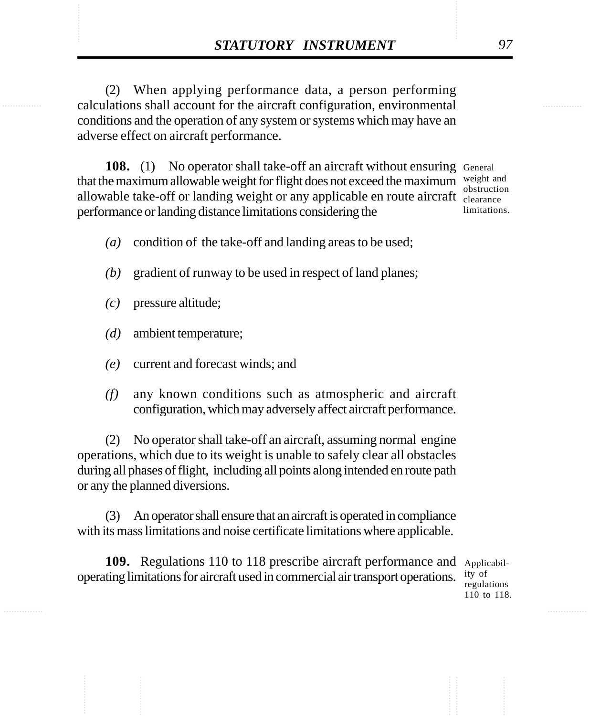**STATUTORY INSTRUMENT** 97<br>(2) When applying performance data, a person performing<br>calculations shall account for the aircraft configuration, environmental (2) When applying performance data, a person performing calculations shall account for the aircraft configuration, environmental conditions and the operation of any system or systems which may have an adverse effect on aircraft performance.

> 108. (1) No operator shall take-off an aircraft without ensuring General that the maximum allowable weight for flight does not exceed the maximum weight and allowable take-off or landing weight or any applicable en route aircraft clearance performance or landing distance limitations considering the

obstruction limitations.

- *(a)* condition of the take-off and landing areas to be used;
- *(b)* gradient of runway to be used in respect of land planes;
- *(c)* pressure altitude;
- *(d)* ambient temperature;
- *(e)* current and forecast winds; and
- *(f)* any known conditions such as atmospheric and aircraft configuration, which may adversely affect aircraft performance.

(2) No operator shall take-off an aircraft, assuming normal engine operations, which due to its weight is unable to safely clear all obstacles during all phases of flight, including all points along intended en route path or any the planned diversions.

(3) An operator shall ensure that an aircraft is operated in compliance with its mass limitations and noise certificate limitations where applicable.

109. Regulations 110 to 118 prescribe aircraft performance and Applicabiloperating limitations for aircraft used in commercial air transport operations.

ity of regulations 110 to 118.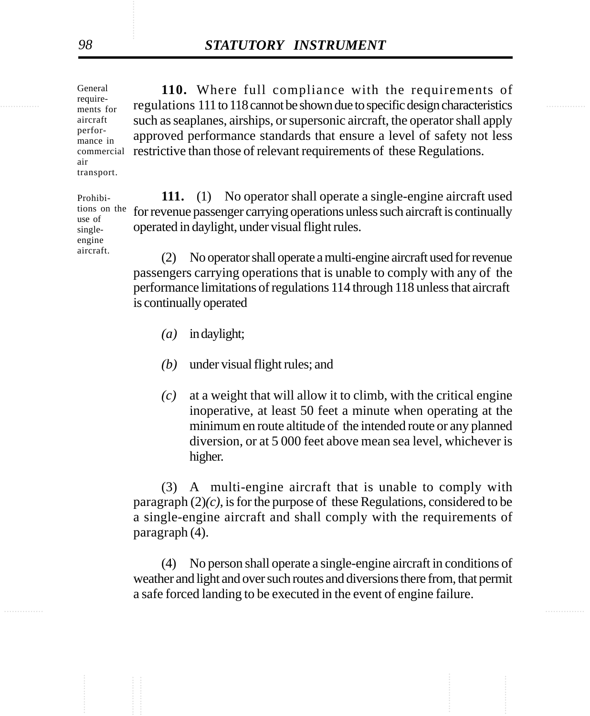regulations 111 to 118 cannot be shown due to specific design characteristics **110.** Where full compliance with the requirements of such as seaplanes, airships, or supersonic aircraft, the operator shall apply approved performance standards that ensure a level of safety not less commercial restrictive than those of relevant requirements of these Regulations. General requirements for mance in transport.

> Prohibitions on the use of singleengine aircraft.

**111.** (1) No operator shall operate a single-engine aircraft used for revenue passenger carrying operations unless such aircraft is continually operated in daylight, under visual flight rules.

(2) No operator shall operate a multi-engine aircraft used for revenue passengers carrying operations that is unable to comply with any of the performance limitations of regulations 114 through 118 unless that aircraft is continually operated

- *(a)* in daylight;
- *(b)* under visual flight rules; and
- *(c)* at a weight that will allow it to climb, with the critical engine inoperative, at least 50 feet a minute when operating at the minimum en route altitude of the intended route or any planned diversion, or at 5 000 feet above mean sea level, whichever is higher.

(3) A multi-engine aircraft that is unable to comply with paragraph (2)*(c)*, is for the purpose of these Regulations, considered to be a single-engine aircraft and shall comply with the requirements of paragraph (4).

(4) No person shall operate a single-engine aircraft in conditions of weather and light and over such routes and diversions there from, that permit a safe forced landing to be executed in the event of engine failure.

aircraft perfor-

air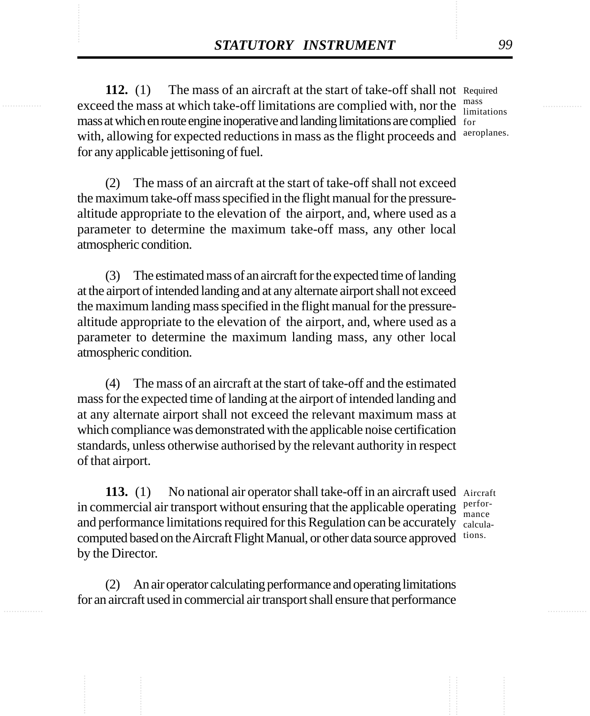**STATUTORY INSTRUMENT** 99<br>
112. (1) The mass of an aircraft at the start of take-off shall not Required exceed the mass at which take-off limitations are complied with, nor the mass **112.** (1) The mass of an aircraft at the start of take-off shall not Required exceed the mass at which take-off limitations are complied with, nor the mass at which en route engine inoperative and landing limitations are complied for with, allowing for expected reductions in mass as the flight proceeds and for any applicable jettisoning of fuel. mass

limitations aeroplanes.

(2) The mass of an aircraft at the start of take-off shall not exceed the maximum take-off mass specified in the flight manual for the pressurealtitude appropriate to the elevation of the airport, and, where used as a parameter to determine the maximum take-off mass, any other local atmospheric condition.

(3) The estimated mass of an aircraft for the expected time of landing at the airport of intended landing and at any alternate airport shall not exceed the maximum landing mass specified in the flight manual for the pressurealtitude appropriate to the elevation of the airport, and, where used as a parameter to determine the maximum landing mass, any other local atmospheric condition.

(4) The mass of an aircraft at the start of take-off and the estimated mass for the expected time of landing at the airport of intended landing and at any alternate airport shall not exceed the relevant maximum mass at which compliance was demonstrated with the applicable noise certification standards, unless otherwise authorised by the relevant authority in respect of that airport.

113. (1) No national air operator shall take-off in an aircraft used Aircraft in commercial air transport without ensuring that the applicable operating  $\frac{\text{performance}}{\text{mono}}$ and performance limitations required for this Regulation can be accurately calculacomputed based on the Aircraft Flight Manual, or other data source approved tions. by the Director.

mance

(2) An air operator calculating performance and operating limitations for an aircraft used in commercial air transport shall ensure that performance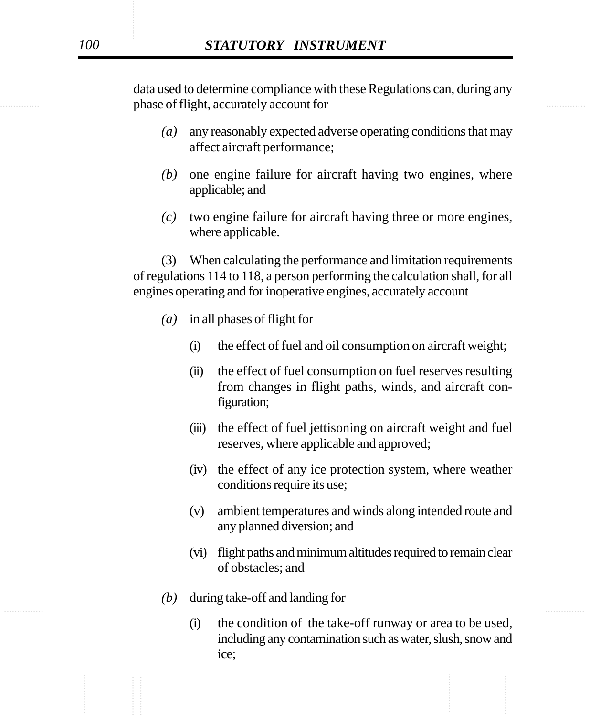**Example 3** and the phase of flight, accurately account for data used to determine compliance with these Regulations can, during any

- *(a)* any reasonably expected adverse operating conditions that may affect aircraft performance;
- *(b)* one engine failure for aircraft having two engines, where applicable; and
- *(c)* two engine failure for aircraft having three or more engines, where applicable.

(3) When calculating the performance and limitation requirements of regulations 114 to 118, a person performing the calculation shall, for all engines operating and for inoperative engines, accurately account

- *(a)* in all phases of flight for
	- (i) the effect of fuel and oil consumption on aircraft weight;
	- (ii) the effect of fuel consumption on fuel reserves resulting from changes in flight paths, winds, and aircraft configuration;
	- (iii) the effect of fuel jettisoning on aircraft weight and fuel reserves, where applicable and approved;
	- (iv) the effect of any ice protection system, where weather conditions require its use;
	- (v) ambient temperatures and winds along intended route and any planned diversion; and
	- (vi) flight paths and minimum altitudes required to remain clear of obstacles; and
- ............... ............... *(b)* during take-off and landing for
	- (i) the condition of the take-off runway or area to be used, including any contamination such as water, slush, snow and ice;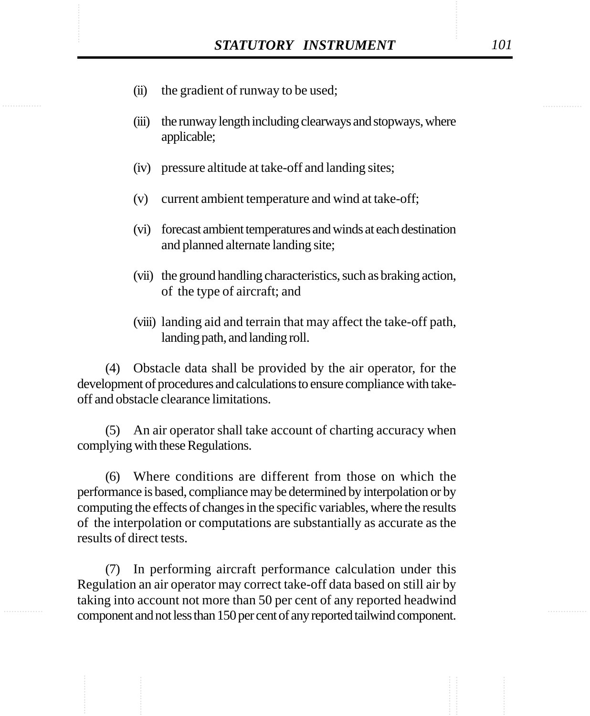- STATUTORY INSTRUMENT [0]<br>
(ii) the gradient of runway to be used; (ii) the gradient of runway to be used;
	- (iii) the runway length including clearways and stopways, where applicable;
	- (iv) pressure altitude at take-off and landing sites;
	- (v) current ambient temperature and wind at take-off;
	- (vi) forecast ambient temperatures and winds at each destination and planned alternate landing site;
	- (vii) the ground handling characteristics, such as braking action, of the type of aircraft; and
	- (viii) landing aid and terrain that may affect the take-off path, landing path, and landing roll.

(4) Obstacle data shall be provided by the air operator, for the development of procedures and calculations to ensure compliance with takeoff and obstacle clearance limitations.

(5) An air operator shall take account of charting accuracy when complying with these Regulations.

(6) Where conditions are different from those on which the performance is based, compliance may be determined by interpolation or by computing the effects of changes in the specific variables, where the results of the interpolation or computations are substantially as accurate as the results of direct tests.

(7) In performing aircraft performance calculation under this Regulation an air operator may correct take-off data based on still air by taking into account not more than 50 per cent of any reported headwind component and not less than 150 per cent of any reported tailwind component.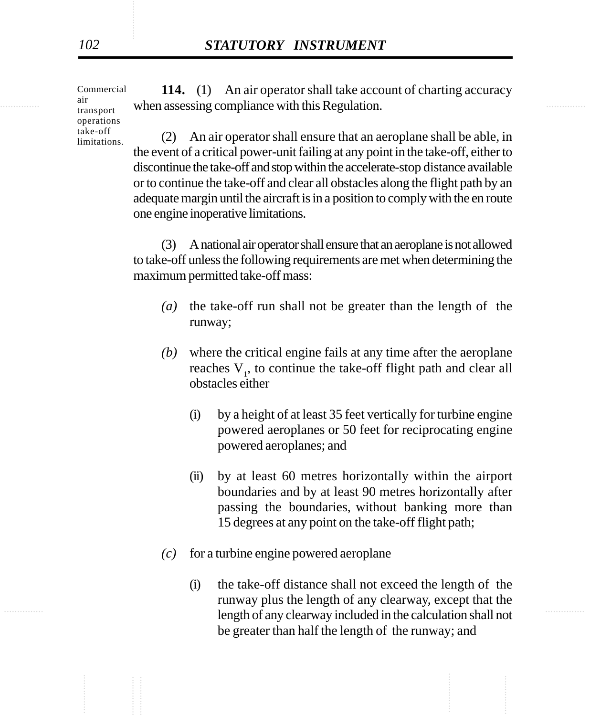Commercial air transport operations take-off limitations.

the sum assessing compliance with this Regulation. **114.** (1) An air operator shall take account of charting accuracy

> (2) An air operator shall ensure that an aeroplane shall be able, in the event of a critical power-unit failing at any point in the take-off, either to discontinue the take-off and stop within the accelerate-stop distance available or to continue the take-off and clear all obstacles along the flight path by an adequate margin until the aircraft is in a position to comply with the en route one engine inoperative limitations.

> (3) A national air operator shall ensure that an aeroplane is not allowed to take-off unless the following requirements are met when determining the maximum permitted take-off mass:

- *(a)* the take-off run shall not be greater than the length of the runway;
- *(b)* where the critical engine fails at any time after the aeroplane reaches  $V<sub>1</sub>$ , to continue the take-off flight path and clear all obstacles either
	- (i) by a height of at least 35 feet vertically for turbine engine powered aeroplanes or 50 feet for reciprocating engine powered aeroplanes; and
	- (ii) by at least 60 metres horizontally within the airport boundaries and by at least 90 metres horizontally after passing the boundaries, without banking more than 15 degrees at any point on the take-off flight path;
- *(c)* for a turbine engine powered aeroplane
- length of any clearway included in the calculation shall not (i) the take-off distance shall not exceed the length of the runway plus the length of any clearway, except that the be greater than half the length of the runway; and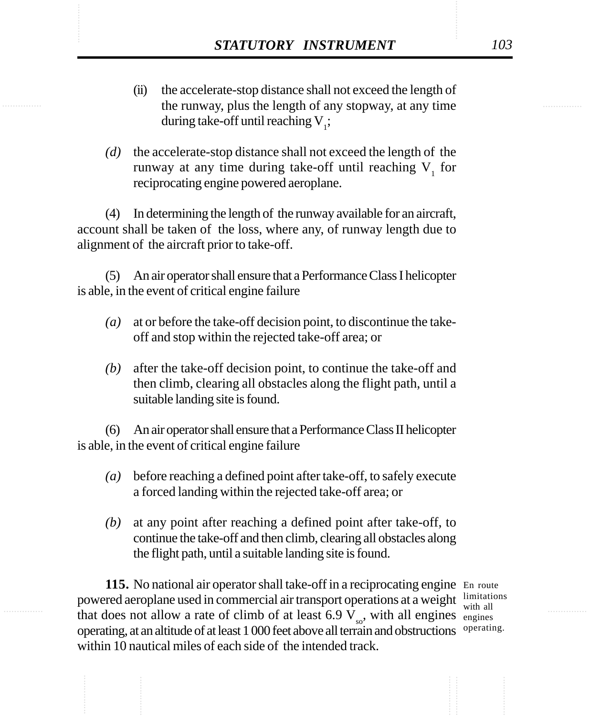- **STATUTORY INSTRUMENT** 103<br>
(ii) the accelerate-stop distance shall not exceed the length of<br>
the runway, plus the length of any stopway, at any time (ii) the accelerate-stop distance shall not exceed the length of the runway, plus the length of any stopway, at any time during take-off until reaching  $V_i$ ;
	- *(d)* the accelerate-stop distance shall not exceed the length of the runway at any time during take-off until reaching  $V_1$  for reciprocating engine powered aeroplane.

(4) In determining the length of the runway available for an aircraft, account shall be taken of the loss, where any, of runway length due to alignment of the aircraft prior to take-off.

(5) An air operator shall ensure that a Performance Class I helicopter is able, in the event of critical engine failure

- *(a)* at or before the take-off decision point, to discontinue the takeoff and stop within the rejected take-off area; or
- *(b)* after the take-off decision point, to continue the take-off and then climb, clearing all obstacles along the flight path, until a suitable landing site is found.

(6) An air operator shall ensure that a Performance Class II helicopter is able, in the event of critical engine failure

- *(a)* before reaching a defined point after take-off, to safely execute a forced landing within the rejected take-off area; or
- *(b)* at any point after reaching a defined point after take-off, to continue the take-off and then climb, clearing all obstacles along the flight path, until a suitable landing site is found.

115. No national air operator shall take-off in a reciprocating engine En route powered aeroplane used in commercial air transport operations at a weight  $\frac{1 \text{imitations}}{\text{with all}}$ that does not allow a rate of climb of at least 6.9  $V_{\text{so}}$ , with all engines engines operating, at an altitude of at least 1 000 feet above all terrain and obstructions operating.within 10 nautical miles of each side of the intended track.

with all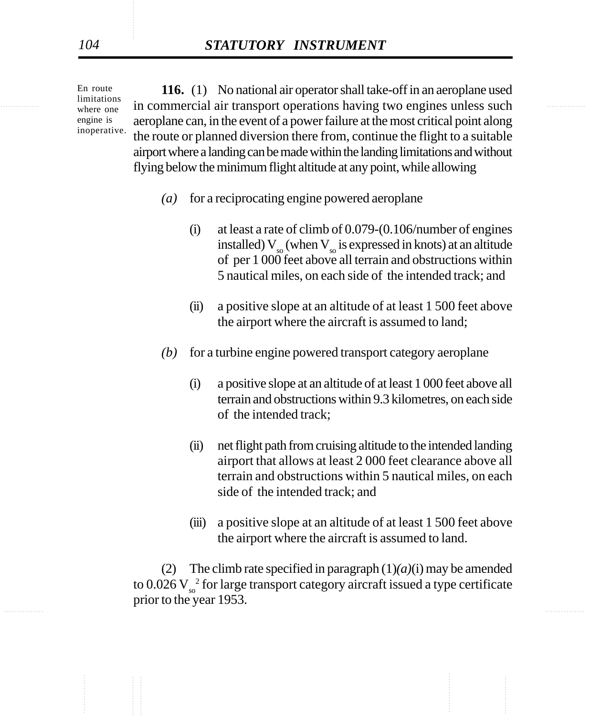where one in commercial air transport operations having two engines unless such **116.** (1) No national air operator shall take-off in an aeroplane used aeroplane can, in the event of a power failure at the most critical point along the route or planned diversion there from, continue the flight to a suitable airport where a landing can be made within the landing limitations and without flying below the minimum flight altitude at any point, while allowing

- *(a)* for a reciprocating engine powered aeroplane
	- (i) at least a rate of climb of 0.079-(0.106/number of engines installed)  $V_{\infty}$  (when  $V_{\infty}$  is expressed in knots) at an altitude of per 1 000 feet above all terrain and obstructions within 5 nautical miles, on each side of the intended track; and
	- (ii) a positive slope at an altitude of at least 1 500 feet above the airport where the aircraft is assumed to land;
- *(b)* for a turbine engine powered transport category aeroplane
	- (i) a positive slope at an altitude of at least 1 000 feet above all terrain and obstructions within 9.3 kilometres, on each side of the intended track;
	- (ii) net flight path from cruising altitude to the intended landing airport that allows at least 2 000 feet clearance above all terrain and obstructions within 5 nautical miles, on each side of the intended track; and
	- (iii) a positive slope at an altitude of at least 1 500 feet above the airport where the aircraft is assumed to land.

............... ............... (2) The climb rate specified in paragraph (1)*(a)*(i) may be amended to  $0.026$  V $_{\rm{so}}^{-2}$  for large transport category aircraft issued a type certificate prior to the year 1953.

En route limitations where one engine is inoperative.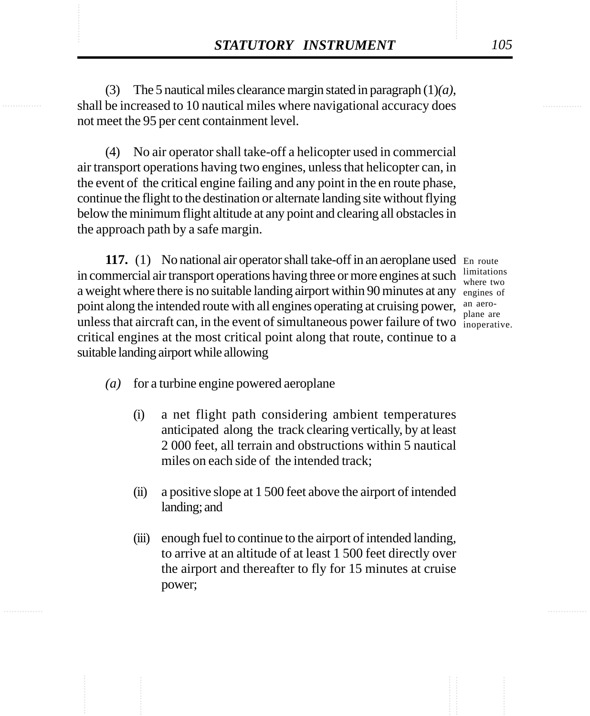**STATUTORY INSTRUMENT** 105<br>
(3) The 5 nautical miles clearance margin stated in paragraph  $(1)(a)$ ,<br>
shall be increased to 10 nautical miles where navigational accuracy does (3) The 5 nautical miles clearance margin stated in paragraph (1)*(a)*, shall be increased to 10 nautical miles where navigational accuracy does not meet the 95 per cent containment level.

> (4) No air operator shall take-off a helicopter used in commercial air transport operations having two engines, unless that helicopter can, in the event of the critical engine failing and any point in the en route phase, continue the flight to the destination or alternate landing site without flying below the minimum flight altitude at any point and clearing all obstacles in the approach path by a safe margin.

117. (1) No national air operator shall take-off in an aeroplane used En route in commercial air transport operations having three or more engines at such a weight where there is no suitable landing airport within 90 minutes at any engines of point along the intended route with all engines operating at cruising power, an aerounless that aircraft can, in the event of simultaneous power failure of two  $\frac{1}{\text{inoperative}}$ . critical engines at the most critical point along that route, continue to a suitable landing airport while allowing

limitations where two plane are

- *(a)* for a turbine engine powered aeroplane
	- (i) a net flight path considering ambient temperatures anticipated along the track clearing vertically, by at least 2 000 feet, all terrain and obstructions within 5 nautical miles on each side of the intended track;
	- (ii) a positive slope at 1 500 feet above the airport of intended landing; and
	- (iii) enough fuel to continue to the airport of intended landing, to arrive at an altitude of at least 1 500 feet directly over the airport and thereafter to fly for 15 minutes at cruise power;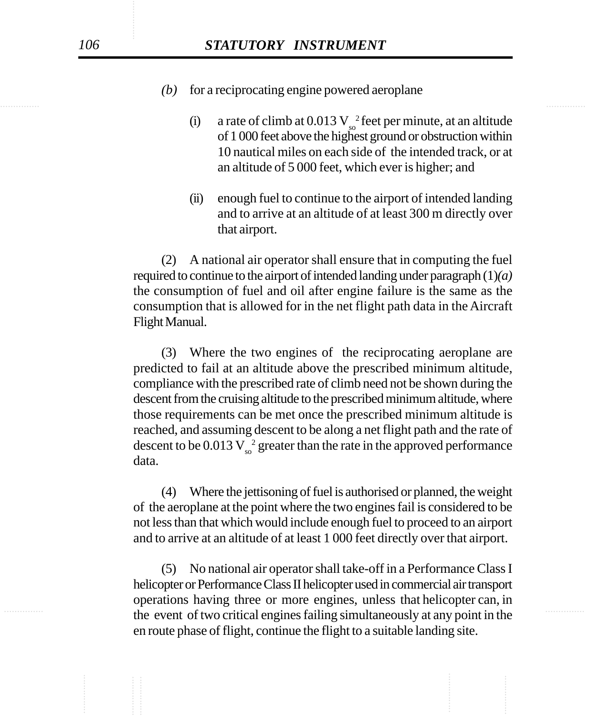- *(b)* for a reciprocating engine powered aeroplane
	- (i) a rate of climb at  $0.013 \text{ V}^{-2}_{\text{so}}$  feet per minute, at an altitude of 1 000 feet above the highest ground or obstruction within 10 nautical miles on each side of the intended track, or at an altitude of 5 000 feet, which ever is higher; and
	- (ii) enough fuel to continue to the airport of intended landing and to arrive at an altitude of at least 300 m directly over that airport.

(2) A national air operator shall ensure that in computing the fuel required to continue to the airport of intended landing under paragraph (1)*(a)* the consumption of fuel and oil after engine failure is the same as the consumption that is allowed for in the net flight path data in the Aircraft Flight Manual.

(3) Where the two engines of the reciprocating aeroplane are predicted to fail at an altitude above the prescribed minimum altitude, compliance with the prescribed rate of climb need not be shown during the descent from the cruising altitude to the prescribed minimum altitude, where those requirements can be met once the prescribed minimum altitude is reached, and assuming descent to be along a net flight path and the rate of descent to be  $0.013\,\mathrm{V_{so}}^2$  greater than the rate in the approved performance data.

(4) Where the jettisoning of fuel is authorised or planned, the weight of the aeroplane at the point where the two engines fail is considered to be not less than that which would include enough fuel to proceed to an airport and to arrive at an altitude of at least 1 000 feet directly over that airport.

the event of two critical engines failing simultaneously at any point in the (5) No national air operator shall take-off in a Performance Class I helicopter or Performance Class II helicopter used in commercial air transport operations having three or more engines, unless that helicopter can, in en route phase of flight, continue the flight to a suitable landing site.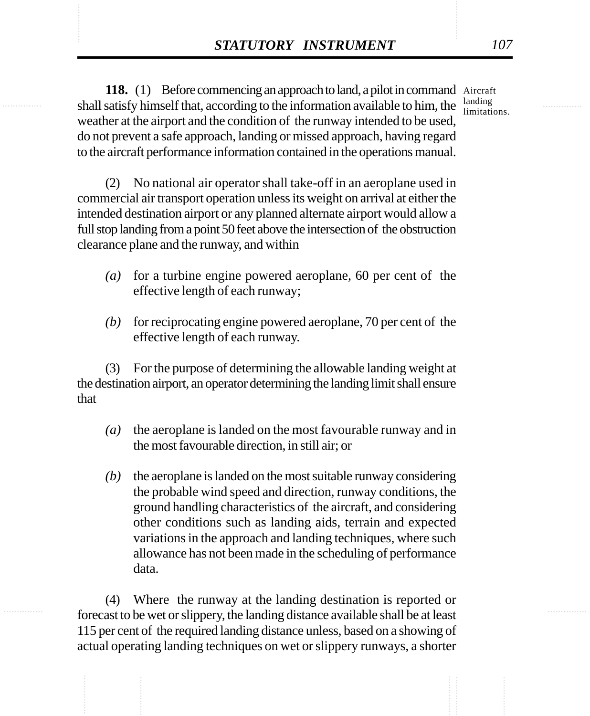STATUTORY INSTRUMENT 107<br>
118. (1) Before commencing an approach to land, a pilot in command Aircraft<br>
shall satisfy himself that, according to the information available to him, the limitations 118. (1) Before commencing an approach to land, a pilot in command Aircraft weather at the airport and the condition of the runway intended to be used, do not prevent a safe approach, landing or missed approach, having regard to the aircraft performance information contained in the operations manual.

limitations.

(2) No national air operator shall take-off in an aeroplane used in commercial air transport operation unless its weight on arrival at either the intended destination airport or any planned alternate airport would allow a full stop landing from a point 50 feet above the intersection of the obstruction clearance plane and the runway, and within

- *(a)* for a turbine engine powered aeroplane, 60 per cent of the effective length of each runway;
- *(b)* for reciprocating engine powered aeroplane, 70 per cent of the effective length of each runway.

(3) For the purpose of determining the allowable landing weight at the destination airport, an operator determining the landing limit shall ensure that

- *(a)* the aeroplane is landed on the most favourable runway and in the most favourable direction, in still air; or
- *(b)* the aeroplane is landed on the most suitable runway considering the probable wind speed and direction, runway conditions, the ground handling characteristics of the aircraft, and considering other conditions such as landing aids, terrain and expected variations in the approach and landing techniques, where such allowance has not been made in the scheduling of performance data.

(4) Where the runway at the landing destination is reported or forecast to be wet or slippery, the landing distance available shall be at least 115 per cent of the required landing distance unless, based on a showing of actual operating landing techniques on wet or slippery runways, a shorter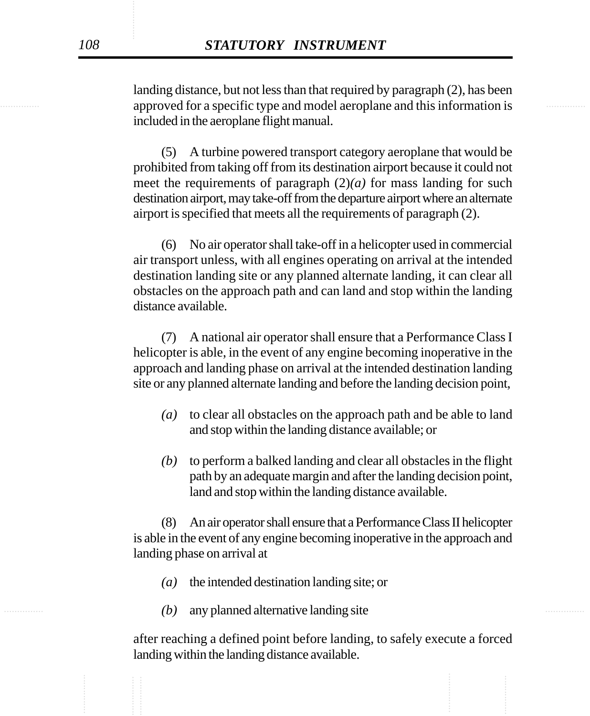approved for a specific type and model aeroplane and this information is landing distance, but not less than that required by paragraph (2), has been included in the aeroplane flight manual.

> (5) A turbine powered transport category aeroplane that would be prohibited from taking off from its destination airport because it could not meet the requirements of paragraph  $(2)(a)$  for mass landing for such destination airport, may take-off from the departure airport where an alternate airport is specified that meets all the requirements of paragraph (2).

> (6) No air operator shall take-off in a helicopter used in commercial air transport unless, with all engines operating on arrival at the intended destination landing site or any planned alternate landing, it can clear all obstacles on the approach path and can land and stop within the landing distance available.

> (7) A national air operator shall ensure that a Performance Class I helicopter is able, in the event of any engine becoming inoperative in the approach and landing phase on arrival at the intended destination landing site or any planned alternate landing and before the landing decision point,

- *(a)* to clear all obstacles on the approach path and be able to land and stop within the landing distance available; or
- *(b)* to perform a balked landing and clear all obstacles in the flight path by an adequate margin and after the landing decision point, land and stop within the landing distance available.

(8) An air operator shall ensure that a Performance Class II helicopter is able in the event of any engine becoming inoperative in the approach and landing phase on arrival at

- *(a)* the intended destination landing site; or
- *(b)* any planned alternative landing site

after reaching a defined point before landing, to safely execute a forced landing within the landing distance available.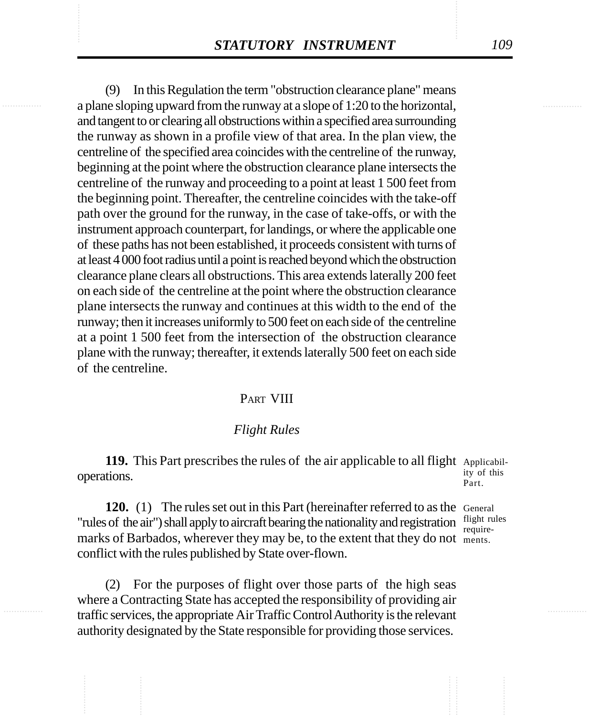**STATUTORY INSTRUMENT** 109<br>
(9) In this Regulation the term "obstruction clearance plane" means<br>
a plane sloping upward from the runway at a slope of 1:20 to the horizontal. (9) In this Regulation the term "obstruction clearance plane" means a plane sloping upward from the runway at a slope of 1:20 to the horizontal, and tangent to or clearing all obstructions within a specified area surrounding the runway as shown in a profile view of that area. In the plan view, the centreline of the specified area coincides with the centreline of the runway, beginning at the point where the obstruction clearance plane intersects the centreline of the runway and proceeding to a point at least 1 500 feet from the beginning point. Thereafter, the centreline coincides with the take-off path over the ground for the runway, in the case of take-offs, or with the instrument approach counterpart, for landings, or where the applicable one of these paths has not been established, it proceeds consistent with turns of at least 4 000 foot radius until a point is reached beyond which the obstruction clearance plane clears all obstructions. This area extends laterally 200 feet on each side of the centreline at the point where the obstruction clearance plane intersects the runway and continues at this width to the end of the runway; then it increases uniformly to 500 feet on each side of the centreline at a point 1 500 feet from the intersection of the obstruction clearance plane with the runway; thereafter, it extends laterally 500 feet on each side of the centreline.

## PART VIII

## *Flight Rules*

119. This Part prescribes the rules of the air applicable to all flight Applicabiloperations.

**120.** (1) The rules set out in this Part (hereinafter referred to as the General "rules of the air") shall apply to aircraft bearing the nationality and registration  $\frac{f_{light}}{r_{cubic}}$ marks of Barbados, wherever they may be, to the extent that they do not ments. conflict with the rules published by State over-flown.

(2) For the purposes of flight over those parts of the high seas where a Contracting State has accepted the responsibility of providing air traffic services, the appropriate Air Traffic Control Authority is the relevant authority designated by the State responsible for providing those services.

ity of this Part.

require-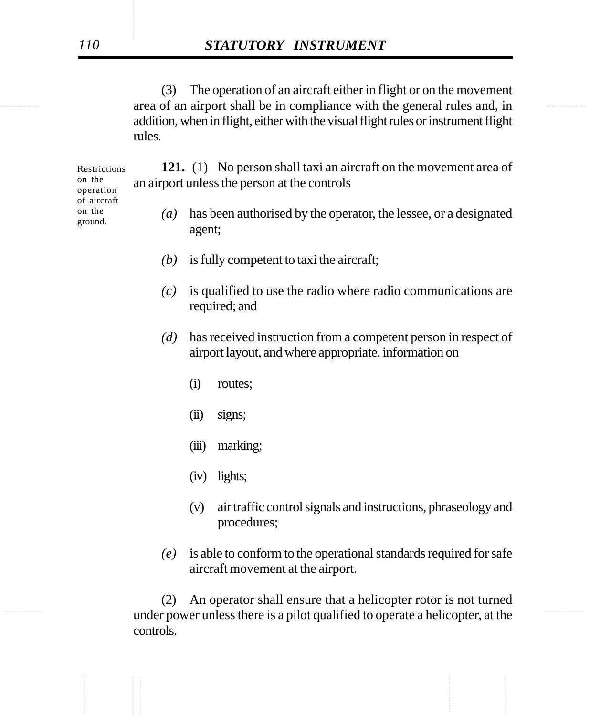extending area of an airport shall be in compliance with the general rules and, in (3) The operation of an aircraft either in flight or on the movement addition, when in flight, either with the visual flight rules or instrument flight rules.

> **121.** (1) No person shall taxi an aircraft on the movement area of an airport unless the person at the controls

- *(a)* has been authorised by the operator, the lessee, or a designated agent;
- *(b)* is fully competent to taxi the aircraft;
- *(c)* is qualified to use the radio where radio communications are required; and
- *(d)* has received instruction from a competent person in respect of airport layout, and where appropriate, information on
	- (i) routes;
	- (ii) signs;
	- (iii) marking;
	- (iv) lights;
	- (v) air traffic control signals and instructions, phraseology and procedures;
- *(e)* is able to conform to the operational standards required for safe aircraft movement at the airport.

under power unless there is a pilot qualified to operate a helicopter, at the (2) An operator shall ensure that a helicopter rotor is not turned controls.

Restrictions on the operation of aircraft on the ground.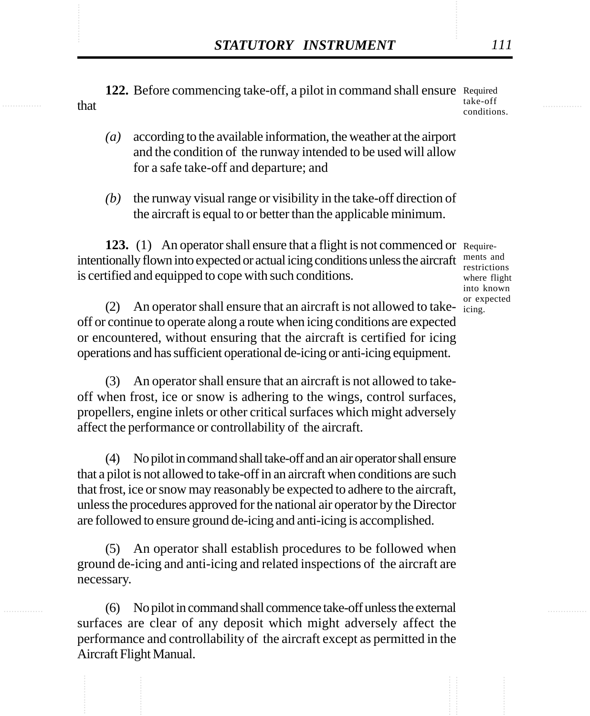**STATUTORY INSTRUMENT** 111<br>122. Before commencing take-off, a pilot in command shall ensure Required that 122. Before commencing take-off, a pilot in command shall ensure Required that take-off conditions.

- *(a)* according to the available information, the weather at the airport and the condition of the runway intended to be used will allow for a safe take-off and departure; and
- *(b)* the runway visual range or visibility in the take-off direction of the aircraft is equal to or better than the applicable minimum.

**123.** (1) An operator shall ensure that a flight is not commenced or Requireintentionally flown into expected or actual icing conditions unless the aircraft ments and is certified and equipped to cope with such conditions.

restrictions where flight into known or expected

(2) An operator shall ensure that an aircraft is not allowed to take- $\frac{d}{2}$ off or continue to operate along a route when icing conditions are expected or encountered, without ensuring that the aircraft is certified for icing operations and has sufficient operational de-icing or anti-icing equipment.

(3) An operator shall ensure that an aircraft is not allowed to takeoff when frost, ice or snow is adhering to the wings, control surfaces, propellers, engine inlets or other critical surfaces which might adversely affect the performance or controllability of the aircraft.

(4) No pilot in command shall take-off and an air operator shall ensure that a pilot is not allowed to take-off in an aircraft when conditions are such that frost, ice or snow may reasonably be expected to adhere to the aircraft, unless the procedures approved for the national air operator by the Director are followed to ensure ground de-icing and anti-icing is accomplished.

(5) An operator shall establish procedures to be followed when ground de-icing and anti-icing and related inspections of the aircraft are necessary.

(6) No pilot in command shall commence take-off unless the external surfaces are clear of any deposit which might adversely affect the performance and controllability of the aircraft except as permitted in the Aircraft Flight Manual.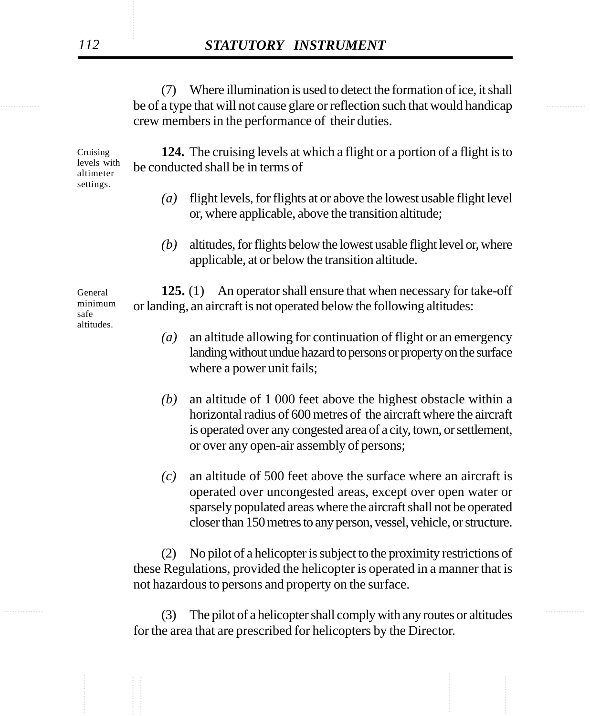be of a type that will not cause glare or reflection such that would handicap (7) Where illumination is used to detect the formation of ice, it shall crew members in the performance of their duties.

> Cruising levels with altimeter settings.

**124.** The cruising levels at which a flight or a portion of a flight is to be conducted shall be in terms of

- *(a)* flight levels, for flights at or above the lowest usable flight level or, where applicable, above the transition altitude;
- *(b)* altitudes, for flights below the lowest usable flight level or, where applicable, at or below the transition altitude.

**125.** (1) An operator shall ensure that when necessary for take-off or landing, an aircraft is not operated below the following altitudes:

- *(a)* an altitude allowing for continuation of flight or an emergency landing without undue hazard to persons or property on the surface where a power unit fails;
- *(b)* an altitude of 1 000 feet above the highest obstacle within a horizontal radius of 600 metres of the aircraft where the aircraft is operated over any congested area of a city, town, or settlement, or over any open-air assembly of persons;
- *(c)* an altitude of 500 feet above the surface where an aircraft is operated over uncongested areas, except over open water or sparsely populated areas where the aircraft shall not be operated closer than 150 metres to any person, vessel, vehicle, or structure.

(2) No pilot of a helicopter is subject to the proximity restrictions of these Regulations, provided the helicopter is operated in a manner that is not hazardous to persons and property on the surface.

............... ............... (3) The pilot of a helicopter shall comply with any routes or altitudes for the area that are prescribed for helicopters by the Director.

General minimum safe altitudes.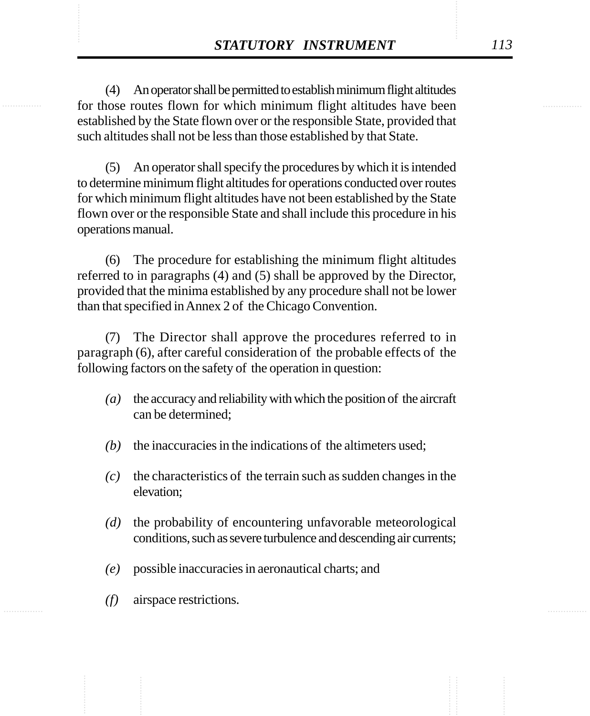**STATUTORY INSTRUMENT** 113<br>(4) An operator shall be permitted to establish minimum flight altitudes<br>for those routes flown for which minimum flight altitudes have been (4) An operator shall be permitted to establish minimum flight altitudes for those routes flown for which minimum flight altitudes have been established by the State flown over or the responsible State, provided that such altitudes shall not be less than those established by that State.

> (5) An operator shall specify the procedures by which it is intended to determine minimum flight altitudes for operations conducted over routes for which minimum flight altitudes have not been established by the State flown over or the responsible State and shall include this procedure in his operations manual.

> (6) The procedure for establishing the minimum flight altitudes referred to in paragraphs (4) and (5) shall be approved by the Director, provided that the minima established by any procedure shall not be lower than that specified in Annex 2 of the Chicago Convention.

> (7) The Director shall approve the procedures referred to in paragraph (6), after careful consideration of the probable effects of the following factors on the safety of the operation in question:

- *(a)* the accuracy and reliability with which the position of the aircraft can be determined;
- *(b)* the inaccuracies in the indications of the altimeters used;
- *(c)* the characteristics of the terrain such as sudden changes in the elevation;
- *(d)* the probability of encountering unfavorable meteorological conditions, such as severe turbulence and descending air currents;
- *(e)* possible inaccuracies in aeronautical charts; and
- *(f)* airspace restrictions.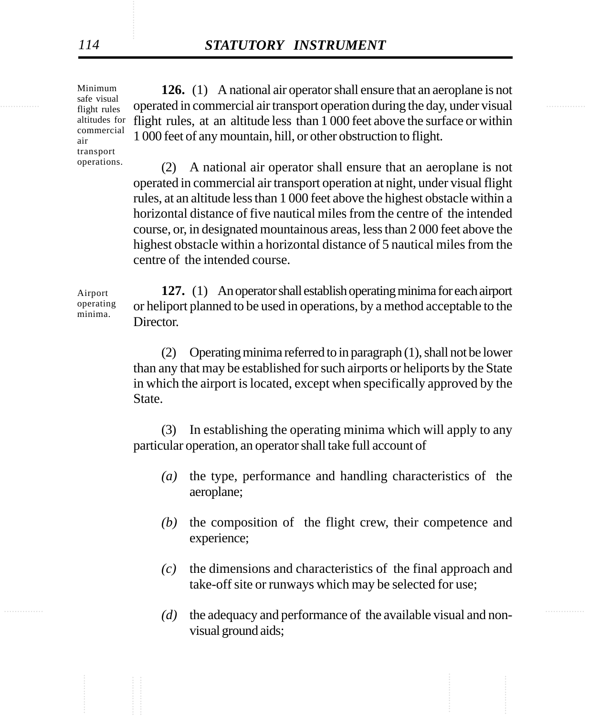Minimum safe visual flight rules commercial air transport operations.

Airport operating minima.

<sup>Sale</sup> visual operated in commercial air transport operation during the day, under visual **126.** (1) A national air operator shall ensure that an aeroplane is not altitudes for flight rules, at an altitude less than 1 000 feet above the surface or within 1 000 feet of any mountain, hill, or other obstruction to flight.

> (2) A national air operator shall ensure that an aeroplane is not operated in commercial air transport operation at night, under visual flight rules, at an altitude less than 1 000 feet above the highest obstacle within a horizontal distance of five nautical miles from the centre of the intended course, or, in designated mountainous areas, less than 2 000 feet above the highest obstacle within a horizontal distance of 5 nautical miles from the centre of the intended course.

**127.** (1) An operator shall establish operating minima for each airport or heliport planned to be used in operations, by a method acceptable to the Director.

(2) Operating minima referred to in paragraph (1), shall not be lower than any that may be established for such airports or heliports by the State in which the airport is located, except when specifically approved by the State.

(3) In establishing the operating minima which will apply to any particular operation, an operator shall take full account of

- *(a)* the type, performance and handling characteristics of the aeroplane;
- *(b)* the composition of the flight crew, their competence and experience;
- *(c)* the dimensions and characteristics of the final approach and take-off site or runways which may be selected for use;
- ............... ............... *(d)* the adequacy and performance of the available visual and nonvisual ground aids;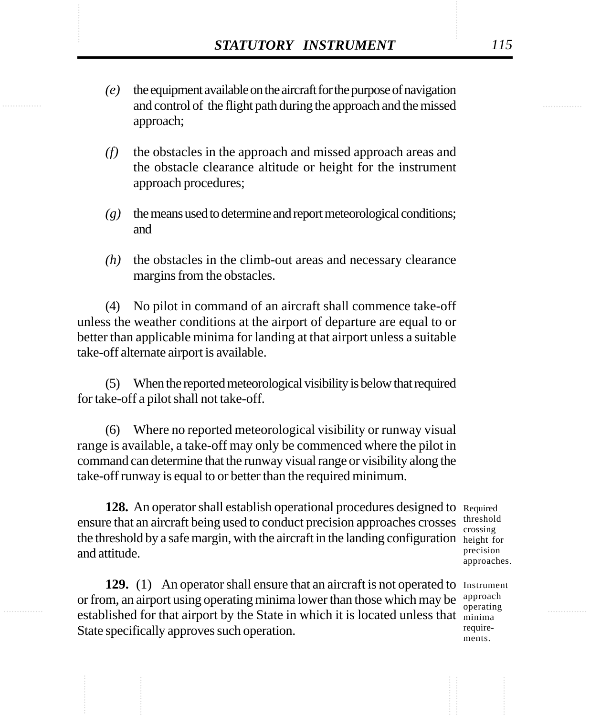- STATUTORY INSTRUMENT 115<br>
(e) the equipment available on the aircraft for the purpose of navigation<br>
and control of the flight path during the approach and the missed *(e)* the equipment available on the aircraft for the purpose of navigation and control of the flight path during the approach and the missed approach;
	- *(f)* the obstacles in the approach and missed approach areas and the obstacle clearance altitude or height for the instrument approach procedures;
	- *(g)* the means used to determine and report meteorological conditions; and
	- *(h)* the obstacles in the climb-out areas and necessary clearance margins from the obstacles.

(4) No pilot in command of an aircraft shall commence take-off unless the weather conditions at the airport of departure are equal to or better than applicable minima for landing at that airport unless a suitable take-off alternate airport is available.

(5) When the reported meteorological visibility is below that required for take-off a pilot shall not take-off.

(6) Where no reported meteorological visibility or runway visual range is available, a take-off may only be commenced where the pilot in command can determine that the runway visual range or visibility along the take-off runway is equal to or better than the required minimum.

128. An operator shall establish operational procedures designed to Required ensure that an aircraft being used to conduct precision approaches crosses the threshold by a safe margin, with the aircraft in the landing configuration height for and attitude.

threshold crossing precision approaches.

129. (1) An operator shall ensure that an aircraft is not operated to Instrument or from, an airport using operating minima lower than those which may be established for that airport by the State in which it is located unless that minima State specifically approves such operation.

approach operating requirements.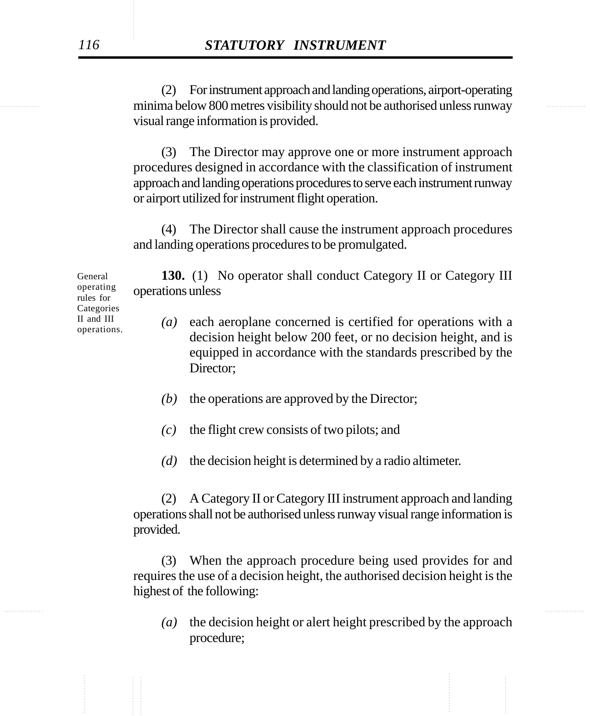minima below 800 metres visibility should not be authorised unless runway (2) For instrument approach and landing operations, airport-operating visual range information is provided.

> (3) The Director may approve one or more instrument approach procedures designed in accordance with the classification of instrument approach and landing operations procedures to serve each instrument runway or airport utilized for instrument flight operation.

> (4) The Director shall cause the instrument approach procedures and landing operations procedures to be promulgated.

**130.** (1) No operator shall conduct Category II or Category III operations unless

- *(a)* each aeroplane concerned is certified for operations with a decision height below 200 feet, or no decision height, and is equipped in accordance with the standards prescribed by the Director;
- *(b)* the operations are approved by the Director;
- *(c)* the flight crew consists of two pilots; and
- *(d)* the decision height is determined by a radio altimeter.

(2) A Category II or Category III instrument approach and landing operations shall not be authorised unless runway visual range information is provided.

(3) When the approach procedure being used provides for and requires the use of a decision height, the authorised decision height is the highest of the following:

*(a)* the decision height or alert height prescribed by the approach procedure;

General operating rules for Categories II and III operations.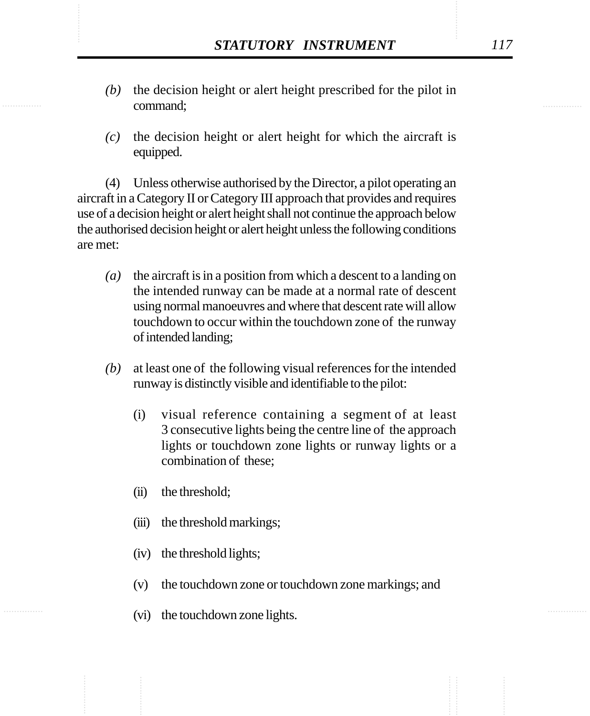- STATUTORY INSTRUMENT 117<br>(b) the decision height or alert height prescribed for the pilot in command: *(b)* the decision height or alert height prescribed for the pilot in command;
	- *(c)* the decision height or alert height for which the aircraft is equipped.

(4) Unless otherwise authorised by the Director, a pilot operating an aircraft in a Category II or Category III approach that provides and requires use of a decision height or alert height shall not continue the approach below the authorised decision height or alert height unless the following conditions are met:

- *(a)* the aircraft is in a position from which a descent to a landing on the intended runway can be made at a normal rate of descent using normal manoeuvres and where that descent rate will allow touchdown to occur within the touchdown zone of the runway of intended landing;
- *(b)* at least one of the following visual references for the intended runway is distinctly visible and identifiable to the pilot:
	- (i) visual reference containing a segment of at least 3 consecutive lights being the centre line of the approach lights or touchdown zone lights or runway lights or a combination of these;
	- (ii) the threshold;
	- (iii) the threshold markings;
	- (iv) the threshold lights;
	- (v) the touchdown zone or touchdown zone markings; and
	- (vi) the touchdown zone lights.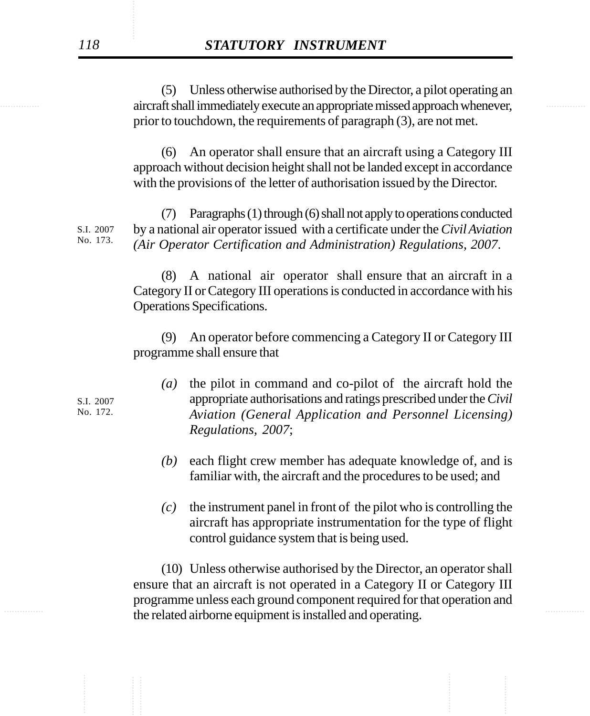aircraft shall immediately execute an appropriate missed approach whenever, (5) Unless otherwise authorised by the Director, a pilot operating an prior to touchdown, the requirements of paragraph (3), are not met.

> (6) An operator shall ensure that an aircraft using a Category III approach without decision height shall not be landed except in accordance with the provisions of the letter of authorisation issued by the Director.

(7) Paragraphs (1) through (6) shall not apply to operations conducted by a national air operator issued with a certificate under the *Civil Aviation (Air Operator Certification and Administration) Regulations, 2007*. S.I. 2007 No. 173.

> (8) A national air operator shall ensure that an aircraft in a Category II or Category III operations is conducted in accordance with his Operations Specifications.

> (9) An operator before commencing a Category II or Category III programme shall ensure that

- *(a)* the pilot in command and co-pilot of the aircraft hold the appropriate authorisations and ratings prescribed under the *Civil Aviation (General Application and Personnel Licensing) Regulations, 2007*;
- *(b)* each flight crew member has adequate knowledge of, and is familiar with, the aircraft and the procedures to be used; and
- *(c)* the instrument panel in front of the pilot who is controlling the aircraft has appropriate instrumentation for the type of flight control guidance system that is being used.

the related airborne equipment is installed and operating. (10) Unless otherwise authorised by the Director, an operator shall ensure that an aircraft is not operated in a Category II or Category III programme unless each ground component required for that operation and

S.I. 2007 No. 172.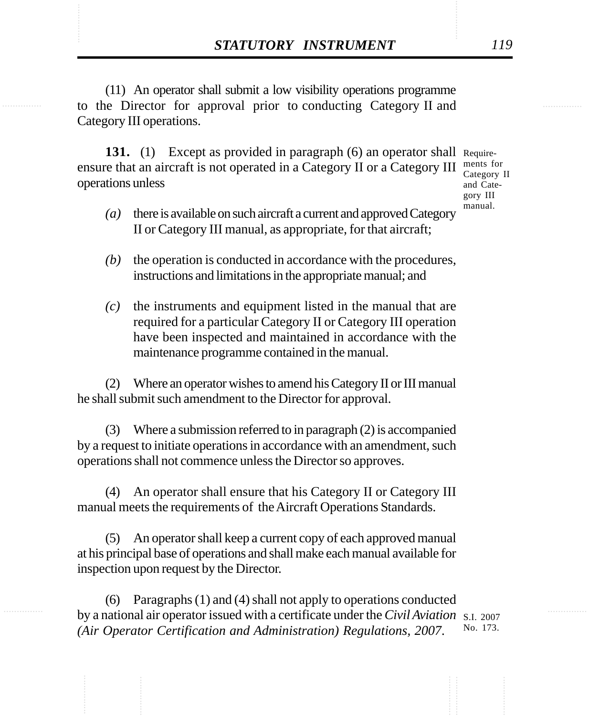**STATUTORY INSTRUMENT** 119<br>(11) An operator shall submit a low visibility operations programme<br>to the Director for approval prior to conducting Category II and (11) An operator shall submit a low visibility operations programme to the Director for approval prior to conducting Category II and Category III operations.

> 131. (1) Except as provided in paragraph (6) an operator shall Requireensure that an aircraft is not operated in a Category II or a Category III operations unless

ments for Category II and Category III manual.

- *(a)* there is available on such aircraft a current and approved Category II or Category III manual, as appropriate, for that aircraft;
- *(b)* the operation is conducted in accordance with the procedures, instructions and limitations in the appropriate manual; and
- *(c)* the instruments and equipment listed in the manual that are required for a particular Category II or Category III operation have been inspected and maintained in accordance with the maintenance programme contained in the manual.

(2) Where an operator wishes to amend his Category II or III manual he shall submit such amendment to the Director for approval.

(3) Where a submission referred to in paragraph (2) is accompanied by a request to initiate operations in accordance with an amendment, such operations shall not commence unless the Director so approves.

(4) An operator shall ensure that his Category II or Category III manual meets the requirements of the Aircraft Operations Standards.

(5) An operator shall keep a current copy of each approved manual at his principal base of operations and shall make each manual available for inspection upon request by the Director.

(6) Paragraphs (1) and (4) shall not apply to operations conducted by a national air operator issued with a certificate under the *Civil Aviation* S.I. 2007 *(Air Operator Certification and Administration) Regulations, 2007*. No. 173.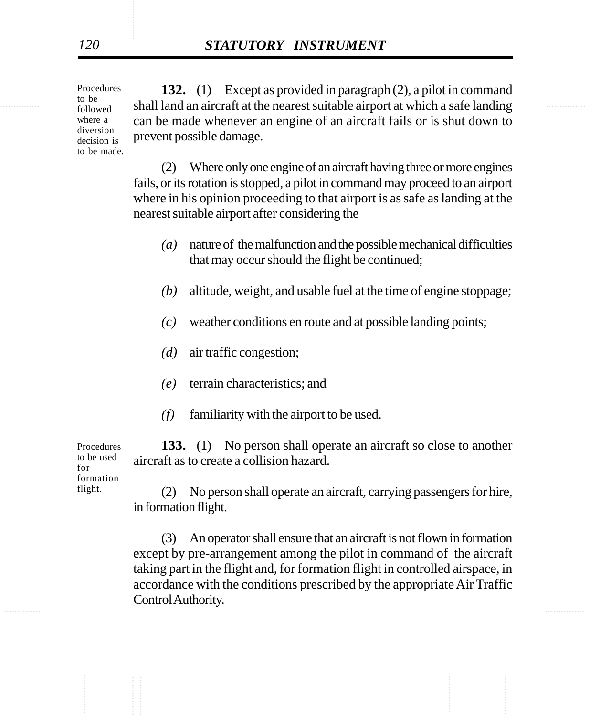Procedures to be followed where a diversion decision is to be made.

<sup>to be</sup> shall land an aircraft at the nearest suitable airport at which a safe landing **132.** (1) Except as provided in paragraph (2), a pilot in command can be made whenever an engine of an aircraft fails or is shut down to prevent possible damage.

> (2) Where only one engine of an aircraft having three or more engines fails, or its rotation is stopped, a pilot in command may proceed to an airport where in his opinion proceeding to that airport is as safe as landing at the nearest suitable airport after considering the

- *(a)* nature of the malfunction and the possible mechanical difficulties that may occur should the flight be continued;
- *(b)* altitude, weight, and usable fuel at the time of engine stoppage;
- *(c)* weather conditions en route and at possible landing points;
- *(d)* air traffic congestion;
- *(e)* terrain characteristics; and
- *(f)* familiarity with the airport to be used.

**133.** (1) No person shall operate an aircraft so close to another aircraft as to create a collision hazard.

Procedures to be used for formation flight.

(2) No person shall operate an aircraft, carrying passengers for hire, in formation flight.

............... ............... (3) An operator shall ensure that an aircraft is not flown in formation except by pre-arrangement among the pilot in command of the aircraft taking part in the flight and, for formation flight in controlled airspace, in accordance with the conditions prescribed by the appropriate Air Traffic Control Authority.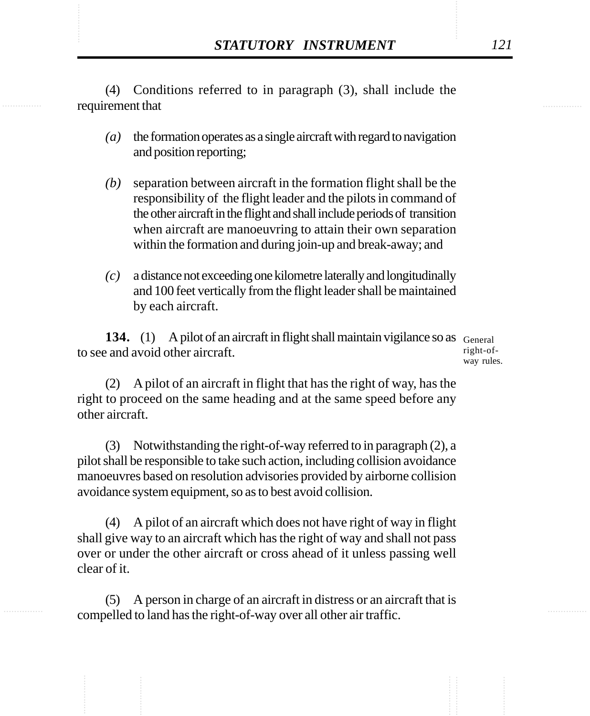STATUTORY INSTRUMENT 121<br>(4) Conditions referred to in paragraph (3), shall include the requirement that (4) Conditions referred to in paragraph (3), shall include the requirement that

- *(a)* the formation operates as a single aircraft with regard to navigation and position reporting;
- *(b)* separation between aircraft in the formation flight shall be the responsibility of the flight leader and the pilots in command of the other aircraft in the flight and shall include periods of transition when aircraft are manoeuvring to attain their own separation within the formation and during join-up and break-away; and
- *(c)* a distance not exceeding one kilometre laterally and longitudinally and 100 feet vertically from the flight leader shall be maintained by each aircraft.

134. (1) A pilot of an aircraft in flight shall maintain vigilance so as General to see and avoid other aircraft.

right-ofway rules.

(2) A pilot of an aircraft in flight that has the right of way, has the right to proceed on the same heading and at the same speed before any other aircraft.

(3) Notwithstanding the right-of-way referred to in paragraph (2), a pilot shall be responsible to take such action, including collision avoidance manoeuvres based on resolution advisories provided by airborne collision avoidance system equipment, so as to best avoid collision.

(4) A pilot of an aircraft which does not have right of way in flight shall give way to an aircraft which has the right of way and shall not pass over or under the other aircraft or cross ahead of it unless passing well clear of it.

(5) A person in charge of an aircraft in distress or an aircraft that is compelled to land has the right-of-way over all other air traffic.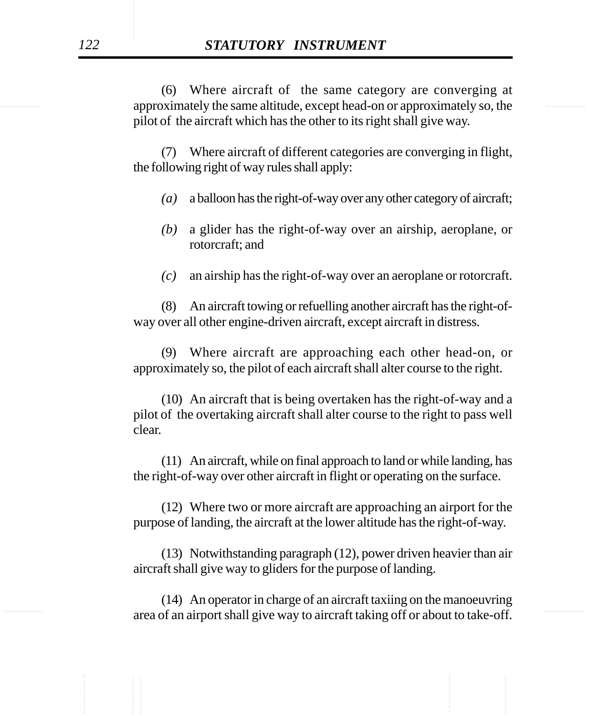approximately the same altitude, except head-on or approximately so, the (6) Where aircraft of the same category are converging at pilot of the aircraft which has the other to its right shall give way.

> (7) Where aircraft of different categories are converging in flight, the following right of way rules shall apply:

- *(a)* a balloon has the right-of-way over any other category of aircraft;
- *(b)* a glider has the right-of-way over an airship, aeroplane, or rotorcraft; and
- *(c)* an airship has the right-of-way over an aeroplane or rotorcraft.

(8) An aircraft towing or refuelling another aircraft has the right-ofway over all other engine-driven aircraft, except aircraft in distress.

(9) Where aircraft are approaching each other head-on, or approximately so, the pilot of each aircraft shall alter course to the right.

(10) An aircraft that is being overtaken has the right-of-way and a pilot of the overtaking aircraft shall alter course to the right to pass well clear.

(11) An aircraft, while on final approach to land or while landing, has the right-of-way over other aircraft in flight or operating on the surface.

(12) Where two or more aircraft are approaching an airport for the purpose of landing, the aircraft at the lower altitude has the right-of-way.

(13) Notwithstanding paragraph (12), power driven heavier than air aircraft shall give way to gliders for the purpose of landing.

area of an airport shall give way to aircraft taking off or about to take-off. (14) An operator in charge of an aircraft taxiing on the manoeuvring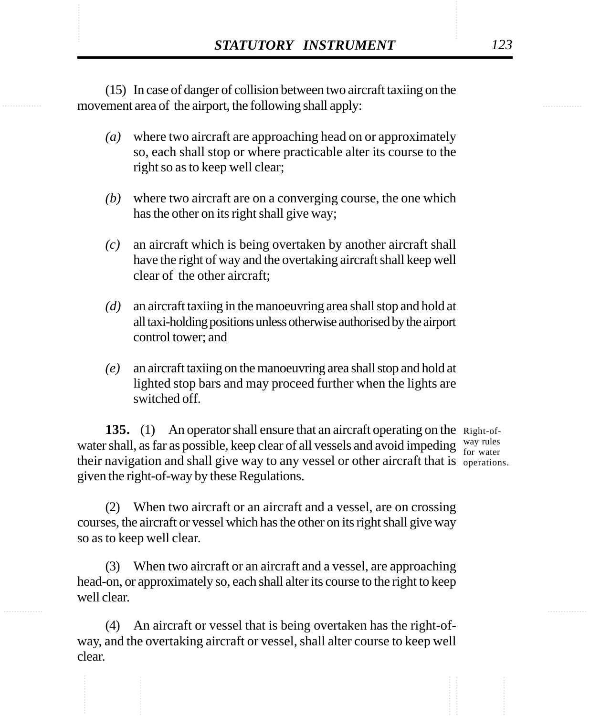**STATUTORY INSTRUMENT** 123<br>(15) In case of danger of collision between two aircraft taxiing on the movement area of the airport, the following shall apply: (15) In case of danger of collision between two aircraft taxiing on the movement area of the airport, the following shall apply:

- *(a)* where two aircraft are approaching head on or approximately so, each shall stop or where practicable alter its course to the right so as to keep well clear;
- *(b)* where two aircraft are on a converging course, the one which has the other on its right shall give way;
- *(c)* an aircraft which is being overtaken by another aircraft shall have the right of way and the overtaking aircraft shall keep well clear of the other aircraft;
- *(d)* an aircraft taxiing in the manoeuvring area shall stop and hold at all taxi-holding positions unless otherwise authorised by the airport control tower; and
- *(e)* an aircraft taxiing on the manoeuvring area shall stop and hold at lighted stop bars and may proceed further when the lights are switched off.

135. (1) An operator shall ensure that an aircraft operating on the Right-ofwater shall, as far as possible, keep clear of all vessels and avoid impeding  $\frac{way \text{ rules}}{for water}$ their navigation and shall give way to any vessel or other aircraft that is operations. given the right-of-way by these Regulations. for water

(2) When two aircraft or an aircraft and a vessel, are on crossing courses, the aircraft or vessel which has the other on its right shall give way so as to keep well clear.

(3) When two aircraft or an aircraft and a vessel, are approaching head-on, or approximately so, each shall alter its course to the right to keep well clear.

(4) An aircraft or vessel that is being overtaken has the right-ofway, and the overtaking aircraft or vessel, shall alter course to keep well clear.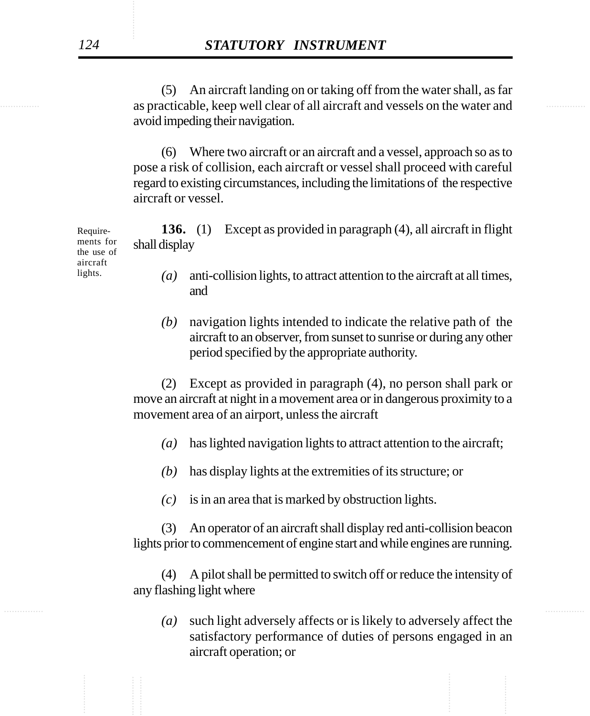............... ............... as practicable, keep well clear of all aircraft and vessels on the water and (5) An aircraft landing on or taking off from the water shall, as far avoid impeding their navigation.

> (6) Where two aircraft or an aircraft and a vessel, approach so as to pose a risk of collision, each aircraft or vessel shall proceed with careful regard to existing circumstances, including the limitations of the respective aircraft or vessel.

**136.** (1) Except as provided in paragraph (4), all aircraft in flight shall display

> *(a)* anti-collision lights, to attract attention to the aircraft at all times, and

> *(b)* navigation lights intended to indicate the relative path of the aircraft to an observer, from sunset to sunrise or during any other period specified by the appropriate authority.

(2) Except as provided in paragraph (4), no person shall park or move an aircraft at night in a movement area or in dangerous proximity to a movement area of an airport, unless the aircraft

- *(a)* has lighted navigation lights to attract attention to the aircraft;
- *(b)* has display lights at the extremities of its structure; or
- *(c)* is in an area that is marked by obstruction lights.

(3) An operator of an aircraft shall display red anti-collision beacon lights prior to commencement of engine start and while engines are running.

(4) A pilot shall be permitted to switch off or reduce the intensity of any flashing light where

*(a)* such light adversely affects or is likely to adversely affect the satisfactory performance of duties of persons engaged in an aircraft operation; or

Requirements for the use of aircraft lights.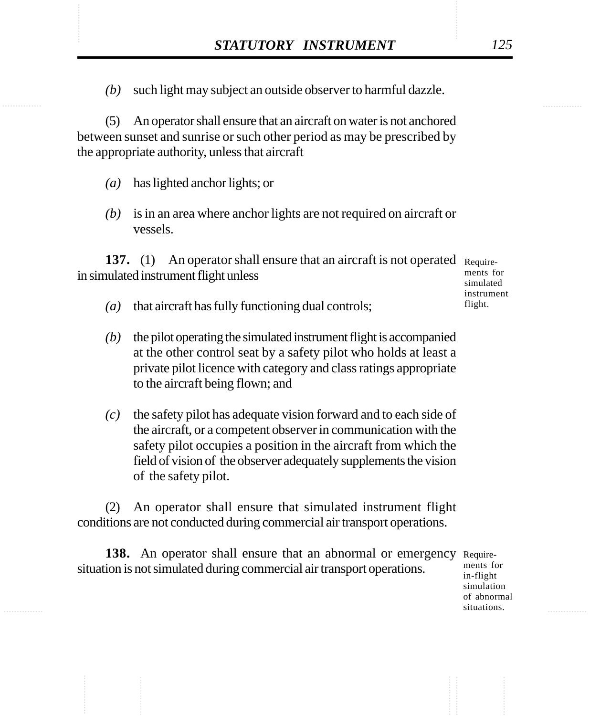STATUTORY INSTRUMENT 125<br>(b) such light may subject an outside observer to harmful dazzle. *(b)* such light may subject an outside observer to harmful dazzle.

> (5) An operator shall ensure that an aircraft on water is not anchored between sunset and sunrise or such other period as may be prescribed by the appropriate authority, unless that aircraft

- *(a)* has lighted anchor lights; or
- *(b)* is in an area where anchor lights are not required on aircraft or vessels.

137. (1) An operator shall ensure that an aircraft is not operated Requirein simulated instrument flight unless

- *(a)* that aircraft has fully functioning dual controls;
- *(b)* the pilot operating the simulated instrument flight is accompanied at the other control seat by a safety pilot who holds at least a private pilot licence with category and class ratings appropriate to the aircraft being flown; and
- *(c)* the safety pilot has adequate vision forward and to each side of the aircraft, or a competent observer in communication with the safety pilot occupies a position in the aircraft from which the field of vision of the observer adequately supplements the vision of the safety pilot.

(2) An operator shall ensure that simulated instrument flight conditions are not conducted during commercial air transport operations.

138. An operator shall ensure that an abnormal or emergency Requiresituation is not simulated during commercial air transport operations.

ments for in-flight simulation of abnormal situations.

ments for simulated instrument flight.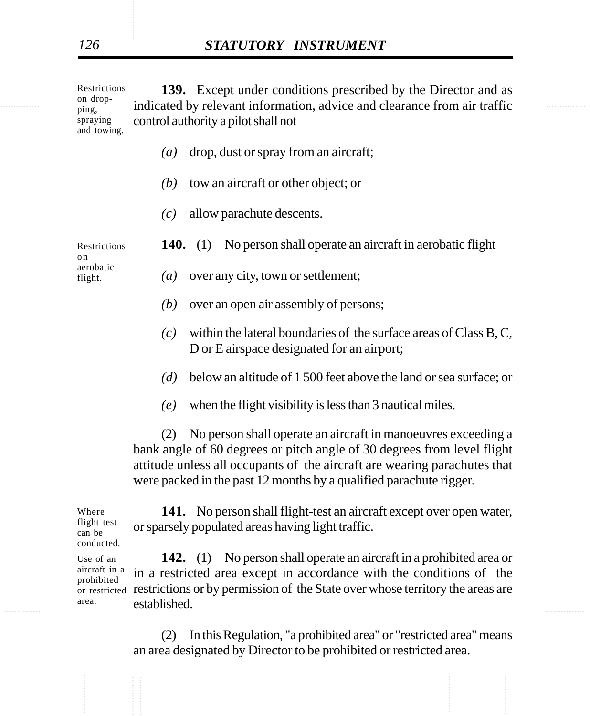indicated by relevant information, advice and clearance from air traffic **139.** Except under conditions prescribed by the Director and as control authority a pilot shall not Restrictions on dropping, spraying and towing.

- *(a)* drop, dust or spray from an aircraft;
- *(b)* tow an aircraft or other object; or
- *(c)* allow parachute descents.

Restrictions o n aerobatic flight.

- **140.** (1) No person shall operate an aircraft in aerobatic flight
	- *(a)* over any city, town or settlement;
	- *(b)* over an open air assembly of persons;
	- *(c)* within the lateral boundaries of the surface areas of Class B, C, D or E airspace designated for an airport;
	- *(d)* below an altitude of 1 500 feet above the land or sea surface; or
	- *(e)* when the flight visibility is less than 3 nautical miles.

(2) No person shall operate an aircraft in manoeuvres exceeding a bank angle of 60 degrees or pitch angle of 30 degrees from level flight attitude unless all occupants of the aircraft are wearing parachutes that were packed in the past 12 months by a qualified parachute rigger.

**141.** No person shall flight-test an aircraft except over open water, or sparsely populated areas having light traffic.

Established. **142.** (1) No person shall operate an aircraft in a prohibited area or in a restricted area except in accordance with the conditions of the or restricted restrictions or by permission of the State over whose territory the areas are established. aircraft in a prohibited

> (2) In this Regulation, "a prohibited area" or "restricted area" means an area designated by Director to be prohibited or restricted area.

flight test can be conducted. Use of an

Where

area.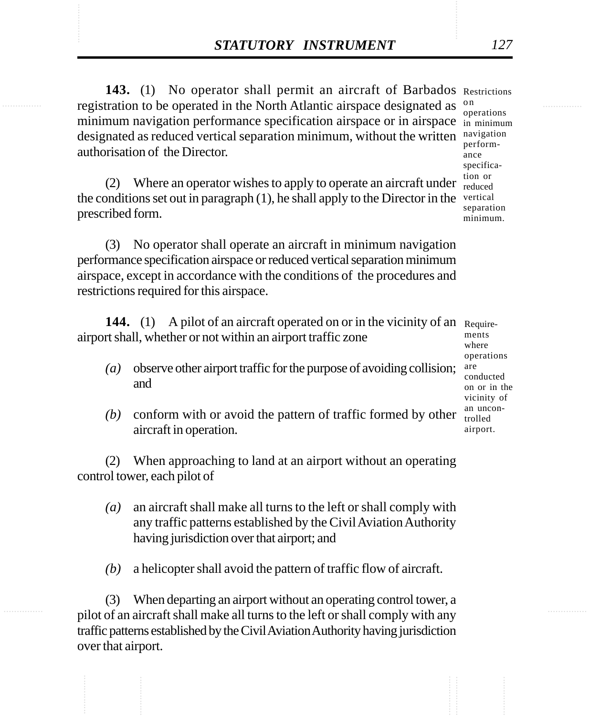**STATUTORY INSTRUMENT** 127<br> **143.** (1) No operator shall permit an aircraft of Barbados Restrictions<br>
registration to be operated in the North Atlantic airspace designated as <sup>on</sup> 143. (1) No operator shall permit an aircraft of Barbados Restrictions registration to be operated in the North Atlantic airspace designated as minimum navigation performance specification airspace or in airspace in minimum designated as reduced vertical separation minimum, without the written navigation authorisation of the Director. o n

> (2) Where an operator wishes to apply to operate an aircraft under  $\frac{100}{\text{reduced}}$ the conditions set out in paragraph (1), he shall apply to the Director in the vertical prescribed form.

(3) No operator shall operate an aircraft in minimum navigation performance specification airspace or reduced vertical separation minimum airspace, except in accordance with the conditions of the procedures and restrictions required for this airspace.

**144.** (1) A pilot of an aircraft operated on or in the vicinity of an Requireairport shall, whether or not within an airport traffic zone

- *(a)* observe other airport traffic for the purpose of avoiding collision; and
- *(b)* conform with or avoid the pattern of traffic formed by other aircraft in operation.

(2) When approaching to land at an airport without an operating control tower, each pilot of

- *(a)* an aircraft shall make all turns to the left or shall comply with any traffic patterns established by the Civil Aviation Authority having jurisdiction over that airport; and
- *(b)* a helicopter shall avoid the pattern of traffic flow of aircraft.

(3) When departing an airport without an operating control tower, a pilot of an aircraft shall make all turns to the left or shall comply with any traffic patterns established by the Civil Aviation Authority having jurisdiction over that airport.

operations performance specification or separation minimum.

ments where operations are conducted on or in the vicinity of an uncontrolled airport.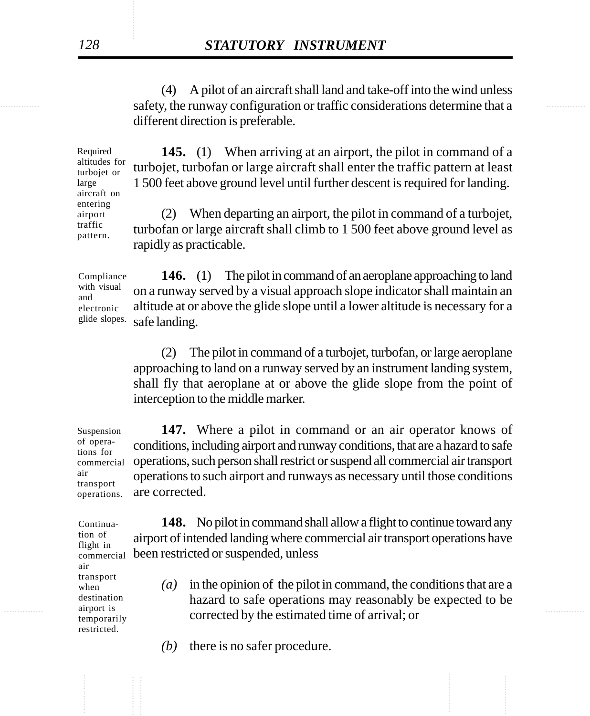safety, the runway configuration or traffic considerations determine that a (4) A pilot of an aircraft shall land and take-off into the wind unless different direction is preferable.

> **145.** (1) When arriving at an airport, the pilot in command of a turbojet, turbofan or large aircraft shall enter the traffic pattern at least 1 500 feet above ground level until further descent is required for landing.

(2) When departing an airport, the pilot in command of a turbojet, turbofan or large aircraft shall climb to 1 500 feet above ground level as rapidly as practicable.

**146.** (1) The pilot in command of an aeroplane approaching to land on a runway served by a visual approach slope indicator shall maintain an altitude at or above the glide slope until a lower altitude is necessary for a safe landing.

(2) The pilot in command of a turbojet, turbofan, or large aeroplane approaching to land on a runway served by an instrument landing system, shall fly that aeroplane at or above the glide slope from the point of interception to the middle marker.

**147.** Where a pilot in command or an air operator knows of conditions, including airport and runway conditions, that are a hazard to safe operations, such person shall restrict or suspend all commercial air transport operations to such airport and runways as necessary until those conditions are corrected.

**148.** No pilot in command shall allow a flight to continue toward any airport of intended landing where commercial air transport operations have been restricted or suspended, unless commercial

- extend that if the estimated time of arrival; or all the estimated time of arrival; or *(a)* in the opinion of the pilot in command, the conditions that are a hazard to safe operations may reasonably be expected to be
	- *(b)* there is no safer procedure.

Required altitudes for turbojet or large aircraft on entering airport traffic pattern.

Compliance with visual and electronic glide slopes.

of operations for commercial air transport operations.

Suspension

Continuation of flight in air transport when destination airport is temporarily restricted.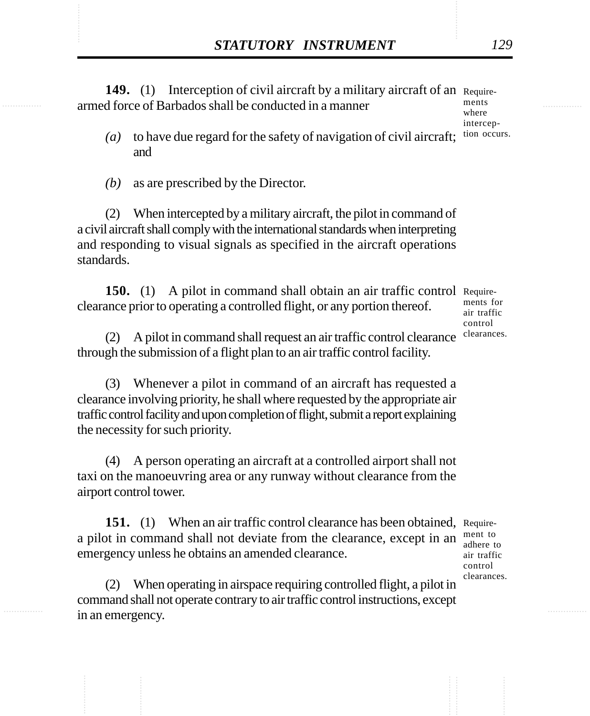**STATUTORY INSTRUMENT** 129<br> **149.** (1) Interception of civil aircraft by a military aircraft of an Require-<br>
armed force of Barbados shall be conducted in a manner **149.** (1) Interception of civil aircraft by a military aircraft of an Requirearmed force of Barbados shall be conducted in a manner ments

where intercep-

- $(a)$  to have due regard for the safety of navigation of civil aircraft; tion occurs. and
- *(b)* as are prescribed by the Director.

(2) When intercepted by a military aircraft, the pilot in command of a civil aircraft shall comply with the international standards when interpreting and responding to visual signals as specified in the aircraft operations standards.

150. (1) A pilot in command shall obtain an air traffic control Requireclearance prior to operating a controlled flight, or any portion thereof.

ments for air traffic control clearances.

(2) A pilot in command shall request an air traffic control clearance through the submission of a flight plan to an air traffic control facility.

(3) Whenever a pilot in command of an aircraft has requested a clearance involving priority, he shall where requested by the appropriate air traffic control facility and upon completion of flight, submit a report explaining the necessity for such priority.

(4) A person operating an aircraft at a controlled airport shall not taxi on the manoeuvring area or any runway without clearance from the airport control tower.

**151.** (1) When an air traffic control clearance has been obtained, Requirea pilot in command shall not deviate from the clearance, except in an emergency unless he obtains an amended clearance.

ment to adhere to air traffic control clearances.

(2) When operating in airspace requiring controlled flight, a pilot in command shall not operate contrary to air traffic control instructions, except in an emergency.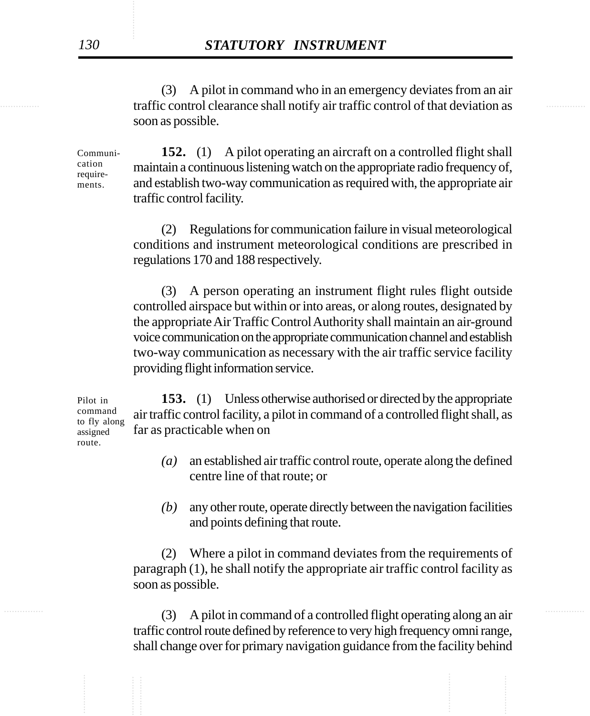traffic control clearance shall notify air traffic control of that deviation as (3) A pilot in command who in an emergency deviates from an air soon as possible.

> **152.** (1) A pilot operating an aircraft on a controlled flight shall maintain a continuous listening watch on the appropriate radio frequency of, and establish two-way communication as required with, the appropriate air traffic control facility. Communication requirements.

> > (2) Regulations for communication failure in visual meteorological conditions and instrument meteorological conditions are prescribed in regulations 170 and 188 respectively.

> > (3) A person operating an instrument flight rules flight outside controlled airspace but within or into areas, or along routes, designated by the appropriate Air Traffic Control Authority shall maintain an air-ground voice communication on the appropriate communication channel and establish two-way communication as necessary with the air traffic service facility providing flight information service.

**153.** (1) Unless otherwise authorised or directed by the appropriate air traffic control facility, a pilot in command of a controlled flight shall, as far as practicable when on

- *(a)* an established air traffic control route, operate along the defined centre line of that route; or
- *(b)* any other route, operate directly between the navigation facilities and points defining that route.

(2) Where a pilot in command deviates from the requirements of paragraph (1), he shall notify the appropriate air traffic control facility as soon as possible.

............... ............... (3) A pilot in command of a controlled flight operating along an air traffic control route defined by reference to very high frequency omni range, shall change over for primary navigation guidance from the facility behind

Pilot in command to fly along assigned route.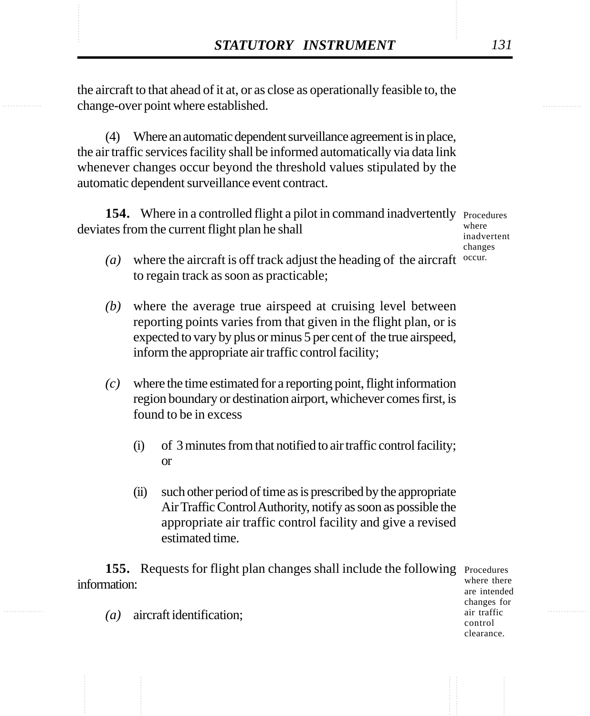**STATUTORY INSTRUMENT** 131<br>the aircraft to that ahead of it at, or as close as operationally feasible to, the change-over point where established. the aircraft to that ahead of it at, or as close as operationally feasible to, the change-over point where established.

> (4) Where an automatic dependent surveillance agreement is in place, the air traffic services facility shall be informed automatically via data link whenever changes occur beyond the threshold values stipulated by the automatic dependent surveillance event contract.

154. Where in a controlled flight a pilot in command inadvertently Procedures deviates from the current flight plan he shall

where inadvertent changes

- ( $a)$  where the aircraft is off track adjust the heading of the aircraft  $\alpha$ <sup>occur.</sup> to regain track as soon as practicable;
- *(b)* where the average true airspeed at cruising level between reporting points varies from that given in the flight plan, or is expected to vary by plus or minus 5 per cent of the true airspeed, inform the appropriate air traffic control facility;
- *(c)* where the time estimated for a reporting point, flight information region boundary or destination airport, whichever comes first, is found to be in excess
	- (i) of 3 minutes from that notified to air traffic control facility; or
	- (ii) such other period of time as is prescribed by the appropriate Air Traffic Control Authority, notify as soon as possible the appropriate air traffic control facility and give a revised estimated time.

155. Requests for flight plan changes shall include the following Procedures information:

where there are intended changes for air traffic control clearance.

*(a)* aircraft identification;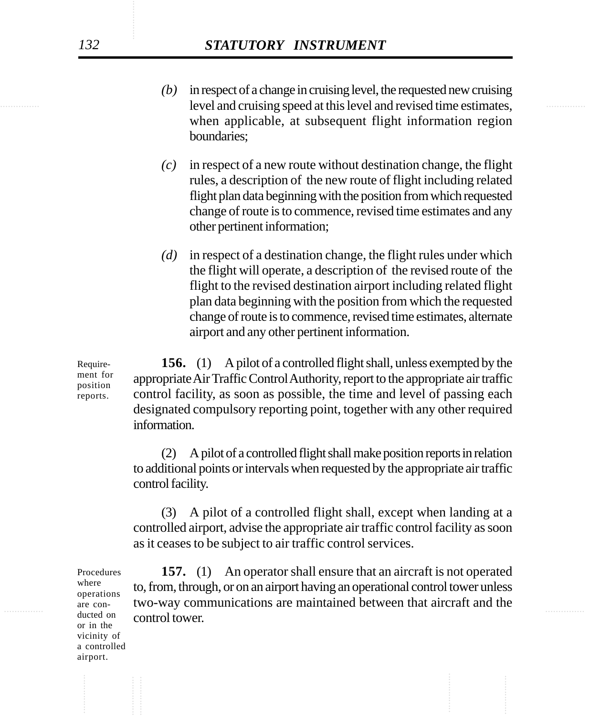- level and cruising speed at this level and revised time estimates, *(b)* in respect of a change in cruising level, the requested new cruising when applicable, at subsequent flight information region boundaries;
	- *(c)* in respect of a new route without destination change, the flight rules, a description of the new route of flight including related flight plan data beginning with the position from which requested change of route is to commence, revised time estimates and any other pertinent information;
	- *(d)* in respect of a destination change, the flight rules under which the flight will operate, a description of the revised route of the flight to the revised destination airport including related flight plan data beginning with the position from which the requested change of route is to commence, revised time estimates, alternate airport and any other pertinent information.

**156.** (1) A pilot of a controlled flight shall, unless exempted by the appropriate Air Traffic Control Authority, report to the appropriate air traffic control facility, as soon as possible, the time and level of passing each designated compulsory reporting point, together with any other required information.

(2) A pilot of a controlled flight shall make position reports in relation to additional points or intervals when requested by the appropriate air traffic control facility.

(3) A pilot of a controlled flight shall, except when landing at a controlled airport, advise the appropriate air traffic control facility as soon as it ceases to be subject to air traffic control services.

The con-<br>are con-<br>two-way communications are maintained between that aircraft and the **157.** (1) An operator shall ensure that an aircraft is not operated to, from, through, or on an airport having an operational control tower unless control tower.

Requirement for position reports.

Procedures where operations are conducted on or in the vicinity of a controlled airport.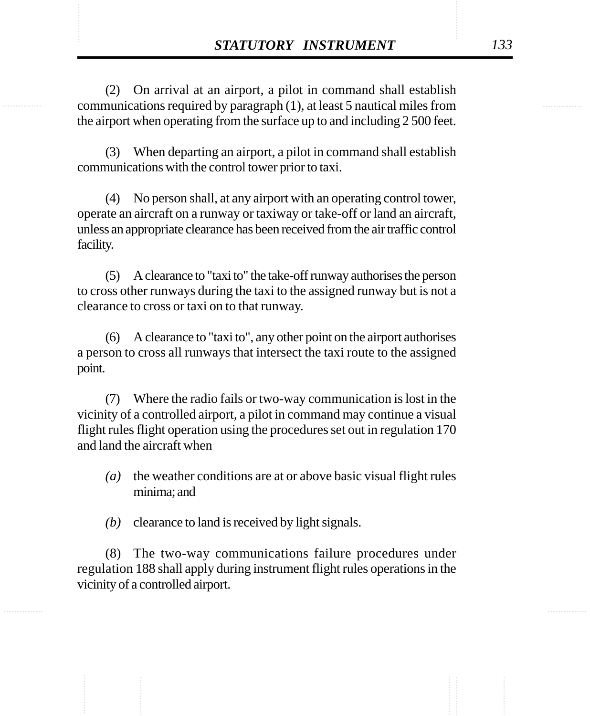**STATUTORY INSTRUMENT** 133<br>
(2) On arrival at an airport, a pilot in command shall establish<br>
communications required by paragraph (1), at least 5 nautical miles from (2) On arrival at an airport, a pilot in command shall establish communications required by paragraph (1), at least 5 nautical miles from the airport when operating from the surface up to and including 2 500 feet.

> (3) When departing an airport, a pilot in command shall establish communications with the control tower prior to taxi.

> (4) No person shall, at any airport with an operating control tower, operate an aircraft on a runway or taxiway or take-off or land an aircraft, unless an appropriate clearance has been received from the air traffic control facility.

> (5) A clearance to "taxi to" the take-off runway authorises the person to cross other runways during the taxi to the assigned runway but is not a clearance to cross or taxi on to that runway.

> (6) A clearance to "taxi to", any other point on the airport authorises a person to cross all runways that intersect the taxi route to the assigned point.

> (7) Where the radio fails or two-way communication is lost in the vicinity of a controlled airport, a pilot in command may continue a visual flight rules flight operation using the procedures set out in regulation 170 and land the aircraft when

- *(a)* the weather conditions are at or above basic visual flight rules minima; and
- *(b)* clearance to land is received by light signals.

(8) The two-way communications failure procedures under regulation 188 shall apply during instrument flight rules operations in the vicinity of a controlled airport.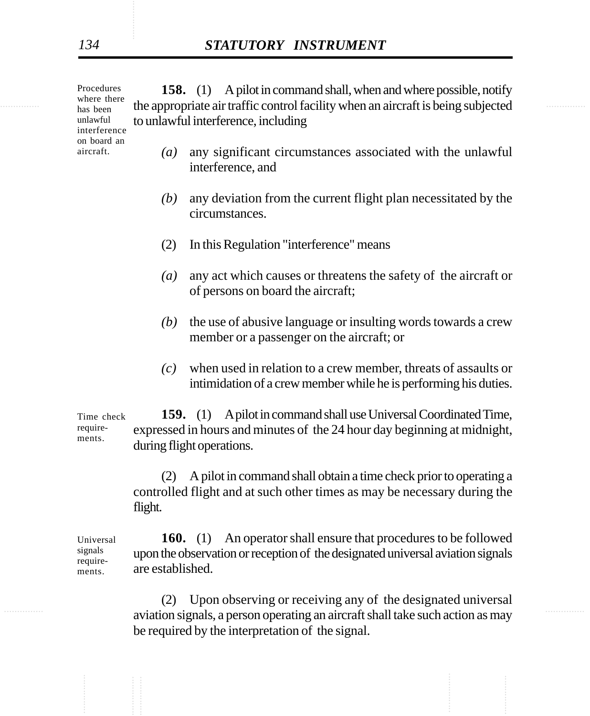the appropriate air traffic control facility when an aircraft is being subjected **158.** (1) A pilot in command shall, when and where possible, notify to unlawful interference, including Procedures

- *(a)* any significant circumstances associated with the unlawful interference, and
- *(b)* any deviation from the current flight plan necessitated by the circumstances.
- (2) In this Regulation "interference" means
- *(a)* any act which causes or threatens the safety of the aircraft or of persons on board the aircraft;
- *(b)* the use of abusive language or insulting words towards a crew member or a passenger on the aircraft; or
- *(c)* when used in relation to a crew member, threats of assaults or intimidation of a crew member while he is performing his duties.

**159.** (1) A pilot in command shall use Universal Coordinated Time, expressed in hours and minutes of the 24 hour day beginning at midnight, during flight operations. Time check requirements.

> (2) A pilot in command shall obtain a time check prior to operating a controlled flight and at such other times as may be necessary during the flight.

**160.** (1) An operator shall ensure that procedures to be followed upon the observation or reception of the designated universal aviation signals are established. Universal signals requirements.

aviation signals, a person operating an aircraft shall take such action as may (2) Upon observing or receiving any of the designated universal be required by the interpretation of the signal.

where there has been unlawful interference on board an aircraft.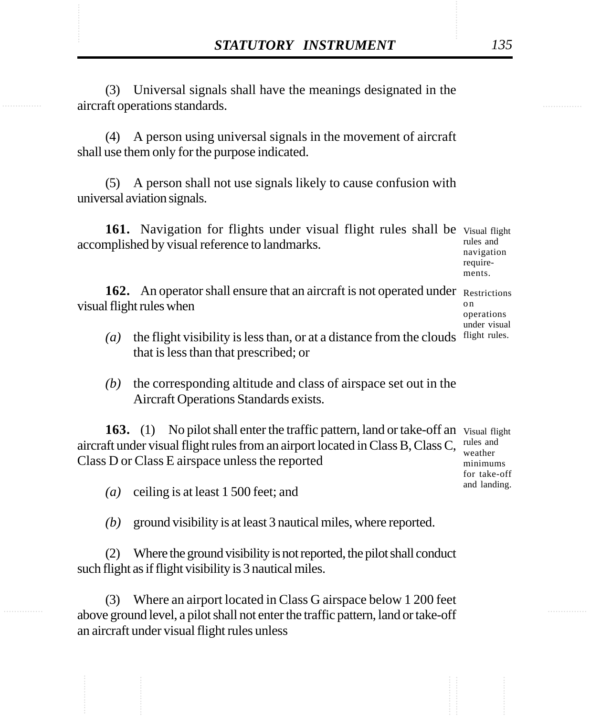**STATUTORY INSTRUMENT** 135<br>(3) Universal signals shall have the meanings designated in the aircraft operations standards. (3) Universal signals shall have the meanings designated in the aircraft operations standards.

> (4) A person using universal signals in the movement of aircraft shall use them only for the purpose indicated.

> (5) A person shall not use signals likely to cause confusion with universal aviation signals.

161. Navigation for flights under visual flight rules shall be Visual flight accomplished by visual reference to landmarks. rules and navigation

162. An operator shall ensure that an aircraft is not operated under Restrictions visual flight rules when o n operations

- $(a)$  the flight visibility is less than, or at a distance from the clouds flight rules. that is less than that prescribed; or
- *(b)* the corresponding altitude and class of airspace set out in the Aircraft Operations Standards exists.

163. (1) No pilot shall enter the traffic pattern, land or take-off an Visual flight aircraft under visual flight rules from an airport located in Class B, Class C, Class D or Class E airspace unless the reported rules and weather minimums

*(a)* ceiling is at least 1 500 feet; and

*(b)* ground visibility is at least 3 nautical miles, where reported.

(2) Where the ground visibility is not reported, the pilot shall conduct such flight as if flight visibility is 3 nautical miles.

(3) Where an airport located in Class G airspace below 1 200 feet above ground level, a pilot shall not enter the traffic pattern, land or take-off an aircraft under visual flight rules unless

requirements.

under visual

for take-off and landing.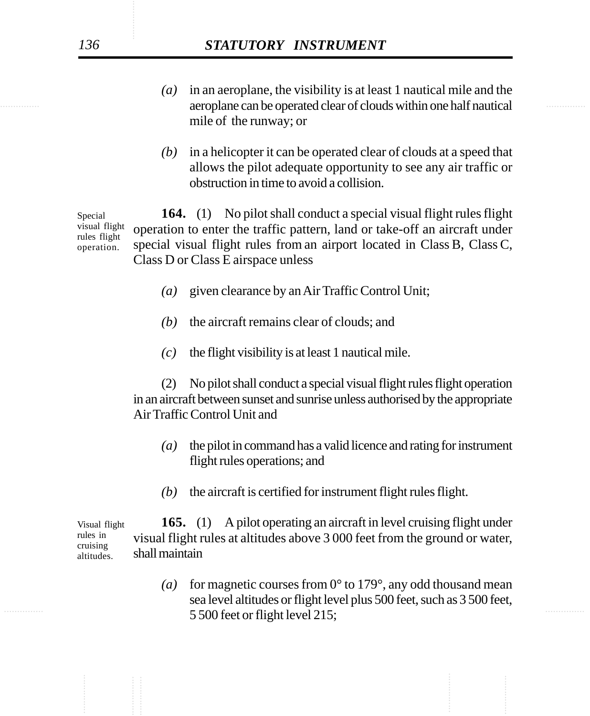- examples are operated clear of clouds within one half nautical *(a)* in an aeroplane, the visibility is at least 1 nautical mile and the mile of the runway; or
	- *(b)* in a helicopter it can be operated clear of clouds at a speed that allows the pilot adequate opportunity to see any air traffic or obstruction in time to avoid a collision.

**164.** (1) No pilot shall conduct a special visual flight rules flight operation to enter the traffic pattern, land or take-off an aircraft under special visual flight rules from an airport located in Class B, Class C, Class D or Class E airspace unless Special visual flight rules flight operation.

- *(a)* given clearance by an Air Traffic Control Unit;
- *(b)* the aircraft remains clear of clouds; and
- *(c)* the flight visibility is at least 1 nautical mile.

(2) No pilot shall conduct a special visual flight rules flight operation in an aircraft between sunset and sunrise unless authorised by the appropriate Air Traffic Control Unit and

- *(a)* the pilot in command has a valid licence and rating for instrument flight rules operations; and
- *(b)* the aircraft is certified for instrument flight rules flight.

**165.** (1) A pilot operating an aircraft in level cruising flight under visual flight rules at altitudes above 3 000 feet from the ground or water, shall maintain Visual flight rules in cruising altitudes.

 $5\,500$  feet or flight level 215; (a) for magnetic courses from  $0^{\circ}$  to 179°, any odd thousand mean sea level altitudes or flight level plus 500 feet, such as 3 500 feet,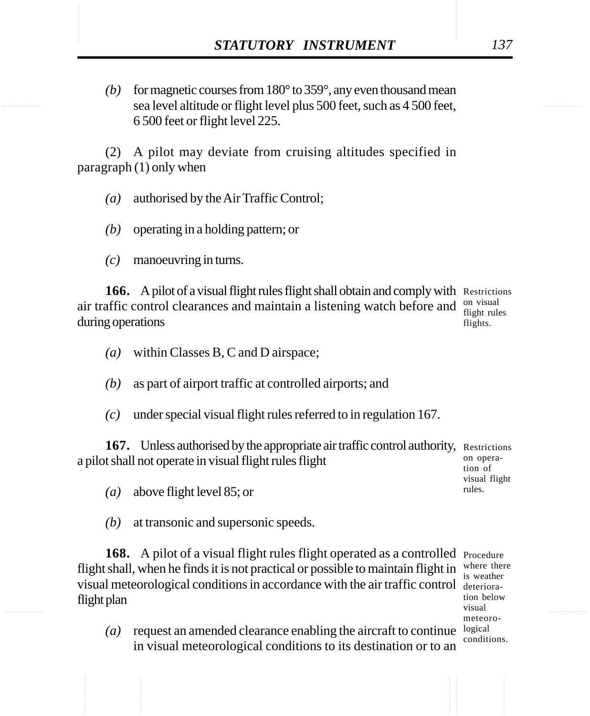*STATUTORY INSTRUMENT* 137<br>(b) for magnetic courses from 180° to 359°, any even thousand mean<br>sea level altitude or flight level plus 500 feet, such as 4 500 feet. *(b)* for magnetic courses from 180° to 359°, any even thousand mean sea level altitude or flight level plus 500 feet, such as 4 500 feet, 6 500 feet or flight level 225.

> (2) A pilot may deviate from cruising altitudes specified in paragraph (1) only when

- *(a)* authorised by the Air Traffic Control;
- *(b)* operating in a holding pattern; or
- *(c)* manoeuvring in turns.

166. A pilot of a visual flight rules flight shall obtain and comply with Restrictions air traffic control clearances and maintain a listening watch before and  $_{\text{first rule}}^{\text{on visual}}$ during operations flights.

- *(a)* within Classes B, C and D airspace;
- *(b)* as part of airport traffic at controlled airports; and
- *(c)* under special visual flight rules referred to in regulation 167.

167. Unless authorised by the appropriate air traffic control authority, Restrictions a pilot shall not operate in visual flight rules flight on operation of

- *(a)* above flight level 85; or
- *(b)* at transonic and supersonic speeds.

168. A pilot of a visual flight rules flight operated as a controlled Procedure flight shall, when he finds it is not practical or possible to maintain flight in visual meteorological conditions in accordance with the air traffic control deterioraflight plan

where there is weather tion below visual meteoroconditions.

visual flight rules.

(*a*) request an amended clearance enabling the aircraft to continue  $logical$ in visual meteorological conditions to its destination or to an

flight rules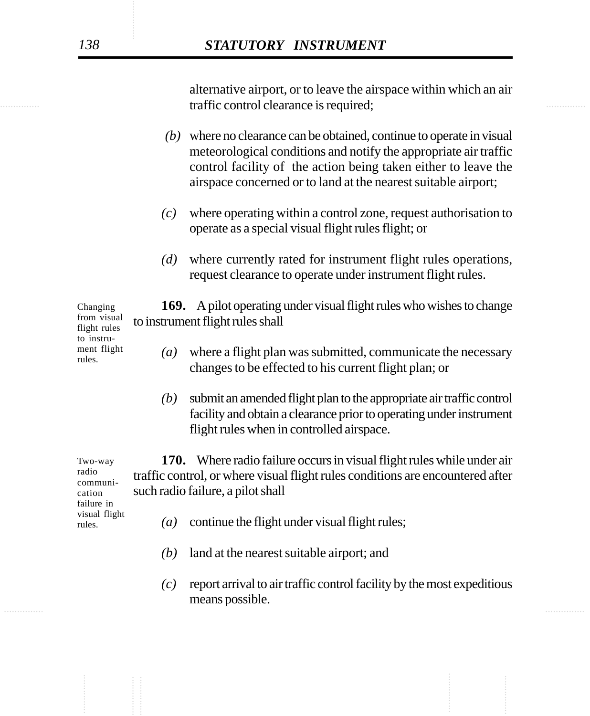............... ............... traffic control clearance is required; alternative airport, or to leave the airspace within which an air

- *(b)* where no clearance can be obtained, continue to operate in visual meteorological conditions and notify the appropriate air traffic control facility of the action being taken either to leave the airspace concerned or to land at the nearest suitable airport;
- *(c)* where operating within a control zone, request authorisation to operate as a special visual flight rules flight; or
- *(d)* where currently rated for instrument flight rules operations, request clearance to operate under instrument flight rules.

**169.** A pilot operating under visual flight rules who wishes to change to instrument flight rules shall Changing from visual flight rules

- *(a)* where a flight plan was submitted, communicate the necessary changes to be effected to his current flight plan; or
- *(b)* submit an amended flight plan to the appropriate air traffic control facility and obtain a clearance prior to operating under instrument flight rules when in controlled airspace.

**170.** Where radio failure occurs in visual flight rules while under air traffic control, or where visual flight rules conditions are encountered after such radio failure, a pilot shall Two-way radio communication

failure in visual flight rules.

to instrument flight rules.

- *(a)* continue the flight under visual flight rules;
- *(b)* land at the nearest suitable airport; and
- ............... ............... *(c)* report arrival to air traffic control facility by the most expeditious means possible.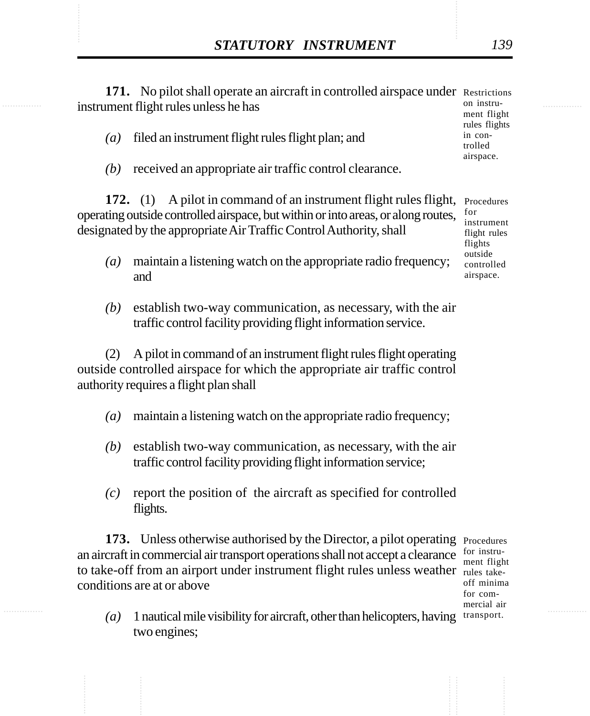|                  | STATUTORY INSTRUMENT                                                                                                                                                                                                         | 139                                                                                              |
|------------------|------------------------------------------------------------------------------------------------------------------------------------------------------------------------------------------------------------------------------|--------------------------------------------------------------------------------------------------|
|                  | 171. No pilot shall operate an aircraft in controlled airspace under Restrictions<br>instrument flight rules unless he has                                                                                                   | on instru-<br>ment flight<br>rules flights<br>in con-<br>trolled<br>airspace.                    |
| $\left(a\right)$ | filed an instrument flight rules flight plan; and                                                                                                                                                                            |                                                                                                  |
| (b)              | received an appropriate air traffic control clearance.                                                                                                                                                                       |                                                                                                  |
|                  | 172. (1) A pilot in command of an instrument flight rules flight,<br>operating outside controlled airspace, but within or into areas, or along routes,<br>designated by the appropriate Air Traffic Control Authority, shall | Procedures<br>for<br>instrument<br>flight rules<br>flights<br>outside<br>controlled<br>airspace. |
| $\left(a\right)$ | maintain a listening watch on the appropriate radio frequency;<br>and                                                                                                                                                        |                                                                                                  |
| (b)              | establish two-way communication, as necessary, with the air<br>traffic control facility providing flight information service.                                                                                                |                                                                                                  |
| (2)              | A pilot in command of an instrument flight rules flight operating<br>outside controlled airspace for which the appropriate air traffic control<br>authority requires a flight plan shall                                     |                                                                                                  |
| $\left(a\right)$ | maintain a listening watch on the appropriate radio frequency;                                                                                                                                                               |                                                                                                  |
| (b)              | establish two-way communication, as necessary, with the air<br>traffic control facility providing flight information service;                                                                                                |                                                                                                  |
| (c)              | report the position of the aircraft as specified for controlled<br>flights.                                                                                                                                                  |                                                                                                  |

rules takeoff minima for commercial air

(a) 1 nautical mile visibility for aircraft, other than helicopters, having transport. two engines;

conditions are at or above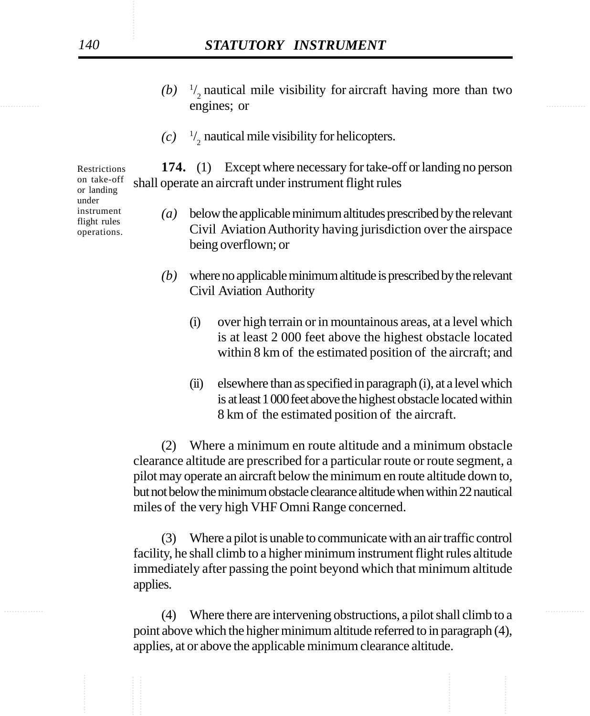- engines; or  $(b)$ <sup>1</sup>/<sub>2</sub> nautical mile visibility for aircraft having more than two
	- $(c)$  <sup>1</sup>/<sub>2</sub> nautical mile visibility for helicopters.

**174.** (1) Except where necessary for take-off or landing no person shall operate an aircraft under instrument flight rules

- *(a)* below the applicable minimum altitudes prescribed by the relevant Civil Aviation Authority having jurisdiction over the airspace being overflown; or
- *(b)* where no applicable minimum altitude is prescribed by the relevant Civil Aviation Authority
	- (i) over high terrain or in mountainous areas, at a level which is at least 2 000 feet above the highest obstacle located within 8 km of the estimated position of the aircraft; and
	- (ii) elsewhere than as specified in paragraph (i), at a level which is at least 1 000 feet above the highest obstacle located within 8 km of the estimated position of the aircraft.

(2) Where a minimum en route altitude and a minimum obstacle clearance altitude are prescribed for a particular route or route segment, a pilot may operate an aircraft below the minimum en route altitude down to, but not below the minimum obstacle clearance altitude when within 22 nautical miles of the very high VHF Omni Range concerned.

(3) Where a pilot is unable to communicate with an air traffic control facility, he shall climb to a higher minimum instrument flight rules altitude immediately after passing the point beyond which that minimum altitude applies.

............... ............... (4) Where there are intervening obstructions, a pilot shall climb to a point above which the higher minimum altitude referred to in paragraph (4), applies, at or above the applicable minimum clearance altitude.

Restrictions on take-off or landing under instrument flight rules operations.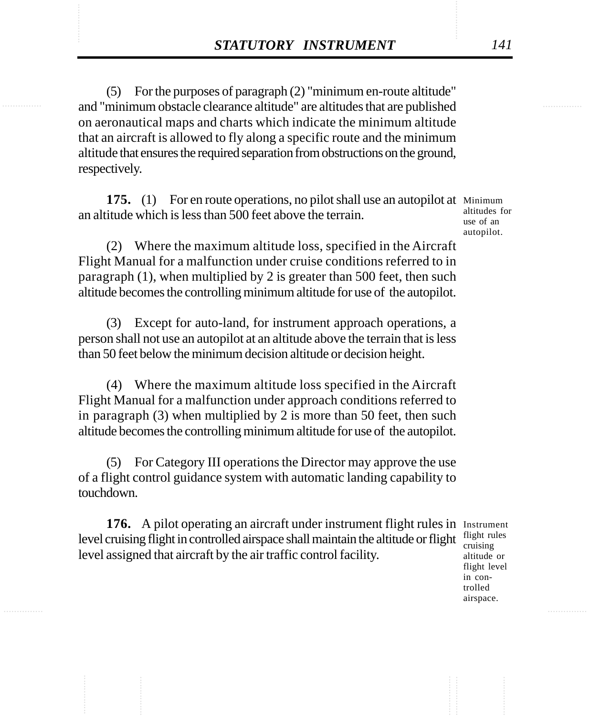**STATUTORY INSTRUMENT** 141<br>
(5) For the purposes of paragraph (2) "minimum en-route altitude"<br>
and "minimum obstacle clearance altitude" are altitudes that are published (5) For the purposes of paragraph (2) "minimum en-route altitude" and "minimum obstacle clearance altitude" are altitudes that are published on aeronautical maps and charts which indicate the minimum altitude that an aircraft is allowed to fly along a specific route and the minimum altitude that ensures the required separation from obstructions on the ground, respectively.

> **175.** (1) For en route operations, no pilot shall use an autopilot at Minimum an altitude which is less than 500 feet above the terrain.

altitudes for use of an autopilot.

(2) Where the maximum altitude loss, specified in the Aircraft Flight Manual for a malfunction under cruise conditions referred to in paragraph (1), when multiplied by 2 is greater than 500 feet, then such altitude becomes the controlling minimum altitude for use of the autopilot.

(3) Except for auto-land, for instrument approach operations, a person shall not use an autopilot at an altitude above the terrain that is less than 50 feet below the minimum decision altitude or decision height.

(4) Where the maximum altitude loss specified in the Aircraft Flight Manual for a malfunction under approach conditions referred to in paragraph (3) when multiplied by 2 is more than 50 feet, then such altitude becomes the controlling minimum altitude for use of the autopilot.

(5) For Category III operations the Director may approve the use of a flight control guidance system with automatic landing capability to touchdown.

176. A pilot operating an aircraft under instrument flight rules in Instrument level cruising flight in controlled airspace shall maintain the altitude or flight  $\frac{flight}{c}$ level assigned that aircraft by the air traffic control facility.

cruising altitude or flight level in controlled airspace.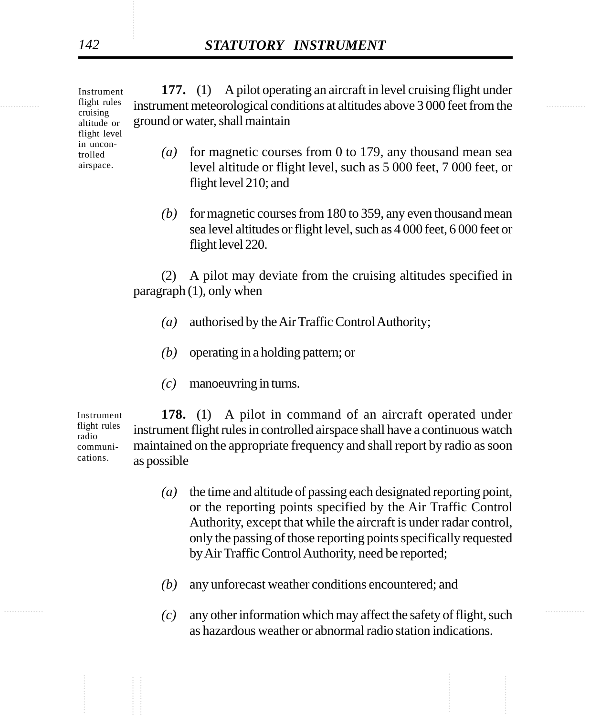flight rules instrument meteorological conditions at altitudes above 3 000 feet from the **177.** (1) A pilot operating an aircraft in level cruising flight under ground or water, shall maintain Instrument

- *(a)* for magnetic courses from 0 to 179, any thousand mean sea level altitude or flight level, such as 5 000 feet, 7 000 feet, or flight level 210; and
- *(b)* for magnetic courses from 180 to 359, any even thousand mean sea level altitudes or flight level, such as 4 000 feet, 6 000 feet or flight level 220.

(2) A pilot may deviate from the cruising altitudes specified in paragraph (1), only when

- *(a)* authorised by the Air Traffic Control Authority;
- *(b)* operating in a holding pattern; or
- *(c)* manoeuvring in turns.

**178.** (1) A pilot in command of an aircraft operated under instrument flight rules in controlled airspace shall have a continuous watch maintained on the appropriate frequency and shall report by radio as soon as possible Instrument flight rules radio communications.

- *(a)* the time and altitude of passing each designated reporting point, or the reporting points specified by the Air Traffic Control Authority, except that while the aircraft is under radar control, only the passing of those reporting points specifically requested by Air Traffic Control Authority, need be reported;
- *(b)* any unforecast weather conditions encountered; and
- $(c)$  any other information which may affect the safety of flight, such as hazardous weather or abnormal radio station indications.

flight rules cruising altitude or flight level in uncontrolled airspace.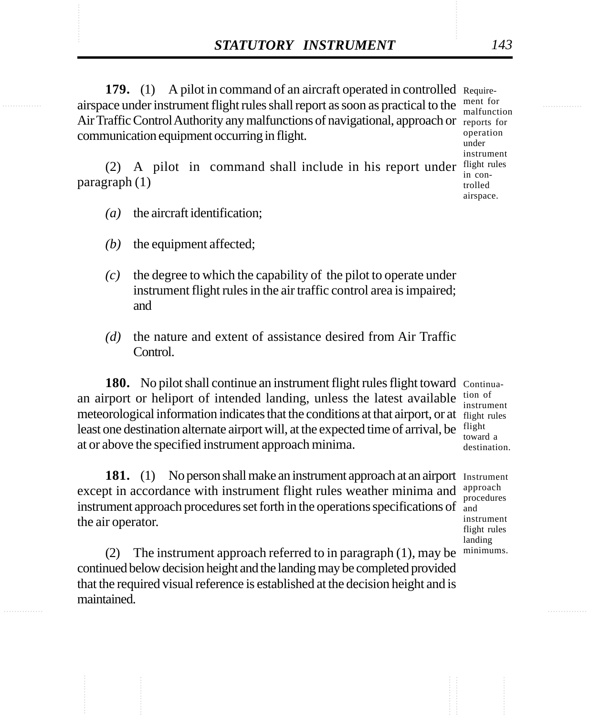**STATUTORY INSTRUMENT** 143<br>
179. (1) A pilot in command of an aircraft operated in controlled Require-<br>
airspace under instrument flight rules shall report as soon as practical to the ment for **179.** (1) A pilot in command of an aircraft operated in controlled Requireairspace under instrument flight rules shall report as soon as practical to the Air Traffic Control Authority any malfunctions of navigational, approach or reports for communication equipment occurring in flight.

> (2) A pilot in command shall include in his report under  $\frac{flight}{in}$ paragraph (1)

- *(a)* the aircraft identification;
- *(b)* the equipment affected;
- *(c)* the degree to which the capability of the pilot to operate under instrument flight rules in the air traffic control area is impaired; and
- *(d)* the nature and extent of assistance desired from Air Traffic Control.

180. No pilot shall continue an instrument flight rules flight toward Continuaan airport or heliport of intended landing, unless the latest available meteorological information indicates that the conditions at that airport, or at flight rules least one destination alternate airport will, at the expected time of arrival, be at or above the specified instrument approach minima.

181. (1) No person shall make an instrument approach at an airport Instrument except in accordance with instrument flight rules weather minima and instrument approach procedures set forth in the operations specifications of the air operator. approach procedures and instrument flight rules

(2) The instrument approach referred to in paragraph (1), may be continued below decision height and the landing may be completed provided that the required visual reference is established at the decision height and is maintained.

tion of instrument flight toward a destination.

landing minimums.

ment for malfunction operation under instrument in controlled

airspace.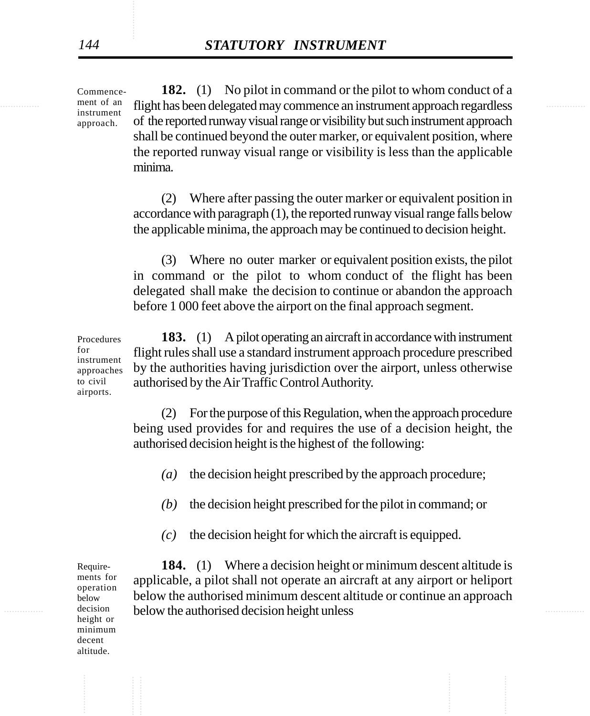............... ............... flight has been delegated may commence an instrument approach regardless **182.** (1) No pilot in command or the pilot to whom conduct of a of the reported runway visual range or visibility but such instrument approach shall be continued beyond the outer marker, or equivalent position, where the reported runway visual range or visibility is less than the applicable minima.

> (2) Where after passing the outer marker or equivalent position in accordance with paragraph (1), the reported runway visual range falls below the applicable minima, the approach may be continued to decision height.

> (3) Where no outer marker or equivalent position exists, the pilot in command or the pilot to whom conduct of the flight has been delegated shall make the decision to continue or abandon the approach before 1 000 feet above the airport on the final approach segment.

**183.** (1) A pilot operating an aircraft in accordance with instrument flight rules shall use a standard instrument approach procedure prescribed by the authorities having jurisdiction over the airport, unless otherwise authorised by the Air Traffic Control Authority. Procedures for instrument approaches to civil airports.

> (2) For the purpose of this Regulation, when the approach procedure being used provides for and requires the use of a decision height, the authorised decision height is the highest of the following:

- *(a)* the decision height prescribed by the approach procedure;
- *(b)* the decision height prescribed for the pilot in command; or
- *(c)* the decision height for which the aircraft is equipped.

decision below the authorised decision height unless **184.** (1) Where a decision height or minimum descent altitude is applicable, a pilot shall not operate an aircraft at any airport or heliport below the authorised minimum descent altitude or continue an approach

Requirements for operation below decision height or minimum decent altitude.

Commencement of an instrument approach.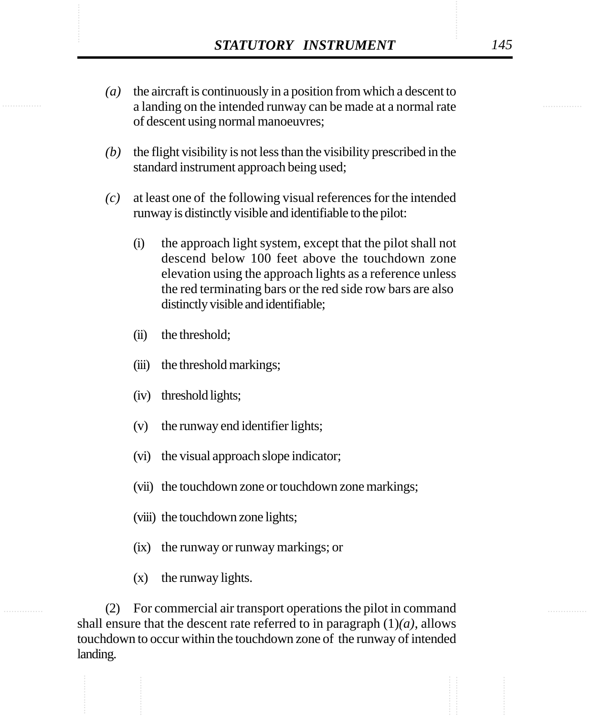- **STATUTORY INSTRUMENT** 145<br>(a) the aircraft is continuously in a position from which a descent to<br>a landing on the intended runway can be made at a normal rate *(a)* the aircraft is continuously in a position from which a descent to a landing on the intended runway can be made at a normal rate of descent using normal manoeuvres;
	- *(b)* the flight visibility is not less than the visibility prescribed in the standard instrument approach being used;
	- *(c)* at least one of the following visual references for the intended runway is distinctly visible and identifiable to the pilot:
		- (i) the approach light system, except that the pilot shall not descend below 100 feet above the touchdown zone elevation using the approach lights as a reference unless the red terminating bars or the red side row bars are also distinctly visible and identifiable;
		- (ii) the threshold;
		- (iii) the threshold markings;
		- (iv) threshold lights;
		- (v) the runway end identifier lights;
		- (vi) the visual approach slope indicator;
		- (vii) the touchdown zone or touchdown zone markings;
		- (viii) the touchdown zone lights;
		- (ix) the runway or runway markings; or
		- (x) the runway lights.

(2) For commercial air transport operations the pilot in command shall ensure that the descent rate referred to in paragraph  $(1)(a)$ , allows touchdown to occur within the touchdown zone of the runway of intended landing.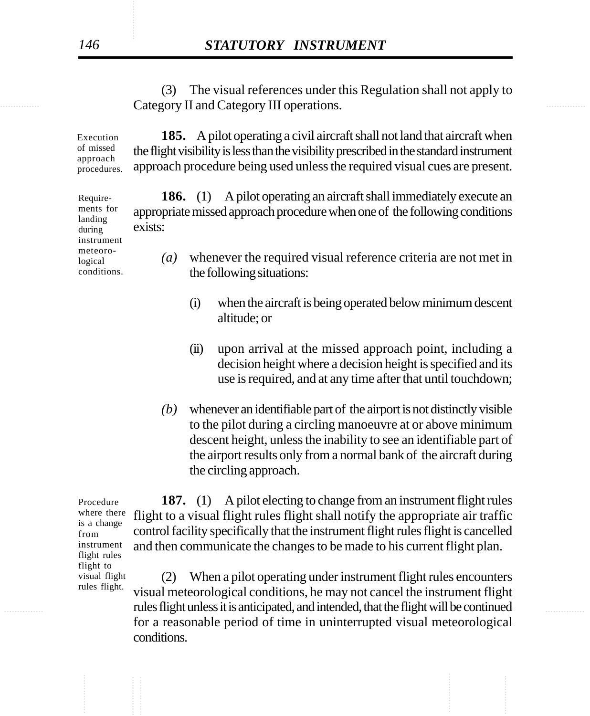**Category II and Category III operations.** The contract of the contract of the contract of the contract of the contract of the contract of the contract of the contract of the contract of the contract of the contract of the (3) The visual references under this Regulation shall not apply to

> **185.** A pilot operating a civil aircraft shall not land that aircraft when the flight visibility is less than the visibility prescribed in the standard instrument approach procedure being used unless the required visual cues are present. Execution of missed approach procedures.

> > **186.** (1) A pilot operating an aircraft shall immediately execute an appropriate missed approach procedure when one of the following conditions exists:

*(a)* whenever the required visual reference criteria are not met in the following situations:

- (i) when the aircraft is being operated below minimum descent altitude; or
- (ii) upon arrival at the missed approach point, including a decision height where a decision height is specified and its use is required, and at any time after that until touchdown;
- *(b)* whenever an identifiable part of the airport is not distinctly visible to the pilot during a circling manoeuvre at or above minimum descent height, unless the inability to see an identifiable part of the airport results only from a normal bank of the aircraft during the circling approach.

Procedure where there is a change from instrument flight rules flight to visual flight rules flight.

**187.** (1) A pilot electing to change from an instrument flight rules flight to a visual flight rules flight shall notify the appropriate air traffic control facility specifically that the instrument flight rules flight is cancelled and then communicate the changes to be made to his current flight plan.

............... ............... rules flight unless it is anticipated, and intended, that the flight will be continued (2) When a pilot operating under instrument flight rules encounters visual meteorological conditions, he may not cancel the instrument flight for a reasonable period of time in uninterrupted visual meteorological conditions.

Requirements for landing during instrument meteorological conditions.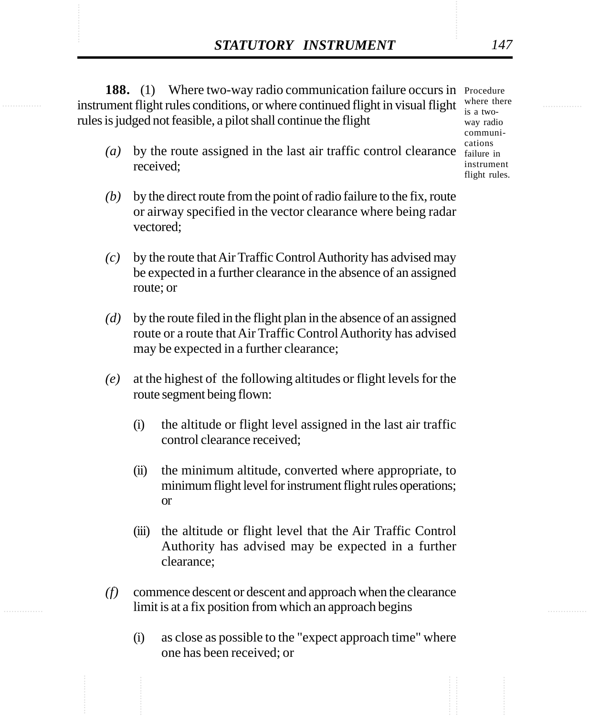**STATUTORY INSTRUMENT** 147<br> **188.** (1) Where two-way radio communication failure occurs in Procedure<br>
instrument flight rules conditions. or where continued flight in visual flight where there 188. (1) Where two-way radio communication failure occurs in Procedure instrument flight rules conditions, or where continued flight in visual flight  $\frac{W \text{ here there}}{W \text{ case } W \text{ on } W}$ rules is judged not feasible, a pilot shall continue the flight

- $(a)$  by the route assigned in the last air traffic control clearance  $\frac{a_{\text{t}}}{f_{\text{a}}}}$  in received;
- *(b)* by the direct route from the point of radio failure to the fix, route or airway specified in the vector clearance where being radar vectored;
- *(c)* by the route that Air Traffic Control Authority has advised may be expected in a further clearance in the absence of an assigned route; or
- *(d)* by the route filed in the flight plan in the absence of an assigned route or a route that Air Traffic Control Authority has advised may be expected in a further clearance;
- *(e)* at the highest of the following altitudes or flight levels for the route segment being flown:
	- (i) the altitude or flight level assigned in the last air traffic control clearance received;
	- (ii) the minimum altitude, converted where appropriate, to minimum flight level for instrument flight rules operations; or
	- (iii) the altitude or flight level that the Air Traffic Control Authority has advised may be expected in a further clearance;
- *(f)* commence descent or descent and approach when the clearance limit is at a fix position from which an approach begins
	- (i) as close as possible to the "expect approach time" where one has been received; or

is a twoway radio communications instrument flight rules.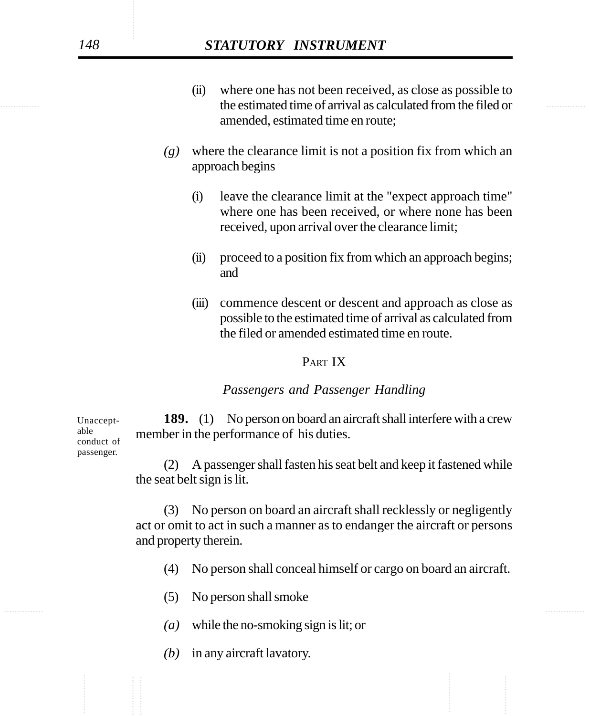- the estimated time of arrival as calculated from the filed or (ii) where one has not been received, as close as possible to amended, estimated time en route;
	- *(g)* where the clearance limit is not a position fix from which an approach begins
		- (i) leave the clearance limit at the "expect approach time" where one has been received, or where none has been received, upon arrival over the clearance limit;
		- (ii) proceed to a position fix from which an approach begins; and
		- (iii) commence descent or descent and approach as close as possible to the estimated time of arrival as calculated from the filed or amended estimated time en route.

## PART IX

## *Passengers and Passenger Handling*

**189.** (1) No person on board an aircraft shall interfere with a crew member in the performance of his duties.

(2) A passenger shall fasten his seat belt and keep it fastened while the seat belt sign is lit.

(3) No person on board an aircraft shall recklessly or negligently act or omit to act in such a manner as to endanger the aircraft or persons and property therein.

- (4) No person shall conceal himself or cargo on board an aircraft.
- (5) No person shall smoke
- *(a)* while the no-smoking sign is lit; or
- *(b)* in any aircraft lavatory.

Unacceptable conduct of passenger.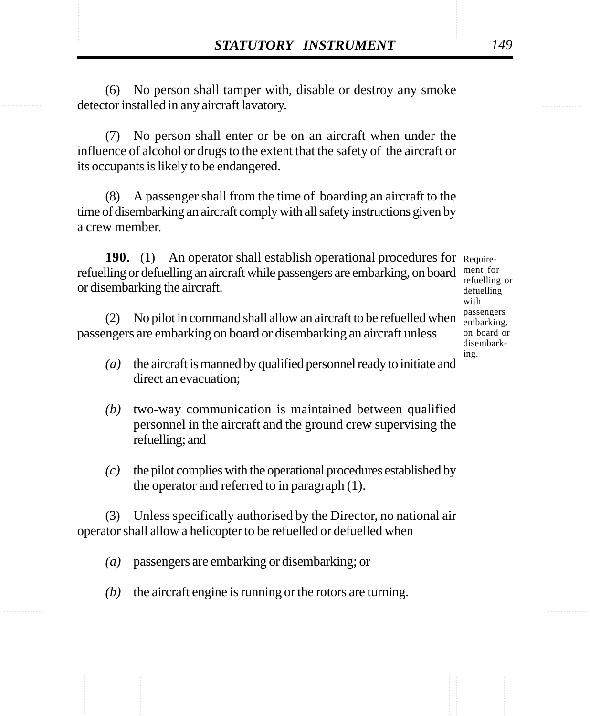**STATUTORY INSTRUMENT** 149<br>
(6) No person shall tamper with, disable or destroy any smoke detector installed in any aircraft layatory. (6) No person shall tamper with, disable or destroy any smoke detector installed in any aircraft lavatory.

> (7) No person shall enter or be on an aircraft when under the influence of alcohol or drugs to the extent that the safety of the aircraft or its occupants is likely to be endangered.

> (8) A passenger shall from the time of boarding an aircraft to the time of disembarking an aircraft comply with all safety instructions given by a crew member.

190. (1) An operator shall establish operational procedures for Requirerefuelling or defuelling an aircraft while passengers are embarking, on board or disembarking the aircraft.

(2) No pilot in command shall allow an aircraft to be refuelled when passengers are embarking on board or disembarking an aircraft unless

- *(a)* the aircraft is manned by qualified personnel ready to initiate and direct an evacuation;
- *(b)* two-way communication is maintained between qualified personnel in the aircraft and the ground crew supervising the refuelling; and
- *(c)* the pilot complies with the operational procedures established by the operator and referred to in paragraph (1).

(3) Unless specifically authorised by the Director, no national air operator shall allow a helicopter to be refuelled or defuelled when

- *(a)* passengers are embarking or disembarking; or
- *(b)* the aircraft engine is running or the rotors are turning.

ment for refuelling or defuelling with passengers embarking, on board or disembarking.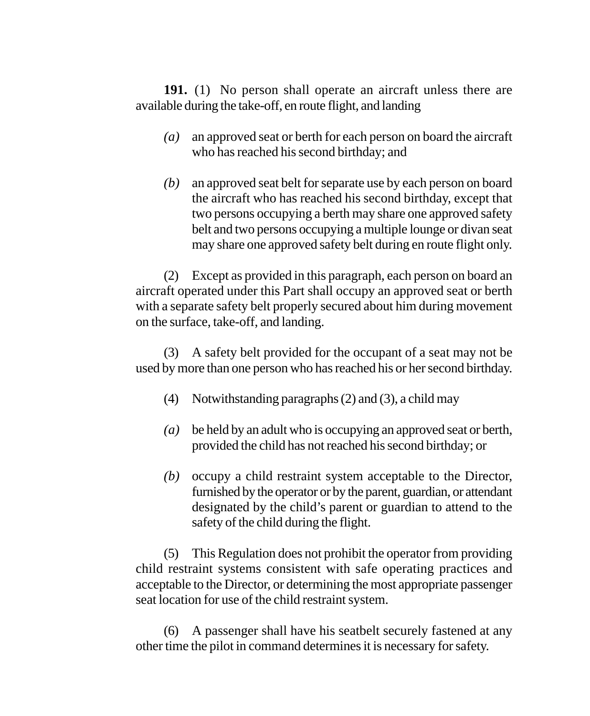**191.** (1) No person shall operate an aircraft unless there are available during the take-off, en route flight, and landing

- *(a)* an approved seat or berth for each person on board the aircraft who has reached his second birthday; and
- *(b)* an approved seat belt for separate use by each person on board the aircraft who has reached his second birthday, except that two persons occupying a berth may share one approved safety belt and two persons occupying a multiple lounge or divan seat may share one approved safety belt during en route flight only.

(2) Except as provided in this paragraph, each person on board an aircraft operated under this Part shall occupy an approved seat or berth with a separate safety belt properly secured about him during movement on the surface, take-off, and landing.

(3) A safety belt provided for the occupant of a seat may not be used by more than one person who has reached his or her second birthday.

- (4) Notwithstanding paragraphs (2) and (3), a child may
- *(a)* be held by an adult who is occupying an approved seat or berth, provided the child has not reached his second birthday; or
- *(b)* occupy a child restraint system acceptable to the Director, furnished by the operator or by the parent, guardian, or attendant designated by the child's parent or guardian to attend to the safety of the child during the flight.

(5) This Regulation does not prohibit the operator from providing child restraint systems consistent with safe operating practices and acceptable to the Director, or determining the most appropriate passenger seat location for use of the child restraint system.

(6) A passenger shall have his seatbelt securely fastened at any other time the pilot in command determines it is necessary for safety.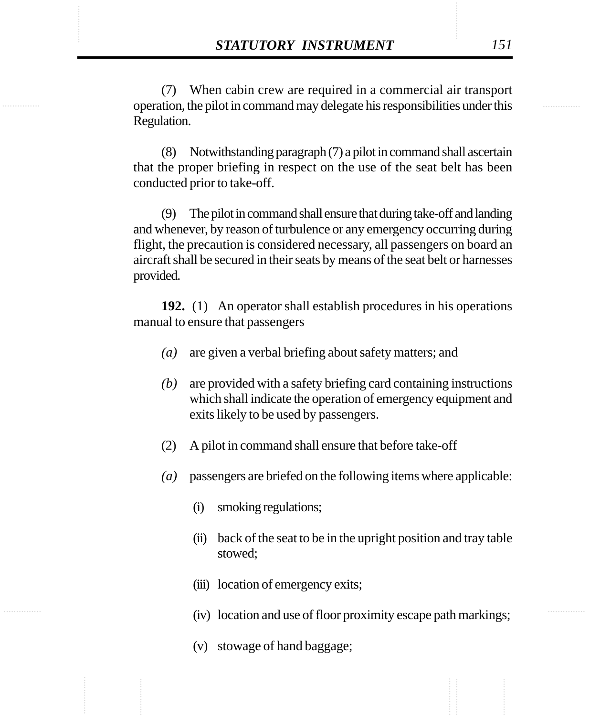**STATUTORY INSTRUMENT** 151<br>
(7) When cabin crew are required in a commercial air transport<br>
operation. the pilot in command may delegate his responsibilities under this (7) When cabin crew are required in a commercial air transport operation, the pilot in command may delegate his responsibilities under this Regulation.

> (8) Notwithstanding paragraph (7) a pilot in command shall ascertain that the proper briefing in respect on the use of the seat belt has been conducted prior to take-off.

> (9) The pilot in command shall ensure that during take-off and landing and whenever, by reason of turbulence or any emergency occurring during flight, the precaution is considered necessary, all passengers on board an aircraft shall be secured in their seats by means of the seat belt or harnesses provided.

> **192.** (1) An operator shall establish procedures in his operations manual to ensure that passengers

- *(a)* are given a verbal briefing about safety matters; and
- *(b)* are provided with a safety briefing card containing instructions which shall indicate the operation of emergency equipment and exits likely to be used by passengers.
- (2) A pilot in command shall ensure that before take-off
- *(a)* passengers are briefed on the following items where applicable:
	- (i) smoking regulations;
	- (ii) back of the seat to be in the upright position and tray table stowed;
	- (iii) location of emergency exits;
	- (iv) location and use of floor proximity escape path markings;
	- (v) stowage of hand baggage;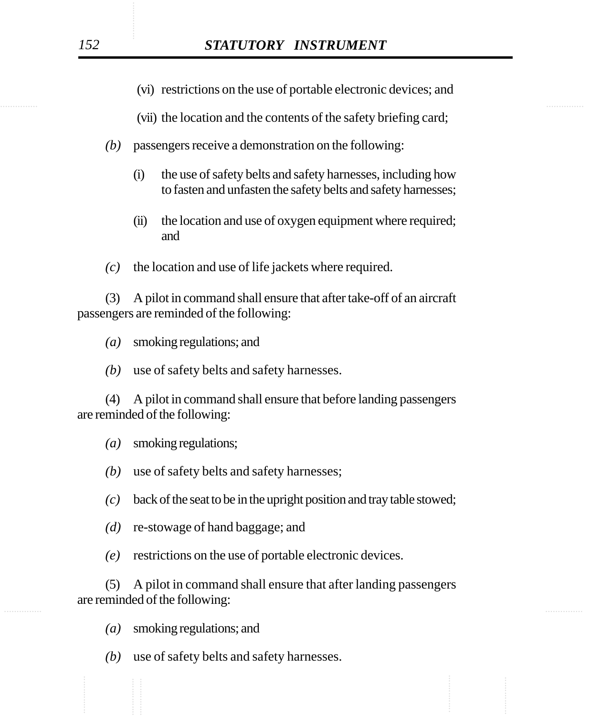- (vi) restrictions on the use of portable electronic devices; and
- (vii) the location and the contents of the safety briefing card;
- *(b)* passengers receive a demonstration on the following:
	- (i) the use of safety belts and safety harnesses, including how to fasten and unfasten the safety belts and safety harnesses;
	- (ii) the location and use of oxygen equipment where required; and
- *(c)* the location and use of life jackets where required.

(3) A pilot in command shall ensure that after take-off of an aircraft passengers are reminded of the following:

- *(a)* smoking regulations; and
- *(b)* use of safety belts and safety harnesses.

(4) A pilot in command shall ensure that before landing passengers are reminded of the following:

*(a)* smoking regulations;

- *(b)* use of safety belts and safety harnesses;
- *(c)* back of the seat to be in the upright position and tray table stowed;
- *(d)* re-stowage of hand baggage; and
- *(e)* restrictions on the use of portable electronic devices.

............... ............... (5) A pilot in command shall ensure that after landing passengers are reminded of the following:

*(a)* smoking regulations; and

*(b)* use of safety belts and safety harnesses.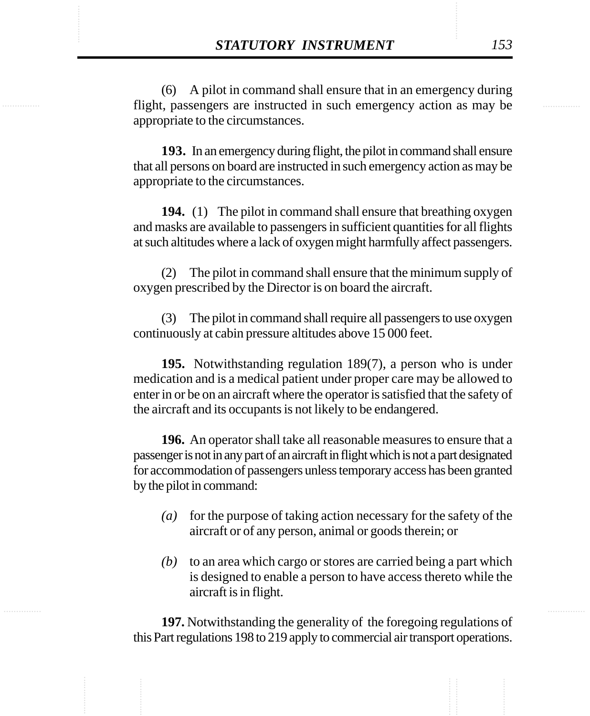**STATUTORY INSTRUMENT** 153<br>(6) A pilot in command shall ensure that in an emergency during flight, passengers are instructed in such emergency action as may be (6) A pilot in command shall ensure that in an emergency during flight, passengers are instructed in such emergency action as may be appropriate to the circumstances.

> **193.** In an emergency during flight, the pilot in command shall ensure that all persons on board are instructed in such emergency action as may be appropriate to the circumstances.

> **194.** (1) The pilot in command shall ensure that breathing oxygen and masks are available to passengers in sufficient quantities for all flights at such altitudes where a lack of oxygen might harmfully affect passengers.

> (2) The pilot in command shall ensure that the minimum supply of oxygen prescribed by the Director is on board the aircraft.

> (3) The pilot in command shall require all passengers to use oxygen continuously at cabin pressure altitudes above 15 000 feet.

> **195.** Notwithstanding regulation 189(7), a person who is under medication and is a medical patient under proper care may be allowed to enter in or be on an aircraft where the operator is satisfied that the safety of the aircraft and its occupants is not likely to be endangered.

> **196.** An operator shall take all reasonable measures to ensure that a passenger is not in any part of an aircraft in flight which is not a part designated for accommodation of passengers unless temporary access has been granted by the pilot in command:

- *(a)* for the purpose of taking action necessary for the safety of the aircraft or of any person, animal or goods therein; or
- *(b)* to an area which cargo or stores are carried being a part which is designed to enable a person to have access thereto while the aircraft is in flight.

**197.** Notwithstanding the generality of the foregoing regulations of this Part regulations 198 to 219 apply to commercial air transport operations.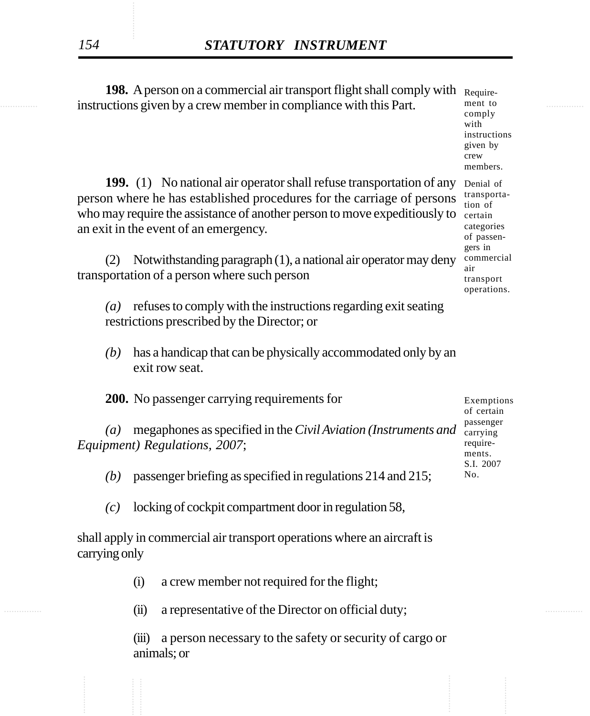instructions given by a crew member in compliance with this Part. The ment to the second second second in the second second second second second second second second second second second second second second second second **198.** A person on a commercial air transport flight shall comply with Require-199. (1) No national air operator shall refuse transportation of any Denial of person where he has established procedures for the carriage of persons who may require the assistance of another person to move expeditiously to certain an exit in the event of an emergency. (2) Notwithstanding paragraph (1), a national air operator may deny transportation of a person where such person *(a)* refuses to comply with the instructions regarding exit seating restrictions prescribed by the Director; or *(b)* has a handicap that can be physically accommodated only by an exit row seat. **200.** No passenger carrying requirements for (a) megaphones as specified in the *Civil Aviation (Instruments and* carrying *Equipment) Regulations, 2007*; *(b)* passenger briefing as specified in regulations 214 and 215; *(c)* locking of cockpit compartment door in regulation 58, shall apply in commercial air transport operations where an aircraft is carrying only ment to comply with instructions given by crew air No.

(i) a crew member not required for the flight;

............... ............... (ii) a representative of the Director on official duty;

(iii) a person necessary to the safety or security of cargo or animals; or

members. transportation of categories of passengers in commercial transport

operations.

Exemptions of certain passenger requirements. S.I. 2007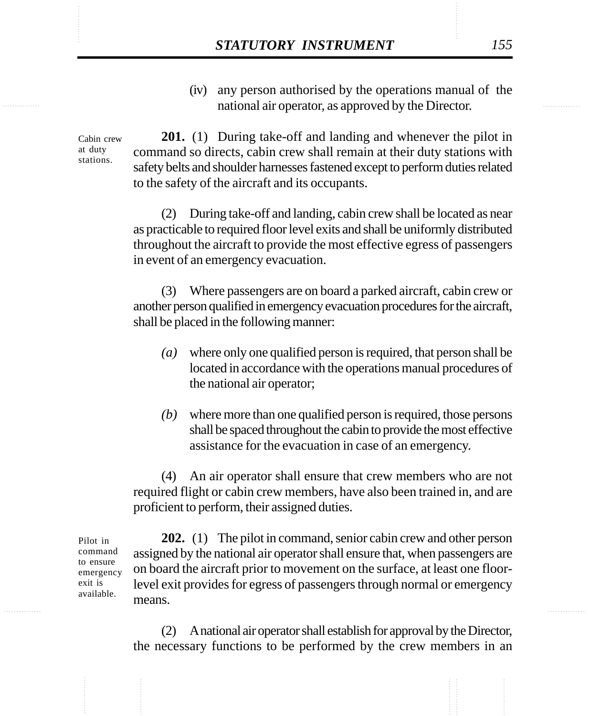**STATUTORY INSTRUMENT** 155<br>(iv) any person authorised by the operations manual of the national air operator. as approved by the Director. (iv) any person authorised by the operations manual of the national air operator, as approved by the Director.

> Cabin crew at duty stations.

**201.** (1) During take-off and landing and whenever the pilot in command so directs, cabin crew shall remain at their duty stations with safety belts and shoulder harnesses fastened except to perform duties related to the safety of the aircraft and its occupants.

(2) During take-off and landing, cabin crew shall be located as near as practicable to required floor level exits and shall be uniformly distributed throughout the aircraft to provide the most effective egress of passengers in event of an emergency evacuation.

(3) Where passengers are on board a parked aircraft, cabin crew or another person qualified in emergency evacuation procedures for the aircraft, shall be placed in the following manner:

- *(a)* where only one qualified person is required, that person shall be located in accordance with the operations manual procedures of the national air operator;
- *(b)* where more than one qualified person is required, those persons shall be spaced throughout the cabin to provide the most effective assistance for the evacuation in case of an emergency.

(4) An air operator shall ensure that crew members who are not required flight or cabin crew members, have also been trained in, and are proficient to perform, their assigned duties.

Pilot in command to ensure emergency exit is available.

**202.** (1) The pilot in command, senior cabin crew and other person assigned by the national air operator shall ensure that, when passengers are on board the aircraft prior to movement on the surface, at least one floorlevel exit provides for egress of passengers through normal or emergency means.

(2) A national air operator shall establish for approval by the Director, the necessary functions to be performed by the crew members in an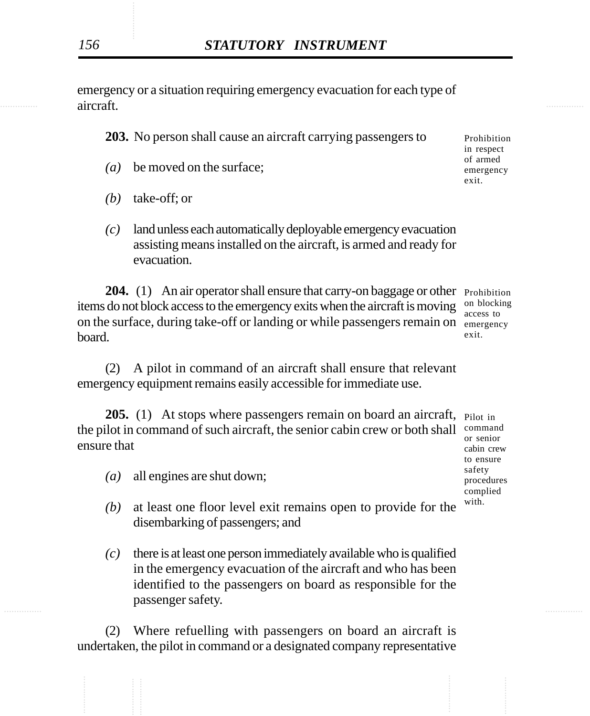**aircraft. aircraft**. emergency or a situation requiring emergency evacuation for each type of aircraft.

**203.** No person shall cause an aircraft carrying passengers to

- *(a)* be moved on the surface;
- *(b)* take-off; or
- *(c)* land unless each automatically deployable emergency evacuation assisting means installed on the aircraft, is armed and ready for evacuation.

204. (1) An air operator shall ensure that carry-on baggage or other Prohibition items do not block access to the emergency exits when the aircraft is moving on blocking on the surface, during take-off or landing or while passengers remain on emergency board.

(2) A pilot in command of an aircraft shall ensure that relevant emergency equipment remains easily accessible for immediate use.

**205.** (1) At stops where passengers remain on board an aircraft, Pilot in the pilot in command of such aircraft, the senior cabin crew or both shall command ensure that

- *(a)* all engines are shut down;
- *(b)* at least one floor level exit remains open to provide for the disembarking of passengers; and
- ............... ............... *(c)* there is at least one person immediately available who is qualified in the emergency evacuation of the aircraft and who has been identified to the passengers on board as responsible for the passenger safety.

(2) Where refuelling with passengers on board an aircraft is undertaken, the pilot in command or a designated company representative

Prohibition in respect of armed emergency exit.

access to exit.

or senior cabin crew to ensure safety procedures complied with.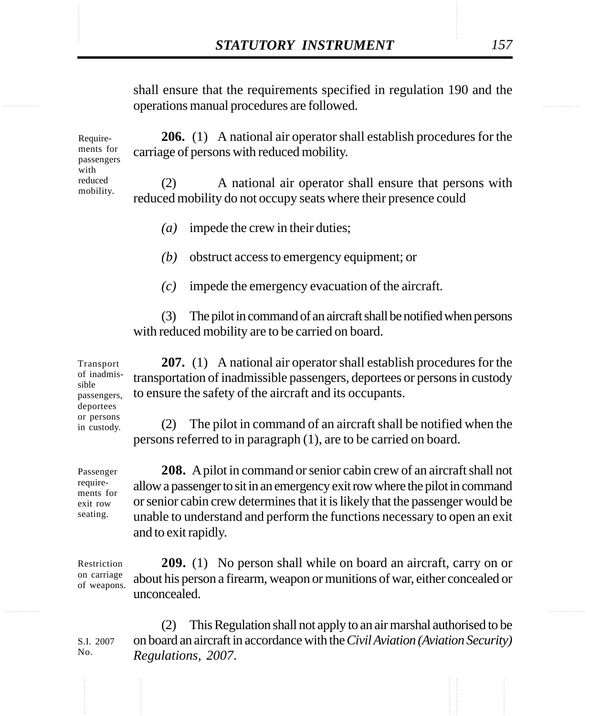**STATUTORY INSTRUMENT** 157<br>
shall ensure that the requirements specified in regulation 190 and the<br>
operations manual procedures are followed. shall ensure that the requirements specified in regulation 190 and the operations manual procedures are followed.

> **206.** (1) A national air operator shall establish procedures for the carriage of persons with reduced mobility. Requirements for passengers

with reduced mobility.

(2) A national air operator shall ensure that persons with reduced mobility do not occupy seats where their presence could

- *(a)* impede the crew in their duties;
- *(b)* obstruct access to emergency equipment; or
- *(c)* impede the emergency evacuation of the aircraft.

(3) The pilot in command of an aircraft shall be notified when persons with reduced mobility are to be carried on board.

**207.** (1) A national air operator shall establish procedures for the transportation of inadmissible passengers, deportees or persons in custody to ensure the safety of the aircraft and its occupants.

(2) The pilot in command of an aircraft shall be notified when the persons referred to in paragraph (1), are to be carried on board.

Passenger requirements for exit row seating.

S.I. 2007 No.

**208.** A pilot in command or senior cabin crew of an aircraft shall not allow a passenger to sit in an emergency exit row where the pilot in command or senior cabin crew determines that it is likely that the passenger would be unable to understand and perform the functions necessary to open an exit and to exit rapidly.

**209.** (1) No person shall while on board an aircraft, carry on or about his person a firearm, weapon or munitions of war, either concealed or unconcealed. Restriction on carriage of weapons.

(2) This Regulation shall not apply to an air marshal authorised to be on board an aircraft in accordance with the *Civil Aviation (Aviation Security) Regulations, 2007*.

Transport of inadmissible passengers, deportees or persons in custody.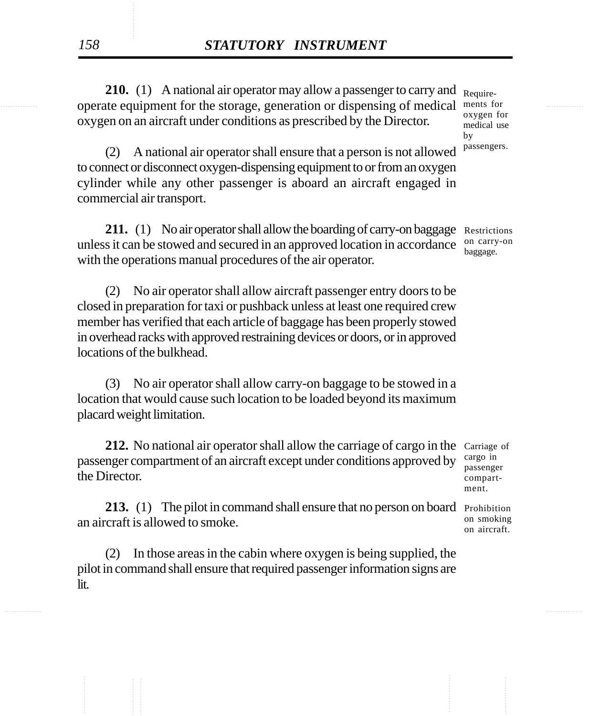operate equipment for the storage, generation or dispensing of medical ments for methods operate equipment for **210.** (1) A national air operator may allow a passenger to carry and Requireoxygen on an aircraft under conditions as prescribed by the Director.

oxygen for medical use by passengers.

(2) A national air operator shall ensure that a person is not allowed to connect or disconnect oxygen-dispensing equipment to or from an oxygen cylinder while any other passenger is aboard an aircraft engaged in commercial air transport.

211. (1) No air operator shall allow the boarding of carry-on baggage Restrictions unless it can be stowed and secured in an approved location in accordance with the operations manual procedures of the air operator.

(2) No air operator shall allow aircraft passenger entry doors to be closed in preparation for taxi or pushback unless at least one required crew member has verified that each article of baggage has been properly stowed in overhead racks with approved restraining devices or doors, or in approved locations of the bulkhead.

(3) No air operator shall allow carry-on baggage to be stowed in a location that would cause such location to be loaded beyond its maximum placard weight limitation.

212. No national air operator shall allow the carriage of cargo in the Carriage of passenger compartment of an aircraft except under conditions approved by the Director.

213. (1) The pilot in command shall ensure that no person on board Prohibition an aircraft is allowed to smoke.

(2) In those areas in the cabin where oxygen is being supplied, the pilot in command shall ensure that required passenger information signs are lit.

on carry-on baggage.

cargo in passenger compartment.

on smoking on aircraft.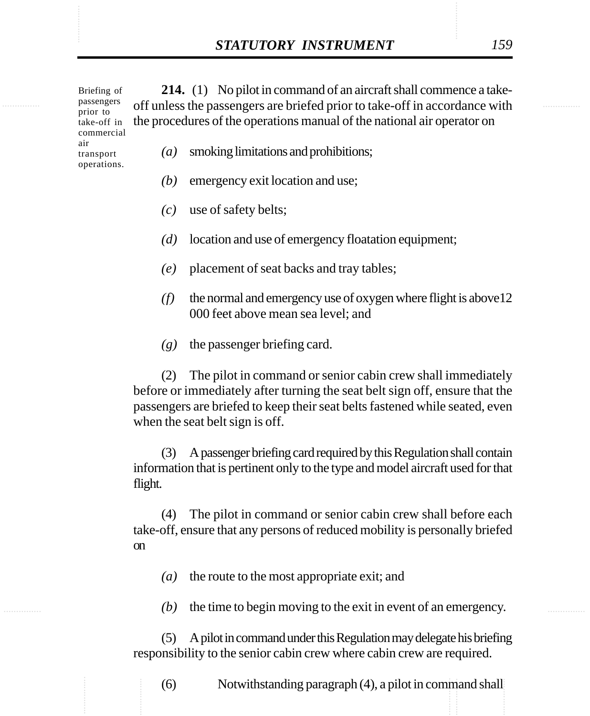**STATUTORY INSTRUMENT** 159<br>
Briefing of 214. (1) No pilot in command of an aircraft shall commence a take-<br>
passengers off unless the passengers are briefed prior to take-off in accordance with **214.** (1) No pilot in command of an aircraft shall commence a takeoff unless the passengers are briefed prior to take-off in accordance with the procedures of the operations manual of the national air operator on Briefing of passengers prior to take-off in commercial

> air transport operations.

- *(a)* smoking limitations and prohibitions;
- *(b)* emergency exit location and use;
- *(c)* use of safety belts;
- *(d)* location and use of emergency floatation equipment;
- *(e)* placement of seat backs and tray tables;
- *(f)* the normal and emergency use of oxygen where flight is above12 000 feet above mean sea level; and
- *(g)* the passenger briefing card.

(2) The pilot in command or senior cabin crew shall immediately before or immediately after turning the seat belt sign off, ensure that the passengers are briefed to keep their seat belts fastened while seated, even when the seat belt sign is off.

(3) A passenger briefing card required by this Regulation shall contain information that is pertinent only to the type and model aircraft used for that flight.

(4) The pilot in command or senior cabin crew shall before each take-off, ensure that any persons of reduced mobility is personally briefed on

*(a)* the route to the most appropriate exit; and

*(b)* the time to begin moving to the exit in event of an emergency.

(5) A pilot in command under this Regulation may delegate his briefing responsibility to the senior cabin crew where cabin crew are required.

............... ............... (6) Notwithstanding paragraph (4), a pilot in command shall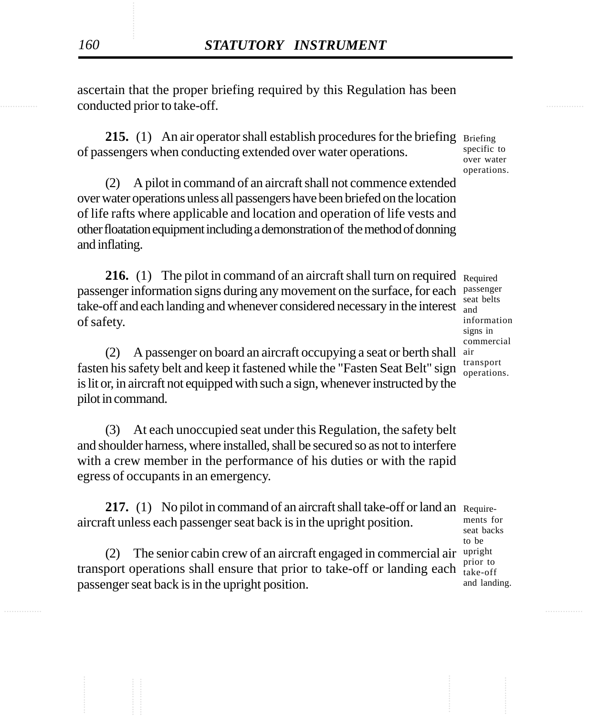conducted prior to take-off. **Example 20** and the conducted prior to take-off. ascertain that the proper briefing required by this Regulation has been

> **215.** (1) An air operator shall establish procedures for the briefing Briefing of passengers when conducting extended over water operations.

(2) A pilot in command of an aircraft shall not commence extended over water operations unless all passengers have been briefed on the location of life rafts where applicable and location and operation of life vests and other floatation equipment including a demonstration of the method of donning and inflating.

**216.** (1) The pilot in command of an aircraft shall turn on required Required passenger information signs during any movement on the surface, for each passenger take-off and each landing and whenever considered necessary in the interest and of safety.

(2) A passenger on board an aircraft occupying a seat or berth shall air fasten his safety belt and keep it fastened while the "Fasten Seat Belt" sign is lit or, in aircraft not equipped with such a sign, whenever instructed by the pilot in command.

(3) At each unoccupied seat under this Regulation, the safety belt and shoulder harness, where installed, shall be secured so as not to interfere with a crew member in the performance of his duties or with the rapid egress of occupants in an emergency.

**217.** (1) No pilot in command of an aircraft shall take-off or land an Requireaircraft unless each passenger seat back is in the upright position.

(2) The senior cabin crew of an aircraft engaged in commercial air transport operations shall ensure that prior to take-off or landing each passenger seat back is in the upright position.

seat belts information signs in commercial transport operations.

specific to over water operations.

ments for seat backs to be upright prior to take-off and landing.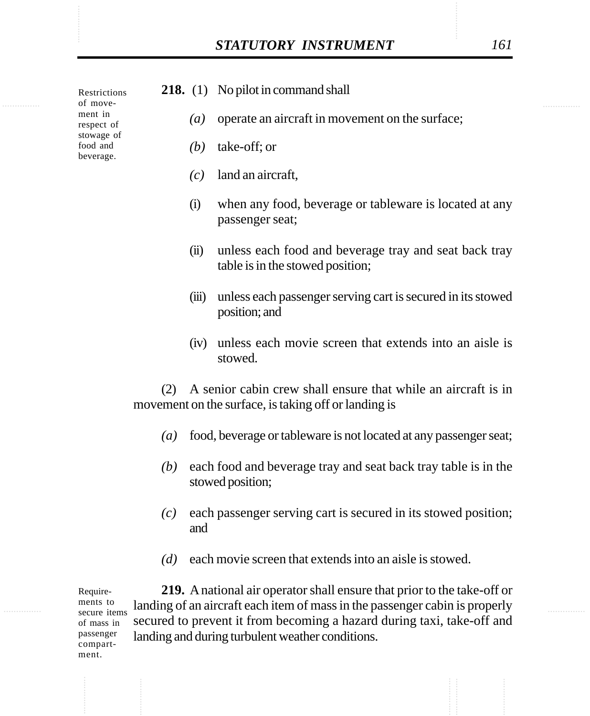ment.

|                                                                                          |                  |                  | <b>STATUTORY INSTRUMENT</b>                                                                                           | 161 |
|------------------------------------------------------------------------------------------|------------------|------------------|-----------------------------------------------------------------------------------------------------------------------|-----|
| Restrictions<br>of move-<br>ment in<br>respect of<br>stowage of<br>food and<br>beverage. |                  |                  | 218. (1) No pilot in command shall                                                                                    |     |
|                                                                                          |                  | $\left(a\right)$ | operate an aircraft in movement on the surface;                                                                       |     |
|                                                                                          |                  | (b)              | take-off; or                                                                                                          |     |
|                                                                                          |                  | (c)              | land an aircraft,                                                                                                     |     |
|                                                                                          | (i)              |                  | when any food, beverage or tableware is located at any<br>passenger seat;                                             |     |
|                                                                                          |                  | (ii)             | unless each food and beverage tray and seat back tray<br>table is in the stowed position;                             |     |
|                                                                                          |                  | (iii)            | unless each passenger serving cart is secured in its stowed<br>position; and                                          |     |
|                                                                                          |                  | (iv)             | unless each movie screen that extends into an aisle is<br>stowed.                                                     |     |
|                                                                                          | (2)              |                  | A senior cabin crew shall ensure that while an aircraft is in<br>movement on the surface, is taking off or landing is |     |
|                                                                                          | $\left(a\right)$ |                  | food, beverage or tableware is not located at any passenger seat;                                                     |     |
|                                                                                          | (b)              |                  | each food and beverage tray and seat back tray table is in the<br>stowed position;                                    |     |
|                                                                                          | (c)              | and              | each passenger serving cart is secured in its stowed position;                                                        |     |
|                                                                                          | (d)              |                  | each movie screen that extends into an aisle is stowed.                                                               |     |

**219.** A national air operator shall ensure that prior to the take-off or landing of an aircraft each item of mass in the passenger cabin is properly secured to prevent it from becoming a hazard during taxi, take-off and landing and during turbulent weather conditions. Requirements to secure items of mass in passenger compart-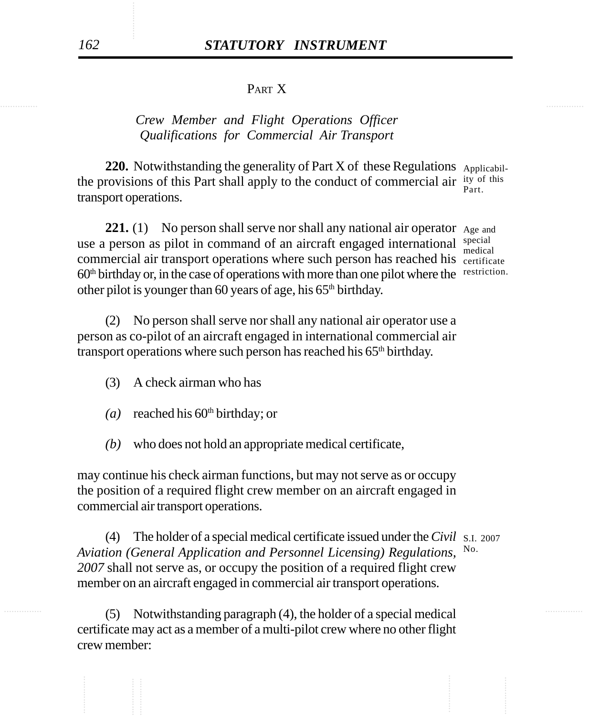## PART X

## *Crew Member and Flight Operations Officer Qualifications for Commercial Air Transport*

220. Notwithstanding the generality of Part X of these Regulations Applicabilthe provisions of this Part shall apply to the conduct of commercial air  $\frac{$ ity of this transport operations. Part.

221. (1) No person shall serve nor shall any national air operator Age and use a person as pilot in command of an aircraft engaged international special commercial air transport operations where such person has reached his certificate 60<sup>th</sup> birthday or, in the case of operations with more than one pilot where the restriction. other pilot is younger than 60 years of age, his  $65<sup>th</sup>$  birthday.

medical

(2) No person shall serve nor shall any national air operator use a person as co-pilot of an aircraft engaged in international commercial air transport operations where such person has reached his 65<sup>th</sup> birthday.

- (3) A check airman who has
- $(a)$  reached his 60<sup>th</sup> birthday; or
- *(b)* who does not hold an appropriate medical certificate,

may continue his check airman functions, but may not serve as or occupy the position of a required flight crew member on an aircraft engaged in commercial air transport operations.

(4) The holder of a special medical certificate issued under the *Civil* S.I. 2007 *Aviation (General Application and Personnel Licensing) Regulations, 2007* shall not serve as, or occupy the position of a required flight crew member on an aircraft engaged in commercial air transport operations. No.

............... ............... (5) Notwithstanding paragraph (4), the holder of a special medical certificate may act as a member of a multi-pilot crew where no other flight crew member: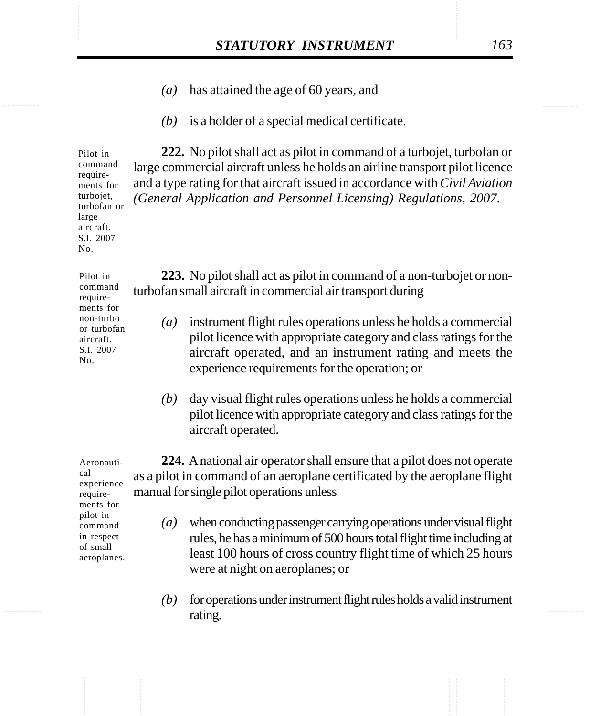- STATUTORY INSTRUMENT 163<br>(a) has attained the age of 60 years, and *(a)* has attained the age of 60 years, and
	- *(b)* is a holder of a special medical certificate.

**222.** No pilot shall act as pilot in command of a turbojet, turbofan or large commercial aircraft unless he holds an airline transport pilot licence and a type rating for that aircraft issued in accordance with *Civil Aviation (General Application and Personnel Licensing) Regulations, 2007*.

**223.** No pilot shall act as pilot in command of a non-turbojet or nonturbofan small aircraft in commercial air transport during

- *(a)* instrument flight rules operations unless he holds a commercial pilot licence with appropriate category and class ratings for the aircraft operated, and an instrument rating and meets the experience requirements for the operation; or
	- *(b)* day visual flight rules operations unless he holds a commercial pilot licence with appropriate category and class ratings for the aircraft operated.

**224.** A national air operator shall ensure that a pilot does not operate as a pilot in command of an aeroplane certificated by the aeroplane flight manual for single pilot operations unless

- *(a)* when conducting passenger carrying operations under visual flight rules, he has a minimum of 500 hours total flight time including at least 100 hours of cross country flight time of which 25 hours were at night on aeroplanes; or
	- *(b)* for operations under instrument flight rules holds a valid instrument rating.

Aeronautical experience requirements for pilot in command in respect of small aeroplanes.

Pilot in command requirements for turbojet, turbofan or large aircraft. S.I. 2007 No.

Pilot in command requirements for non-turbo or turbofan aircraft. S.I. 2007 No.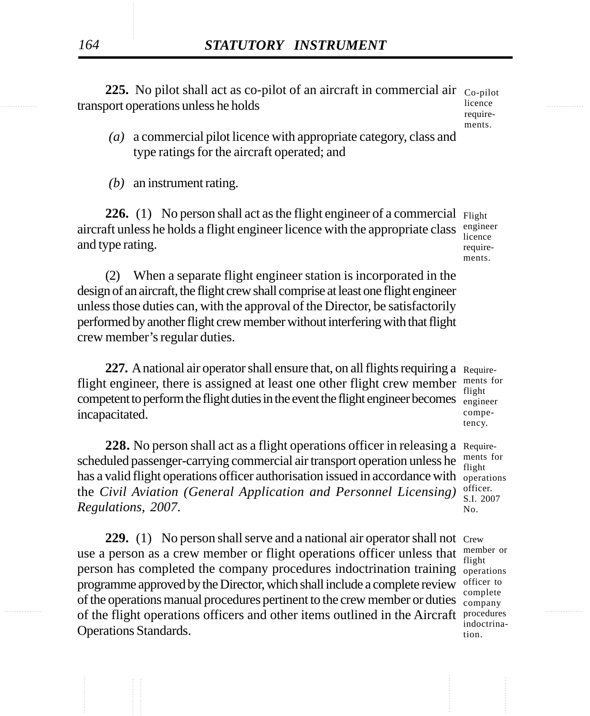transport operations unless he holds and the set of the set of the set of the set of the set of the set of the set of the set of the set of the set of the set of the set of the set of the set of the set of the set of the s 225. No pilot shall act as co-pilot of an aircraft in commercial air c<sub>o-pilot</sub> licence

requirements.

*(a)* a commercial pilot licence with appropriate category, class and type ratings for the aircraft operated; and

*(b)* an instrument rating.

**226.** (1) No person shall act as the flight engineer of a commercial Flight aircraft unless he holds a flight engineer licence with the appropriate class and type rating. engineer licence requirements.

(2) When a separate flight engineer station is incorporated in the design of an aircraft, the flight crew shall comprise at least one flight engineer unless those duties can, with the approval of the Director, be satisfactorily performed by another flight crew member without interfering with that flight crew member's regular duties.

227. A national air operator shall ensure that, on all flights requiring a Requireflight engineer, there is assigned at least one other flight crew member competent to perform the flight duties in the event the flight engineer becomes  $\frac{mg_{\text{in}}}{mg_{\text{in}}}}$ incapacitated.

228. No person shall act as a flight operations officer in releasing a Requirescheduled passenger-carrying commercial air transport operation unless he has a valid flight operations officer authorisation issued in accordance with operations the *Civil Aviation (General Application and Personnel Licensing) Regulations, 2007*.

of the flight operations officers and other items outlined in the Aircraft procedures 229. (1) No person shall serve and a national air operator shall not Crew use a person as a crew member or flight operations officer unless that person has completed the company procedures indoctrination training operations programme approved by the Director, which shall include a complete review of the operations manual procedures pertinent to the crew member or duties Operations Standards.

ments for flight competency.

ments for flight officer. S.I. 2007 No.

member or flight officer to complete company indoctrination.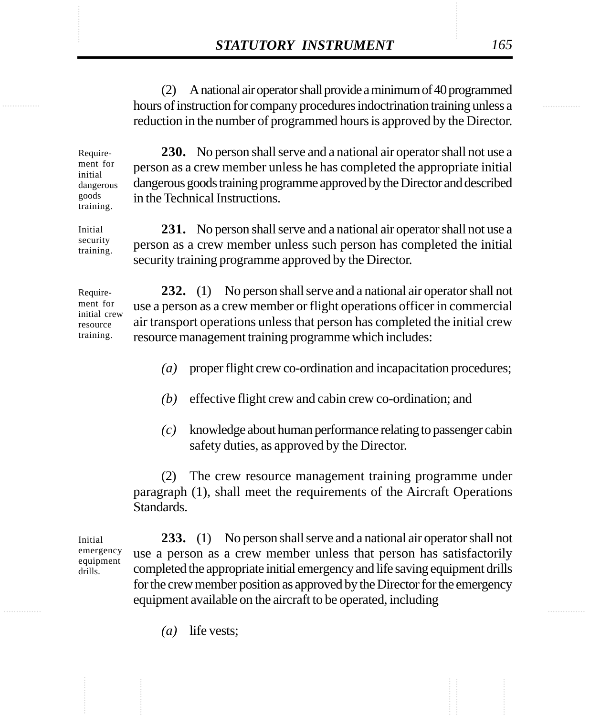**STATUTORY INSTRUMENT** 165<br>
(2) A national air operator shall provide a minimum of 40 programmed<br>
hours of instruction for company procedures indoctrination training unless a (2) A national air operator shall provide a minimum of 40 programmed hours of instruction for company procedures indoctrination training unless a reduction in the number of programmed hours is approved by the Director.

> Requirement for initial dangerous goods training.

**230.** No person shall serve and a national air operator shall not use a person as a crew member unless he has completed the appropriate initial dangerous goods training programme approved by the Director and described in the Technical Instructions.

**231.** No person shall serve and a national air operator shall not use a person as a crew member unless such person has completed the initial security training programme approved by the Director. Initial security training.

**232.** (1) No person shall serve and a national air operator shall not use a person as a crew member or flight operations officer in commercial air transport operations unless that person has completed the initial crew resource management training programme which includes: Requirement for initial crew resource training.

- *(a)* proper flight crew co-ordination and incapacitation procedures;
- *(b)* effective flight crew and cabin crew co-ordination; and
- *(c)* knowledge about human performance relating to passenger cabin safety duties, as approved by the Director.

(2) The crew resource management training programme under paragraph (1), shall meet the requirements of the Aircraft Operations Standards.

Initial emergency equipment drills.

**233.** (1) No person shall serve and a national air operator shall not use a person as a crew member unless that person has satisfactorily completed the appropriate initial emergency and life saving equipment drills for the crew member position as approved by the Director for the emergency equipment available on the aircraft to be operated, including

*(a)* life vests;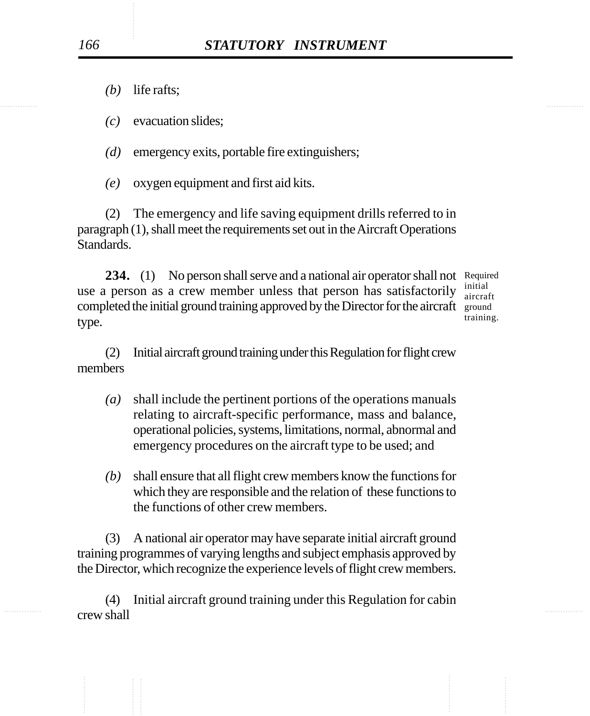*(b)* life rafts;

*(c)* evacuation slides;

*(d)* emergency exits, portable fire extinguishers;

*(e)* oxygen equipment and first aid kits.

(2) The emergency and life saving equipment drills referred to in paragraph (1), shall meet the requirements set out in the Aircraft Operations Standards.

234. (1) No person shall serve and a national air operator shall not Required use a person as a crew member unless that person has satisfactorily completed the initial ground training approved by the Director for the aircraft ground type. initial

aircraft training.

(2) Initial aircraft ground training under this Regulation for flight crew members

- *(a)* shall include the pertinent portions of the operations manuals relating to aircraft-specific performance, mass and balance, operational policies, systems, limitations, normal, abnormal and emergency procedures on the aircraft type to be used; and
- *(b)* shall ensure that all flight crew members know the functions for which they are responsible and the relation of these functions to the functions of other crew members.

(3) A national air operator may have separate initial aircraft ground training programmes of varying lengths and subject emphasis approved by the Director, which recognize the experience levels of flight crew members.

............... ............... (4) Initial aircraft ground training under this Regulation for cabin crew shall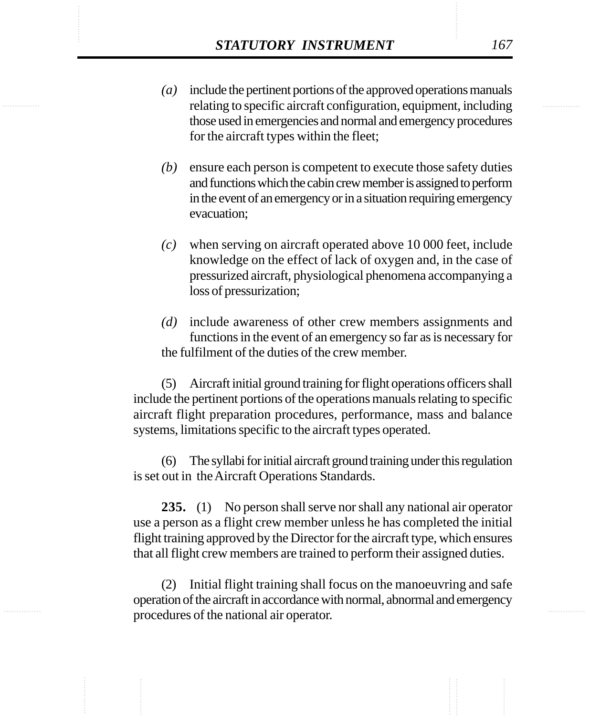- *STATUTORY INSTRUMENT* 167<br>
(a) include the pertinent portions of the approved operations manuals<br>
relating to specific aircraft configuration, equipment, including *(a)* include the pertinent portions of the approved operations manuals relating to specific aircraft configuration, equipment, including those used in emergencies and normal and emergency procedures for the aircraft types within the fleet;
	- *(b)* ensure each person is competent to execute those safety duties and functions which the cabin crew member is assigned to perform in the event of an emergency or in a situation requiring emergency evacuation;
	- *(c)* when serving on aircraft operated above 10 000 feet, include knowledge on the effect of lack of oxygen and, in the case of pressurized aircraft, physiological phenomena accompanying a loss of pressurization;
	- *(d)* include awareness of other crew members assignments and functions in the event of an emergency so far as is necessary for the fulfilment of the duties of the crew member.

(5) Aircraft initial ground training for flight operations officers shall include the pertinent portions of the operations manuals relating to specific aircraft flight preparation procedures, performance, mass and balance systems, limitations specific to the aircraft types operated.

(6) The syllabi for initial aircraft ground training under this regulation is set out in the Aircraft Operations Standards.

**235.** (1) No person shall serve nor shall any national air operator use a person as a flight crew member unless he has completed the initial flight training approved by the Director for the aircraft type, which ensures that all flight crew members are trained to perform their assigned duties.

(2) Initial flight training shall focus on the manoeuvring and safe operation of the aircraft in accordance with normal, abnormal and emergency procedures of the national air operator.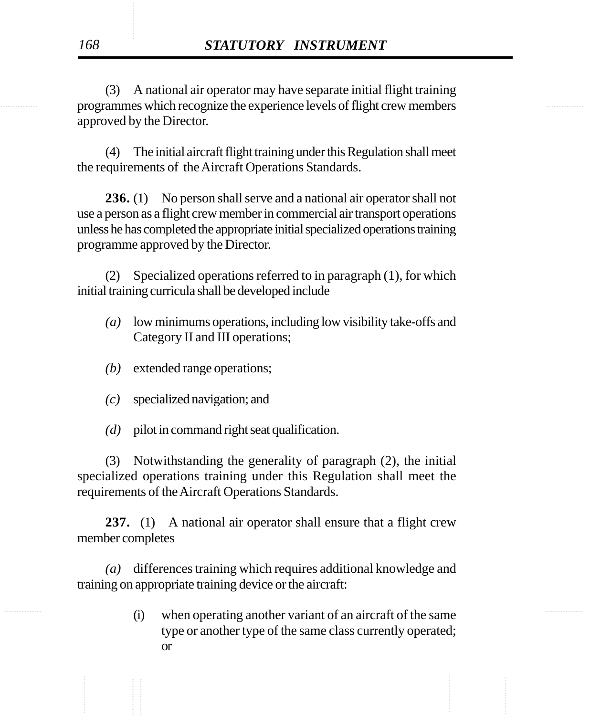**Expansion Programmes which recognize the experience levels of flight crew members** (3) A national air operator may have separate initial flight training approved by the Director.

> (4) The initial aircraft flight training under this Regulation shall meet the requirements of the Aircraft Operations Standards.

> **236.** (1) No person shall serve and a national air operator shall not use a person as a flight crew member in commercial air transport operations unless he has completed the appropriate initial specialized operations training programme approved by the Director.

> (2) Specialized operations referred to in paragraph (1), for which initial training curricula shall be developed include

- *(a)* low minimums operations, including low visibility take-offs and Category II and III operations;
- *(b)* extended range operations;
- *(c)* specialized navigation; and
- *(d)* pilot in command right seat qualification.

(3) Notwithstanding the generality of paragraph (2), the initial specialized operations training under this Regulation shall meet the requirements of the Aircraft Operations Standards.

**237.** (1) A national air operator shall ensure that a flight crew member completes

*(a)* differences training which requires additional knowledge and training on appropriate training device or the aircraft:

............... ............... (i) when operating another variant of an aircraft of the same type or another type of the same class currently operated; or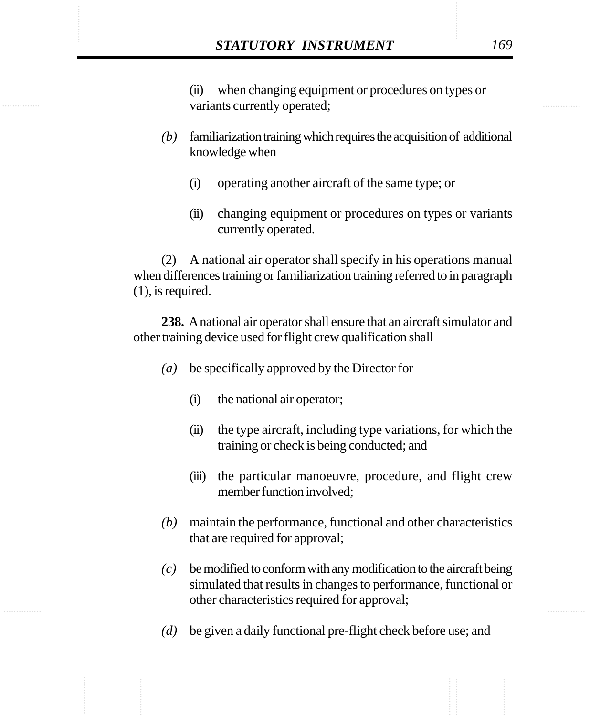**STATUTORY INSTRUMENT** 169<br>
(ii) when changing equipment or procedures on types or<br>
variants currently operated: (ii) when changing equipment or procedures on types or variants currently operated;

- *(b)* familiarization training which requires the acquisition of additional knowledge when
	- (i) operating another aircraft of the same type; or
	- (ii) changing equipment or procedures on types or variants currently operated.

(2) A national air operator shall specify in his operations manual when differences training or familiarization training referred to in paragraph (1), is required.

**238.** A national air operator shall ensure that an aircraft simulator and other training device used for flight crew qualification shall

- *(a)* be specifically approved by the Director for
	- (i) the national air operator;
	- (ii) the type aircraft, including type variations, for which the training or check is being conducted; and
	- (iii) the particular manoeuvre, procedure, and flight crew member function involved;
- *(b)* maintain the performance, functional and other characteristics that are required for approval;
- *(c)* be modified to conform with any modification to the aircraft being simulated that results in changes to performance, functional or other characteristics required for approval;
- *(d)* be given a daily functional pre-flight check before use; and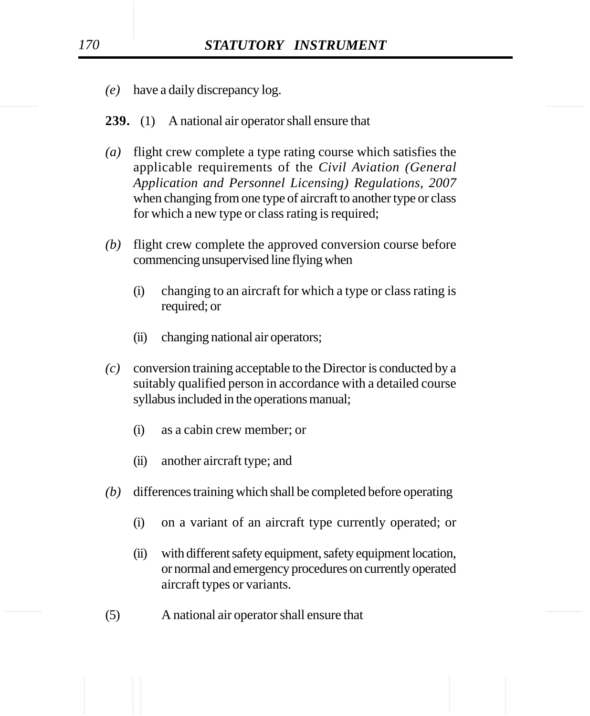- *(e)* have a daily discrepancy log.
- **239.** (1) A national air operator shall ensure that
- *(a)* flight crew complete a type rating course which satisfies the applicable requirements of the *Civil Aviation (General Application and Personnel Licensing) Regulations, 2007* when changing from one type of aircraft to another type or class for which a new type or class rating is required;
- *(b)* flight crew complete the approved conversion course before commencing unsupervised line flying when
	- (i) changing to an aircraft for which a type or class rating is required; or
	- (ii) changing national air operators;
- *(c)* conversion training acceptable to the Director is conducted by a suitably qualified person in accordance with a detailed course syllabus included in the operations manual;
	- (i) as a cabin crew member; or
	- (ii) another aircraft type; and
- *(b)* differences training which shall be completed before operating
	- (i) on a variant of an aircraft type currently operated; or
	- (ii) with different safety equipment, safety equipment location, or normal and emergency procedures on currently operated aircraft types or variants.
- ............... ............... (5) A national air operator shall ensure that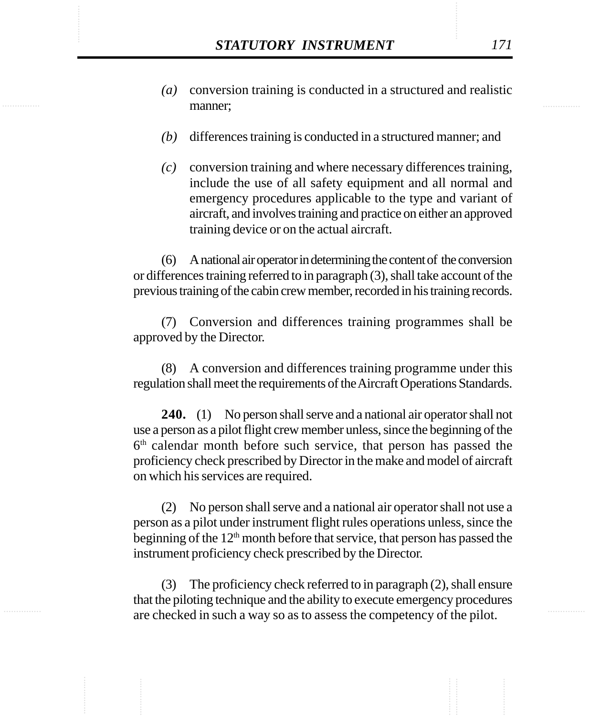- **STATUTORY INSTRUMENT** 171<br>(a) conversion training is conducted in a structured and realistic manner: *(a)* conversion training is conducted in a structured and realistic manner;
	- *(b)* differences training is conducted in a structured manner; and
	- *(c)* conversion training and where necessary differences training, include the use of all safety equipment and all normal and emergency procedures applicable to the type and variant of aircraft, and involves training and practice on either an approved training device or on the actual aircraft.

(6) A national air operator in determining the content of the conversion or differences training referred to in paragraph (3), shall take account of the previous training of the cabin crew member, recorded in his training records.

(7) Conversion and differences training programmes shall be approved by the Director.

(8) A conversion and differences training programme under this regulation shall meet the requirements of the Aircraft Operations Standards.

**240.** (1) No person shall serve and a national air operator shall not use a person as a pilot flight crew member unless, since the beginning of the  $6<sup>th</sup>$  calendar month before such service, that person has passed the proficiency check prescribed by Director in the make and model of aircraft on which his services are required.

(2) No person shall serve and a national air operator shall not use a person as a pilot under instrument flight rules operations unless, since the beginning of the 12<sup>th</sup> month before that service, that person has passed the instrument proficiency check prescribed by the Director.

(3) The proficiency check referred to in paragraph (2), shall ensure that the piloting technique and the ability to execute emergency procedures are checked in such a way so as to assess the competency of the pilot.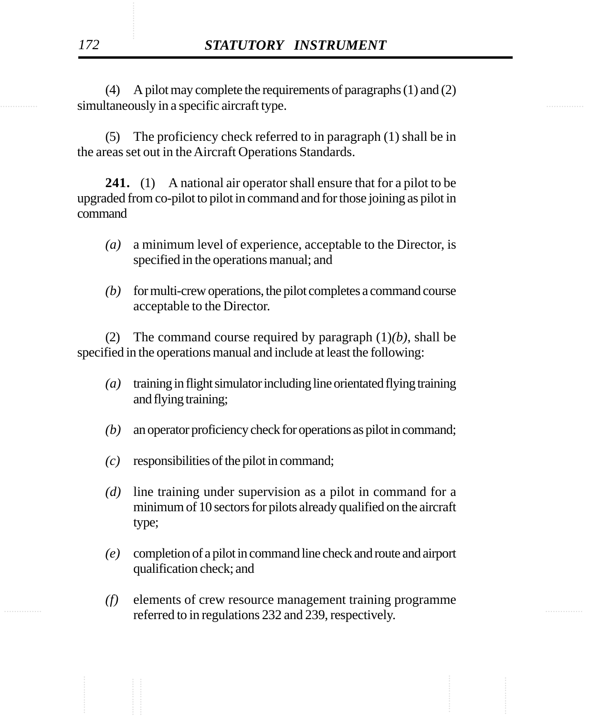simultaneously in a specific aircraft type. (4) A pilot may complete the requirements of paragraphs (1) and (2)

> (5) The proficiency check referred to in paragraph (1) shall be in the areas set out in the Aircraft Operations Standards.

> **241.** (1) A national air operator shall ensure that for a pilot to be upgraded from co-pilot to pilot in command and for those joining as pilot in command

- *(a)* a minimum level of experience, acceptable to the Director, is specified in the operations manual; and
- *(b)* for multi-crew operations, the pilot completes a command course acceptable to the Director.

(2) The command course required by paragraph (1)*(b)*, shall be specified in the operations manual and include at least the following:

- *(a)* training in flight simulator including line orientated flying training and flying training;
- *(b)* an operator proficiency check for operations as pilot in command;
- *(c)* responsibilities of the pilot in command;
- *(d)* line training under supervision as a pilot in command for a minimum of 10 sectors for pilots already qualified on the aircraft type;
- *(e)* completion of a pilot in command line check and route and airport qualification check; and
- $\frac{1}{2}$  referred to in regulations 232 and 239, respectively. *(f)* elements of crew resource management training programme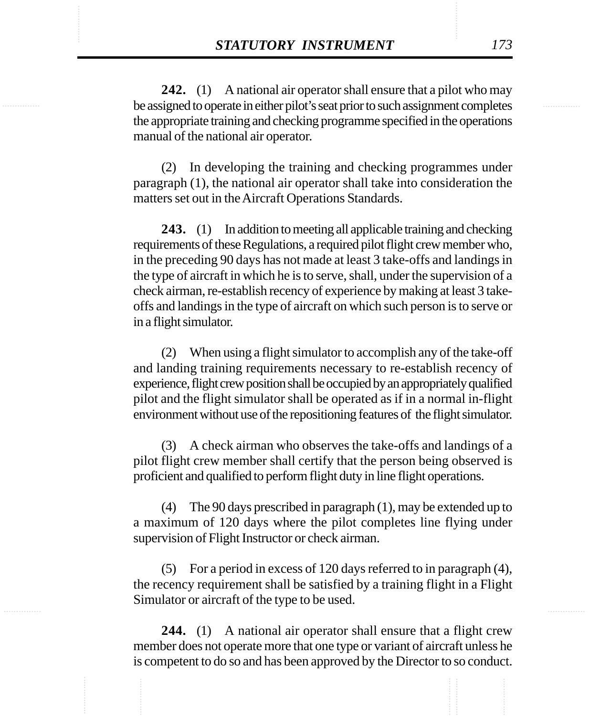**STATUTORY INSTRUMENT** 173<br>242. (1) A national air operator shall ensure that a pilot who may<br>be assigned to operate in either pilot's seat prior to such assignment completes **242.** (1) A national air operator shall ensure that a pilot who may be assigned to operate in either pilot's seat prior to such assignment completes the appropriate training and checking programme specified in the operations manual of the national air operator.

> (2) In developing the training and checking programmes under paragraph (1), the national air operator shall take into consideration the matters set out in the Aircraft Operations Standards.

> **243.** (1) In addition to meeting all applicable training and checking requirements of these Regulations, a required pilot flight crew member who, in the preceding 90 days has not made at least 3 take-offs and landings in the type of aircraft in which he is to serve, shall, under the supervision of a check airman, re-establish recency of experience by making at least 3 takeoffs and landings in the type of aircraft on which such person is to serve or in a flight simulator.

> (2) When using a flight simulator to accomplish any of the take-off and landing training requirements necessary to re-establish recency of experience, flight crew position shall be occupied by an appropriately qualified pilot and the flight simulator shall be operated as if in a normal in-flight environment without use of the repositioning features of the flight simulator.

> (3) A check airman who observes the take-offs and landings of a pilot flight crew member shall certify that the person being observed is proficient and qualified to perform flight duty in line flight operations.

> (4) The 90 days prescribed in paragraph (1), may be extended up to a maximum of 120 days where the pilot completes line flying under supervision of Flight Instructor or check airman.

> (5) For a period in excess of 120 days referred to in paragraph (4), the recency requirement shall be satisfied by a training flight in a Flight Simulator or aircraft of the type to be used.

> **244.** (1) A national air operator shall ensure that a flight crew member does not operate more that one type or variant of aircraft unless he is competent to do so and has been approved by the Director to so conduct.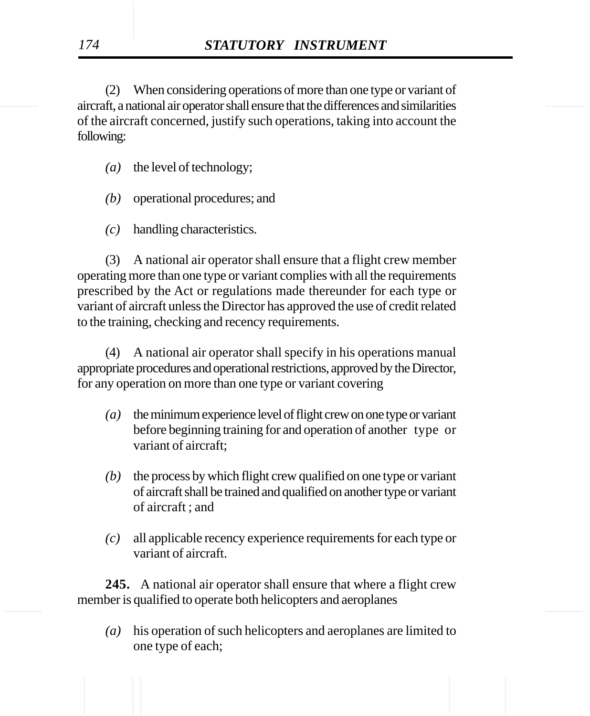............... ............... aircraft, a national air operator shall ensure that the differences and similarities (2) When considering operations of more than one type or variant of of the aircraft concerned, justify such operations, taking into account the following:

- *(a)* the level of technology;
- *(b)* operational procedures; and
- *(c)* handling characteristics.

(3) A national air operator shall ensure that a flight crew member operating more than one type or variant complies with all the requirements prescribed by the Act or regulations made thereunder for each type or variant of aircraft unless the Director has approved the use of credit related to the training, checking and recency requirements.

(4) A national air operator shall specify in his operations manual appropriate procedures and operational restrictions, approved by the Director, for any operation on more than one type or variant covering

- *(a)* the minimum experience level of flight crew on one type or variant before beginning training for and operation of another type or variant of aircraft;
- *(b)* the process by which flight crew qualified on one type or variant of aircraft shall be trained and qualified on another type or variant of aircraft ; and
- *(c)* all applicable recency experience requirements for each type or variant of aircraft.

............... ............... **245.** A national air operator shall ensure that where a flight crew member is qualified to operate both helicopters and aeroplanes

> *(a)* his operation of such helicopters and aeroplanes are limited to one type of each;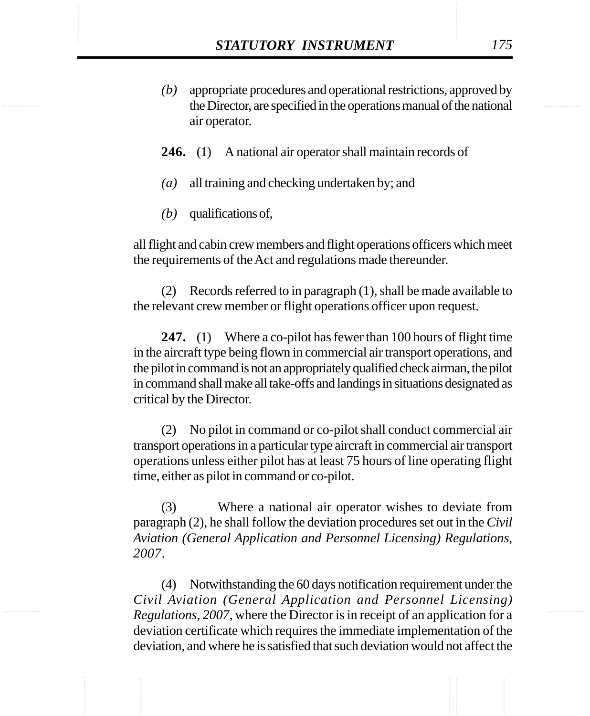- STATUTORY INSTRUMENT 175<br>
(b) appropriate procedures and operational restrictions, approved by the Director. are specified in the operations manual of the national *(b)* appropriate procedures and operational restrictions, approved by the Director, are specified in the operations manual of the national air operator.
	- **246.** (1) A national air operator shall maintain records of
	- *(a)* all training and checking undertaken by; and
	- *(b)* qualifications of,

all flight and cabin crew members and flight operations officers which meet the requirements of the Act and regulations made thereunder.

(2) Records referred to in paragraph (1), shall be made available to the relevant crew member or flight operations officer upon request.

**247.** (1) Where a co-pilot has fewer than 100 hours of flight time in the aircraft type being flown in commercial air transport operations, and the pilot in command is not an appropriately qualified check airman, the pilot in command shall make all take-offs and landings in situations designated as critical by the Director.

(2) No pilot in command or co-pilot shall conduct commercial air transport operations in a particular type aircraft in commercial air transport operations unless either pilot has at least 75 hours of line operating flight time, either as pilot in command or co-pilot.

(3) Where a national air operator wishes to deviate from paragraph (2), he shall follow the deviation procedures set out in the *Civil Aviation (General Application and Personnel Licensing) Regulations, 2007*.

(4) Notwithstanding the 60 days notification requirement under the *Civil Aviation (General Application and Personnel Licensing) Regulations, 2007*, where the Director is in receipt of an application for a deviation certificate which requires the immediate implementation of the deviation, and where he is satisfied that such deviation would not affect the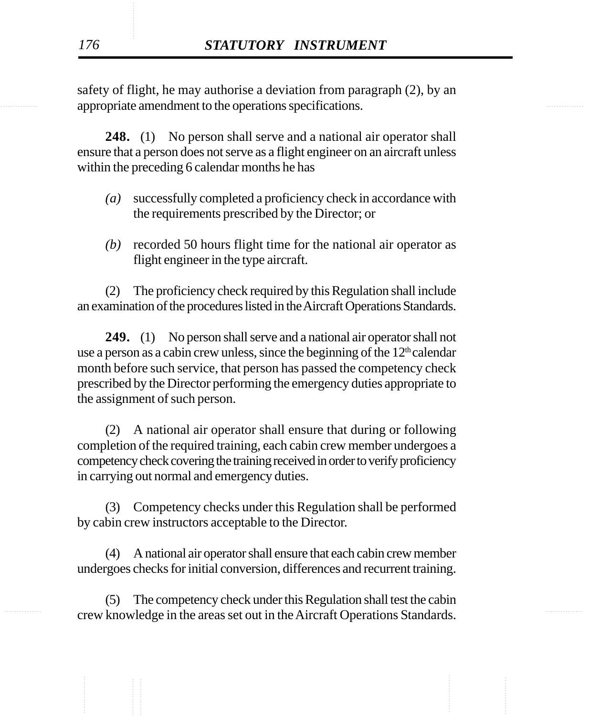experience appropriate amendment to the operations specifications. safety of flight, he may authorise a deviation from paragraph (2), by an

> **248.** (1) No person shall serve and a national air operator shall ensure that a person does not serve as a flight engineer on an aircraft unless within the preceding 6 calendar months he has

- *(a)* successfully completed a proficiency check in accordance with the requirements prescribed by the Director; or
- *(b)* recorded 50 hours flight time for the national air operator as flight engineer in the type aircraft.

(2) The proficiency check required by this Regulation shall include an examination of the procedures listed in the Aircraft Operations Standards.

**249.** (1) No person shall serve and a national air operator shall not use a person as a cabin crew unless, since the beginning of the  $12<sup>th</sup>$  calendar month before such service, that person has passed the competency check prescribed by the Director performing the emergency duties appropriate to the assignment of such person.

(2) A national air operator shall ensure that during or following completion of the required training, each cabin crew member undergoes a competency check covering the training received in order to verify proficiency in carrying out normal and emergency duties.

(3) Competency checks under this Regulation shall be performed by cabin crew instructors acceptable to the Director.

(4) A national air operator shall ensure that each cabin crew member undergoes checks for initial conversion, differences and recurrent training.

............... ............... crew knowledge in the areas set out in the Aircraft Operations Standards.(5) The competency check under this Regulation shall test the cabin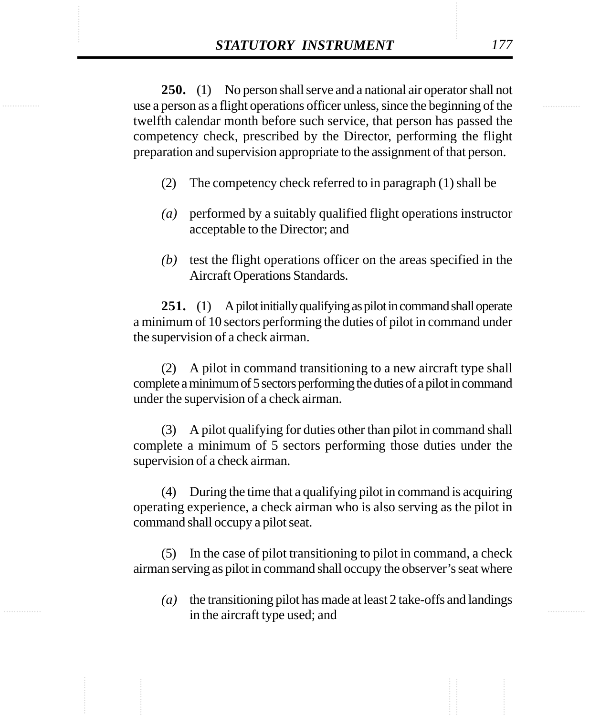**STATUTORY INSTRUMENT** 177<br>250. (1) No person shall serve and a national air operator shall not<br>use a person as a flight operations officer unless, since the beginning of the **250.** (1) No person shall serve and a national air operator shall not use a person as a flight operations officer unless, since the beginning of the twelfth calendar month before such service, that person has passed the competency check, prescribed by the Director, performing the flight preparation and supervision appropriate to the assignment of that person.

- (2) The competency check referred to in paragraph (1) shall be
- *(a)* performed by a suitably qualified flight operations instructor acceptable to the Director; and
- *(b)* test the flight operations officer on the areas specified in the Aircraft Operations Standards.

**251.** (1) A pilot initially qualifying as pilot in command shall operate a minimum of 10 sectors performing the duties of pilot in command under the supervision of a check airman.

(2) A pilot in command transitioning to a new aircraft type shall complete a minimum of 5 sectors performing the duties of a pilot in command under the supervision of a check airman.

(3) A pilot qualifying for duties other than pilot in command shall complete a minimum of 5 sectors performing those duties under the supervision of a check airman.

(4) During the time that a qualifying pilot in command is acquiring operating experience, a check airman who is also serving as the pilot in command shall occupy a pilot seat.

(5) In the case of pilot transitioning to pilot in command, a check airman serving as pilot in command shall occupy the observer's seat where

*(a)* the transitioning pilot has made at least 2 take-offs and landings in the aircraft type used; and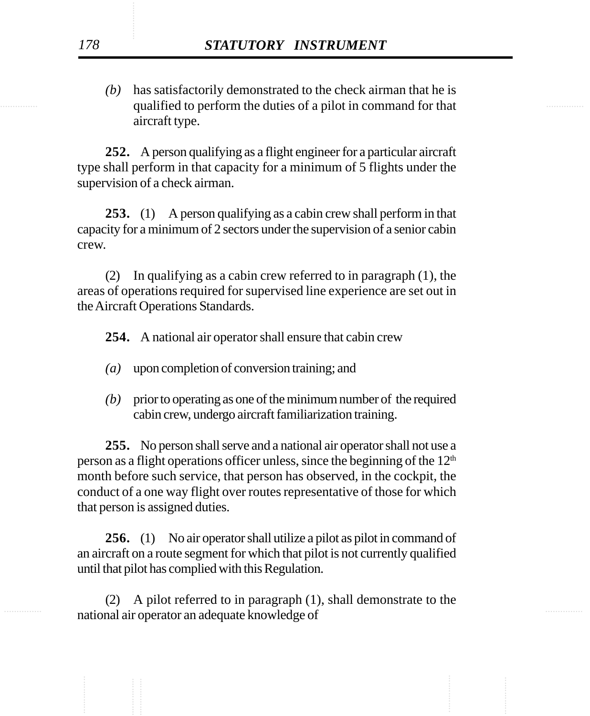qualified to perform the duties of a pilot in command for that *(b)* has satisfactorily demonstrated to the check airman that he is aircraft type.

> **252.** A person qualifying as a flight engineer for a particular aircraft type shall perform in that capacity for a minimum of 5 flights under the supervision of a check airman.

> **253.** (1) A person qualifying as a cabin crew shall perform in that capacity for a minimum of 2 sectors under the supervision of a senior cabin crew.

> (2) In qualifying as a cabin crew referred to in paragraph (1), the areas of operations required for supervised line experience are set out in the Aircraft Operations Standards.

**254.** A national air operator shall ensure that cabin crew

- *(a)* upon completion of conversion training; and
- *(b)* prior to operating as one of the minimum number of the required cabin crew, undergo aircraft familiarization training.

**255.** No person shall serve and a national air operator shall not use a person as a flight operations officer unless, since the beginning of the  $12<sup>th</sup>$ month before such service, that person has observed, in the cockpit, the conduct of a one way flight over routes representative of those for which that person is assigned duties.

**256.** (1) No air operator shall utilize a pilot as pilot in command of an aircraft on a route segment for which that pilot is not currently qualified until that pilot has complied with this Regulation.

national air operator an adequate knowledge of (2) A pilot referred to in paragraph (1), shall demonstrate to the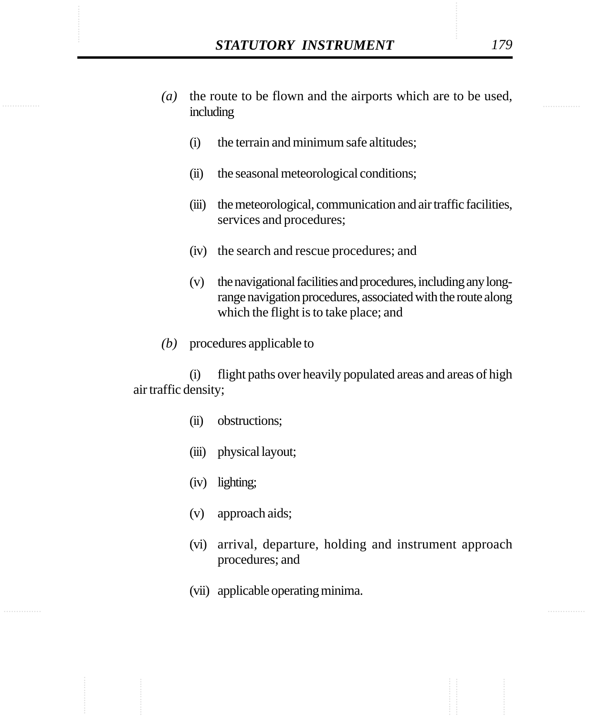- STATUTORY INSTRUMENT 179<br>
(a) the route to be flown and the airports which are to be used, *(a)* the route to be flown and the airports which are to be used, including
	- (i) the terrain and minimum safe altitudes;
	- (ii) the seasonal meteorological conditions;
	- (iii) the meteorological, communication and air traffic facilities, services and procedures;
	- (iv) the search and rescue procedures; and
	- (v) the navigational facilities and procedures, including any longrange navigation procedures, associated with the route along which the flight is to take place; and
	- *(b)* procedures applicable to

(i) flight paths over heavily populated areas and areas of high air traffic density;

- (ii) obstructions;
- (iii) physical layout;
- (iv) lighting;
- (v) approach aids;
- (vi) arrival, departure, holding and instrument approach procedures; and
- (vii) applicable operating minima.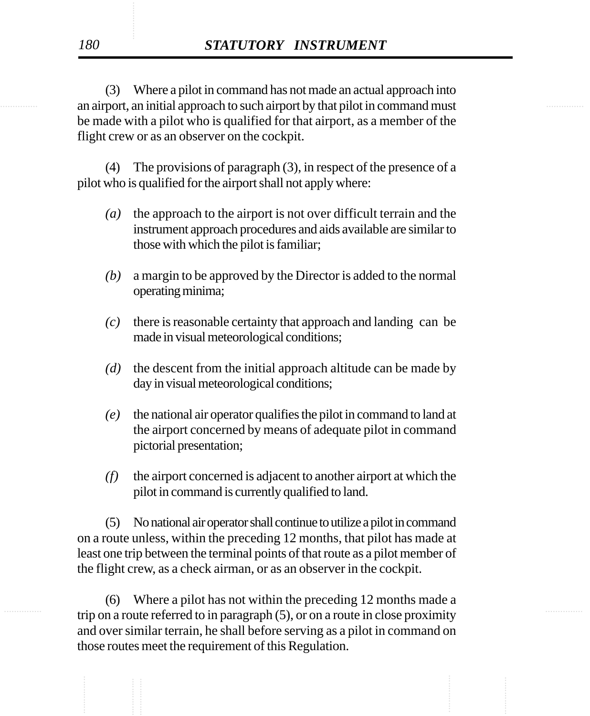an airport, an initial approach to such airport by that pilot in command must (3) Where a pilot in command has not made an actual approach into be made with a pilot who is qualified for that airport, as a member of the flight crew or as an observer on the cockpit.

> (4) The provisions of paragraph (3), in respect of the presence of a pilot who is qualified for the airport shall not apply where:

- *(a)* the approach to the airport is not over difficult terrain and the instrument approach procedures and aids available are similar to those with which the pilot is familiar;
- *(b)* a margin to be approved by the Director is added to the normal operating minima;
- *(c)* there is reasonable certainty that approach and landing can be made in visual meteorological conditions;
- *(d)* the descent from the initial approach altitude can be made by day in visual meteorological conditions;
- *(e)* the national air operator qualifies the pilot in command to land at the airport concerned by means of adequate pilot in command pictorial presentation;
- *(f)* the airport concerned is adjacent to another airport at which the pilot in command is currently qualified to land.

(5) No national air operator shall continue to utilize a pilot in command on a route unless, within the preceding 12 months, that pilot has made at least one trip between the terminal points of that route as a pilot member of the flight crew, as a check airman, or as an observer in the cockpit.

trip on a route referred to in paragraph (5), or on a route in close proximity (6) Where a pilot has not within the preceding 12 months made a and over similar terrain, he shall before serving as a pilot in command on those routes meet the requirement of this Regulation.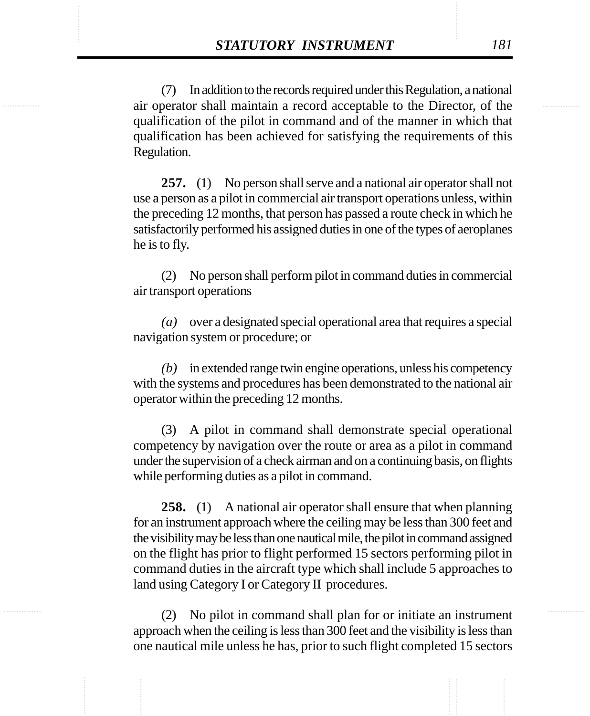**STATUTORY INSTRUMENT** 181<br>
(7) In addition to the records required under this Regulation, a national<br>
air operator shall maintain a record acceptable to the Director. of the (7) In addition to the records required under this Regulation, a national air operator shall maintain a record acceptable to the Director, of the qualification of the pilot in command and of the manner in which that qualification has been achieved for satisfying the requirements of this Regulation.

> **257.** (1) No person shall serve and a national air operator shall not use a person as a pilot in commercial air transport operations unless, within the preceding 12 months, that person has passed a route check in which he satisfactorily performed his assigned duties in one of the types of aeroplanes he is to fly.

> (2) No person shall perform pilot in command duties in commercial air transport operations

> *(a)* over a designated special operational area that requires a special navigation system or procedure; or

> *(b)* in extended range twin engine operations, unless his competency with the systems and procedures has been demonstrated to the national air operator within the preceding 12 months.

> (3) A pilot in command shall demonstrate special operational competency by navigation over the route or area as a pilot in command under the supervision of a check airman and on a continuing basis, on flights while performing duties as a pilot in command.

> **258.** (1) A national air operator shall ensure that when planning for an instrument approach where the ceiling may be less than 300 feet and the visibility may be less than one nautical mile, the pilot in command assigned on the flight has prior to flight performed 15 sectors performing pilot in command duties in the aircraft type which shall include 5 approaches to land using Category I or Category II procedures.

> (2) No pilot in command shall plan for or initiate an instrument approach when the ceiling is less than 300 feet and the visibility is less than one nautical mile unless he has, prior to such flight completed 15 sectors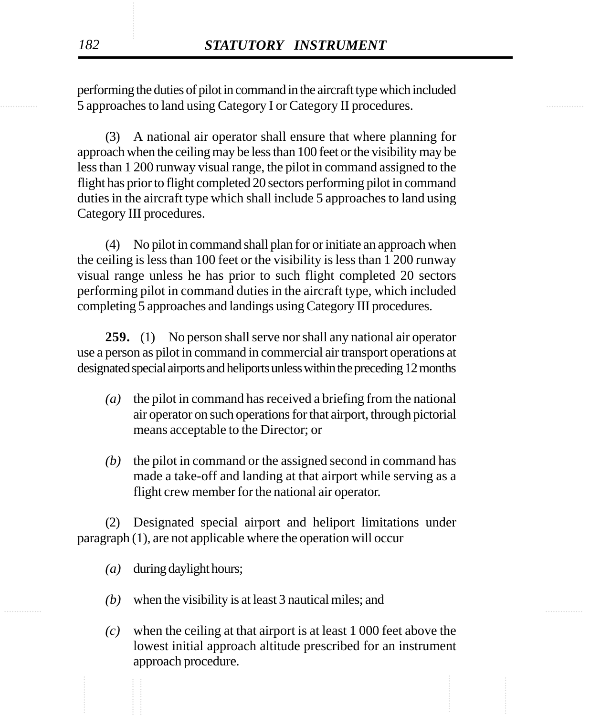............... ............... 5 approaches to land using Category I or Category II procedures. performing the duties of pilot in command in the aircraft type which included

> (3) A national air operator shall ensure that where planning for approach when the ceiling may be less than 100 feet or the visibility may be less than 1 200 runway visual range, the pilot in command assigned to the flight has prior to flight completed 20 sectors performing pilot in command duties in the aircraft type which shall include 5 approaches to land using Category III procedures.

> (4) No pilot in command shall plan for or initiate an approach when the ceiling is less than 100 feet or the visibility is less than 1 200 runway visual range unless he has prior to such flight completed 20 sectors performing pilot in command duties in the aircraft type, which included completing 5 approaches and landings using Category III procedures.

> **259.** (1) No person shall serve nor shall any national air operator use a person as pilot in command in commercial air transport operations at designated special airports and heliports unless within the preceding 12 months

- *(a)* the pilot in command has received a briefing from the national air operator on such operations for that airport, through pictorial means acceptable to the Director; or
- *(b)* the pilot in command or the assigned second in command has made a take-off and landing at that airport while serving as a flight crew member for the national air operator.

(2) Designated special airport and heliport limitations under paragraph (1), are not applicable where the operation will occur

- *(a)* during daylight hours;
- ............... ............... *(b)* when the visibility is at least 3 nautical miles; and
	- *(c)* when the ceiling at that airport is at least 1 000 feet above the lowest initial approach altitude prescribed for an instrument approach procedure.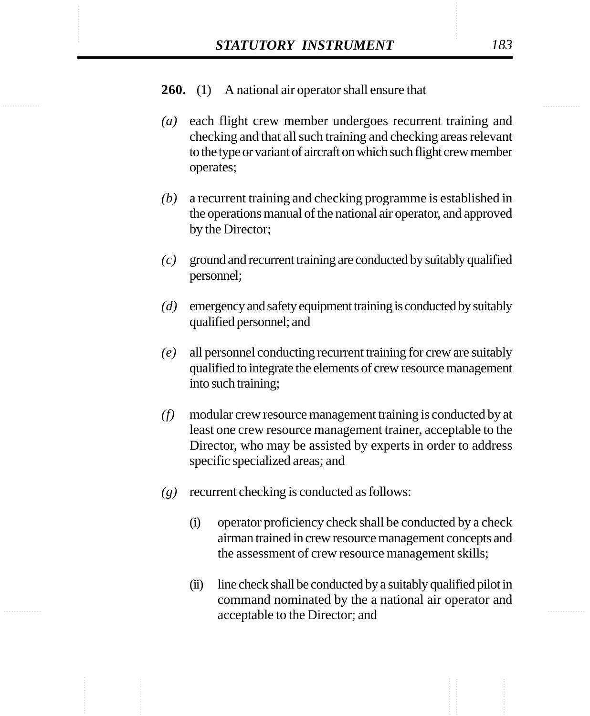- *(a)* each flight crew member undergoes recurrent training and checking and that all such training and checking areas relevant to the type or variant of aircraft on which such flight crew member operates;
- *(b)* a recurrent training and checking programme is established in the operations manual of the national air operator, and approved by the Director;
- *(c)* ground and recurrent training are conducted by suitably qualified personnel;
- *(d)* emergency and safety equipment training is conducted by suitably qualified personnel; and
- *(e)* all personnel conducting recurrent training for crew are suitably qualified to integrate the elements of crew resource management into such training;
- *(f)* modular crew resource management training is conducted by at least one crew resource management trainer, acceptable to the Director, who may be assisted by experts in order to address specific specialized areas; and
- *(g)* recurrent checking is conducted as follows:
	- (i) operator proficiency check shall be conducted by a check airman trained in crew resource management concepts and the assessment of crew resource management skills;
	- (ii) line check shall be conducted by a suitably qualified pilot in command nominated by the a national air operator and acceptable to the Director; and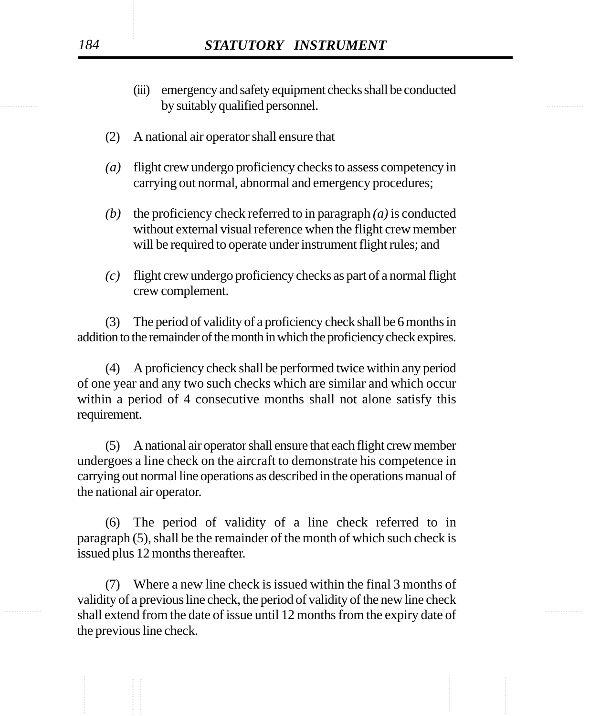- by suitably qualified personnel. (iii) emergency and safety equipment checks shall be conducted
	- (2) A national air operator shall ensure that
	- *(a)* flight crew undergo proficiency checks to assess competency in carrying out normal, abnormal and emergency procedures;
	- *(b)* the proficiency check referred to in paragraph *(a)* is conducted without external visual reference when the flight crew member will be required to operate under instrument flight rules; and
	- *(c)* flight crew undergo proficiency checks as part of a normal flight crew complement.

(3) The period of validity of a proficiency check shall be 6 months in addition to the remainder of the month in which the proficiency check expires.

(4) A proficiency check shall be performed twice within any period of one year and any two such checks which are similar and which occur within a period of 4 consecutive months shall not alone satisfy this requirement.

(5) A national air operator shall ensure that each flight crew member undergoes a line check on the aircraft to demonstrate his competence in carrying out normal line operations as described in the operations manual of the national air operator.

(6) The period of validity of a line check referred to in paragraph (5), shall be the remainder of the month of which such check is issued plus 12 months thereafter.

shall extend from the date of issue until 12 months from the expiry date of (7) Where a new line check is issued within the final 3 months of validity of a previous line check, the period of validity of the new line check the previous line check.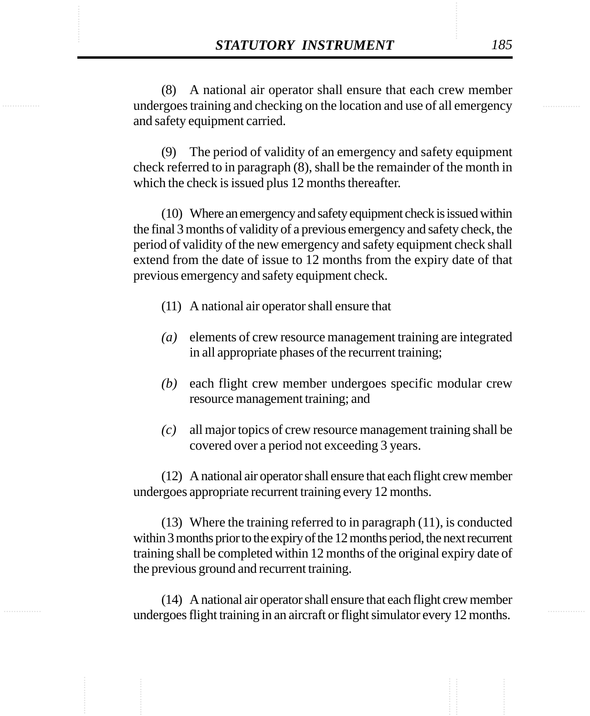**STATUTORY INSTRUMENT** 185<br>
(8) A national air operator shall ensure that each crew member<br>
undergoes training and checking on the location and use of all emergency (8) A national air operator shall ensure that each crew member undergoes training and checking on the location and use of all emergency and safety equipment carried.

> (9) The period of validity of an emergency and safety equipment check referred to in paragraph (8), shall be the remainder of the month in which the check is issued plus 12 months thereafter.

> (10) Where an emergency and safety equipment check is issued within the final 3 months of validity of a previous emergency and safety check, the period of validity of the new emergency and safety equipment check shall extend from the date of issue to 12 months from the expiry date of that previous emergency and safety equipment check.

- (11) A national air operator shall ensure that
- *(a)* elements of crew resource management training are integrated in all appropriate phases of the recurrent training;
- *(b)* each flight crew member undergoes specific modular crew resource management training; and
- *(c)* all major topics of crew resource management training shall be covered over a period not exceeding 3 years.

(12) A national air operator shall ensure that each flight crew member undergoes appropriate recurrent training every 12 months.

(13) Where the training referred to in paragraph (11), is conducted within 3 months prior to the expiry of the 12 months period, the next recurrent training shall be completed within 12 months of the original expiry date of the previous ground and recurrent training.

(14) A national air operator shall ensure that each flight crew member undergoes flight training in an aircraft or flight simulator every 12 months.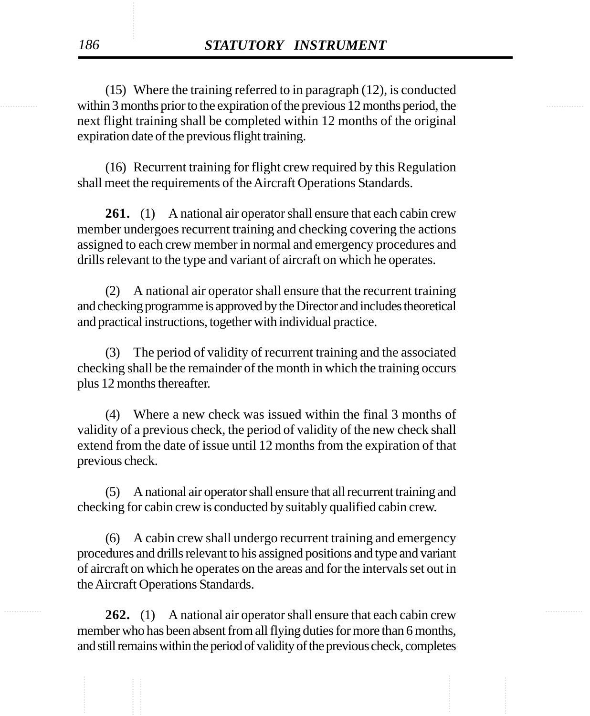within 3 months prior to the expiration of the previous 12 months period, the (15) Where the training referred to in paragraph (12), is conducted next flight training shall be completed within 12 months of the original expiration date of the previous flight training.

> (16) Recurrent training for flight crew required by this Regulation shall meet the requirements of the Aircraft Operations Standards.

> **261.** (1) A national air operator shall ensure that each cabin crew member undergoes recurrent training and checking covering the actions assigned to each crew member in normal and emergency procedures and drills relevant to the type and variant of aircraft on which he operates.

> (2) A national air operator shall ensure that the recurrent training and checking programme is approved by the Director and includes theoretical and practical instructions, together with individual practice.

> (3) The period of validity of recurrent training and the associated checking shall be the remainder of the month in which the training occurs plus 12 months thereafter.

> (4) Where a new check was issued within the final 3 months of validity of a previous check, the period of validity of the new check shall extend from the date of issue until 12 months from the expiration of that previous check.

> (5) A national air operator shall ensure that all recurrent training and checking for cabin crew is conducted by suitably qualified cabin crew.

> (6) A cabin crew shall undergo recurrent training and emergency procedures and drills relevant to his assigned positions and type and variant of aircraft on which he operates on the areas and for the intervals set out in the Aircraft Operations Standards.

262. (1) A national air operator shall ensure that each cabin crew member who has been absent from all flying duties for more than 6 months, and still remains within the period of validity of the previous check, completes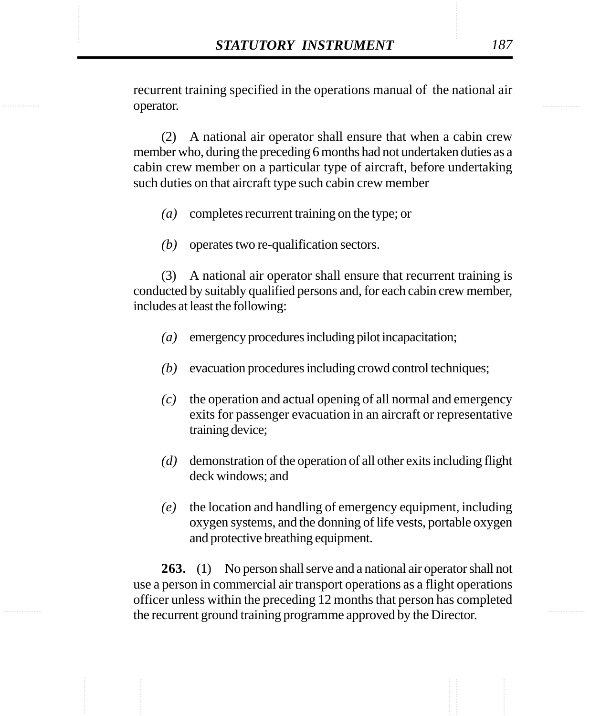**STATUTORY INSTRUMENT** 187<br>
recurrent training specified in the operations manual of the national air<br>
operator. recurrent training specified in the operations manual of the national air operator.

> (2) A national air operator shall ensure that when a cabin crew member who, during the preceding 6 months had not undertaken duties as a cabin crew member on a particular type of aircraft, before undertaking such duties on that aircraft type such cabin crew member

- *(a)* completes recurrent training on the type; or
- *(b)* operates two re-qualification sectors.

(3) A national air operator shall ensure that recurrent training is conducted by suitably qualified persons and, for each cabin crew member, includes at least the following:

- *(a)* emergency procedures including pilot incapacitation;
- *(b)* evacuation procedures including crowd control techniques;
- *(c)* the operation and actual opening of all normal and emergency exits for passenger evacuation in an aircraft or representative training device;
- *(d)* demonstration of the operation of all other exits including flight deck windows; and
- *(e)* the location and handling of emergency equipment, including oxygen systems, and the donning of life vests, portable oxygen and protective breathing equipment.

**263.** (1) No person shall serve and a national air operator shall not use a person in commercial air transport operations as a flight operations officer unless within the preceding 12 months that person has completed the recurrent ground training programme approved by the Director.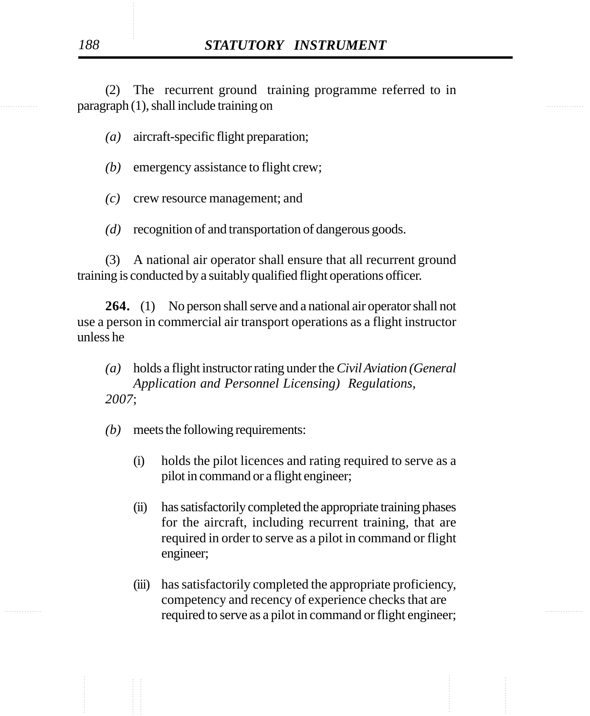example are paragraph (1), shall include training on the state of the state of the state of the state of the state of the state of the state of the state of the state of the state of the state of the state of the state of (2) The recurrent ground training programme referred to in

*(a)* aircraft-specific flight preparation;

- *(b)* emergency assistance to flight crew;
- *(c)* crew resource management; and
- *(d)* recognition of and transportation of dangerous goods.

(3) A national air operator shall ensure that all recurrent ground training is conducted by a suitably qualified flight operations officer.

**264.** (1) No person shall serve and a national air operator shall not use a person in commercial air transport operations as a flight instructor unless he

- *(a)* holds a flight instructor rating under the *Civil Aviation (General Application and Personnel Licensing) Regulations, 2007*;
- *(b)* meets the following requirements:
	- (i) holds the pilot licences and rating required to serve as a pilot in command or a flight engineer;
	- (ii) has satisfactorily completed the appropriate training phases for the aircraft, including recurrent training, that are required in order to serve as a pilot in command or flight engineer;
- ............... ............... required to serve as a pilot in command or flight engineer;(iii) has satisfactorily completed the appropriate proficiency, competency and recency of experience checks that are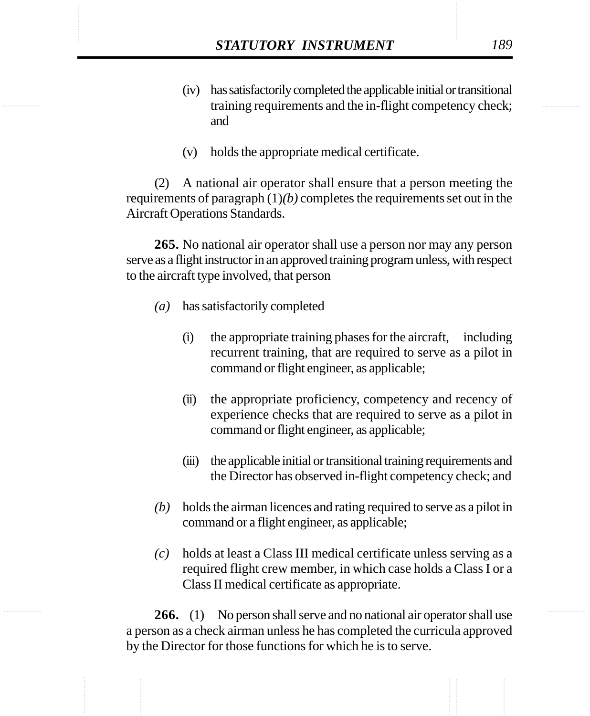- **STATUTORY INSTRUMENT** 189<br>(iv) has satisfactorily completed the applicable initial or transitional<br>training requirements and the in-flight competency check: (iv) has satisfactorily completed the applicable initial or transitional training requirements and the in-flight competency check; and
	- (v) holds the appropriate medical certificate.

(2) A national air operator shall ensure that a person meeting the requirements of paragraph (1)*(b)* completes the requirements set out in the Aircraft Operations Standards.

**265.** No national air operator shall use a person nor may any person serve as a flight instructor in an approved training program unless, with respect to the aircraft type involved, that person

- *(a)* has satisfactorily completed
	- (i) the appropriate training phases for the aircraft, including recurrent training, that are required to serve as a pilot in command or flight engineer, as applicable;
	- (ii) the appropriate proficiency, competency and recency of experience checks that are required to serve as a pilot in command or flight engineer, as applicable;
	- (iii) the applicable initial or transitional training requirements and the Director has observed in-flight competency check; and
- *(b)* holds the airman licences and rating required to serve as a pilot in command or a flight engineer, as applicable;
- *(c)* holds at least a Class III medical certificate unless serving as a required flight crew member, in which case holds a Class I or a Class II medical certificate as appropriate.

**266.** (1) No person shall serve and no national air operator shall use a person as a check airman unless he has completed the curricula approved by the Director for those functions for which he is to serve.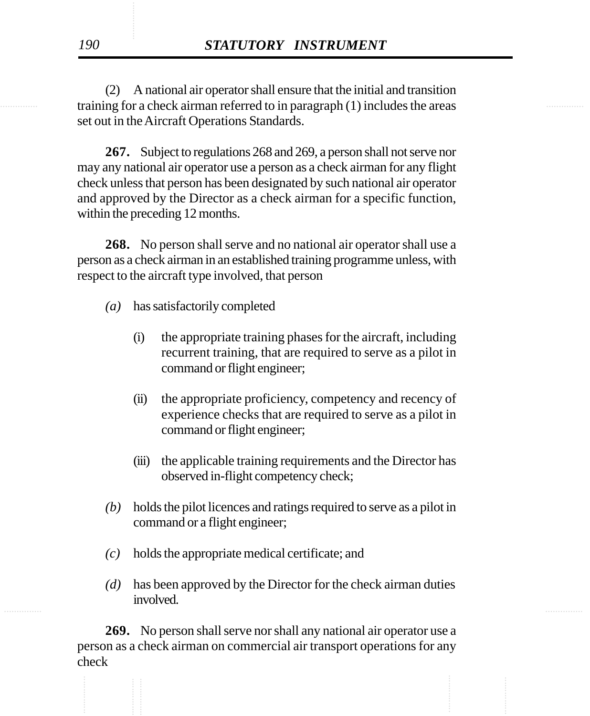training for a check airman referred to in paragraph (1) includes the areas (2) A national air operator shall ensure that the initial and transition set out in the Aircraft Operations Standards.

> **267.** Subject to regulations 268 and 269, a person shall not serve nor may any national air operator use a person as a check airman for any flight check unless that person has been designated by such national air operator and approved by the Director as a check airman for a specific function, within the preceding 12 months.

> **268.** No person shall serve and no national air operator shall use a person as a check airman in an established training programme unless, with respect to the aircraft type involved, that person

- *(a)* has satisfactorily completed
	- (i) the appropriate training phases for the aircraft, including recurrent training, that are required to serve as a pilot in command or flight engineer;
	- (ii) the appropriate proficiency, competency and recency of experience checks that are required to serve as a pilot in command or flight engineer;
	- (iii) the applicable training requirements and the Director has observed in-flight competency check;
- *(b)* holds the pilot licences and ratings required to serve as a pilot in command or a flight engineer;
- *(c)* holds the appropriate medical certificate; and
- *(d)* has been approved by the Director for the check airman duties involved.

**269.** No person shall serve nor shall any national air operator use a person as a check airman on commercial air transport operations for any check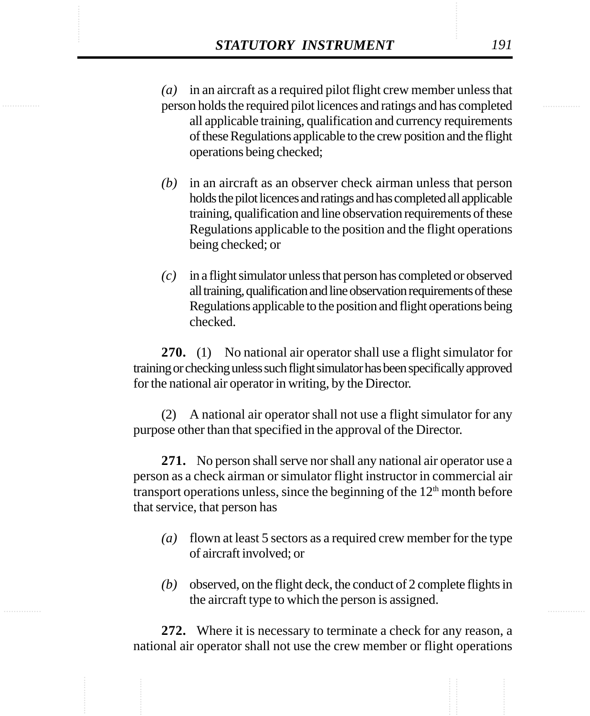**STATUTORY INSTRUMENT** 191<br>
(a) in an aircraft as a required pilot flight crew member unless that<br>
person holds the required pilot licences and ratings and has completed *(a)* in an aircraft as a required pilot flight crew member unless that person holds the required pilot licences and ratings and has completed all applicable training, qualification and currency requirements of these Regulations applicable to the crew position and the flight operations being checked;

- *(b)* in an aircraft as an observer check airman unless that person holds the pilot licences and ratings and has completed all applicable training, qualification and line observation requirements of these Regulations applicable to the position and the flight operations being checked; or
- *(c)* in a flight simulator unless that person has completed or observed all training, qualification and line observation requirements of these Regulations applicable to the position and flight operations being checked.

**270.** (1) No national air operator shall use a flight simulator for training or checking unless such flight simulator has been specifically approved for the national air operator in writing, by the Director.

(2) A national air operator shall not use a flight simulator for any purpose other than that specified in the approval of the Director.

**271.** No person shall serve nor shall any national air operator use a person as a check airman or simulator flight instructor in commercial air transport operations unless, since the beginning of the  $12<sup>th</sup>$  month before that service, that person has

- *(a)* flown at least 5 sectors as a required crew member for the type of aircraft involved; or
- *(b)* observed, on the flight deck, the conduct of 2 complete flights in the aircraft type to which the person is assigned.

**272.** Where it is necessary to terminate a check for any reason, a national air operator shall not use the crew member or flight operations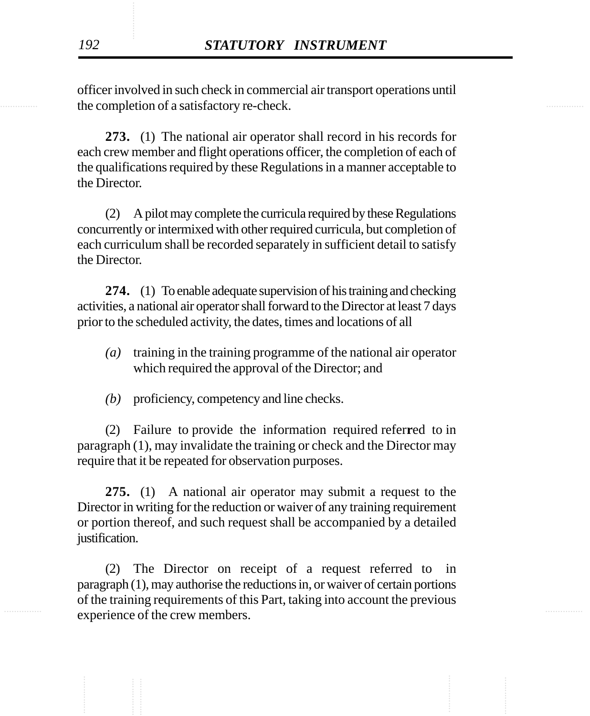the completion of a satisfactory re-check. officer involved in such check in commercial air transport operations until

> **273.** (1) The national air operator shall record in his records for each crew member and flight operations officer, the completion of each of the qualifications required by these Regulations in a manner acceptable to the Director.

> (2) A pilot may complete the curricula required by these Regulations concurrently or intermixed with other required curricula, but completion of each curriculum shall be recorded separately in sufficient detail to satisfy the Director.

> **274.** (1) To enable adequate supervision of his training and checking activities, a national air operator shall forward to the Director at least 7 days prior to the scheduled activity, the dates, times and locations of all

- *(a)* training in the training programme of the national air operator which required the approval of the Director; and
- *(b)* proficiency, competency and line checks.

(2) Failure to provide the information required refer**r**ed to in paragraph (1), may invalidate the training or check and the Director may require that it be repeated for observation purposes.

**275.** (1) A national air operator may submit a request to the Director in writing for the reduction or waiver of any training requirement or portion thereof, and such request shall be accompanied by a detailed justification.

experience of the crew members. (2) The Director on receipt of a request referred to in paragraph (1), may authorise the reductions in, or waiver of certain portions of the training requirements of this Part, taking into account the previous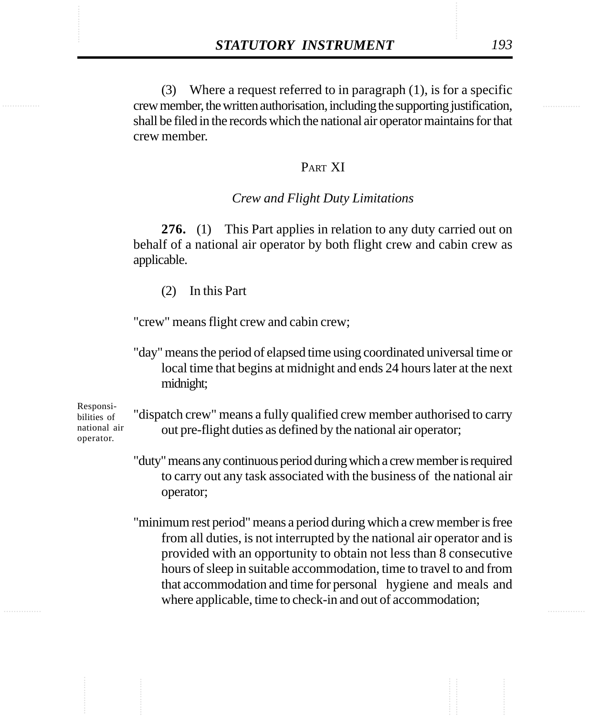**STATUTORY INSTRUMENT** 193<br>
(3) Where a request referred to in paragraph (1), is for a specific<br>
crew member. the written authorisation. including the supporting iustification. (3) Where a request referred to in paragraph (1), is for a specific crew member, the written authorisation, including the supporting justification, shall be filed in the records which the national air operator maintains for that crew member.

## PART XI

## *Crew and Flight Duty Limitations*

**276.** (1) This Part applies in relation to any duty carried out on behalf of a national air operator by both flight crew and cabin crew as applicable.

(2) In this Part

"crew" means flight crew and cabin crew;

"day" means the period of elapsed time using coordinated universal time or local time that begins at midnight and ends 24 hours later at the next midnight;

Responsibilities of national air operator.

"dispatch crew" means a fully qualified crew member authorised to carry out pre-flight duties as defined by the national air operator;

"duty" means any continuous period during which a crew member is required to carry out any task associated with the business of the national air operator;

"minimum rest period" means a period during which a crew member is free from all duties, is not interrupted by the national air operator and is provided with an opportunity to obtain not less than 8 consecutive hours of sleep in suitable accommodation, time to travel to and from that accommodation and time for personal hygiene and meals and where applicable, time to check-in and out of accommodation;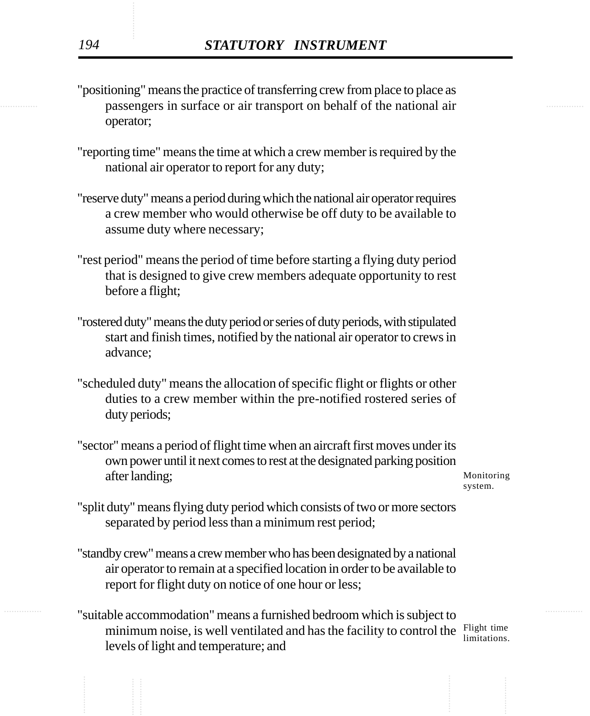- **Example 3.1 passengers in surface or air transport on behalf of the national air** "positioning" means the practice of transferring crew from place to place as operator;
	- "reporting time" means the time at which a crew member is required by the national air operator to report for any duty;
	- "reserve duty" means a period during which the national air operator requires a crew member who would otherwise be off duty to be available to assume duty where necessary;
	- "rest period" means the period of time before starting a flying duty period that is designed to give crew members adequate opportunity to rest before a flight;
	- "rostered duty" means the duty period or series of duty periods, with stipulated start and finish times, notified by the national air operator to crews in advance;
	- "scheduled duty" means the allocation of specific flight or flights or other duties to a crew member within the pre-notified rostered series of duty periods;
	- "sector" means a period of flight time when an aircraft first moves under its own power until it next comes to rest at the designated parking position after landing;

Monitoring system.

- "split duty" means flying duty period which consists of two or more sectors separated by period less than a minimum rest period;
- "standby crew" means a crew member who has been designated by a national air operator to remain at a specified location in order to be available to report for flight duty on notice of one hour or less;
- ............... ............... "suitable accommodation" means a furnished bedroom which is subject to minimum noise, is well ventilated and has the facility to control the  $\frac{F\text{light time}}{1\text{imitations}}$ levels of light and temperature; and limitations.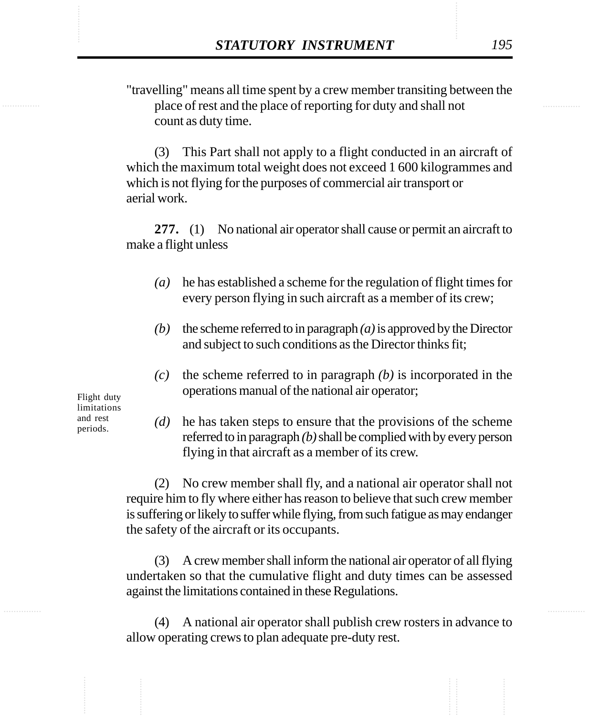**STATUTORY INSTRUMENT** 195<br>
"travelling" means all time spent by a crew member transiting between the place of rest and the place of reporting for duty and shall not "travelling" means all time spent by a crew member transiting between the place of rest and the place of reporting for duty and shall not count as duty time.

> (3) This Part shall not apply to a flight conducted in an aircraft of which the maximum total weight does not exceed 1 600 kilogrammes and which is not flying for the purposes of commercial air transport or aerial work.

> **277.** (1) No national air operator shall cause or permit an aircraft to make a flight unless

- *(a)* he has established a scheme for the regulation of flight times for every person flying in such aircraft as a member of its crew;
- *(b)* the scheme referred to in paragraph *(a)* is approved by the Director and subject to such conditions as the Director thinks fit;
- *(c)* the scheme referred to in paragraph *(b)* is incorporated in the operations manual of the national air operator;

Flight duty limitations and rest periods.

*(d)* he has taken steps to ensure that the provisions of the scheme referred to in paragraph *(b)* shall be complied with by every person flying in that aircraft as a member of its crew.

(2) No crew member shall fly, and a national air operator shall not require him to fly where either has reason to believe that such crew member is suffering or likely to suffer while flying, from such fatigue as may endanger the safety of the aircraft or its occupants.

(3) A crew member shall inform the national air operator of all flying undertaken so that the cumulative flight and duty times can be assessed against the limitations contained in these Regulations.

(4) A national air operator shall publish crew rosters in advance to allow operating crews to plan adequate pre-duty rest.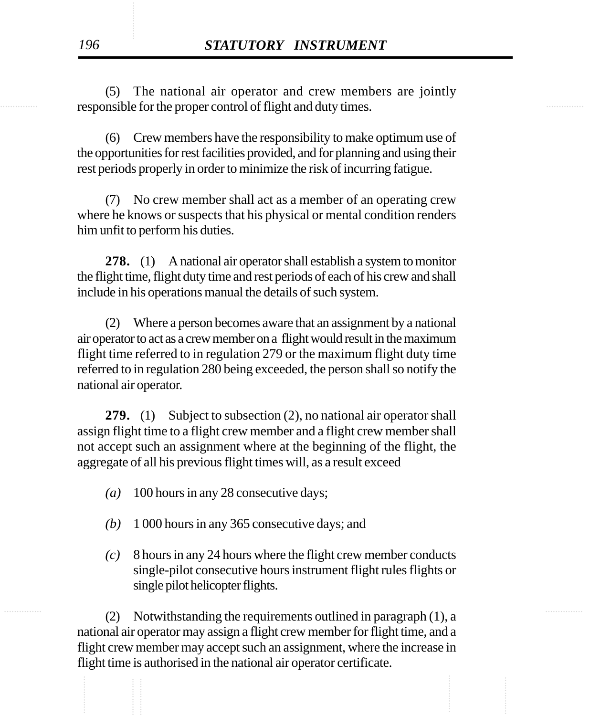responsible for the proper control of flight and duty times. (5) The national air operator and crew members are jointly

> (6) Crew members have the responsibility to make optimum use of the opportunities for rest facilities provided, and for planning and using their rest periods properly in order to minimize the risk of incurring fatigue.

> (7) No crew member shall act as a member of an operating crew where he knows or suspects that his physical or mental condition renders him unfit to perform his duties.

> **278.** (1) A national air operator shall establish a system to monitor the flight time, flight duty time and rest periods of each of his crew and shall include in his operations manual the details of such system.

> (2) Where a person becomes aware that an assignment by a national air operator to act as a crew member on a flight would result in the maximum flight time referred to in regulation 279 or the maximum flight duty time referred to in regulation 280 being exceeded, the person shall so notify the national air operator.

> **279.** (1) Subject to subsection (2), no national air operator shall assign flight time to a flight crew member and a flight crew member shall not accept such an assignment where at the beginning of the flight, the aggregate of all his previous flight times will, as a result exceed

- *(a)* 100 hours in any 28 consecutive days;
- *(b)* 1 000 hours in any 365 consecutive days; and
- *(c)* 8 hours in any 24 hours where the flight crew member conducts single-pilot consecutive hours instrument flight rules flights or single pilot helicopter flights.

............... ............... (2) Notwithstanding the requirements outlined in paragraph (1), a national air operator may assign a flight crew member for flight time, and a flight crew member may accept such an assignment, where the increase in flight time is authorised in the national air operator certificate.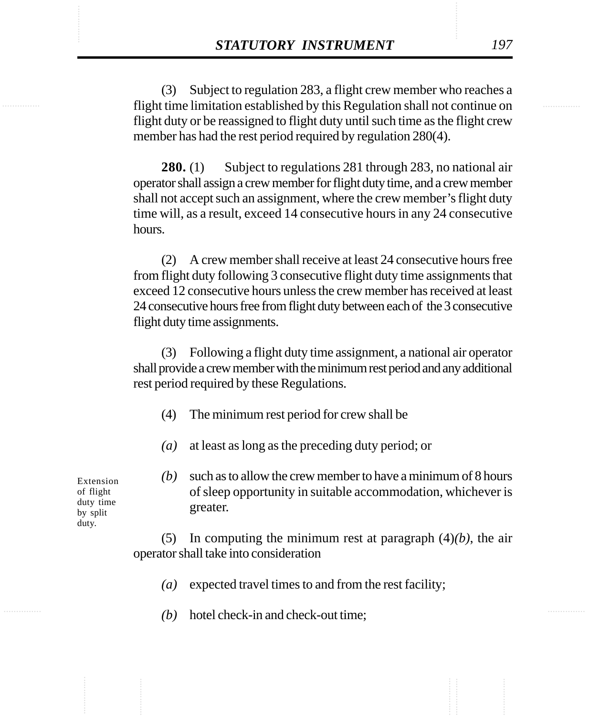**STATUTORY INSTRUMENT** 197<br>
(3) Subject to regulation 283, a flight crew member who reaches a flight time limitation established by this Regulation shall not continue on (3) Subject to regulation 283, a flight crew member who reaches a flight time limitation established by this Regulation shall not continue on flight duty or be reassigned to flight duty until such time as the flight crew member has had the rest period required by regulation 280(4).

> **280.** (1) Subject to regulations 281 through 283, no national air operator shall assign a crew member for flight duty time, and a crew member shall not accept such an assignment, where the crew member's flight duty time will, as a result, exceed 14 consecutive hours in any 24 consecutive hours.

> (2) A crew member shall receive at least 24 consecutive hours free from flight duty following 3 consecutive flight duty time assignments that exceed 12 consecutive hours unless the crew member has received at least 24 consecutive hours free from flight duty between each of the 3 consecutive flight duty time assignments.

> (3) Following a flight duty time assignment, a national air operator shall provide a crew member with the minimum rest period and any additional rest period required by these Regulations.

- (4) The minimum rest period for crew shall be
- *(a)* at least as long as the preceding duty period; or

*(b)* such as to allow the crew member to have a minimum of 8 hours of sleep opportunity in suitable accommodation, whichever is greater.

(5) In computing the minimum rest at paragraph (4)*(b)*, the air operator shall take into consideration

- *(a)* expected travel times to and from the rest facility;
- *(b)* hotel check-in and check-out time;

Extension of flight duty time by split duty.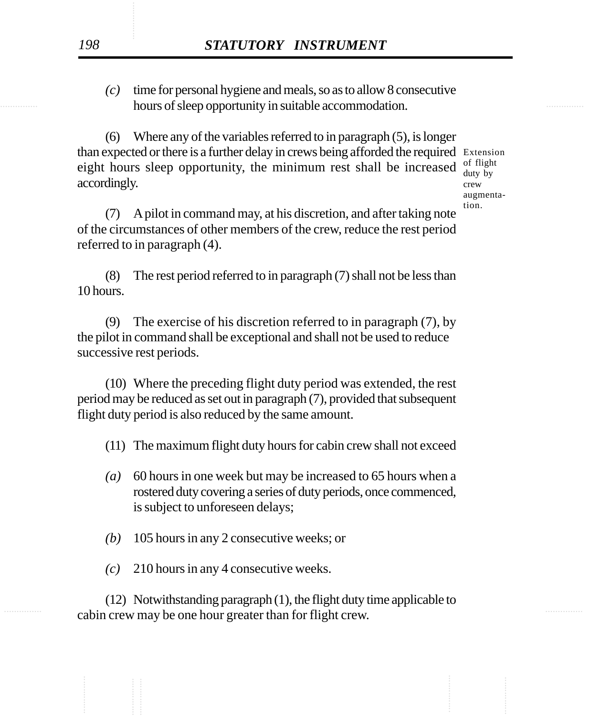hours of sleep opportunity in suitable accommodation. *(c)* time for personal hygiene and meals, so as to allow 8 consecutive

> (6) Where any of the variables referred to in paragraph (5), is longer than expected or there is a further delay in crews being afforded the required Extension eight hours sleep opportunity, the minimum rest shall be increased accordingly.

of flight duty by crew augmentation.

(7) A pilot in command may, at his discretion, and after taking note of the circumstances of other members of the crew, reduce the rest period referred to in paragraph (4).

(8) The rest period referred to in paragraph (7) shall not be less than 10 hours.

(9) The exercise of his discretion referred to in paragraph (7), by the pilot in command shall be exceptional and shall not be used to reduce successive rest periods.

(10) Where the preceding flight duty period was extended, the rest period may be reduced as set out in paragraph (7), provided that subsequent flight duty period is also reduced by the same amount.

- (11) The maximum flight duty hours for cabin crew shall not exceed
- *(a)* 60 hours in one week but may be increased to 65 hours when a rostered duty covering a series of duty periods, once commenced, is subject to unforeseen delays;
- *(b)* 105 hours in any 2 consecutive weeks; or
- *(c)* 210 hours in any 4 consecutive weeks.

cabin crew may be one hour greater than for flight crew. (12) Notwithstanding paragraph (1), the flight duty time applicable to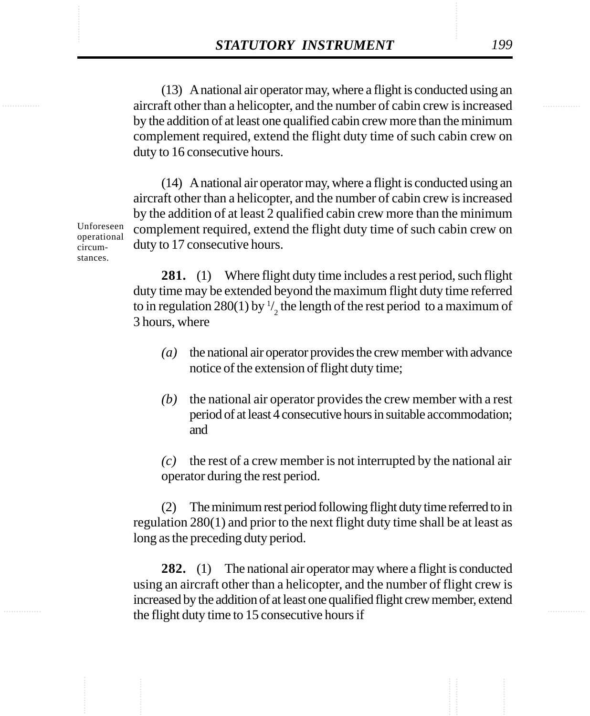**STATUTORY INSTRUMENT** 199<br>(13) A national air operator may, where a flight is conducted using an aircraft other than a helicopter, and the number of cabin crew is increased (13) A national air operator may, where a flight is conducted using an aircraft other than a helicopter, and the number of cabin crew is increased by the addition of at least one qualified cabin crew more than the minimum complement required, extend the flight duty time of such cabin crew on duty to 16 consecutive hours.

> (14) A national air operator may, where a flight is conducted using an aircraft other than a helicopter, and the number of cabin crew is increased by the addition of at least 2 qualified cabin crew more than the minimum complement required, extend the flight duty time of such cabin crew on duty to 17 consecutive hours.

> **281.** (1) Where flight duty time includes a rest period, such flight duty time may be extended beyond the maximum flight duty time referred to in regulation 280(1) by  $\frac{1}{2}$  the length of the rest period to a maximum of 3 hours, where

- *(a)* the national air operator provides the crew member with advance notice of the extension of flight duty time;
- *(b)* the national air operator provides the crew member with a rest period of at least 4 consecutive hours in suitable accommodation; and

*(c)* the rest of a crew member is not interrupted by the national air operator during the rest period.

(2) The minimum rest period following flight duty time referred to in regulation 280(1) and prior to the next flight duty time shall be at least as long as the preceding duty period.

**282.** (1) The national air operator may where a flight is conducted using an aircraft other than a helicopter, and the number of flight crew is increased by the addition of at least one qualified flight crew member, extend the flight duty time to 15 consecutive hours if

Unforeseen operational circumstances.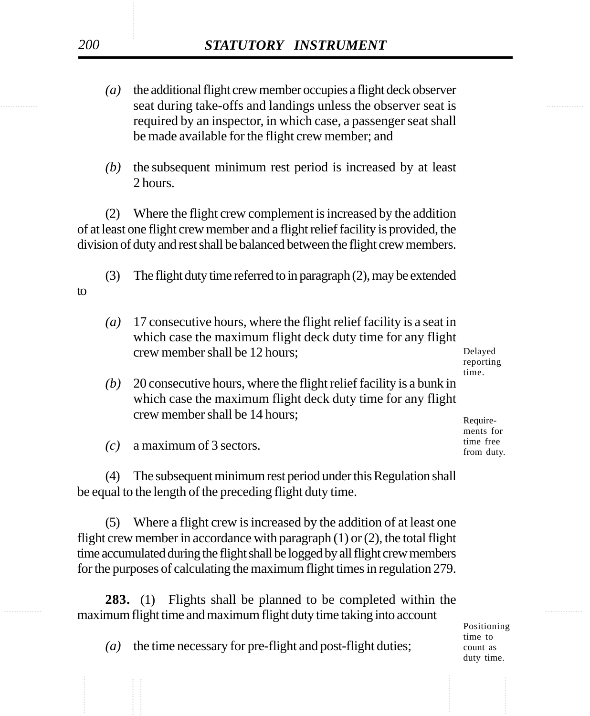- seat during take-offs and landings unless the observer seat is *(a)* the additional flight crew member occupies a flight deck observer required by an inspector, in which case, a passenger seat shall be made available for the flight crew member; and
	- *(b)* the subsequent minimum rest period is increased by at least 2 hours.

(2) Where the flight crew complement is increased by the addition of at least one flight crew member and a flight relief facility is provided, the division of duty and rest shall be balanced between the flight crew members.

(3) The flight duty time referred to in paragraph (2), may be extended

*(a)* 17 consecutive hours, where the flight relief facility is a seat in which case the maximum flight deck duty time for any flight crew member shall be 12 hours;

Delayed reporting time.

*(b)* 20 consecutive hours, where the flight relief facility is a bunk in which case the maximum flight deck duty time for any flight crew member shall be 14 hours;

Requirements for time free from duty.

*(c)* a maximum of 3 sectors.

(4) The subsequent minimum rest period under this Regulation shall be equal to the length of the preceding flight duty time.

(5) Where a flight crew is increased by the addition of at least one flight crew member in accordance with paragraph  $(1)$  or  $(2)$ , the total flight time accumulated during the flight shall be logged by all flight crew members for the purposes of calculating the maximum flight times in regulation 279.

............... ............... maximum flight time and maximum flight duty time taking into account **283.** (1) Flights shall be planned to be completed within the

Positioning time to count as duty time.

*(a)* the time necessary for pre-flight and post-flight duties;

to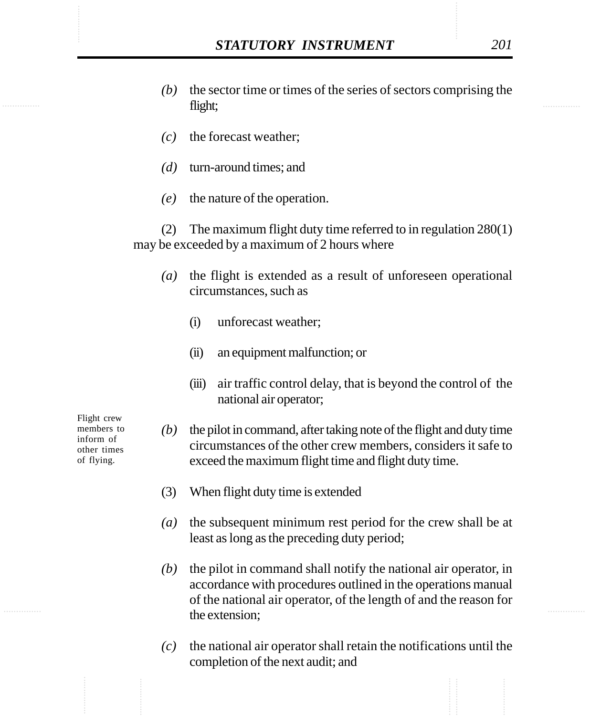- STATUTORY INSTRUMENT 201<br>
(b) the sector time or times of the series of sectors comprising the flight: *(b)* the sector time or times of the series of sectors comprising the flight;
	- *(c)* the forecast weather;
	- *(d)* turn-around times; and
	- *(e)* the nature of the operation.

(2) The maximum flight duty time referred to in regulation 280(1) may be exceeded by a maximum of 2 hours where

- *(a)* the flight is extended as a result of unforeseen operational circumstances, such as
	- (i) unforecast weather;
	- (ii) an equipment malfunction; or
	- (iii) air traffic control delay, that is beyond the control of the national air operator;

Flight crew members to inform of other times of flying.

- *(b)* the pilot in command, after taking note of the flight and duty time circumstances of the other crew members, considers it safe to exceed the maximum flight time and flight duty time.
- (3) When flight duty time is extended
- *(a)* the subsequent minimum rest period for the crew shall be at least as long as the preceding duty period;
- *(b)* the pilot in command shall notify the national air operator, in accordance with procedures outlined in the operations manual of the national air operator, of the length of and the reason for the extension;
- *(c)* the national air operator shall retain the notifications until the completion of the next audit; and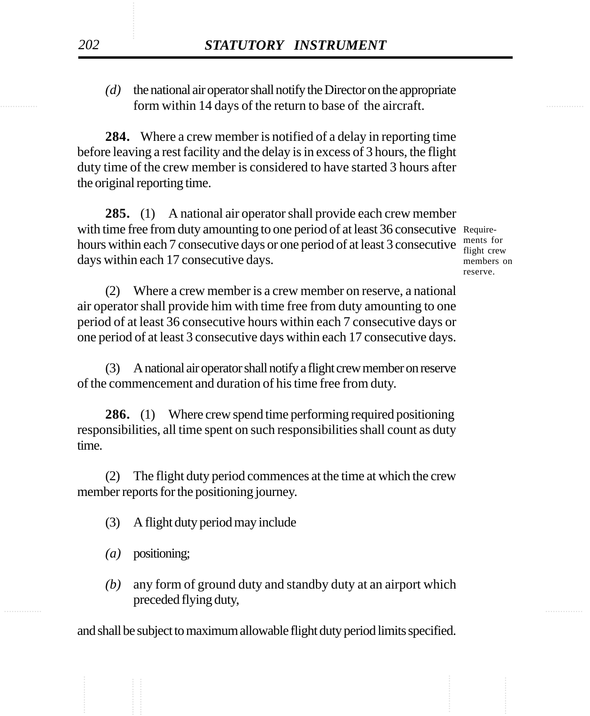form within 14 days of the return to base of the aircraft. *(d)* the national air operator shall notify the Director on the appropriate

> **284.** Where a crew member is notified of a delay in reporting time before leaving a rest facility and the delay is in excess of 3 hours, the flight duty time of the crew member is considered to have started 3 hours after the original reporting time.

**285.** (1) A national air operator shall provide each crew member with time free from duty amounting to one period of at least 36 consecutive Requirehours within each 7 consecutive days or one period of at least 3 consecutive  $\frac{ments}{fti}$  for crea days within each 17 consecutive days.

flight crew members on reserve.

(2) Where a crew member is a crew member on reserve, a national air operator shall provide him with time free from duty amounting to one period of at least 36 consecutive hours within each 7 consecutive days or one period of at least 3 consecutive days within each 17 consecutive days.

(3) A national air operator shall notify a flight crew member on reserve of the commencement and duration of his time free from duty.

**286.** (1) Where crew spend time performing required positioning responsibilities, all time spent on such responsibilities shall count as duty time.

(2) The flight duty period commences at the time at which the crew member reports for the positioning journey.

- (3) A flight duty period may include
- *(a)* positioning;
- ............... ............... *(b)* any form of ground duty and standby duty at an airport which preceded flying duty,

and shall be subject to maximum allowable flight duty period limits specified.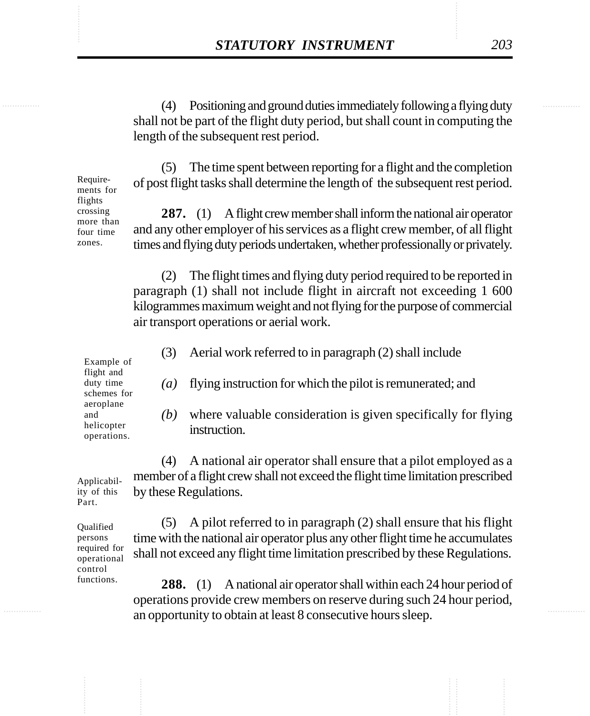STATUTORY INSTRUMENT 203 (4) Positioning and ground duties immediately following a flying duty shall not be part of the flight duty period, but shall count in computing the length of the subsequent rest period.

> (5) The time spent between reporting for a flight and the completion of post flight tasks shall determine the length of the subsequent rest period.

> **287.** (1) A flight crew member shall inform the national air operator and any other employer of his services as a flight crew member, of all flight times and flying duty periods undertaken, whether professionally or privately.

(2) The flight times and flying duty period required to be reported in paragraph (1) shall not include flight in aircraft not exceeding 1 600 kilogrammes maximum weight and not flying for the purpose of commercial air transport operations or aerial work.

(3) Aerial work referred to in paragraph (2) shall include

*(a)* flying instruction for which the pilot is remunerated; and

*(b)* where valuable consideration is given specifically for flying instruction.

(4) A national air operator shall ensure that a pilot employed as a member of a flight crew shall not exceed the flight time limitation prescribed by these Regulations.

(5) A pilot referred to in paragraph (2) shall ensure that his flight time with the national air operator plus any other flight time he accumulates shall not exceed any flight time limitation prescribed by these Regulations.

**288.** (1) A national air operator shall within each 24 hour period of operations provide crew members on reserve during such 24 hour period, an opportunity to obtain at least 8 consecutive hours sleep.

Example of flight and duty time schemes for aeroplane and helicopter operations.

Applicability of this Part.

**Oualified** persons required for operational control functions.

Requirements for flights crossing more than four time zones.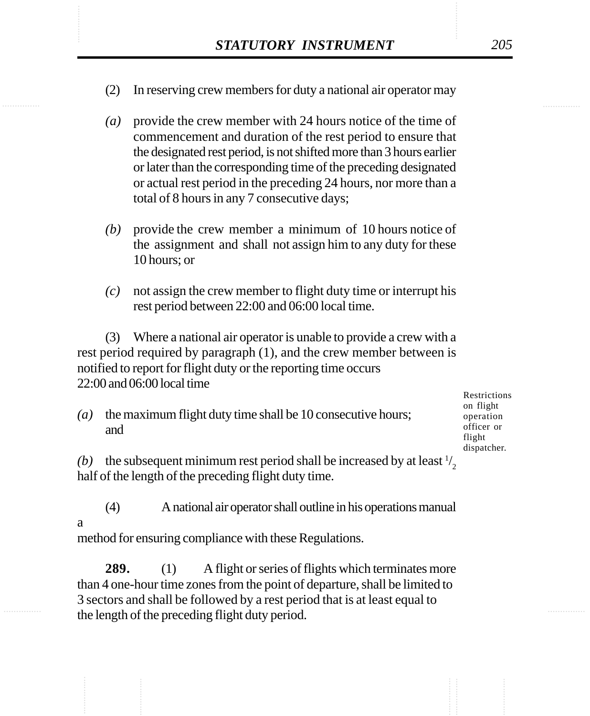- STATUTORY INSTRUMENT 205<br>(2) In reserving crew members for duty a national air operator may (2) In reserving crew members for duty a national air operator may
	- *(a)* provide the crew member with 24 hours notice of the time of commencement and duration of the rest period to ensure that the designated rest period, is not shifted more than 3 hours earlier or later than the corresponding time of the preceding designated or actual rest period in the preceding 24 hours, nor more than a total of 8 hours in any 7 consecutive days;
	- *(b)* provide the crew member a minimum of 10 hours notice of the assignment and shall not assign him to any duty for these 10 hours; or
	- *(c)* not assign the crew member to flight duty time or interrupt his rest period between 22:00 and 06:00 local time.

(3) Where a national air operator is unable to provide a crew with a rest period required by paragraph (1), and the crew member between is notified to report for flight duty or the reporting time occurs 22:00 and 06:00 local time

*(a)* the maximum flight duty time shall be 10 consecutive hours; and

Restrictions on flight operation officer or flight dispatcher.

(b) the subsequent minimum rest period shall be increased by at least  $\frac{1}{2}$ half of the length of the preceding flight duty time.

(4) A national air operator shall outline in his operations manual a

method for ensuring compliance with these Regulations.

**289.** (1) A flight or series of flights which terminates more than 4 one-hour time zones from the point of departure, shall be limited to 3 sectors and shall be followed by a rest period that is at least equal to the length of the preceding flight duty period.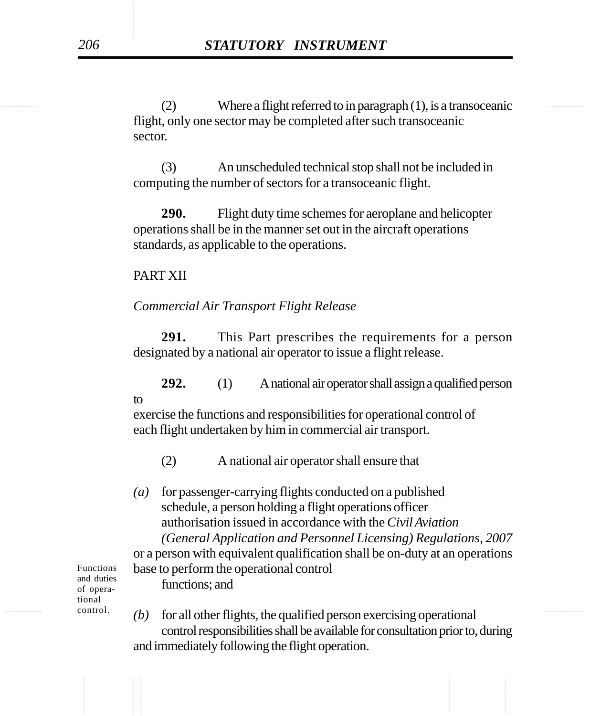(2) Where a flight referred to in paragraph (1), is a transoceanic flight, only one sector may be completed after such transoceanic sector.

> (3) An unscheduled technical stop shall not be included in computing the number of sectors for a transoceanic flight.

> **290.** Flight duty time schemes for aeroplane and helicopter operations shall be in the manner set out in the aircraft operations standards, as applicable to the operations.

## PART XII

## *Commercial Air Transport Flight Release*

**291.** This Part prescribes the requirements for a person designated by a national air operator to issue a flight release.

**292.** (1) A national air operator shall assign a qualified person to

exercise the functions and responsibilities for operational control of each flight undertaken by him in commercial air transport.

- (2) A national air operator shall ensure that
- *(a)* for passenger-carrying flights conducted on a published schedule, a person holding a flight operations officer authorisation issued in accordance with the *Civil Aviation (General Application and Personnel Licensing) Regulations, 2007*

or a person with equivalent qualification shall be on-duty at an operations base to perform the operational control functions; and

Functions and duties of operational control.

 $\text{control.}$  *(b)* for all other flights, the qualified person exercising operational control responsibilities shall be available for consultation prior to, during and immediately following the flight operation.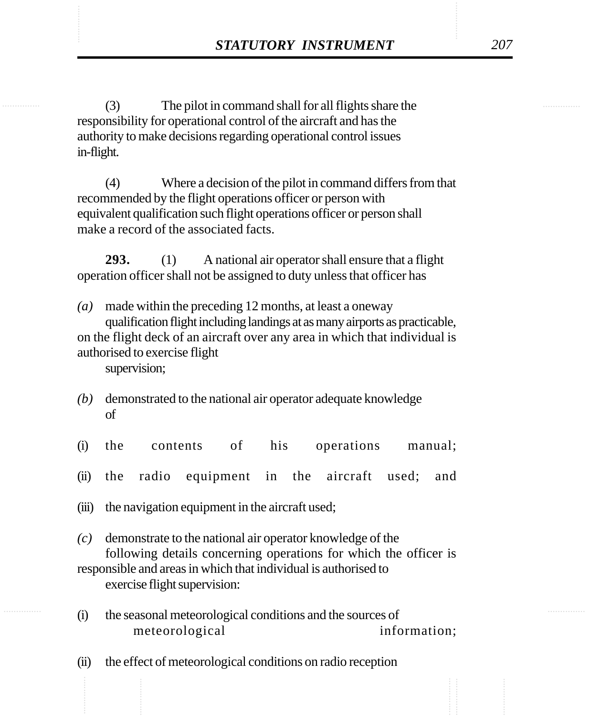STATUTORY INSTRUMENT 207<br>
(3) The pilot in command shall for all flights share the (3) The pilot in command shall for all flights share the responsibility for operational control of the aircraft and has the authority to make decisions regarding operational control issues in-flight.

> (4) Where a decision of the pilot in command differs from that recommended by the flight operations officer or person with equivalent qualification such flight operations officer or person shall make a record of the associated facts.

**293.** (1) A national air operator shall ensure that a flight operation officer shall not be assigned to duty unless that officer has

*(a)* made within the preceding 12 months, at least a oneway qualification flight including landings at as many airports as practicable, on the flight deck of an aircraft over any area in which that individual is authorised to exercise flight supervision;

- *(b)* demonstrated to the national air operator adequate knowledge of
- (i) the contents of his operations manual;
- (ii) the radio equipment in the aircraft used; and
- (iii) the navigation equipment in the aircraft used;
- *(c)* demonstrate to the national air operator knowledge of the following details concerning operations for which the officer is responsible and areas in which that individual is authorised to exercise flight supervision:
- (i) the seasonal meteorological conditions and the sources of meteorological information;
- (ii) the effect of meteorological conditions on radio reception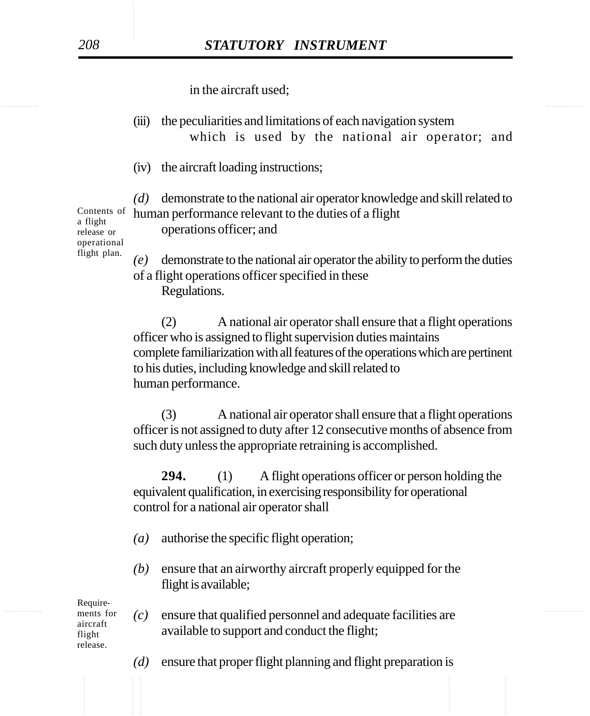in the aircraft used;

- (iii) the peculiarities and limitations of each navigation system which is used by the national air operator; and
- (iv) the aircraft loading instructions;

*(d)* demonstrate to the national air operator knowledge and skill related to human performance relevant to the duties of a flight

operations officer; and

Contents of a flight release or operational flight plan.

*(e)* demonstrate to the national air operator the ability to perform the duties of a flight operations officer specified in these Regulations.

(2) A national air operator shall ensure that a flight operations officer who is assigned to flight supervision duties maintains complete familiarization with all features of the operations which are pertinent to his duties, including knowledge and skill related to human performance.

(3) A national air operator shall ensure that a flight operations officer is not assigned to duty after 12 consecutive months of absence from such duty unless the appropriate retraining is accomplished.

**294.** (1) A flight operations officer or person holding the equivalent qualification, in exercising responsibility for operational control for a national air operator shall

- *(a)* authorise the specific flight operation;
- *(b)* ensure that an airworthy aircraft properly equipped for the flight is available;

Requirements for aircraft flight release.

- $\frac{m_{\text{e}}}{m_{\text{e}}}$  for  $\frac{c}{m}$  ensure that qualified personnel and adequate facilities are available to support and conduct the flight;
	- *(d)* ensure that proper flight planning and flight preparation is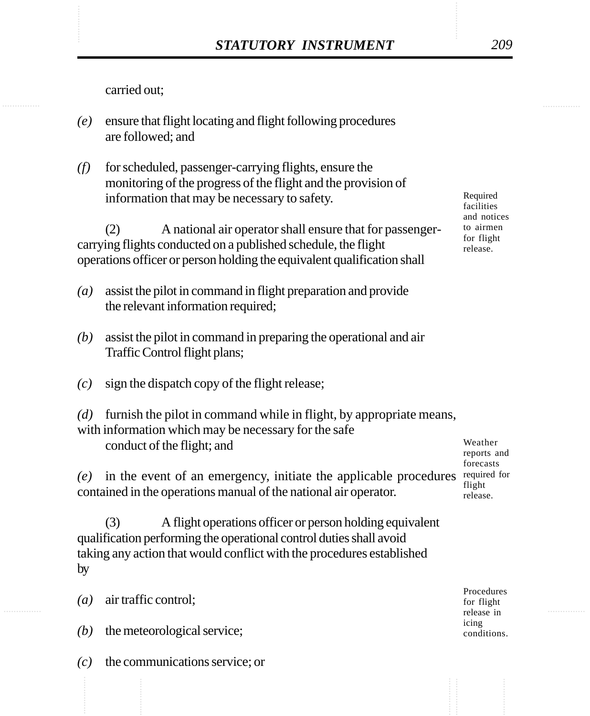carried out;

- *(e)* ensure that flight locating and flight following procedures are followed; and
- *(f)* for scheduled, passenger-carrying flights, ensure the monitoring of the progress of the flight and the provision of information that may be necessary to safety.

(2) A national air operator shall ensure that for passengercarrying flights conducted on a published schedule, the flight operations officer or person holding the equivalent qualification shall

- *(a)* assist the pilot in command in flight preparation and provide the relevant information required;
- *(b)* assist the pilot in command in preparing the operational and air Traffic Control flight plans;
- *(c)* sign the dispatch copy of the flight release;
- *(d)* furnish the pilot in command while in flight, by appropriate means, with information which may be necessary for the safe conduct of the flight; and

 $(e)$  in the event of an emergency, initiate the applicable procedures required for contained in the operations manual of the national air operator.

(3) A flight operations officer or person holding equivalent qualification performing the operational control duties shall avoid taking any action that would conflict with the procedures established by

*(a)* air traffic control;

*(b)* the meteorological service;

*(c)* the communications service; or

Required facilities and notices to airmen for flight release.

Weather reports and forecasts flight release.

Procedures for flight release in icing conditions.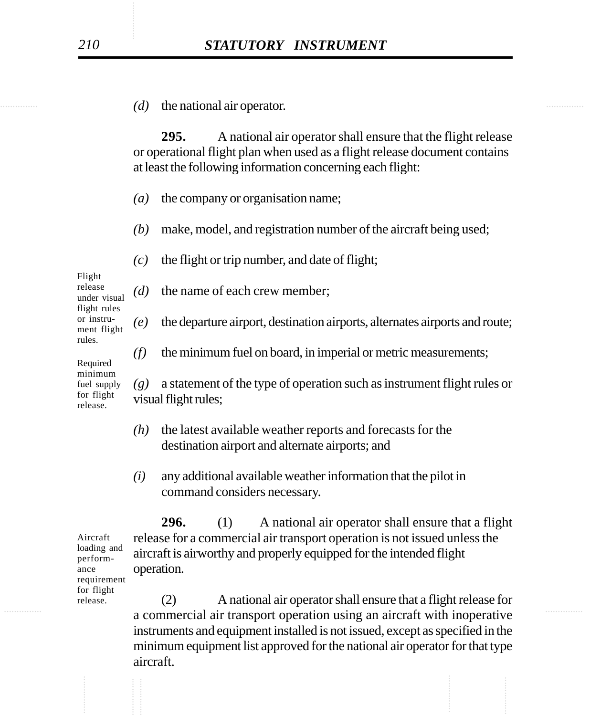............... ............... *(d)* the national air operator.

**295.** A national air operator shall ensure that the flight release or operational flight plan when used as a flight release document contains at least the following information concerning each flight:

*(a)* the company or organisation name;

*(d)* the name of each crew member;

- *(b)* make, model, and registration number of the aircraft being used;
- *(c)* the flight or trip number, and date of flight;

Flight release under visual flight rules or instrument flight rules.

Required minimum fuel supply for flight release.

*(g)* a statement of the type of operation such as instrument flight rules or visual flight rules;

*(f)* the minimum fuel on board, in imperial or metric measurements;

*(e)* the departure airport, destination airports, alternates airports and route;

- *(h)* the latest available weather reports and forecasts for the destination airport and alternate airports; and
- *(i)* any additional available weather information that the pilot in command considers necessary.

**296.** (1) A national air operator shall ensure that a flight release for a commercial air transport operation is not issued unless the aircraft is airworthy and properly equipped for the intended flight operation.

............... ............... a commercial air transport operation using an aircraft with inoperative (2) A national air operator shall ensure that a flight release for instruments and equipment installed is not issued, except as specified in the minimum equipment list approved for the national air operator for that type aircraft.

Aircraft loading and performance requirement for flight release.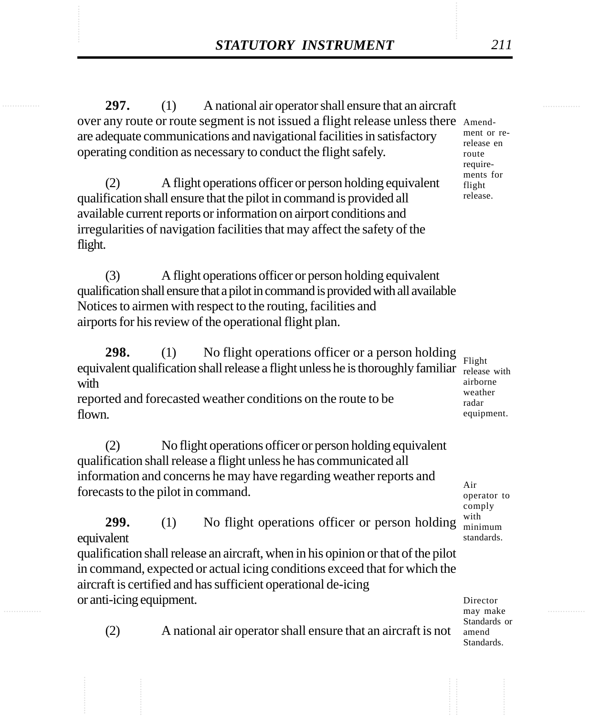STATUTORY INSTRUMENT 211<br>297. (1) A national air operator shall ensure that an aircraft **297.** (1) A national air operator shall ensure that an aircraft over any route or route segment is not issued a flight release unless there Amendare adequate communications and navigational facilities in satisfactory operating condition as necessary to conduct the flight safely.

> (2) A flight operations officer or person holding equivalent qualification shall ensure that the pilot in command is provided all available current reports or information on airport conditions and irregularities of navigation facilities that may affect the safety of the flight.

(3) A flight operations officer or person holding equivalent qualification shall ensure that a pilot in command is provided with all available Notices to airmen with respect to the routing, facilities and airports for his review of the operational flight plan.

**298.** (1) No flight operations officer or a person holding equivalent qualification shall release a flight unless he is thoroughly familiar with

reported and forecasted weather conditions on the route to be flown.

(2) No flight operations officer or person holding equivalent qualification shall release a flight unless he has communicated all information and concerns he may have regarding weather reports and forecasts to the pilot in command.

**299.** (1) No flight operations officer or person holding equivalent

qualification shall release an aircraft, when in his opinion or that of the pilot in command, expected or actual icing conditions exceed that for which the aircraft is certified and has sufficient operational de-icing or anti-icing equipment.

Director may make Standards or amend Standards.

(2) A national air operator shall ensure that an aircraft is not

ment or rerelease en route requirements for flight release.

Flight release with airborne weather radar equipment.

Air operator to comply with minimum standards.